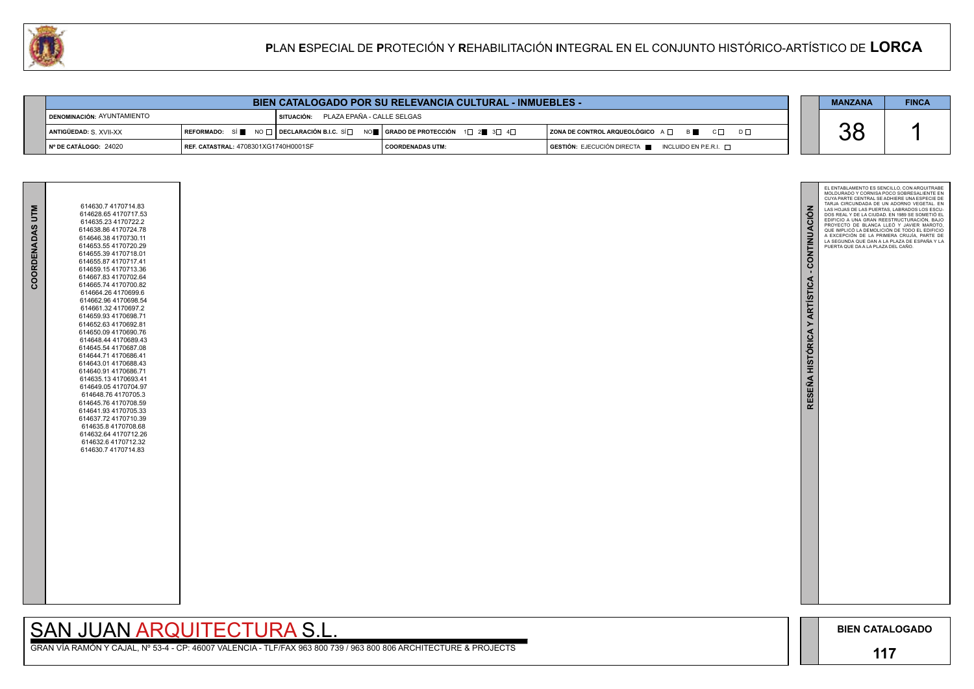

GRAN VÍA RAMÓN Y CAJAL, Nº 53-4 - CP: 46007 VALENCIA - TLF/FAX 963 800 739 / 963 800 806 ARCHITECTURE & PROJECTS

|                                     |                                             |                                       | <b>BIEN CATALOGADO POR SU RELEVANCIA CULTURAL - INMUEBLES -</b>                                                                                       |                                                                                      | <b>MANZANA</b> | <b>FINCA</b> |
|-------------------------------------|---------------------------------------------|---------------------------------------|-------------------------------------------------------------------------------------------------------------------------------------------------------|--------------------------------------------------------------------------------------|----------------|--------------|
| <b>I DENOMINACIÓN: AYUNTAMIENTO</b> |                                             | SITUACIÓN: PLAZA EPAÑA - CALLE SELGAS |                                                                                                                                                       |                                                                                      |                |              |
| <b>ANTIGÜEDAD: S. XVII-XX</b>       |                                             |                                       | REFORMADO: SÍ $\blacksquare$ NO $\Box$ DECLARACIÓN B.I.C. SÍ $\Box$ NO $\blacksquare$ GRADO DE PROTECCIÓN 1 $\Box$ 2 $\blacksquare$ 3 $\Box$ 4 $\Box$ | $ $ ZONA DE CONTROL ARQUEOLÓGICO $A \Box$ $B \blacksquare$ $C \Box$<br>$D \Box$      | UU             |              |
| ∣N° DE CATÁLOGO: 24020              | <b>REF. CATASTRAL: 4708301XG1740H0001SF</b> |                                       | <b>COORDENADAS UTM:</b>                                                                                                                               | $\overline{)}$ GESTIÓN: EJECUCIÓN DIRECTA $\blacksquare$ INCLUIDO EN P.E.R.I. $\Box$ |                |              |

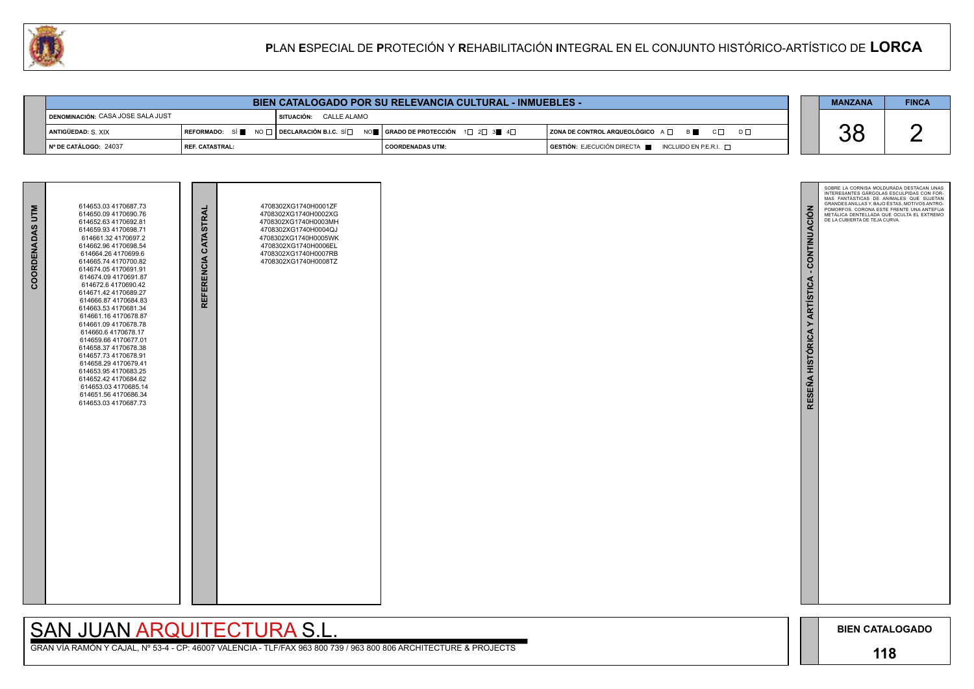

GRAN VÍA RAMÓN Y CAJAL, Nº 53-4 - CP: 46007 VALENCIA - TLF/FAX 963 800 739 / 963 800 806 ARCHITECTURE & PROJECTS

|                                          |                   | <b>BIEN CATALOGADO POR SU RELEVANCIA CULTURAL - INMUEBLES -</b> |                  |                                                                                      | <b>MANZANA</b> | <b>FINCA</b> |
|------------------------------------------|-------------------|-----------------------------------------------------------------|------------------|--------------------------------------------------------------------------------------|----------------|--------------|
| <b>DENOMINACIÓN: CASA JOSE SALA JUST</b> |                   | SITUACIÓN: CALLE ALAMO                                          |                  |                                                                                      |                |              |
| ANTIGÜEDAD: S XIX                        |                   |                                                                 |                  | $ $ ZONA DE CONTROL ARQUEOLÓGICO $A \Box$ $B \Box$ $C \Box$<br>$D \Box$              |                |              |
| $\blacksquare$ N° DE CATÁLOGO: 24037     | I REF. CATASTRAL: |                                                                 | COORDENADAS UTM: | $\blacksquare$ GESTIÓN: EJECUCIÓN DIRECTA $\blacksquare$ INCLUIDO EN P.E.R.I. $\Box$ | UU             |              |

| COORDENADAS UTM | 614653.03 4170687.73<br>614650.09 4170690.76<br>614652.63 4170692.81<br>614659.93 4170698.71<br>614661.32 4170697.2<br>614662.96 4170698.54<br>614664.26 4170699.6<br>614665.74 4170700.82<br>614674.054170691.91<br>614674.09 4170691.87<br>614672.6 4170690.42<br>614671.42 4170689.27<br>614666.87 4170684.83<br>614663.53 4170681.34<br>614661.16 4170678.87<br>614661.09 4170678.78<br>614660.6 4170678.17<br>614659.66 4170677.01<br>614658.37 4170678.38<br>614657.73 4170678.91<br>614658.29 4170679.41<br>614653.95 4170683.25<br>614652.42 4170684.62<br>614653.03 4170685.14<br>614651.56 4170686.34<br>614653.03 4170687.73 | REFERENCIA CATASTRAL | 4708302XG1740H0001ZF<br>4708302XG1740H0002XG<br>4708302XG1740H0003MH<br>4708302XG1740H0004QJ<br>4708302XG1740H0005WK<br>4708302XG1740H0006EL<br>4708302XG1740H0007RB<br>4708302XG1740H0008TZ |  |
|-----------------|-----------------------------------------------------------------------------------------------------------------------------------------------------------------------------------------------------------------------------------------------------------------------------------------------------------------------------------------------------------------------------------------------------------------------------------------------------------------------------------------------------------------------------------------------------------------------------------------------------------------------------------------|----------------------|----------------------------------------------------------------------------------------------------------------------------------------------------------------------------------------------|--|

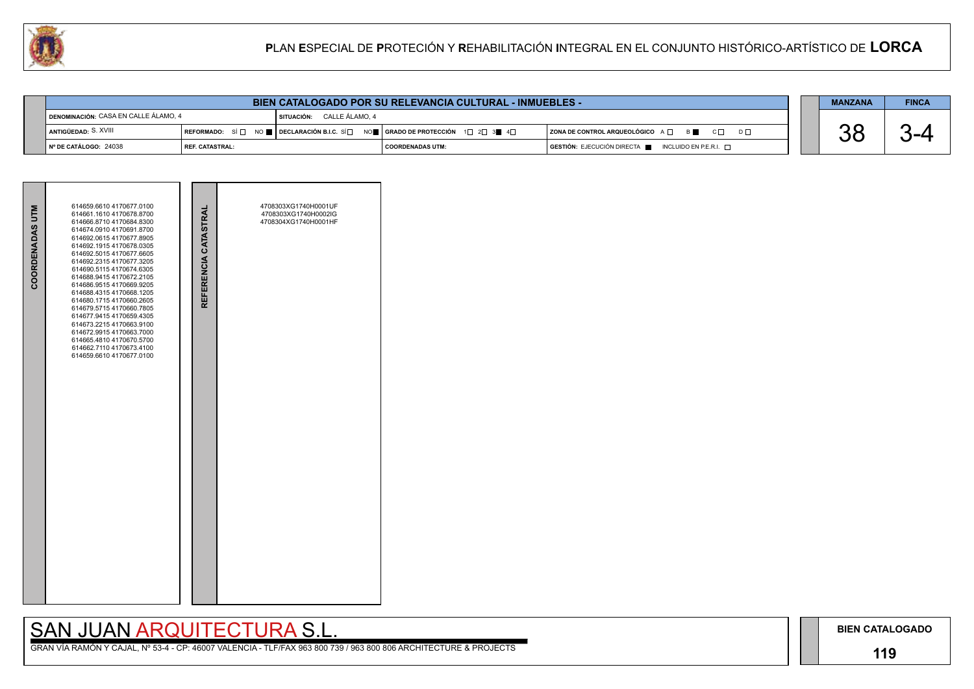### **119**

## SAN JUAN ARQUITECTURA S.L.

|                                             | <b>FINCA</b><br>BIEN CATALOGADO POR SU RELEVANCIA CULTURAL - INMUEBLES -<br><b>MANZANA</b>                                                            |                           |                    |  |                                                                                      |  |  |  |  |  |
|---------------------------------------------|-------------------------------------------------------------------------------------------------------------------------------------------------------|---------------------------|--------------------|--|--------------------------------------------------------------------------------------|--|--|--|--|--|
| <b>DENOMINACIÓN: CASA EN CALLE ÁLAMO, 4</b> |                                                                                                                                                       | SITUACIÓN: CALLE ÁLAMO. 4 |                    |  |                                                                                      |  |  |  |  |  |
| ANTIGÜEDAD: S. XVIII                        | REFORMADO: SÍ $\Box$ NO $\blacksquare$ DECLARACIÓN B.I.C. SÍ $\Box$ NO $\blacksquare$ GRADO DE PROTECCIÓN 1 $\Box$ 2 $\Box$ 3 $\blacksquare$ 4 $\Box$ |                           |                    |  | $ $ ZONA DE CONTROL ARQUEOLÓGICO $A \Box$ B $\Box$ C $\Box$ D $\Box$                 |  |  |  |  |  |
| N° DE CATÁLOGO: 24038                       | I REF. CATASTRAL:                                                                                                                                     |                           | I COORDENADAS UTM: |  | $\overline{)}$ GESTIÓN: EJECUCIÓN DIRECTA $\overline{)}$ INCLUIDO EN P.E.R.I. $\Box$ |  |  |  |  |  |

| COORDENADAS UTM | 614659.6610 4170677.0100<br>614661.1610 4170678.8700<br>614666.8710 4170684.8300<br>614674.0910 4170691.8700<br>614692.0615 4170677.8905<br>614692.1915 4170678.0305<br>614692.5015 4170677.6605<br>614692.2315 4170677.3205<br>614690.5115 4170674.6305<br>614688.9415 4170672.2105<br>614686.9515 4170669.9205<br>614688.4315 4170668.1205<br>614680.1715 4170660.2605<br>614679.5715 4170660.7805<br>614677.9415 4170659.4305<br>614673.2215 4170663.9100<br>614672.9915 4170663.7000<br>614665.4810 4170670.5700<br>614662.7110 4170673.4100<br>614659.6610 4170677.0100 | REFERENCIA CATASTRAL | 4708303XG1740H0001UF<br>4708303XG1740H0002IG<br>4708304XG1740H0001HF |  |
|-----------------|------------------------------------------------------------------------------------------------------------------------------------------------------------------------------------------------------------------------------------------------------------------------------------------------------------------------------------------------------------------------------------------------------------------------------------------------------------------------------------------------------------------------------------------------------------------------------|----------------------|----------------------------------------------------------------------|--|
|                 |                                                                                                                                                                                                                                                                                                                                                                                                                                                                                                                                                                              |                      |                                                                      |  |

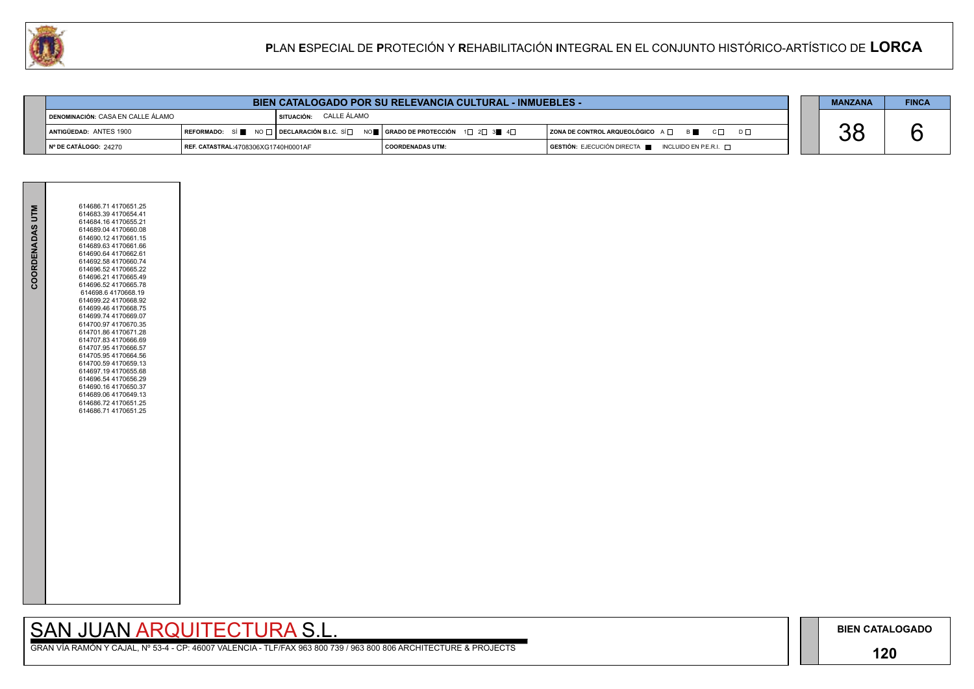## **120**

GRAN VÍA RAMÓN Y CAJAL, Nº 53-4 - CP: 46007 VALENCIA - TLF/FAX 963 800 739 / 963 800 806 ARCHITECTURE & PROJECTS

|  | <b>MANZANA</b> | <b>FINCA</b> |
|--|----------------|--------------|
|  |                |              |

|                                            |                                     |                                      | <b>BIEN CATALOGADO POR SU RELEVANCIA CULTURAL - INMUEBLES -</b>                                                 |                                                                                              | <b>MANZANA</b> | <b>FINCA</b> |
|--------------------------------------------|-------------------------------------|--------------------------------------|-----------------------------------------------------------------------------------------------------------------|----------------------------------------------------------------------------------------------|----------------|--------------|
| <b>I DENOMINACIÓN:</b> CASA EN CALLE ÁLAMO |                                     | <b>I SITUACIÓN:      CALLE ÁLAMO</b> |                                                                                                                 |                                                                                              |                |              |
| ANTIGÜEDAD: ANTES 1900                     |                                     |                                      | REFORMADO: SÍ NO $\Box$ DECLARACIÓN B.I.C. SÍ $\Box$ NO $\Box$ GRADO DE PROTECCIÓN 1 $\Box$ 2 $\Box$ 3 4 $\Box$ | $ $ ZONA DE CONTROL ARQUEOLÓGICO $A \Box$ $B \Box$ $C \Box$<br>$D \Box$                      |                |              |
| ∥ Nº DE CATÁLOGO: 24270                    | REF. CATASTRAL:4708306XG1740H0001AF |                                      | COORDENADAS UTM:                                                                                                | $\overline{a}$ GESTIÓN: EJECUCIÓN DIRECTA $\overline{a}$ INCLUIDO EN P.E.R.I. $\overline{a}$ |                |              |



| COORDENADAS UTM | 614686.71 4170651.25<br>614683.39 4170654.41<br>614684.16 4170655.21<br>614689.04 4170660.08<br>614690.12 4170661.15<br>614689.63 4170661.66<br>614690.64 4170662.61<br>614692.58 4170660.74<br>614696.52 4170665.22<br>614696.21 4170665.49<br>614696.52 4170665.78<br>614698.64170668.19<br>614699.22 4170668.92<br>614699.46 4170668.75<br>614699.74 4170669.07<br>614700.97 4170670.35<br>614701.86 4170671.28<br>614707.83 4170666.69<br>614707.95 4170666.57<br>614705.95 4170664.56<br>614700.59 4170659.13<br>614697.19 4170655.68<br>614696.54 4170656.29<br>614690.16 4170650.37<br>614689.06 4170649.13<br>614686.72 4170651.25<br>614686.714170651.25 |
|-----------------|-------------------------------------------------------------------------------------------------------------------------------------------------------------------------------------------------------------------------------------------------------------------------------------------------------------------------------------------------------------------------------------------------------------------------------------------------------------------------------------------------------------------------------------------------------------------------------------------------------------------------------------------------------------------|
|                 |                                                                                                                                                                                                                                                                                                                                                                                                                                                                                                                                                                                                                                                                   |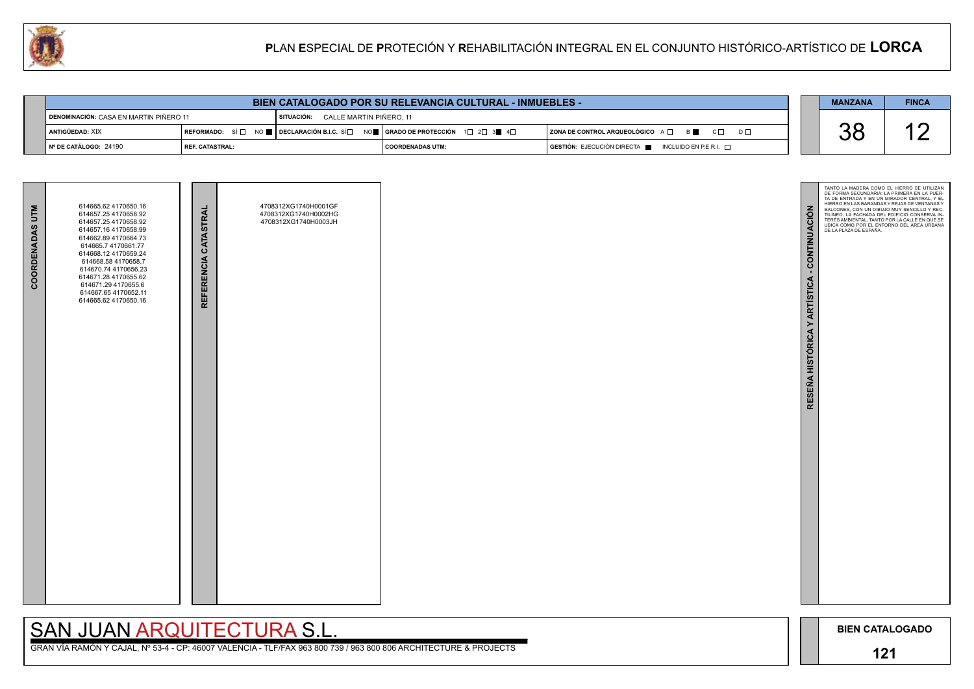

# SAN JUAN ARQUITECTURA S.L.

|                                        |                          | <b>BIEN CATALOGADO POR SU RELEVANCIA CULTURAL - INMUEBLES -</b>                                                                                       |                    |                                                                                              | <b>MANZANA</b> | <b>FINCA</b> |
|----------------------------------------|--------------------------|-------------------------------------------------------------------------------------------------------------------------------------------------------|--------------------|----------------------------------------------------------------------------------------------|----------------|--------------|
| DENOMINACIÓN: CASA EN MARTIN PIÑERO 11 |                          | SITUACIÓN: CALLE MARTIN PIÑERO, 11                                                                                                                    |                    |                                                                                              |                |              |
| ANTIGÜEDAD: XIX                        |                          | REFORMADO: SÍ $\square$ NO $\square$ DECLARACIÓN B.I.C. SÍ $\square$ NO $\square$ GRADO DE PROTECCIÓN 1 $\square$ 2 $\square$ 3 $\square$ 4 $\square$ |                    | $ $ ZONA DE CONTROL ARQUEOLÓGICO A $\Box$ B $\Box$ C $\Box$<br>$D \Box$                      |                |              |
| │ Nº DE CATÁLOGO: 24190                | <b>I REF. CATASTRAL:</b> |                                                                                                                                                       | I COORDENADAS UTM: | $\overline{S}$ GESTIÓN: EJECUCIÓN DIRECTA $\overline{S}$ INCLUIDO EN P.E.R.I. $\overline{S}$ |                |              |

| <b>COORDENADAS UTM</b> | 614665.62 4170650.16<br>614657.25 4170658.92<br>614657.25 4170658.92<br>614657.16 4170658.99<br>614662.89 4170664.73<br>614665.7 4170661.77<br>614668.12 4170659.24<br>614668.58 4170658.7<br>614670.74 4170656.23<br>614671.28 4170655.62<br>614671.29 4170655.6<br>614667.65 4170652.11<br>614665.62 4170650.16 | REFERENCIA CATASTRAL | 4708312XG1740H0001GF<br>4708312XG1740H0002HG<br>4708312XG1740H0003JH |  |
|------------------------|-------------------------------------------------------------------------------------------------------------------------------------------------------------------------------------------------------------------------------------------------------------------------------------------------------------------|----------------------|----------------------------------------------------------------------|--|
|                        |                                                                                                                                                                                                                                                                                                                   |                      |                                                                      |  |

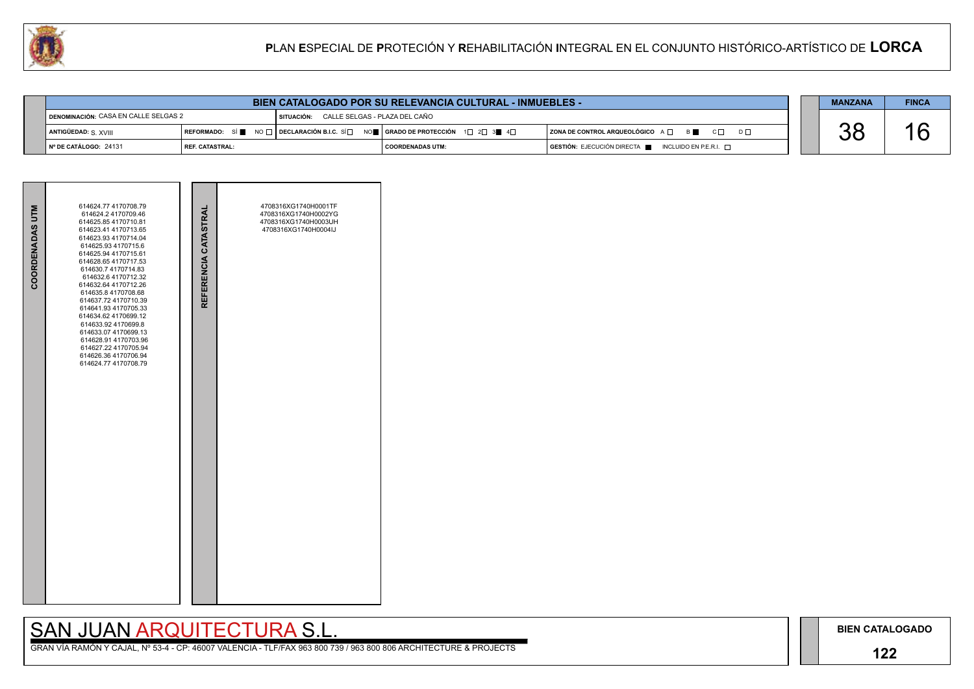## **122**

## SAN JUAN ARQUITECTURA S.L.

|  | <b>MANZANA</b> | <b>FINCA</b> |
|--|----------------|--------------|
|  |                |              |
|  |                |              |

| BIEN CATALOGADO POR SU RELEVANCIA CULTURAL - INMUEBLES - |                          |  |                                                                                                                                                                       |                    |  |  |                                                                                              | <b>MANZANA</b> | <b>FINCA</b> |
|----------------------------------------------------------|--------------------------|--|-----------------------------------------------------------------------------------------------------------------------------------------------------------------------|--------------------|--|--|----------------------------------------------------------------------------------------------|----------------|--------------|
| <b>I DENOMINACIÓN: CASA EN CALLE SELGAS 2</b>            |                          |  | SITUACIÓN: CALLE SELGAS - PLAZA DEL CAÑO                                                                                                                              |                    |  |  |                                                                                              |                |              |
| ANTIGÜEDAD: S. XVIII                                     |                          |  | $\mid$ REFORMADO: SÍ $\blacksquare$ NO $\Box$ DECLARACIÓN B.I.C. SÍ $\Box$ NO $\blacksquare$   GRADO DE PROTECCIÓN $\bot$ 1 $\Box$ 2 $\Box$ 3 $\blacksquare$ 4 $\Box$ |                    |  |  | <b>ZONA DE CONTROL ARQUEOLÓGICO</b> A □ B<br>$C \Box$<br>$D \Box$                            | UL             |              |
| I Nº DE CATÁLOGO: 24131                                  | <b>I REF. CATASTRAL:</b> |  |                                                                                                                                                                       | I COORDENADAS UTM: |  |  | $\overline{S}$ GESTIÓN: EJECUCIÓN DIRECTA $\overline{S}$ INCLUIDO EN P.E.R.I. $\overline{S}$ |                |              |

| COORDENADAS UTM | 614624.77 4170708.79<br>614624.2 4170709.46<br>614625.85 4170710.81<br>614623.41 4170713.65<br>614623.93 4170714.04<br>614625.93 4170715.6<br>614625.94 4170715.61<br>614628.65 4170717.53<br>614630.7 4170714.83<br>614632.6 4170712.32<br>614632.64 4170712.26<br>614635.8 4170708.68<br>614637.72 4170710.39<br>614641.93 4170705.33<br>614634.62 4170699.12<br>614633.92 4170699.8<br>614633.07 4170699.13<br>614628.91 4170703.96<br>614627.22 4170705.94<br>614626.36 4170706.94<br>614624.77 4170708.79 | REFERENCIA CATASTRAL | 4708316XG1740H0001TF<br>4708316XG1740H0002YG<br>4708316XG1740H0003UH<br>4708316XG1740H0004IJ |  |
|-----------------|----------------------------------------------------------------------------------------------------------------------------------------------------------------------------------------------------------------------------------------------------------------------------------------------------------------------------------------------------------------------------------------------------------------------------------------------------------------------------------------------------------------|----------------------|----------------------------------------------------------------------------------------------|--|

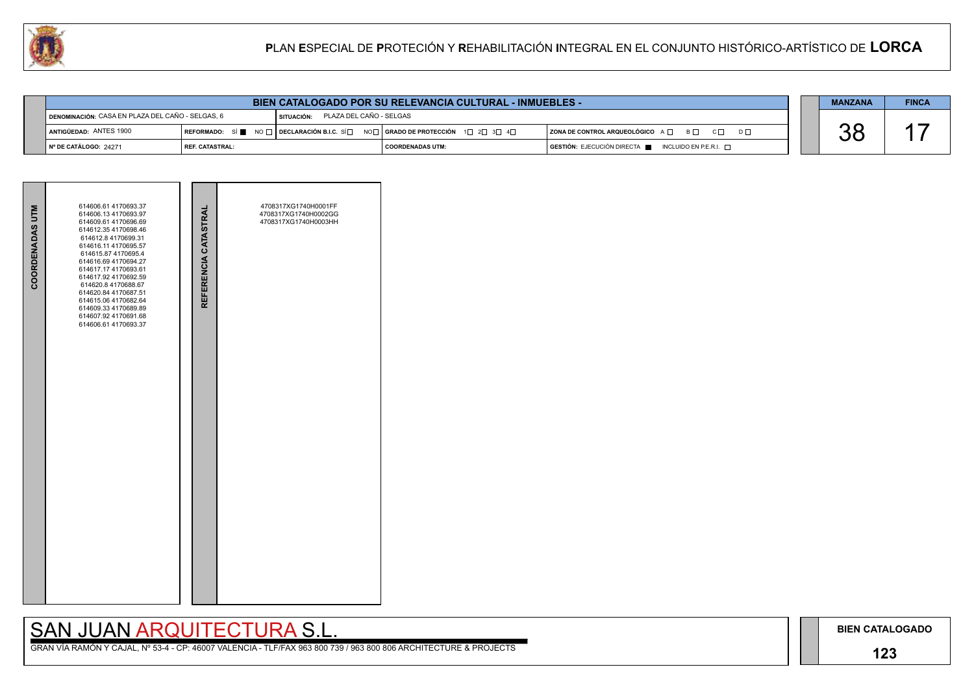## **123**

# SAN JUAN ARQUITECTURA S.L.

|                                                  | <b>BIEN CATALOGADO POR SU RELEVANCIA CULTURAL - INMUEBLES -</b> |                                       |                                                                                                                        |                                                                                      |  |  |  |
|--------------------------------------------------|-----------------------------------------------------------------|---------------------------------------|------------------------------------------------------------------------------------------------------------------------|--------------------------------------------------------------------------------------|--|--|--|
| DENOMINACIÓN: CASA EN PLAZA DEL CAÑO - SELGAS, 6 |                                                                 | PLAZA DEL CAÑO - SELGAS<br>SITUACIÓN: |                                                                                                                        |                                                                                      |  |  |  |
| ANTIGÜEDAD: ANTES 1900                           |                                                                 |                                       | REFORMADO: SÍ NO $\Box$ DECLARACIÓN B.I.C. SÍ $\Box$ NO $\Box$ GRADO DE PROTECCIÓN 1 $\Box$ 2 $\Box$ 3 $\Box$ 4 $\Box$ | ZONA DE CONTROL ARQUEOLÓGICO A □ B □ C □ D □                                         |  |  |  |
| ∥Nº DE CATÁLOGO: 24271                           | <b>I REF. CATASTRAL:</b>                                        |                                       | <b>COORDENADAS UTM:</b>                                                                                                | $\overline{)}$ GESTIÓN: EJECUCIÓN DIRECTA $\blacksquare$ INCLUIDO EN P.E.R.I. $\Box$ |  |  |  |



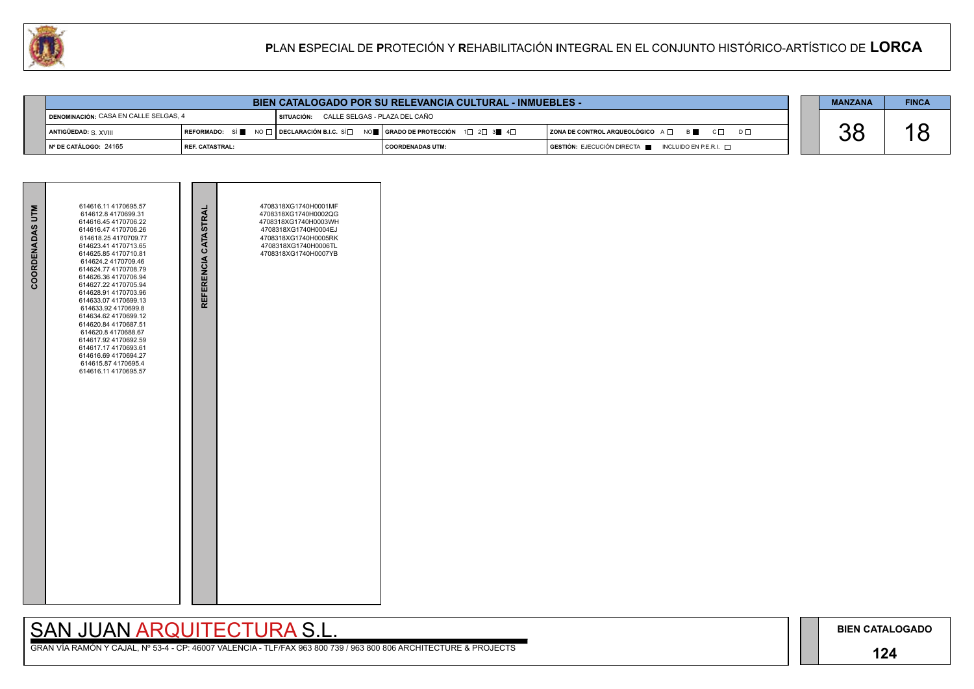## **124**

## SAN JUAN ARQUITECTURA S.L.

| <b>BIEN CATALOGADO POR SU RELEVANCIA CULTURAL - INMUEBLES -</b> |                 |              |                                                                                                                                                                      |  |                                                                                      |  |  | <b>FINCA</b> |
|-----------------------------------------------------------------|-----------------|--------------|----------------------------------------------------------------------------------------------------------------------------------------------------------------------|--|--------------------------------------------------------------------------------------|--|--|--------------|
| DENOMINACIÓN: CASA EN CALLE SELGAS, 4                           |                 | I SITUACIÓN: | CALLE SELGAS - PLAZA DEL CAÑO                                                                                                                                        |  |                                                                                      |  |  |              |
| ANTIGÜEDAD: S XVIII                                             |                 |              | REFORMADO: SÍ $\blacksquare$ NO $\square$ DECLARACIÓN B.I.C. SÍ $\square$ NO $\blacksquare$ GRADO DE PROTECCIÓN 1 $\square$ 2 $\square$ 3 $\blacksquare$ 4 $\square$ |  | $ $ ZONA DE CONTROL ARQUEOLÓGICO $A \Box$ B $ \Box$ C $ \Box$ D $ \Box$              |  |  |              |
| Nº DE CATÁLOGO: 24165                                           | REF. CATASTRAL: |              | COORDENADAS UTM:                                                                                                                                                     |  | $\overline{)}$ GESTIÓN: EJECUCIÓN DIRECTA $\overline{)}$ INCLUIDO EN P.E.R.I. $\Box$ |  |  |              |

| COORDENADAS UTM | 614616.11 4170695.57<br>614612.8 4170699.31<br>614616.45 4170706.22<br>614616.47 4170706.26<br>614618.25 4170709.77<br>614623.41 4170713.65<br>614625.85 4170710.81<br>614624.2 4170709.46<br>614624.77 4170708.79<br>614626.36 4170706.94<br>614627.22 4170705.94<br>614628.91 4170703.96<br>614633.07 4170699.13<br>614633.92 4170699.8<br>614634.62 4170699.12<br>614620.84 4170687.51<br>614620.8 4170688.67<br>614617.92 4170692.59<br>614617.17 4170693.61<br>614616.69 4170694.27<br>614615.87 4170695.4<br>614616.11 4170695.57 | REFERENCIA CATASTRAL | 4708318XG1740H0001MF<br>4708318XG1740H0002QG<br>4708318XG1740H0003WH<br>4708318XG1740H0004EJ<br>4708318XG1740H0005RK<br>4708318XG1740H0006TL<br>4708318XG1740H0007YB |  |
|-----------------|-----------------------------------------------------------------------------------------------------------------------------------------------------------------------------------------------------------------------------------------------------------------------------------------------------------------------------------------------------------------------------------------------------------------------------------------------------------------------------------------------------------------------------------------|----------------------|----------------------------------------------------------------------------------------------------------------------------------------------------------------------|--|

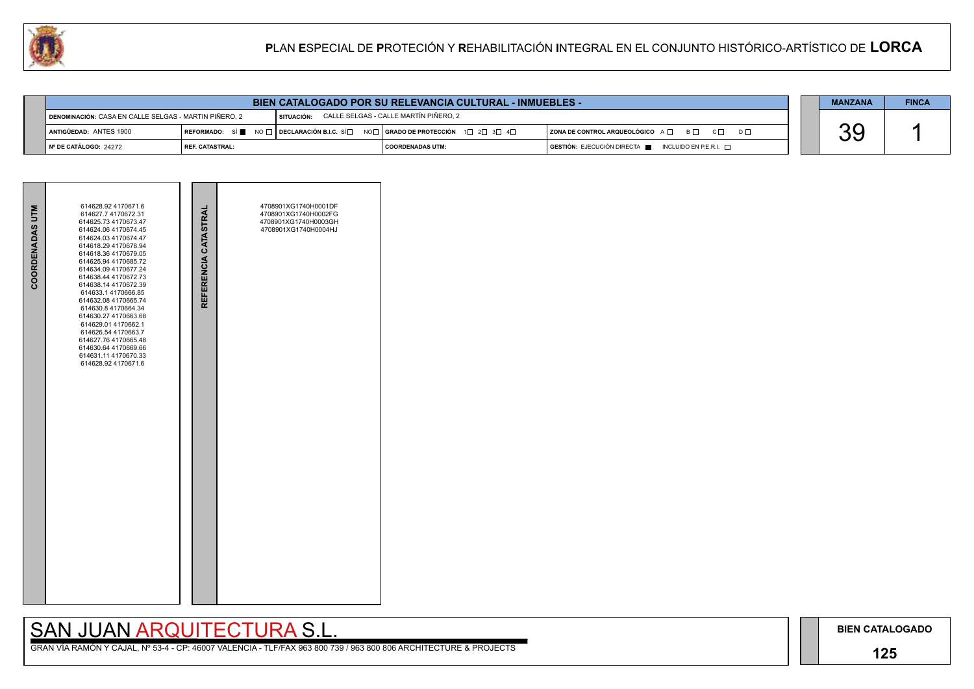## **125**

## SAN JUAN ARQUITECTURA S.L.

GRAN VÍA RAMÓN Y CAJAL, Nº 53-4 - CP: 46007 VALENCIA - TLF/FAX 963 800 739 / 963 800 806 ARCHITECTURE & PROJECTS

|     | <b>MANZANA</b> | <b>FINCA</b> |
|-----|----------------|--------------|
|     |                |              |
| D L |                |              |
|     |                |              |

|                                                       |                 | <b>MANZANA</b> | <b>FINCA</b>                                                                                                                          |                                                                        |  |          |  |
|-------------------------------------------------------|-----------------|----------------|---------------------------------------------------------------------------------------------------------------------------------------|------------------------------------------------------------------------|--|----------|--|
| DENOMINACIÓN: CASA EN CALLE SELGAS - MARTIN PIÑERO, 2 |                 | SITUACIÓN:     | CALLE SELGAS - CALLE MARTÍN PIÑERO. 2                                                                                                 |                                                                        |  |          |  |
| ANTIGÜEDAD: ANTES 1900                                |                 |                | REFORMADO: SÍ $\blacksquare$ NO $\Box$ DECLARACIÓN B.I.C. SÍ $\Box$ NO $\Box$ GRADO DE PROTECCIÓN 1 $\Box$ 2 $\Box$ 3 $\Box$ 4 $\Box$ | ZONA DE CONTROL ARQUEOLÓGICO A □ B □ C □ D □                           |  | nr<br>UL |  |
| ∥ Nº DE CATÁLOGO: 24272                               | REF. CATASTRAL: |                | I COORDENADAS UTM:                                                                                                                    | $GESTIÓN: EJECUCIÓN DIRECTA \blacksquare INCLUIDO EN P.E.R.I. \square$ |  |          |  |



## **P**LAN **E**SPECIAL DE **P**ROTECIÓN Y **R**EHABILITACIÓN **I**NTEGRAL EN EL CONJUNTO HISTÓRICO-ARTÍSTICO DE **LORCA**

|                        | 614628.92 4170671.6                                                                                                                                                                                                                                                                                                                                                                                                                                                                    |                      | 4708901XG1740H0001DF                                                 |  |
|------------------------|----------------------------------------------------------------------------------------------------------------------------------------------------------------------------------------------------------------------------------------------------------------------------------------------------------------------------------------------------------------------------------------------------------------------------------------------------------------------------------------|----------------------|----------------------------------------------------------------------|--|
| <b>COORDENADAS UTM</b> | 614627.7 4170672.31<br>614625.73 4170673.47<br>614624.06 4170674.45<br>614624.03 4170674.47<br>614618.29 4170678.94<br>614618.36 4170679.05<br>614625.94 4170685.72<br>614634.09 4170677.24<br>614638.44 4170672.73<br>614638.14 4170672.39<br>614633.1 4170666.85<br>614632.08 4170665.74<br>614630.8 4170664.34<br>614630.27 4170663.68<br>614629.01 4170662.1<br>614626.54 4170663.7<br>614627.76 4170665.48<br>614630.64 4170669.66<br>614631.11 4170670.33<br>614628.92 4170671.6 | REFERENCIA CATASTRAL | 4708901XG1740H0002FG<br>4708901XG1740H0003GH<br>4708901XG1740H0004HJ |  |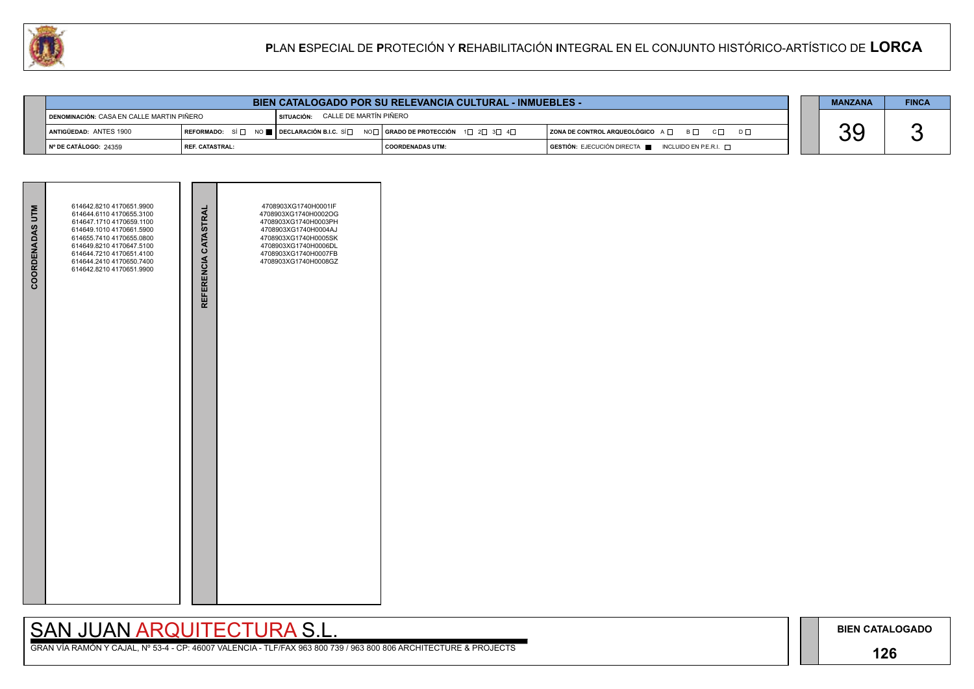## **126**

# SAN JUAN ARQUITECTURA S.L.

|    | <b>MANZANA</b> | <b>FINCA</b> |
|----|----------------|--------------|
| nГ |                |              |
|    |                |              |

|                                           |                                                                                                                                       | <b>MANZANA</b>                             | <b>FINCA</b> |                                                                                              |  |  |  |
|-------------------------------------------|---------------------------------------------------------------------------------------------------------------------------------------|--------------------------------------------|--------------|----------------------------------------------------------------------------------------------|--|--|--|
| DENOMINACIÓN: CASA EN CALLE MARTIN PIÑERO |                                                                                                                                       | <b>I SITUACIÓN: CALLE DE MARTÍN PIÑERO</b> |              |                                                                                              |  |  |  |
| ANTIGÜEDAD: ANTES 1900                    | REFORMADO: SÍ $\Box$ NO $\blacksquare$ DECLARACIÓN B.I.C. SÍ $\Box$ NO $\Box$ GRADO DE PROTECCIÓN 1 $\Box$ 2 $\Box$ 3 $\Box$ 4 $\Box$ |                                            |              | $ $ ZONA DE CONTROL ARQUEOLÓGICO A $\Box$ B $\Box$ C $\Box$<br>$D \Box$                      |  |  |  |
| I Nº DE CATÁLOGO: 24359                   | I REF. CATASTRAL:                                                                                                                     | I COORDENADAS UTM:                         |              | $\overline{S}$ GESTIÓN: EJECUCIÓN DIRECTA $\overline{S}$ INCLUIDO EN P.E.R.I. $\overline{S}$ |  |  |  |



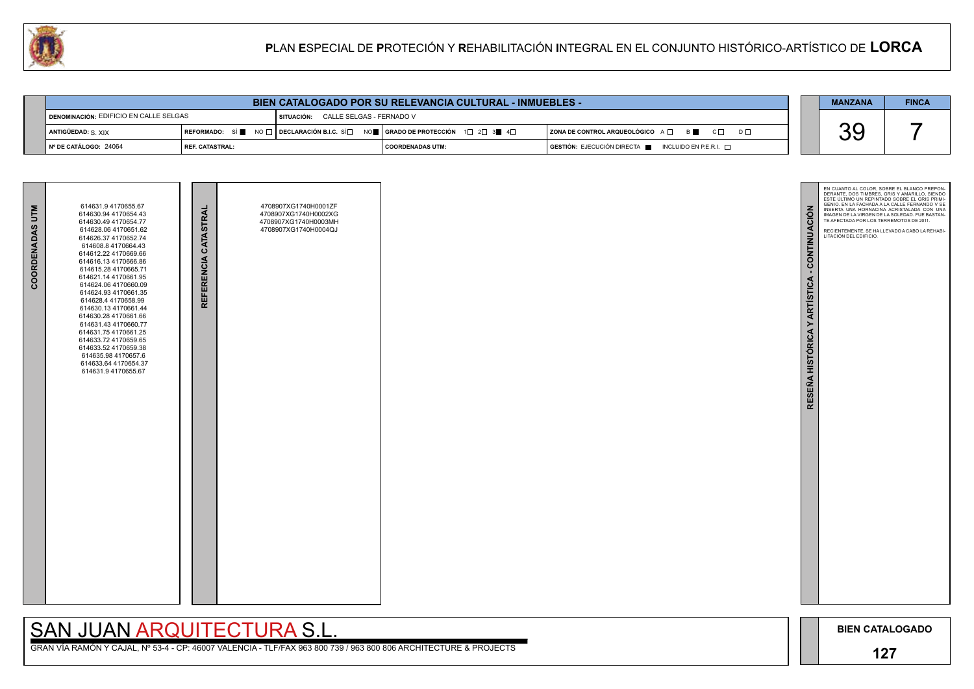# SAN JUAN ARQUITECTURA S.L.



|                                                 |                               |                                     | <b>MANZANA</b>                                                                                                                                         | <b>FINCA</b>                                                                         |  |     |  |
|-------------------------------------------------|-------------------------------|-------------------------------------|--------------------------------------------------------------------------------------------------------------------------------------------------------|--------------------------------------------------------------------------------------|--|-----|--|
| <b>I DENOMINACIÓN: EDIFICIO EN CALLE SELGAS</b> |                               | SITUACIÓN: CALLE SELGAS - FERNADO V |                                                                                                                                                        |                                                                                      |  |     |  |
|                                                 | ANTIGÜEDAD: $S$ XIX           |                                     | REFORMADO: SÍ $\blacksquare$ NO $\Box$ DECLARACIÓN B.I.C. SÍ $\Box$ NO $\blacksquare$ SERADO DE PROTECCIÓN 1 $\Box$ 2 $\Box$ 3 $\blacksquare$ 4 $\Box$ | $\vert$ ZONA DE CONTROL ARQUEOLÓGICO $A \Box$ $B \blacksquare$ $C \Box$<br>$D \Box$  |  | U U |  |
|                                                 | $\vert$ N° DE CATÁLOGO: 24064 | <b>I REF. CATASTRAL:</b>            | I COORDENADAS UTM:                                                                                                                                     | $\overline{a}$ GESTIÓN: EJECUCIÓN DIRECTA $\overline{a}$ INCLUIDO EN P.E.R.I. $\Box$ |  |     |  |

| COORDENADAS UTM | 614631.9 4170655.67<br>614630.94 4170654.43<br>614630.49 4170654.77<br>614628.06 4170651.62<br>614626.37 4170652.74<br>614608.8 4170664.43<br>614612.22 4170669.66<br>614616.13 4170666.86<br>614615.28 4170665.71<br>614621.14 4170661.95<br>614624.06 4170660.09<br>614624.93 4170661.35<br>614628.4 4170658.99<br>614630.13 4170661.44<br>614630.28 4170661.66<br>614631.43 4170660.77<br>614631.75 4170661.25<br>614633.72 4170659.65<br>614633.52 4170659.38<br>614635.98 4170657.6<br>614633.64 4170654.37<br>614631.9 4170655.67 | REFERENCIA CATASTRAL | 4708907XG1740H0001ZF<br>4708907XG1740H0002XG<br>4708907XG1740H0003MH<br>4708907XG1740H0004QJ |  |
|-----------------|-----------------------------------------------------------------------------------------------------------------------------------------------------------------------------------------------------------------------------------------------------------------------------------------------------------------------------------------------------------------------------------------------------------------------------------------------------------------------------------------------------------------------------------------|----------------------|----------------------------------------------------------------------------------------------|--|

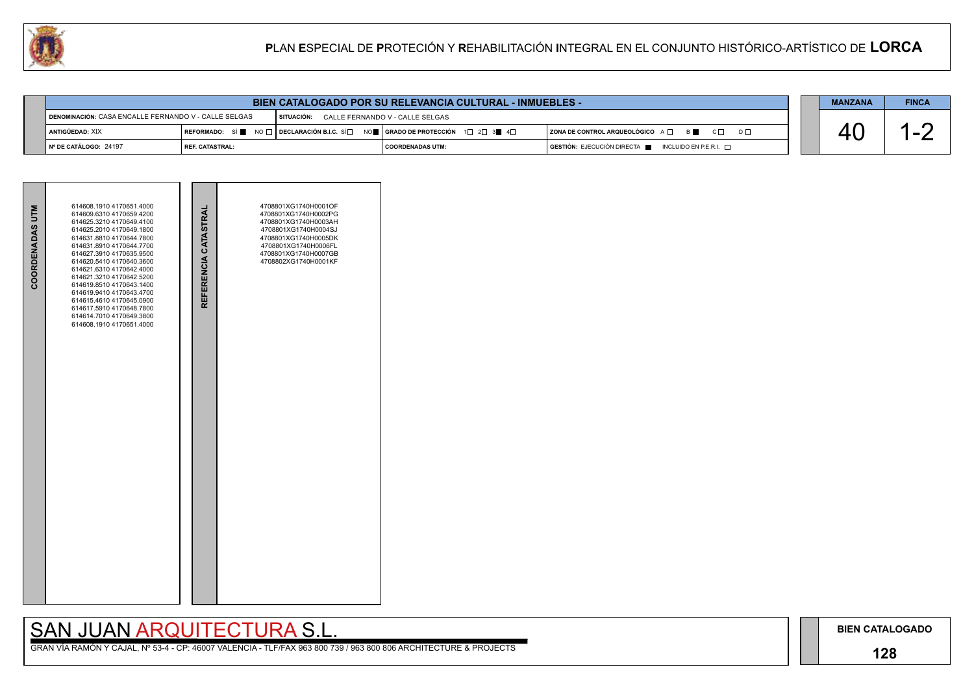## **128**

# SAN JUAN ARQUITECTURA S.L.



|                                                      | BIEN CATALOGADO POR SU RELEVANCIA CULTURAL - INMUEBLES - |                                            |                                                                                                                                                       |                                                                                      |  |  |  |
|------------------------------------------------------|----------------------------------------------------------|--------------------------------------------|-------------------------------------------------------------------------------------------------------------------------------------------------------|--------------------------------------------------------------------------------------|--|--|--|
| DENOMINACIÓN: CASA ENCALLE FERNANDO V - CALLE SELGAS |                                                          | SITUACIÓN: CALLE FERNANDO V - CALLE SELGAS |                                                                                                                                                       |                                                                                      |  |  |  |
| ANTIGÜEDAD: XIX                                      |                                                          |                                            | REFORMADO: SÍ $\blacksquare$ NO $\Box$ DECLARACIÓN B.I.C. SÍ $\Box$ NO $\blacksquare$ GRADO DE PROTECCIÓN 1 $\Box$ 2 $\Box$ 3 $\blacksquare$ 4 $\Box$ | $ $ ZONA DE CONTROL ARQUEOLÓGICO A $\Box$ B $\Box$ C $\Box$ D $\Box$                 |  |  |  |
| ¶ Nº DE CATÁLOGO: 24197                              | <b>I REF. CATASTRAL:</b>                                 |                                            | COORDENADAS UTM:                                                                                                                                      | $\overline{)}$ GESTIÓN: EJECUCIÓN DIRECTA $\overline{)}$ INCLUIDO EN P.E.R.I. $\Box$ |  |  |  |

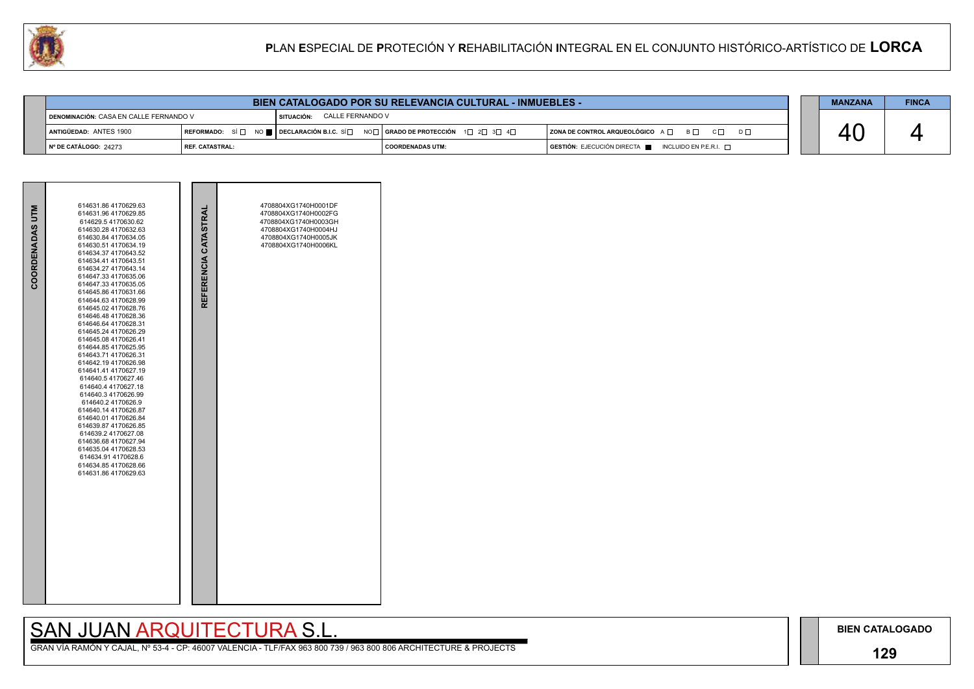## **129**

## SAN JUAN ARQUITECTURA S.L.



| U. |                                                                                                | PLAN ESPECIAL DE PROTECIÓN Y REHABILITACIÓN INTEGRAL EN EL CONJUNTO HISTÓRICO-ARTÍSTICO DE LORCA |                                                       |                                                     |                                                           |  |  |  |  |
|----|------------------------------------------------------------------------------------------------|--------------------------------------------------------------------------------------------------|-------------------------------------------------------|-----------------------------------------------------|-----------------------------------------------------------|--|--|--|--|
|    |                                                                                                |                                                                                                  |                                                       |                                                     |                                                           |  |  |  |  |
|    |                                                                                                |                                                                                                  | <b>MANZANA</b>                                        | <b>FINCA</b>                                        |                                                           |  |  |  |  |
|    | I DENOMINACIÓN: CASA EN CALLE FERNANDO V                                                       |                                                                                                  | CALLE FERNANDO V<br>SITUACIÓN:                        |                                                     |                                                           |  |  |  |  |
|    | REFORMADO: SÍ $\square$ NO $\square$ DECLARACIÓN B.I.C. SÍ $\square$<br>ANTIGÜEDAD: ANTES 1900 |                                                                                                  | NO <b>⊟ i grado de protección</b> 1 de 2 de 3 de 4 de | <b>ZONA DE CONTROL ARQUEOLÓGICO</b> A □ B □ C □ D □ | 40                                                        |  |  |  |  |
|    | I Nº DE CATÁLOGO: 24273                                                                        | l REF. CATASTRAL:                                                                                |                                                       | <b>COORDENADAS UTM:</b>                             | GESTIÓN: EJECUCIÓN DIRECTA<br>INCLUIDO EN P.E.R.I. $\Box$ |  |  |  |  |

| COORDENADAS UTM | 614631.86 4170629.63<br>614631.96 4170629.85<br>614629.5 4170630.62<br>614630.28 4170632.63<br>614630.84 4170634.05<br>614630.51 4170634.19<br>614634.37 4170643.52<br>614634.41 4170643.51<br>614634.27 4170643.14<br>614647.33 4170635.06<br>614647.33 4170635.05<br>614645.86 4170631.66<br>614644.63 4170628.99<br>614645.02 4170628.76<br>614646.48 4170628.36<br>614646.64 4170628.31<br>614645.24 4170626.29<br>614645.08 4170626.41<br>614644.854170625.95<br>614643.714170626.31<br>614642.194170626.98<br>614641.41 4170627.19<br>614640.54170627.46<br>614640.4 4170627.18<br>614640.3 4170626.99<br>614640.24170626.9<br>614640.14 4170626.87<br>614640.01 4170626.84<br>614639.87 4170626.85<br>614639.2 4170627.08<br>614636.68 4170627.94<br>614635.04 4170628.53<br>614634.91 4170628.6<br>614634.85 4170628.66<br>614631.86 4170629.63 | REFERENCIA CATASTRAL | 4708804XG1740H0001DF<br>4708804XG1740H0002FG<br>4708804XG1740H0003GH<br>4708804XG1740H0004HJ<br>4708804XG1740H0005JK<br>4708804XG1740H0006KL |  |
|-----------------|---------------------------------------------------------------------------------------------------------------------------------------------------------------------------------------------------------------------------------------------------------------------------------------------------------------------------------------------------------------------------------------------------------------------------------------------------------------------------------------------------------------------------------------------------------------------------------------------------------------------------------------------------------------------------------------------------------------------------------------------------------------------------------------------------------------------------------------------------------|----------------------|----------------------------------------------------------------------------------------------------------------------------------------------|--|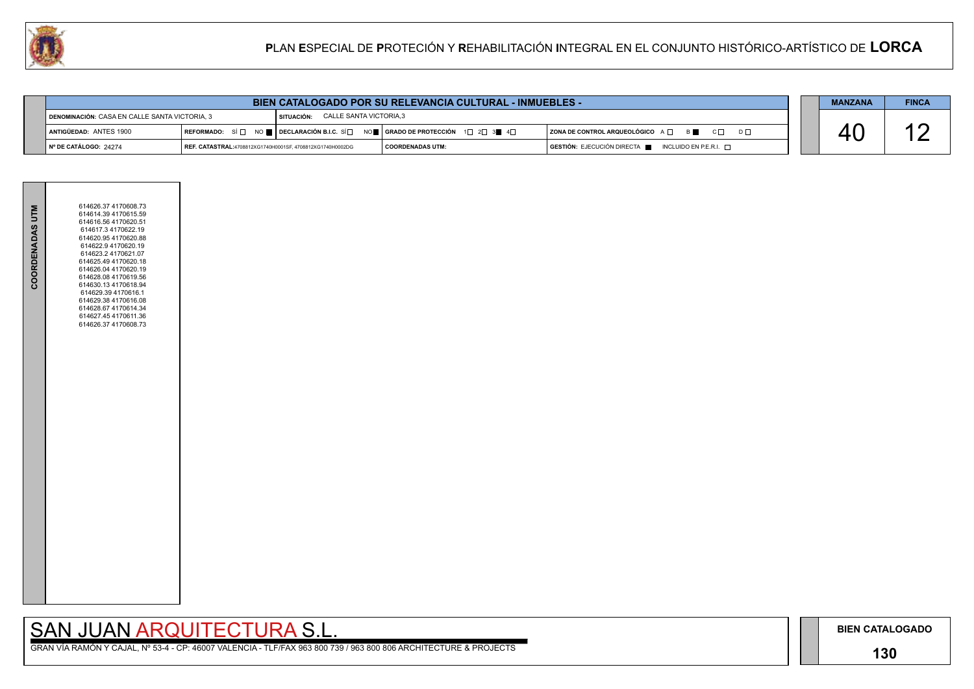## **130**

GRAN VÍA RAMÓN Y CAJAL, Nº 53-4 - CP: 46007 VALENCIA - TLF/FAX 963 800 739 / 963 800 806 ARCHITECTURE & PROJECTS

| <b>BIEN CATALOGADO POR SU RELEVANCIA CULTURAL - INMUEBLES -</b>                       |                                                                                                                                                                                              |                                                                                                                                                                      |  |  | <b>MANZANA</b>                                                      | <b>FINCA</b> |  |
|---------------------------------------------------------------------------------------|----------------------------------------------------------------------------------------------------------------------------------------------------------------------------------------------|----------------------------------------------------------------------------------------------------------------------------------------------------------------------|--|--|---------------------------------------------------------------------|--------------|--|
| CALLE SANTA VICTORIA,3<br>DENOMINACIÓN: CASA EN CALLE SANTA VICTORIA, 3<br>SITUACIÓN: |                                                                                                                                                                                              |                                                                                                                                                                      |  |  |                                                                     |              |  |
| ANTIGÜEDAD: ANTES 1900                                                                |                                                                                                                                                                                              | REFORMADO: SÍ $\square$ NO $\blacksquare$ DECLARACIÓN B.I.C. SÍ $\square$ NO $\blacksquare$ GRADO DE PROTECCIÓN 1 $\square$ 2 $\square$ 3 $\blacksquare$ 4 $\square$ |  |  | $ $ ZONA DE CONTROL ARQUEOLÓGICO $A \Box$ B<br>$C \Box$<br>$D \Box$ |              |  |
| │ Nº DE CATÁLOGO: 24274                                                               | $\overline{S}$ GESTIÓN: EJECUCIÓN DIRECTA $\overline{S}$ INCLUIDO EN P.E.R.I. $\overline{S}$<br><b>COORDENADAS UTM:</b><br><b>REF. CATASTRAL:</b> 4708812XG1740H0001SF. 4708812XG1740H0002DG |                                                                                                                                                                      |  |  |                                                                     |              |  |



| COORDENADAS UTM | 614626.37 4170608.73<br>614614.39 4170615.59<br>614616.56 4170620.51<br>614617.3 4170622.19<br>614620.95 4170620.88<br>614622.9 4170620.19<br>614623.2 4170621.07<br>614625.49 4170620.18<br>614626.04 4170620.19<br>614628.08 4170619.56<br>614630.13 4170618.94<br>614629.39 4170616.1<br>614629.38 4170616.08<br>614628.67 4170614.34<br>614627.45 4170611.36<br>614626.37 4170608.73 |  |
|-----------------|------------------------------------------------------------------------------------------------------------------------------------------------------------------------------------------------------------------------------------------------------------------------------------------------------------------------------------------------------------------------------------------|--|
|                 |                                                                                                                                                                                                                                                                                                                                                                                          |  |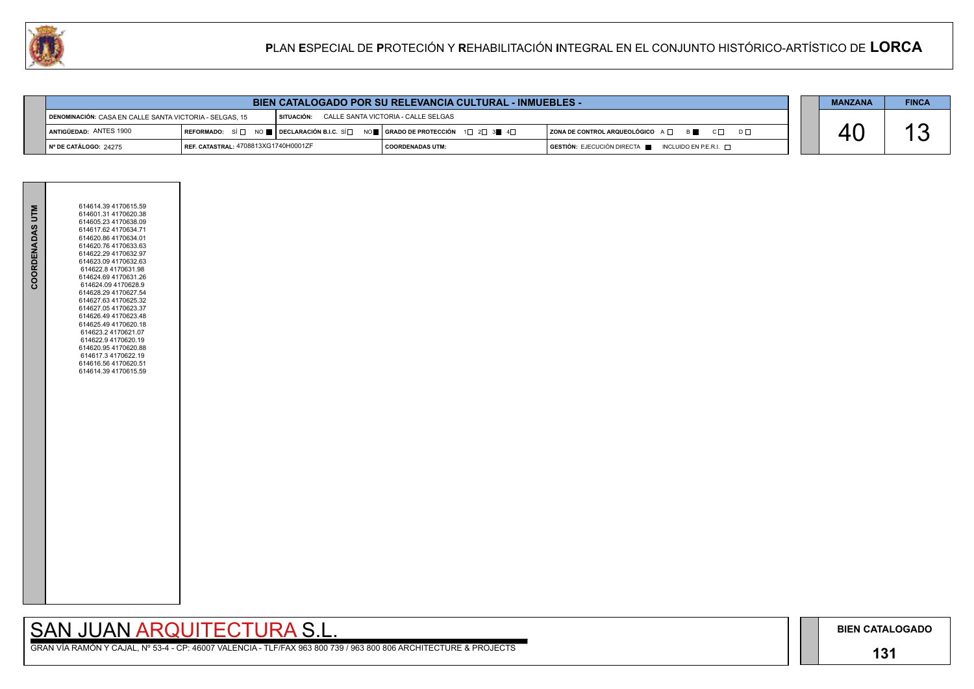## **131**

GRAN VÍA RAMÓN Y CAJAL, Nº 53-4 - CP: 46007 VALENCIA - TLF/FAX 963 800 739 / 963 800 806 ARCHITECTURE & PROJECTS

| <b>BIEN CATALOGADO POR SU RELEVANCIA CULTURAL - INMUEBLES -</b> |                                      |                                                                                                                                                                      |                                     |  |                                                                |  | <b>MANZANA</b> | <b>FINCA</b> |
|-----------------------------------------------------------------|--------------------------------------|----------------------------------------------------------------------------------------------------------------------------------------------------------------------|-------------------------------------|--|----------------------------------------------------------------|--|----------------|--------------|
| DENOMINACIÓN: CASA EN CALLE SANTA VICTORIA - SELGAS. 15         |                                      | I SITUACIÓN:                                                                                                                                                         | CALLE SANTA VICTORIA - CALLE SELGAS |  |                                                                |  |                |              |
| ANTIGÜEDAD: ANTES 1900                                          |                                      | REFORMADO: SÍ $\square$ NO $\blacksquare$ DECLARACIÓN B.I.C. SÍ $\square$ NO $\blacksquare$ GRADO DE PROTECCIÓN 1 $\square$ 2 $\square$ 3 $\blacksquare$ 4 $\square$ |                                     |  | $ $ ZONA DE CONTROL ARQUEOLÓGICO $A \Box$ B<br>$C\Box$ $D\Box$ |  |                |              |
| $\blacksquare$ N° DE CATÁLOGO: 24275                            | REF. CATASTRAL: 4708813XG1740H0001ZF |                                                                                                                                                                      | I COORDENADAS UTM:                  |  | $GESTIÓN: EJECUCIÓN DIRECTA$ INCLUIDO EN P.E.R.I. $\Box$       |  |                |              |



| 614614.39 4170615.59<br>614601.31 4170620.38<br>614605.23 4170638.09<br>614617.62 4170634.71<br>614620.86 4170634.01<br>614620.76 4170633.63<br>614622.29 4170632.97<br>614623.09 4170632.63<br>614622.8 4170631.98<br>614624.69 4170631.26<br>614624.09 4170628.9<br>614628.29 4170627.54<br>614627.63 4170625.32<br>614627.05 4170623.37<br>614626.49 4170623.48<br>614625.49 4170620.18<br>614623.2 4170621.07<br>614622.9 4170620.19<br>614620.95 4170620.88<br>614617.3 4170622.19<br>614616.56 4170620.51<br>614614.39 4170615.59 |
|-----------------------------------------------------------------------------------------------------------------------------------------------------------------------------------------------------------------------------------------------------------------------------------------------------------------------------------------------------------------------------------------------------------------------------------------------------------------------------------------------------------------------------------------|
| COORDENADAS UTM                                                                                                                                                                                                                                                                                                                                                                                                                                                                                                                         |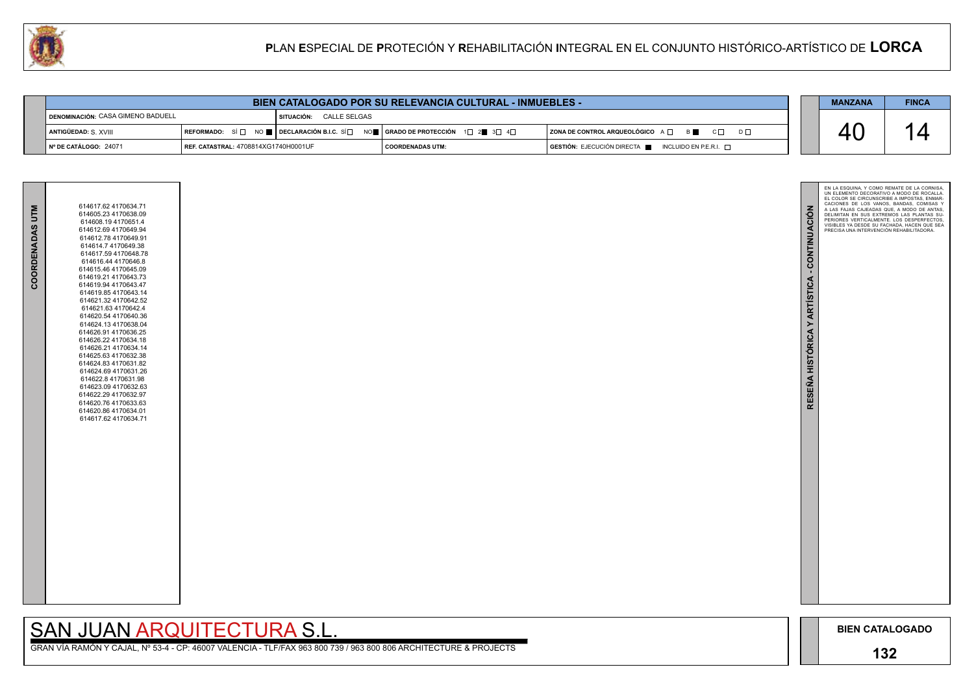

GRAN VÍA RAMÓN Y CAJAL, Nº 53-4 - CP: 46007 VALENCIA - TLF/FAX 963 800 739 / 963 800 806 ARCHITECTURE & PROJECTS

| COORDENADAS UTM | 614617.62 4170634.71<br>614605.23 4170638.09<br>614608.194170651.4<br>614612.69 4170649.94<br>614612.78 4170649.91<br>614614.7 4170649.38<br>614617.59 4170648.78<br>614616.44 4170646.8<br>614615.46 4170645.09<br>614619.21 4170643.73<br>614619.94 4170643.47<br>614619.85 4170643.14<br>614621.32 4170642.52<br>614621.63 4170642.4<br>614620.54 4170640.36<br>614624.13 4170638.04<br>614626.91 4170636.25<br>614626.22 4170634.18<br>614626.21 4170634.14<br>614625.63 4170632.38<br>614624.83 4170631.82<br>614624.69 4170631.26<br>614622.8 4170631.98<br>614623.09 4170632.63<br>614622.29 4170632.97<br>614620.76 4170633.63<br>614620.86 4170634.01<br>614617.62 4170634.71 |
|-----------------|----------------------------------------------------------------------------------------------------------------------------------------------------------------------------------------------------------------------------------------------------------------------------------------------------------------------------------------------------------------------------------------------------------------------------------------------------------------------------------------------------------------------------------------------------------------------------------------------------------------------------------------------------------------------------------------|
|                 |                                                                                                                                                                                                                                                                                                                                                                                                                                                                                                                                                                                                                                                                                        |

| <b>BIEN CATALOGADO POR SU RELEVANCIA CULTURAL - INMUEBLES -</b>      |                                      |  |                                                                                                                                                       |                                                                                      |  |  | <b>FINCA</b> |
|----------------------------------------------------------------------|--------------------------------------|--|-------------------------------------------------------------------------------------------------------------------------------------------------------|--------------------------------------------------------------------------------------|--|--|--------------|
| <b>IDENOMINACIÓN: CASA GIMENO BADUELL</b><br>SITUACIÓN: CALLE SELGAS |                                      |  |                                                                                                                                                       |                                                                                      |  |  |              |
| ANTIGÜEDAD: S. XVIII                                                 |                                      |  | REFORMADO: SÍ $\Box$ NO $\blacksquare$ DECLARACIÓN B.I.C. SÍ $\Box$ NO $\blacksquare$ GRADO DE PROTECCIÓN 1 $\Box$ 2 $\blacksquare$ 3 $\Box$ 4 $\Box$ | ZONA DE CONTROL ARQUEOLÓGICO A □ B ■ C □ D □                                         |  |  |              |
| $\blacksquare$ N° DE CATÁLOGO: 24071                                 | REF. CATASTRAL: 4708814XG1740H0001UF |  | <b>COORDENADAS UTM:</b>                                                                                                                               | $\overline{a}$ GESTIÓN: EJECUCIÓN DIRECTA $\overline{a}$ INCLUIDO EN P.E.R.I. $\Box$ |  |  |              |

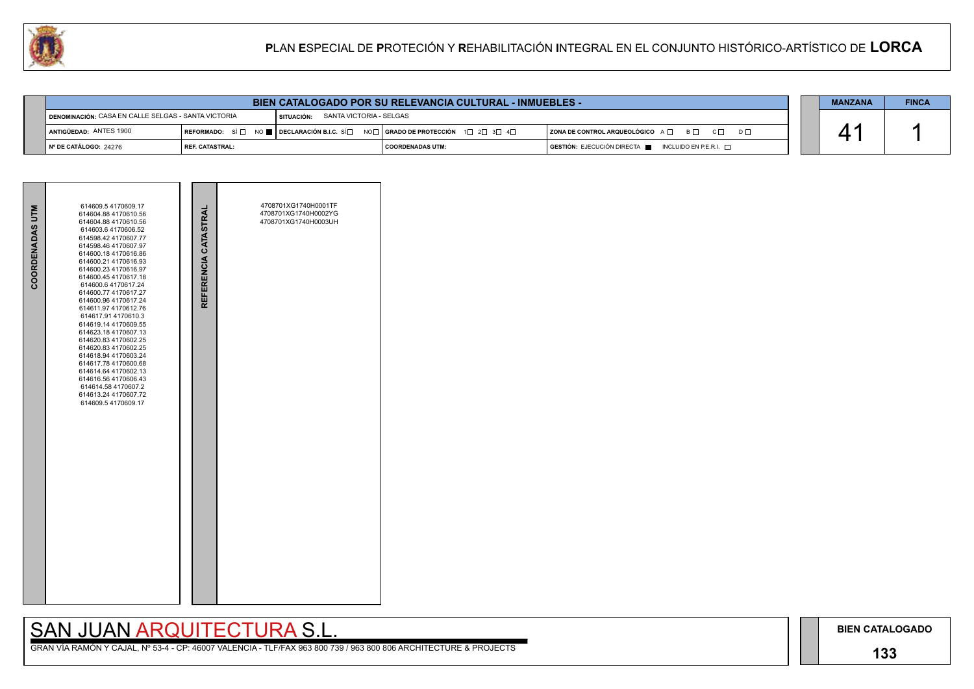## **133**

## SAN JUAN ARQUITECTURA S.L.

|                                                     | <b>BIEN CATALOGADO POR SU RELEVANCIA CULTURAL - INMUEBLES -</b> |                                         |                                                                                                                                                       |                                                                                      |  |  |  |
|-----------------------------------------------------|-----------------------------------------------------------------|-----------------------------------------|-------------------------------------------------------------------------------------------------------------------------------------------------------|--------------------------------------------------------------------------------------|--|--|--|
| DENOMINACIÓN: CASA EN CALLE SELGAS - SANTA VICTORIA |                                                                 | SANTA VICTORIA - SELGAS<br>I SITUACIÓN: |                                                                                                                                                       |                                                                                      |  |  |  |
| ANTIGÜEDAD: ANTES 1900                              |                                                                 |                                         | REFORMADO: SÍ $\square$ NO $\square$ DECLARACIÓN B.I.C. SÍ $\square$ NO $\square$   GRADO DE PROTECCIÓN $\square$ 2 $\square$ 3 $\square$ 4 $\square$ | ZONA DE CONTROL ARQUEOLÓGICO A □ B □ C □ D □                                         |  |  |  |
| $\vert$ N° DE CATÁLOGO: 24276                       | I REF. CATASTRAL:                                               |                                         | I COORDENADAS UTM:                                                                                                                                    | $\overline{)}$ GESTIÓN: EJECUCIÓN DIRECTA $\overline{)}$ INCLUIDO EN P.E.R.I. $\Box$ |  |  |  |



| COORDENADAS UTM | 614609.5 4170609.17<br>614604.88 4170610.56<br>614604.88 4170610.56<br>614603.6 4170606.52<br>614598.42 4170607.77<br>614598.46 4170607.97<br>614600.18 4170616.86<br>614600.21 4170616.93<br>614600.23 4170616.97<br>614600.45 4170617.18<br>614600.6 4170617.24<br>614600.77 4170617.27<br>614600.96 4170617.24<br>614611.97 4170612.76<br>614617.91 4170610.3<br>614619.14 4170609.55<br>614623.184170607.13<br>614620.83 4170602.25<br>614620.83 4170602.25<br>614618.94 4170603.24<br>614617.78 4170600.68<br>614614.64 4170602.13<br>614616.56 4170606.43<br>614614.58 4170607.2<br>614613.24 4170607.72<br>614609.5 4170609.17 | REFERENCIA CATASTRAL | 4708701XG1740H0001TF<br>4708701XG1740H0002YG<br>4708701XG1740H0003UH |  |
|-----------------|---------------------------------------------------------------------------------------------------------------------------------------------------------------------------------------------------------------------------------------------------------------------------------------------------------------------------------------------------------------------------------------------------------------------------------------------------------------------------------------------------------------------------------------------------------------------------------------------------------------------------------------|----------------------|----------------------------------------------------------------------|--|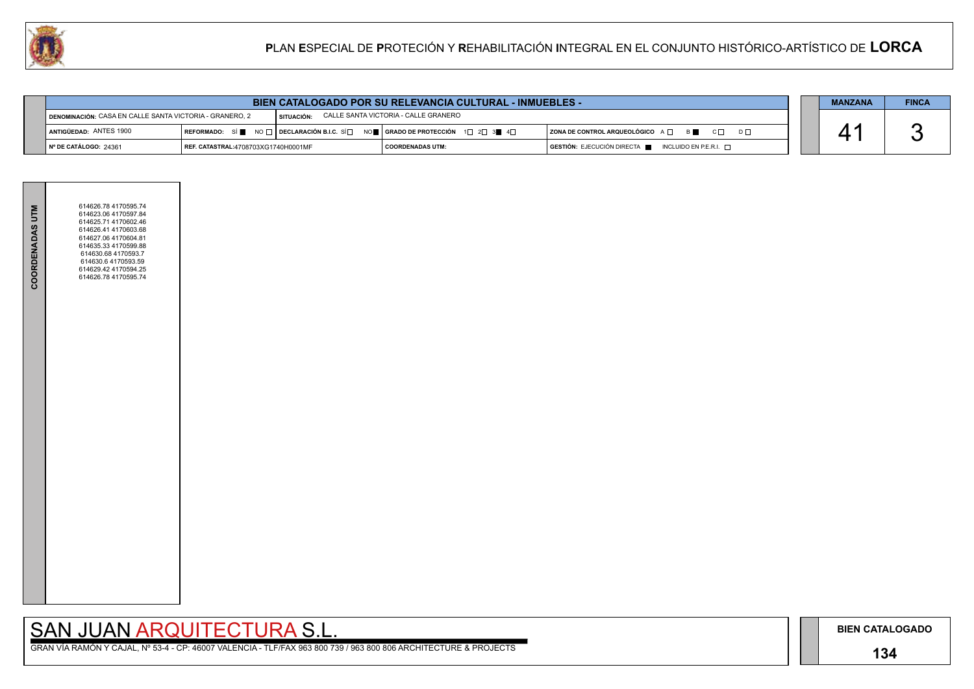### **134**

GRAN VÍA RAMÓN Y CAJAL, Nº 53-4 - CP: 46007 VALENCIA - TLF/FAX 963 800 739 / 963 800 806 ARCHITECTURE & PROJECTS



|                        | <b>BIEN CATALOGADO POR SU RELEVANCIA CULTURAL - INMUEBLES -</b>                                                                            |  |                                                                                                                        |                                              |  |  | <b>FINCA</b> |
|------------------------|--------------------------------------------------------------------------------------------------------------------------------------------|--|------------------------------------------------------------------------------------------------------------------------|----------------------------------------------|--|--|--------------|
|                        | SITUACIÓN: CALLE SANTA VICTORIA - CALLE GRANERO<br>DENOMINACIÓN: CASA EN CALLE SANTA VICTORIA - GRANERO, 2                                 |  |                                                                                                                        |                                              |  |  |              |
| ANTIGÜEDAD: ANTES 1900 |                                                                                                                                            |  | REFORMADO: SÍ NO $\Box$ DECLARACIÓN B.I.C. SÍ $\Box$ NO $\Box$ GRADO DE PROTECCIÓN 1 $\Box$ 2 $\Box$ 3 $\Box$ 4 $\Box$ | ZONA DE CONTROL ARQUEOLÓGICO A □ B ■ C □ D □ |  |  |              |
| │Nº DE CATÁLOGO: 24361 | $GESTIÓN: EJECUCIÓN DIRECTA \blacksquare INCLUIDO EN P.E.R.I. \square$<br><b>REF. CATASTRAL:4708703XG1740H0001MF</b><br>  COORDENADAS UTM: |  |                                                                                                                        |                                              |  |  |              |

| <b>COORDENADAS UTM</b> | 614626.78 4170595.74<br>614623.06 4170597.84<br>614625.71 4170602.46<br>614626.41 4170603.68<br>614627.06 4170604.81<br>614635.33 4170599.88<br>614630.68 4170593.7<br>614630.6 4170593.59<br>614629.42 4170594.25<br>614626.78 4170595.74 |  |
|------------------------|--------------------------------------------------------------------------------------------------------------------------------------------------------------------------------------------------------------------------------------------|--|
|                        |                                                                                                                                                                                                                                            |  |
|                        |                                                                                                                                                                                                                                            |  |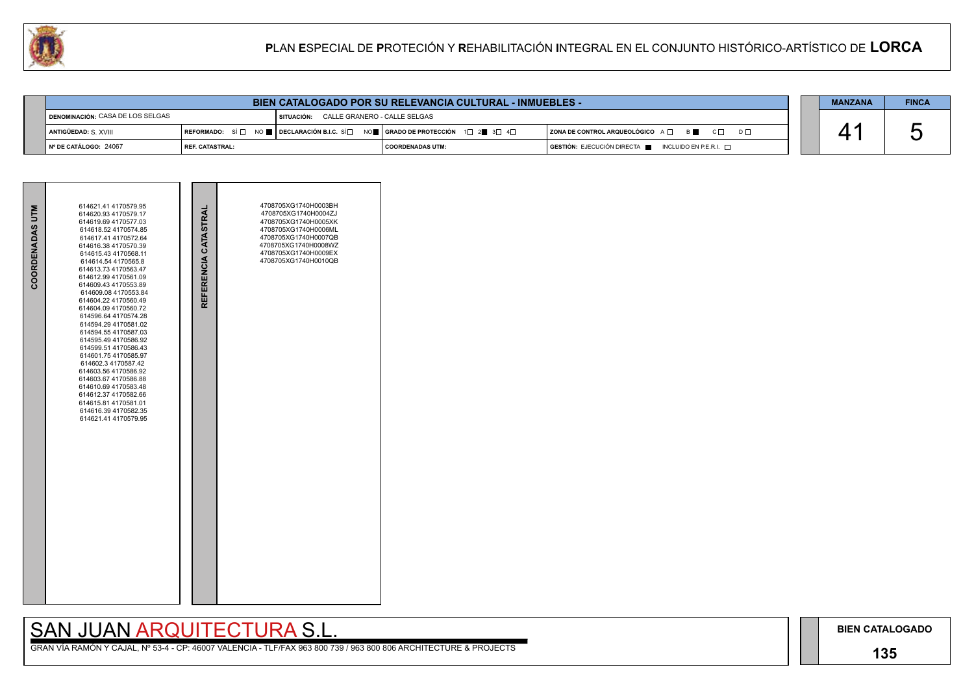## **135**

## SAN JUAN ARQUITECTURA S.L.

| BIEN CATALOGADO POR SU RELEVANCIA CULTURAL - INMUEBLES - |                   |              |                                                                                                                                               |                                                                                      |  |  | <b>FINCA</b> |
|----------------------------------------------------------|-------------------|--------------|-----------------------------------------------------------------------------------------------------------------------------------------------|--------------------------------------------------------------------------------------|--|--|--------------|
| <b>I DENOMINACIÓN: CASA DE LOS SELGAS</b>                |                   | I SITUACIÓN: | CALLE GRANERO - CALLE SELGAS                                                                                                                  |                                                                                      |  |  |              |
| ANTIGÜEDAD: S. XVIII                                     |                   |              | REFORMADO: SÍ $\square$ NO $\blacksquare$ DECLARACIÓN B.I.C. SÍ $\square$ NO $\blacksquare$ GRADO DE PROTECCIÓN 1 $\square$ 2 3 3 4 $\square$ | ZONA DE CONTROL ARQUEOLÓGICO A □ B ■ C □ D □                                         |  |  |              |
| INº DE CATÁLOGO: 24067                                   | I REF. CATASTRAL: |              | COORDENADAS UTM:                                                                                                                              | $\overline{a}$ GESTIÓN: EJECUCIÓN DIRECTA $\overline{a}$ INCLUIDO EN P.E.R.I. $\Box$ |  |  |              |

| COORDENADAS UTM | 614621.41 4170579.95<br>614620.93 4170579.17<br>614619.69 4170577.03<br>614618.52 4170574.85<br>614617.41 4170572.64<br>614616.38 4170570.39<br>614615.43 4170568.11<br>614614.54 4170565.8<br>614613.73 4170563.47<br>614612.99 4170561.09<br>614609.43 4170553.89<br>614609.08 4170553.84<br>614604.22 4170560.49<br>614604.09 4170560.72<br>614596.64 4170574.28<br>614594.29 4170581.02<br>614594 55 4170587 03<br>614595.49 4170586.92<br>614599.51 4170586.43<br>614601.75 4170585.97<br>614602.3 4170587.42<br>614603.56 4170586.92<br>614603.67 4170586.88<br>614610.69 4170583.48<br>614612.37 4170582.66<br>614615.81 4170581.01<br>614616 39 4170582 35<br>614621.41 4170579.95 | REFERENCIA CATASTRAL | 4708705XG1740H0003BH<br>4708705XG1740H0004ZJ<br>4708705XG1740H0005XK<br>4708705XG1740H0006ML<br>4708705XG1740H0007QB<br>4708705XG1740H0008WZ<br>4708705XG1740H0009EX<br>4708705XG1740H0010QB |  |
|-----------------|--------------------------------------------------------------------------------------------------------------------------------------------------------------------------------------------------------------------------------------------------------------------------------------------------------------------------------------------------------------------------------------------------------------------------------------------------------------------------------------------------------------------------------------------------------------------------------------------------------------------------------------------------------------------------------------------|----------------------|----------------------------------------------------------------------------------------------------------------------------------------------------------------------------------------------|--|

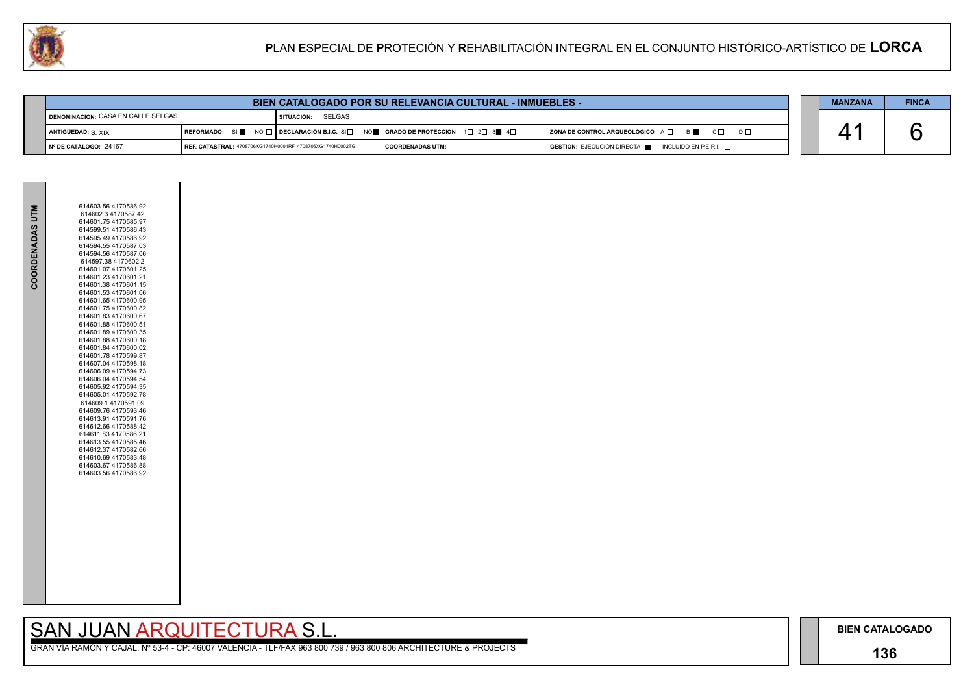## **136**

# SAN JUAN ARQUITECTURA S.L.

|                 | 614603.56 4170586.92                         |
|-----------------|----------------------------------------------|
| COORDENADAS UTM | 614602.3 4170587.42<br>614601.75 4170585.97  |
|                 | 614599.51 4170586.43                         |
|                 | 614595.49 4170586.92                         |
|                 | 614594.55 4170587.03                         |
|                 | 614594.56 4170587.06                         |
|                 | 614597.38 4170602.2<br>614601.07 4170601.25  |
|                 | 614601.23 4170601.21                         |
|                 | 614601.38 4170601.15                         |
|                 | 614601.53 4170601.06                         |
|                 | 614601.65 4170600.95                         |
|                 | 614601.75 4170600.82<br>614601.83 4170600.67 |
|                 | 614601.88 4170600.51                         |
|                 | 614601.89 4170600.35                         |
|                 | 614601.88 4170600.18                         |
|                 | 614601.84 4170600.02<br>614601.78 4170599.87 |
|                 | 614607.04 4170598.18                         |
|                 | 614606.09 4170594.73                         |
|                 | 614606.04 4170594.54                         |
|                 | 614605.92 4170594.35                         |
|                 | 614605.01 4170592.78<br>614609.1 4170591.09  |
|                 | 614609.76 4170593.46                         |
|                 | 614613.91 4170591.76                         |
|                 | 614612.66 4170588.42                         |
|                 | 614611.83 4170586.21                         |
|                 | 614613.55 4170585.46<br>614612.37 4170582.66 |
|                 | 614610.69 4170583.48                         |
|                 | 614603.67 4170586.88                         |
|                 | 614603.56 4170586.92                         |
|                 |                                              |
|                 |                                              |
|                 |                                              |
|                 |                                              |
|                 |                                              |
|                 |                                              |
|                 |                                              |
|                 |                                              |
|                 |                                              |
|                 |                                              |
|                 |                                              |



| PLAN ESPECIAL DE PROTECIÓN Y REHABILITACIÓN INTEGRAL EN EL CONJUNTO HISTÓRICO-ARTÍSTICO DE LORCA                                                                                                                |                                                                                      |                |              |
|-----------------------------------------------------------------------------------------------------------------------------------------------------------------------------------------------------------------|--------------------------------------------------------------------------------------|----------------|--------------|
|                                                                                                                                                                                                                 |                                                                                      |                |              |
|                                                                                                                                                                                                                 | <b>BIEN CATALOGADO POR SU RELEVANCIA CULTURAL - INMUEBLES -</b>                      | <b>MANZANA</b> | <b>FINCA</b> |
| <b>DENOMINACIÓN: CASA EN CALLE SELGAS</b><br><b>SITUACIÓN: SELGAS</b>                                                                                                                                           |                                                                                      |                |              |
| $\overline{\phantom{0}}$ reformado: SÍ $\blacksquare$ no $\Box$ i declaración b.i.c. SÍ $\Box$ no $\blacksquare$ i grado de protección $\Box$ 1 $\Box$ 2 $\Box$ 3 $\blacksquare$ 4 $\Box$<br>ANTIGÜEDAD: S. XIX | $ $ ZONA DE CONTROL ARQUEOLÓGICO A $\Box$ B $\Box$ C $\Box$ D $\Box$                 |                |              |
| ∣Nº DE CATÁLOGO: 24167<br>REF. CATASTRAL: 4708706XG1740H0001RF, 4708706XG1740H0002TG                                                                                                                            | GESTIÓN: EJECUCIÓN DIRECTA<br>INCLUIDO EN P.E.R.I. $\Box$<br><b>COORDENADAS UTM:</b> |                |              |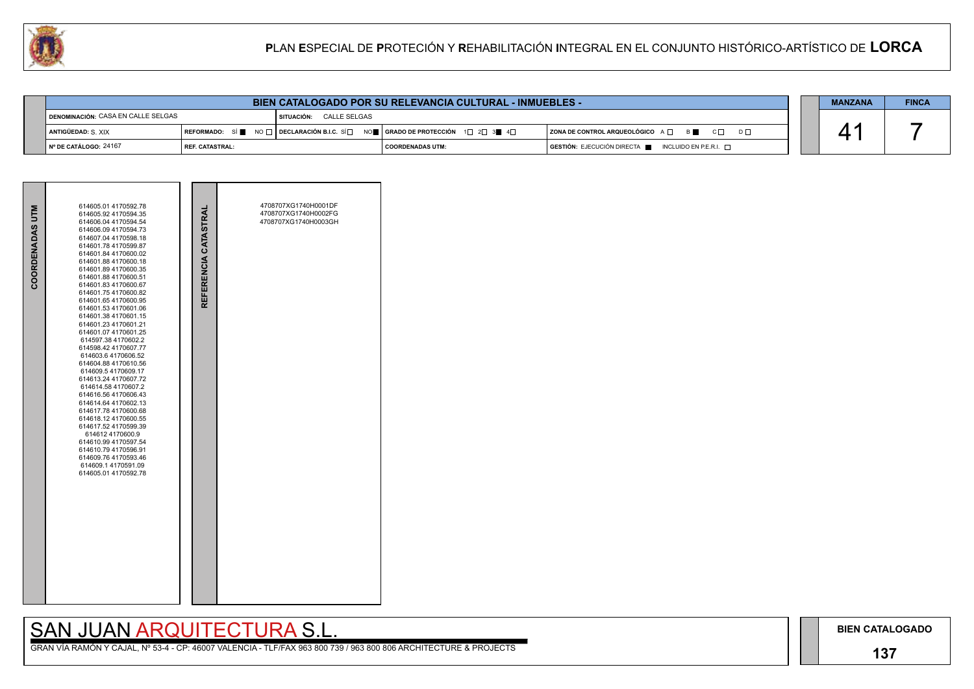## **137**

GRAN VÍA RAMÓN Y CAJAL, Nº 53-4 - CP: 46007 VALENCIA - TLF/FAX 963 800 739 / 963 800 806 ARCHITECTURE & PROJECTS



| PLAN ESPECIAL DE PROTECIÓN Y REHABILITACIÓN INTEGRAL EN EL CONJUNTO HISTÓRICO-ARTÍSTICO DE LORCA<br>W |                        |  |                                                                                                                                                                                               |                         |  |                                                                      |  |                |              |  |
|-------------------------------------------------------------------------------------------------------|------------------------|--|-----------------------------------------------------------------------------------------------------------------------------------------------------------------------------------------------|-------------------------|--|----------------------------------------------------------------------|--|----------------|--------------|--|
|                                                                                                       |                        |  |                                                                                                                                                                                               |                         |  |                                                                      |  |                |              |  |
| <b>BIEN CATALOGADO POR SU RELEVANCIA CULTURAL - INMUEBLES -</b>                                       |                        |  |                                                                                                                                                                                               |                         |  |                                                                      |  | <b>MANZANA</b> | <b>FINCA</b> |  |
| DENOMINACIÓN: CASA EN CALLE SELGAS                                                                    |                        |  | <b>SITUACIÓN: CALLE SELGAS</b>                                                                                                                                                                |                         |  |                                                                      |  |                |              |  |
| ANTIGÜEDAD: S XIX                                                                                     |                        |  | $\mid$ REFORMADO: $\mid$ Si $\parallel$ $\mid$ NO $\mid$ $\mid$ Declaración b.i.c. sí $\mid$ $\mid$ nO $\parallel$ $\mid$ grado de protección $\mid$ 1 $\mid$ 2 $\mid$ 3 $\parallel$ 4 $\mid$ |                         |  | $ $ ZONA DE CONTROL ARQUEOLÓGICO $A \Box$ $B \Box$ $C \Box$ $D \Box$ |  |                |              |  |
| Nº DE CATÁLOGO: 24167                                                                                 | <b>REF. CATASTRAL:</b> |  |                                                                                                                                                                                               | <b>COORDENADAS UTM:</b> |  | GESTIÓN: EJECUCIÓN DIRECTA<br>INCLUIDO EN P.E.R.I. $\Box$            |  |                |              |  |

| COORDENADAS UTM | 614605.01 4170592.78<br>614605.92 4170594.35<br>614606.04 4170594.54<br>614606.09 4170594.73<br>614607.04 4170598.18<br>614601.78 4170599.87<br>614601.84 4170600.02<br>614601.88 4170600.18<br>614601.89 4170600.35<br>614601.88 4170600.51<br>614601.83 4170600.67<br>614601.75 4170600.82<br>614601.65 4170600.95<br>614601.53 4170601.06<br>614601.38 4170601.15<br>614601.23 4170601.21<br>614601.07 4170601.25<br>614597.38 4170602.2<br>614598.42 4170607.77<br>614603.6 4170606.52<br>614604.88 4170610.56<br>614609.54170609.17<br>614613.24 4170607.72<br>614614.58 4170607.2<br>614616.56 4170606.43<br>614614.64 4170602.13<br>614617.78 4170600.68<br>614618.12 4170600.55<br>614617.52 4170599.39<br>614612 4170600.9<br>614610.99 4170597.54<br>614610.79 4170596.91<br>614609.76 4170593.46<br>614609.1 4170591.09<br>614605.01 4170592.78 | REFERENCIA CATASTRAL | 4708707XG1740H0001DF<br>4708707XG1740H0002FG<br>4708707XG1740H0003GH |
|-----------------|------------------------------------------------------------------------------------------------------------------------------------------------------------------------------------------------------------------------------------------------------------------------------------------------------------------------------------------------------------------------------------------------------------------------------------------------------------------------------------------------------------------------------------------------------------------------------------------------------------------------------------------------------------------------------------------------------------------------------------------------------------------------------------------------------------------------------------------------------------|----------------------|----------------------------------------------------------------------|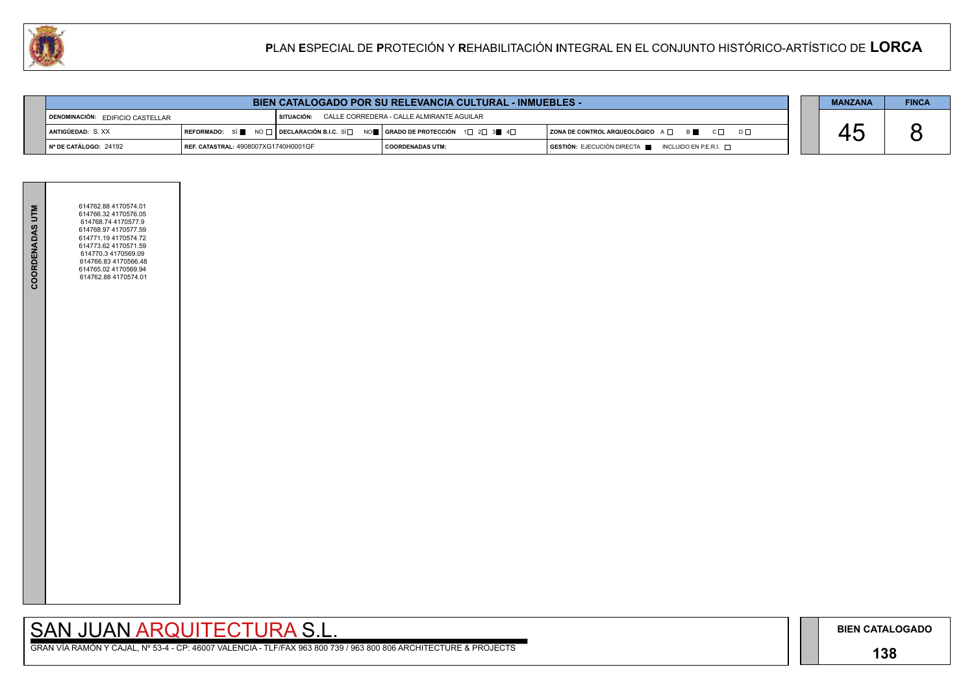

**Contract Contract** 

**BIEN CATALOGADO**

## **138**

## SAN JUAN ARQUITECTURA S.L.

|  | <b>MANZANA</b> | <b>FINCA</b> |
|--|----------------|--------------|
|  |                |              |
|  |                |              |
|  |                |              |

| <b>COORDENADAS UTM</b> | 614762.88 4170574.01<br>614766.32 4170576.05<br>614768.74 4170577.9<br>614768.97 4170577.59<br>614771.19 4170574.72<br>614773.62 4170571.59<br>614770.3 4170569.09<br>614766.83 4170566.48<br>614765.02 4170569.94<br>614762.88 4170574.01 |  |
|------------------------|--------------------------------------------------------------------------------------------------------------------------------------------------------------------------------------------------------------------------------------------|--|
|                        |                                                                                                                                                                                                                                            |  |
|                        |                                                                                                                                                                                                                                            |  |

| <b>BIEN CATALOGADO POR SU RELEVANCIA CULTURAL - INMUEBLES -</b> |                                      |  |                                                                                                                                                              |  |                         |  |                                                     |  | <b>MANZANA</b> | <b>FINCA</b> |
|-----------------------------------------------------------------|--------------------------------------|--|--------------------------------------------------------------------------------------------------------------------------------------------------------------|--|-------------------------|--|-----------------------------------------------------|--|----------------|--------------|
| $\blacksquare$ DENOMINACIÓN: EDIFICIO CASTELLAR                 |                                      |  | SITUACIÓN: CALLE CORREDERA - CALLE ALMIRANTE AGUILAR                                                                                                         |  |                         |  |                                                     |  |                |              |
| ANTIGÜEDAD: S.XX                                                |                                      |  | $\mid$ REFORMADO: SÍ $\blacksquare$ No $\Box$ DECLARACIÓN B.I.C. SÍ $\Box$ NO $\blacksquare$ GRADO DE PROTECCIÓN 1 $\Box$ 2 $\Box$ 3 $\blacksquare$ 4 $\Box$ |  |                         |  | ZONA DE CONTROL ARQUEOLÓGICO A □ B B C □ D □        |  |                |              |
| I Nº DE CATÁLOGO: 24192                                         | REF. CATASTRAL: 4908007XG1740H0001GF |  |                                                                                                                                                              |  | <b>COORDENADAS UTM:</b> |  | GESTIÓN: EJECUCIÓN DIRECTA █ INCLUIDO EN P.E.R.I. □ |  |                |              |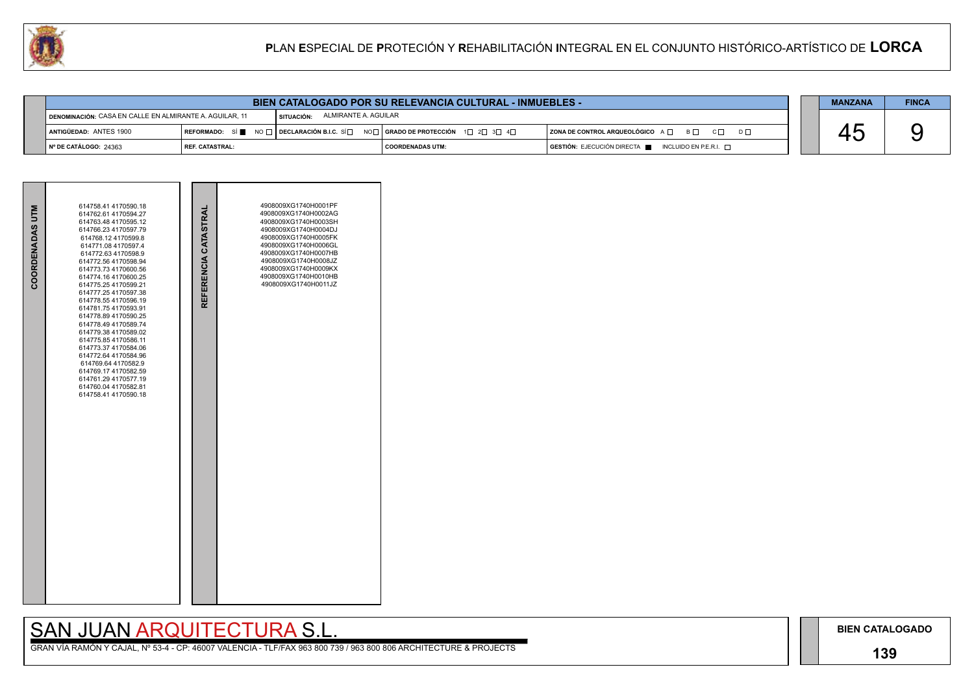## **139**

GRAN VÍA RAMÓN Y CAJAL, Nº 53-4 - CP: 46007 VALENCIA - TLF/FAX 963 800 739 / 963 800 806 ARCHITECTURE & PROJECTS



| COORDENADAS UTM | 614758.41 4170590.18<br>614762.61 4170594.27<br>614763.48 4170595.12<br>614766.23 4170597.79<br>614768.12 4170599.8<br>614771.08 4170597.4<br>614772.63 4170598.9<br>614772.56 4170598.94<br>614773.73 4170600.56<br>614774.16 4170600.25<br>614775.25 4170599.21<br>614777.25 4170597.38<br>614778.55 4170596.19<br>614781.75 4170593.91<br>614778.89 4170590.25<br>614778.49 4170589.74<br>614779.38 4170589.02<br>614775.85 4170586.11<br>614773.37 4170584.06<br>614772.64 4170584.96<br>614769.64 4170582.9<br>614769.17 4170582.59<br>614761.29 4170577.19<br>614760.04 4170582.81<br>614758.41 4170590.18 | REFERENCIA CATASTRAL | 4908009XG1740H0001PF<br>4908009XG1740H0002AG<br>4908009XG1740H0003SH<br>4908009XG1740H0004DJ<br>4908009XG1740H0005FK<br>4908009XG1740H0006GL<br>4908009XG1740H0007HB<br>4908009XG1740H0008JZ<br>4908009XG1740H0009KX<br>4908009XG1740H0010HB<br>4908009XG1740H0011JZ |  |
|-----------------|------------------------------------------------------------------------------------------------------------------------------------------------------------------------------------------------------------------------------------------------------------------------------------------------------------------------------------------------------------------------------------------------------------------------------------------------------------------------------------------------------------------------------------------------------------------------------------------------------------------|----------------------|----------------------------------------------------------------------------------------------------------------------------------------------------------------------------------------------------------------------------------------------------------------------|--|



|                                                         |                          | <b>BIEN CATALOGADO POR SU RELEVANCIA CULTURAL - INMUEBLES -</b>                           |                      |  | <b>MANZANA</b>                                                          | <b>FINCA</b> |  |  |
|---------------------------------------------------------|--------------------------|-------------------------------------------------------------------------------------------|----------------------|--|-------------------------------------------------------------------------|--------------|--|--|
| DENOMINACIÓN: CASA EN CALLE EN ALMIRANTE A. AGUILAR, 11 |                          | I SITUACIÓN:                                                                              | ALMIRANTE A. AGUILAR |  |                                                                         |              |  |  |
| ANTIGÜEDAD: ANTES 1900                                  |                          | REFORMADO: SÍ ■ NO □   DECLARACIÓN B.I.C. SÍ □ NO □   GRADO DE PROTECCIÓN 1 □ 2 □ 3 □ 4 □ |                      |  | $ $ ZONA DE CONTROL ARQUEOLÓGICO $A \Box$ $B \Box$ $C \Box$<br>$D \Box$ |              |  |  |
| │ № DE CATÁLOGO: 24363                                  | <b>I REF. CATASTRAL:</b> |                                                                                           | I COORDENADAS UTM:   |  | $GESTIÓN: EJECUCIÓN DIRECTA$ INCLUIDO EN P.E.R.I. $\Box$                |              |  |  |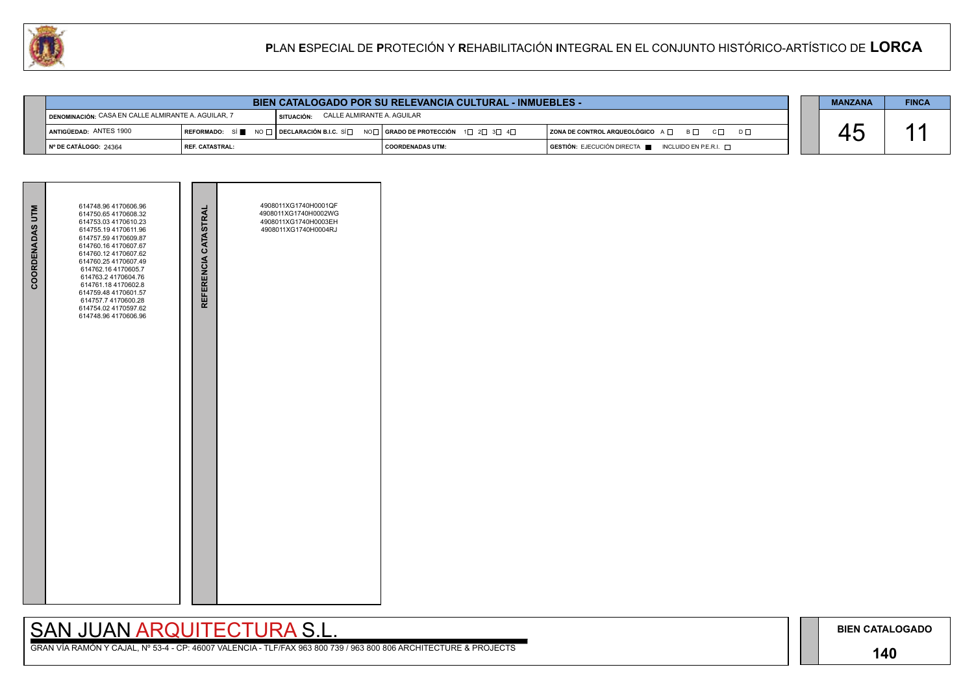### **140**

## SAN JUAN ARQUITECTURA S.L.

| <b>COORDENADAS UTM</b> | 614748.96 4170606.96<br>614750.65 4170608.32<br>614753.03 4170610.23<br>614755.19 4170611.96<br>614757.59 4170609.87<br>614760.16 4170607.67<br>614760.12 4170607.62<br>614760.25 4170607.49<br>614762.16 4170605.7<br>614763.2 4170604.76<br>614761.18 4170602.8<br>614759.48 4170601.57<br>614757.7 4170600.28<br>614754.02 4170597.62<br>614748.96 4170606.96 | REFERENCIA CATASTRAL | 4908011XG1740H0001QF<br>4908011XG1740H0002WG<br>4908011XG1740H0003EH<br>4908011XG1740H0004RJ |  |
|------------------------|------------------------------------------------------------------------------------------------------------------------------------------------------------------------------------------------------------------------------------------------------------------------------------------------------------------------------------------------------------------|----------------------|----------------------------------------------------------------------------------------------|--|
|                        |                                                                                                                                                                                                                                                                                                                                                                  |                      |                                                                                              |  |



|                                                     | <b>BIEN CATALOGADO POR SU RELEVANCIA CULTURAL - INMUEBLES -</b> |                                          |                                                                            |                                                                                      |  |  |  |  |  |
|-----------------------------------------------------|-----------------------------------------------------------------|------------------------------------------|----------------------------------------------------------------------------|--------------------------------------------------------------------------------------|--|--|--|--|--|
| DENOMINACIÓN: CASA EN CALLE ALMIRANTE A. AGUILAR, 7 |                                                                 | CALLE ALMIRANTE A. AGUILAR<br>SITUACIÓN: |                                                                            |                                                                                      |  |  |  |  |  |
| ANTIGÜEDAD: ANTES 1900                              |                                                                 |                                          | REFORMADO: SÍ NO T DECLARACIÓN B.I.C. SÍ NOT GRADO DE PROTECCIÓN 1 2 3 3 4 | ZONA DE CONTROL ARQUEOLÓGICO A □ B □ C □ D □                                         |  |  |  |  |  |
| ∣Nº DE CATÁLOGO: 24364                              | <b>I REF. CATASTRAL:</b>                                        |                                          | I COORDENADAS UTM:                                                         | $\overline{)}$ GESTIÓN: EJECUCIÓN DIRECTA $\blacksquare$ INCLUIDO EN P.E.R.I. $\Box$ |  |  |  |  |  |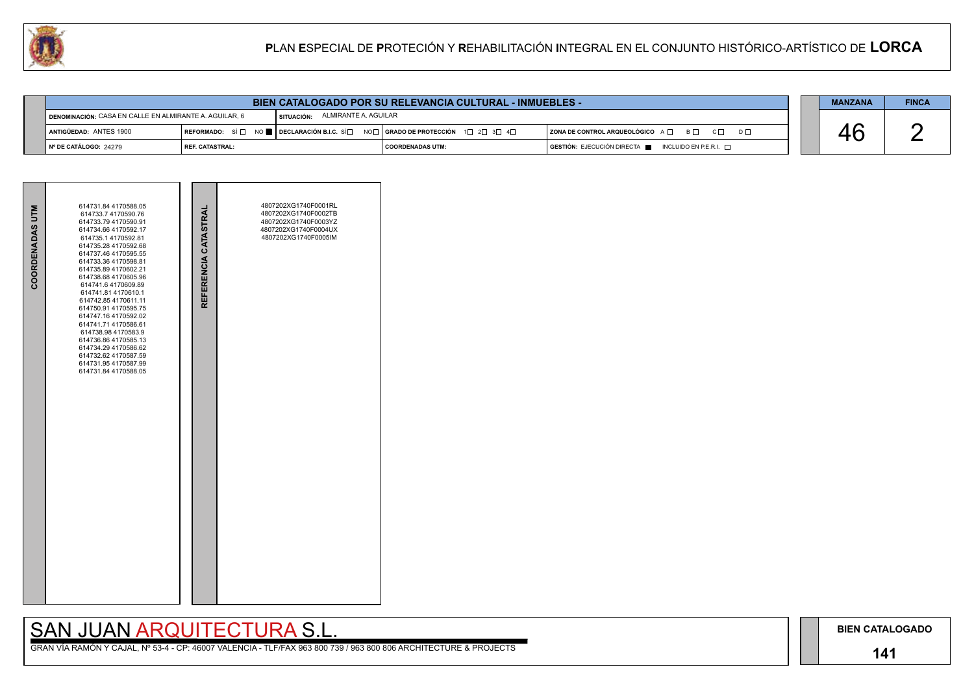### **141**

## SAN JUAN ARQUITECTURA S.L.



| COORDENADAS UTM | 614731.84 4170588.05<br>614733.7 4170590.76<br>614733.79 4170590.91<br>614734.66 4170592.17<br>614735.1 4170592.81<br>614735.28 4170592.68<br>614737.46 4170595.55<br>614733.36 4170598.81<br>614735.89 4170602.21<br>614738.68 4170605.96<br>614741.6 4170609.89<br>614741.81 4170610.1<br>614742.85 4170611.11<br>614750.91 4170595.75<br>614747.16 4170592.02<br>614741.71 4170586.61<br>614738.98 4170583.9<br>614736.86 4170585.13<br>614734.29 4170586.62<br>614732.62 4170587.59<br>614731.95 4170587.99<br>614731.84 4170588.05 | REFERENCIA CATASTRAL | 4807202XG1740F0001RL<br>4807202XG1740F0002TB<br>4807202XG1740F0003YZ<br>4807202XG1740F0004UX<br>4807202XG1740F0005IM |  |
|-----------------|-----------------------------------------------------------------------------------------------------------------------------------------------------------------------------------------------------------------------------------------------------------------------------------------------------------------------------------------------------------------------------------------------------------------------------------------------------------------------------------------------------------------------------------------|----------------------|----------------------------------------------------------------------------------------------------------------------|--|

|                                                        | <b>BIEN CATALOGADO POR SU RELEVANCIA CULTURAL - INMUEBLES -</b> |                                 |                                                                                                                                                            |                                                                                      |  |  |  |  |  |
|--------------------------------------------------------|-----------------------------------------------------------------|---------------------------------|------------------------------------------------------------------------------------------------------------------------------------------------------------|--------------------------------------------------------------------------------------|--|--|--|--|--|
| DENOMINACIÓN: CASA EN CALLE EN ALMIRANTE A. AGUILAR, 6 |                                                                 | SITUACIÓN: ALMIRANTE A. AGUILAR |                                                                                                                                                            |                                                                                      |  |  |  |  |  |
| ANTIGÜEDAD: ANTES 1900                                 |                                                                 |                                 | REFORMADO: SÍ $\square$ NO $\blacksquare$ DECLARACIÓN B.I.C. SÍ $\square$ NO $\square$   GRADO DE PROTECCIÓN $\square$ 2 $\square$ 3 $\square$ 4 $\square$ | ZONA DE CONTROL ARQUEOLÓGICO A □ B □ C □ D □                                         |  |  |  |  |  |
| │ Nº DE CATÁLOGO: 24279                                | I REF. CATASTRAL:                                               |                                 | I COORDENADAS UTM:                                                                                                                                         | $\overline{a}$ GESTIÓN: EJECUCIÓN DIRECTA $\overline{a}$ INCLUIDO EN P.E.R.I. $\Box$ |  |  |  |  |  |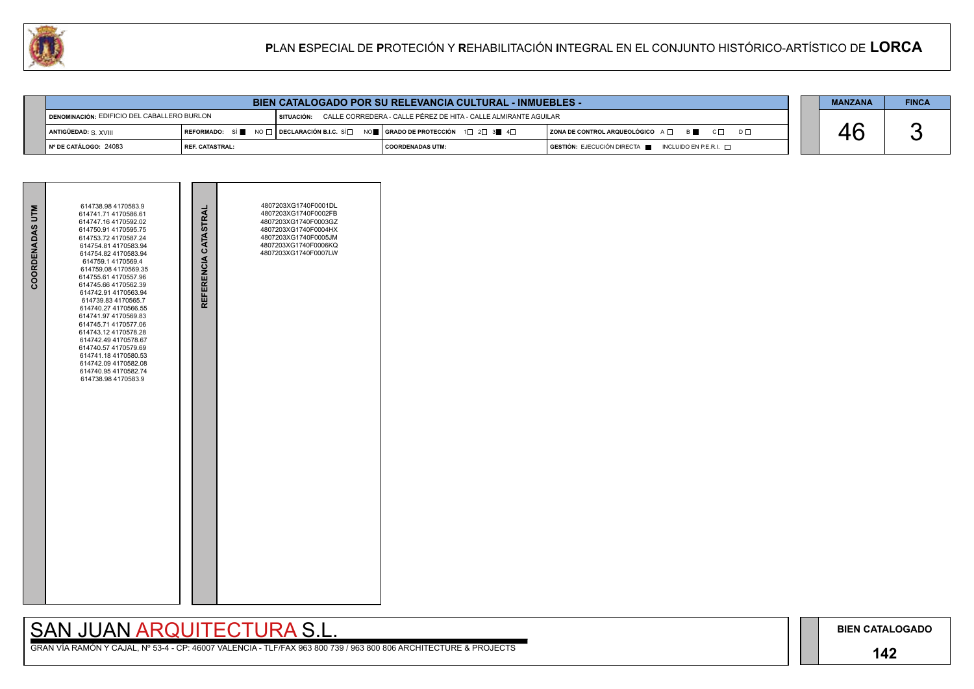### **142**

## SAN JUAN ARQUITECTURA S.L.

|  | <b>MANZANA</b> | <b>FINCA</b> |
|--|----------------|--------------|
|  |                |              |
|  |                |              |
|  |                |              |

| <b>BIEN CATALOGADO POR SU RELEVANCIA CULTURAL - INMUEBLES -</b> |                   |  |  |                                                                            |                                                                                                                                                                        |  |                                                                                      |  |  | <b>FINCA</b> |
|-----------------------------------------------------------------|-------------------|--|--|----------------------------------------------------------------------------|------------------------------------------------------------------------------------------------------------------------------------------------------------------------|--|--------------------------------------------------------------------------------------|--|--|--------------|
| DENOMINACIÓN: EDIFICIO DEL CABALLERO BURLON                     |                   |  |  | SITUACIÓN: CALLE CORREDERA - CALLE PÉREZ DE HITA - CALLE ALMIRANTE AGUILAR |                                                                                                                                                                        |  |                                                                                      |  |  |              |
| ANTIGÜEDAD: S. XVIII                                            |                   |  |  |                                                                            | REFORMADO: SÍ $\blacksquare$ NO $\square$ DECLARACIÓN B.I.C. SÍ $\square$ NO $\blacksquare$   GRADO DE PROTECCIÓN 1 $\square$ 2 $\square$ 3 $\blacksquare$ 4 $\square$ |  | $ $ ZONA DE CONTROL ARQUEOLÓGICO $A \Box$ $B \Box$ $C \Box$<br>$D \Box$              |  |  |              |
| $\vert$ N° DE CATÁLOGO: 24083                                   | I REF. CATASTRAL: |  |  |                                                                            | I COORDENADAS UTM:                                                                                                                                                     |  | $\blacksquare$ GESTIÓN: EJECUCIÓN DIRECTA $\blacksquare$ INCLUIDO EN P.E.R.I. $\Box$ |  |  |              |

| COORDENADAS UTM | 614738.98 4170583.9<br>614741.71 4170586.61<br>614747.16 4170592.02<br>614750.91 4170595.75<br>614753.72 4170587.24<br>614754.81 4170583.94<br>614754.82 4170583.94<br>614759.1 4170569.4<br>614759.08 4170569.35<br>614755.61 4170557.96<br>614745.66 4170562.39<br>614742.91 4170563.94<br>614739.83 4170565.7<br>614740.27 4170566.55<br>614741.97 4170569.83<br>614745.71 4170577.06<br>614743.12 4170578.28<br>614742.49 4170578.67<br>614740.57 4170579.69<br>614741.18 4170580.53<br>614742.09 4170582.08<br>614740.95 4170582.74<br>614738.98 4170583.9 | REFERENCIA CATASTRAL | 4807203XG1740F0001DL<br>4807203XG1740F0002FB<br>4807203XG1740F0003GZ<br>4807203XG1740F0004HX<br>4807203XG1740F0005JM<br>4807203XG1740F0006KQ<br>4807203XG1740F0007LW |  |
|-----------------|-----------------------------------------------------------------------------------------------------------------------------------------------------------------------------------------------------------------------------------------------------------------------------------------------------------------------------------------------------------------------------------------------------------------------------------------------------------------------------------------------------------------------------------------------------------------|----------------------|----------------------------------------------------------------------------------------------------------------------------------------------------------------------|--|
|                 |                                                                                                                                                                                                                                                                                                                                                                                                                                                                                                                                                                 |                      |                                                                                                                                                                      |  |

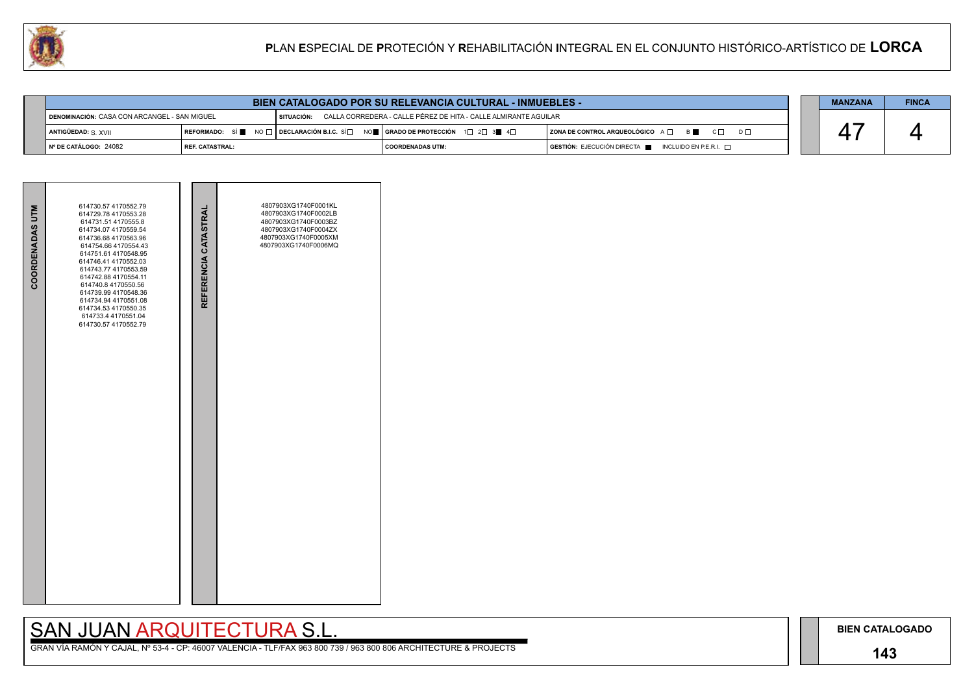### **143**

# SAN JUAN ARQUITECTURA S.L.

|                                              |                          | <b>MANZANA</b> | <b>FINCA</b>                                                                                                                                                           |                                                                                      |  |  |  |
|----------------------------------------------|--------------------------|----------------|------------------------------------------------------------------------------------------------------------------------------------------------------------------------|--------------------------------------------------------------------------------------|--|--|--|
| DENOMINACIÓN: CASA CON ARCANGEL - SAN MIGUEL |                          | I SITUACIÓN:   | CALLA CORREDERA - CALLE PÉREZ DE HITA - CALLE ALMIRANTE AGUILAR                                                                                                        |                                                                                      |  |  |  |
| ANTIGÜEDAD: S. XVII                          |                          |                | REFORMADO: SÍ $\blacksquare$ NO $\square$ DECLARACIÓN B.I.C. SÍ $\square$ NO $\blacksquare$   GRADO DE PROTECCIÓN 1 $\square$ 2 $\square$ 3 $\blacksquare$ 4 $\square$ | ZONA DE CONTROL ARQUEOLÓGICO A □ B ■ C □ D □                                         |  |  |  |
| N° DE CATÁLOGO: 24082                        | <b>I REF. CATASTRAL:</b> |                | <b>COORDENADAS UTM:</b>                                                                                                                                                | $\overline{S}$ GESTIÓN: EJECUCIÓN DIRECTA $\overline{S}$ INCLUIDO EN P.E.R.I. $\Box$ |  |  |  |



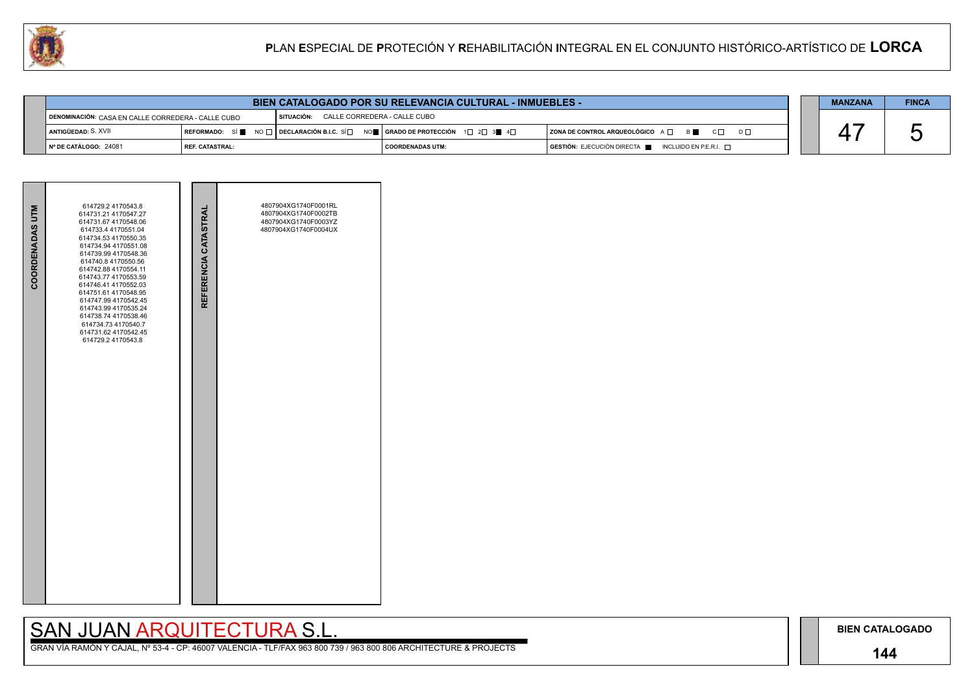### **144**

# SAN JUAN ARQUITECTURA S.L.

|                                                      | <b>BIEN CATALOGADO POR SU RELEVANCIA CULTURAL - INMUEBLES -</b> |                                                  |                                                                                 |                                                                                              |  |  |  |  |  |
|------------------------------------------------------|-----------------------------------------------------------------|--------------------------------------------------|---------------------------------------------------------------------------------|----------------------------------------------------------------------------------------------|--|--|--|--|--|
| ◢ DENOMINACIÓN: CASA EN CALLE CORREDERA - CALLE CUBO |                                                                 | <b>I SITUACIÓN: CALLE CORREDERA - CALLE CUBO</b> |                                                                                 |                                                                                              |  |  |  |  |  |
| ANTIGÜEDAD: S. XVII                                  |                                                                 |                                                  | REFORMADO: SÍ NO □ DECLARACIÓN B.I.C. SÍ NO NO RADO DE PROTECCIÓN 1 D 2 3 N 4 D | ZONA DE CONTROL ARQUEOLÓGICO A □ B B C □ D □                                                 |  |  |  |  |  |
| INº DE CATÁLOGO: 24081                               | <b>I REF. CATASTRAL:</b>                                        |                                                  | I COORDENADAS UTM:                                                              | $\overline{S}$ GESTIÓN: EJECUCIÓN DIRECTA $\overline{S}$ INCLUIDO EN P.E.R.I. $\overline{S}$ |  |  |  |  |  |



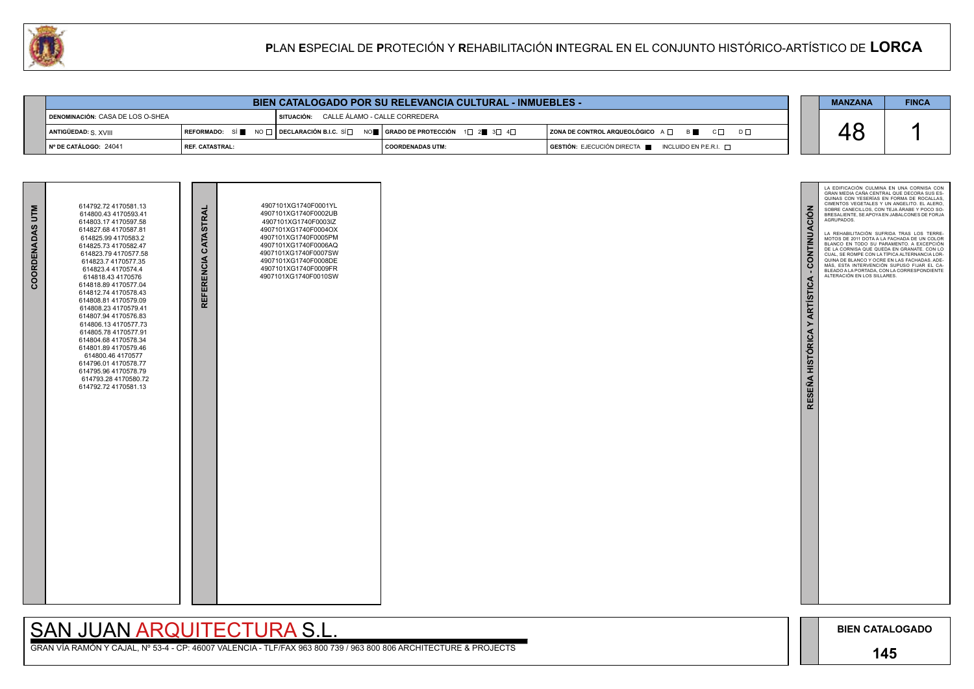

GRAN VÍA RAMÓN Y CAJAL, Nº 53-4 - CP: 46007 VALENCIA - TLF/FAX 963 800 739 / 963 800 806 ARCHITECTURE & PROJECTS

| BIEN CATALOGADO POR SU RELEVANCIA CULTURAL - INMUEBLES - |                          |  |                                          |  |                                                                                                                                                       |  |                                                                                              |  | <b>MANZANA</b> | <b>FINCA</b> |
|----------------------------------------------------------|--------------------------|--|------------------------------------------|--|-------------------------------------------------------------------------------------------------------------------------------------------------------|--|----------------------------------------------------------------------------------------------|--|----------------|--------------|
| DENOMINACIÓN: CASA DE LOS O-SHEA                         |                          |  | SITUACIÓN: CALLE ÁLAMO - CALLE CORREDERA |  |                                                                                                                                                       |  |                                                                                              |  |                |              |
| ANTIGÜEDAD: S. XVIII                                     |                          |  |                                          |  | REFORMADO: SÍ $\blacksquare$ NO $\Box$ DECLARACIÓN B.I.C. SÍ $\Box$ NO $\blacksquare$ GRADO DE PROTECCIÓN 1 $\Box$ 2 $\blacksquare$ 3 $\Box$ 4 $\Box$ |  | $ $ ZONA DE CONTROL ARQUEOLÓGICO $A \Box$ $B \Box$ $C \Box$<br>$D \Box$                      |  |                |              |
| $\vert$ N° DE CATÁLOGO: 24041                            | <b>I REF. CATASTRAL:</b> |  |                                          |  | I COORDENADAS UTM:                                                                                                                                    |  | $\overline{S}$ GESTIÓN: EJECUCIÓN DIRECTA $\overline{S}$ INCLUIDO EN P.E.R.I. $\overline{S}$ |  |                |              |

| COORDENADAS UTM | 614800.43 4170593.41<br>614803.17 4170597.58<br>614827.68 4170587.81<br>614825.99 4170583.2<br>614825.73 4170582.47<br>614823.79 4170577.58<br>614823.7 4170577.35<br>614823.4 4170574.4<br>614818.43 4170576<br>614818.89 4170577.04<br>614812.74 4170578.43<br>614808.81 4170579.09<br>614808.23 4170579.41<br>614807.94 4170576.83<br>614806.13 4170577.73<br>614805.78 4170577.91<br>614804.68 4170578.34<br>614801.89 4170579.46<br>614800.46 4170577<br>614796.01 4170578.77<br>614795.96 4170578.79<br>614793.28 4170580.72<br>614792.72 4170581.13 | REFERENCIA CATASTRAI | 4907101XG1740F0002UB<br>4907101XG1740F0003IZ<br>4907101XG1740F0004OX<br>4907101XG1740F0005PM<br>4907101XG1740F0006AQ<br>4907101XG1740F0007SW<br>4907101XG1740F0008DE<br>4907101XG1740F0009FR<br>4907101XG1740F0010SW |  |
|-----------------|------------------------------------------------------------------------------------------------------------------------------------------------------------------------------------------------------------------------------------------------------------------------------------------------------------------------------------------------------------------------------------------------------------------------------------------------------------------------------------------------------------------------------------------------------------|----------------------|----------------------------------------------------------------------------------------------------------------------------------------------------------------------------------------------------------------------|--|

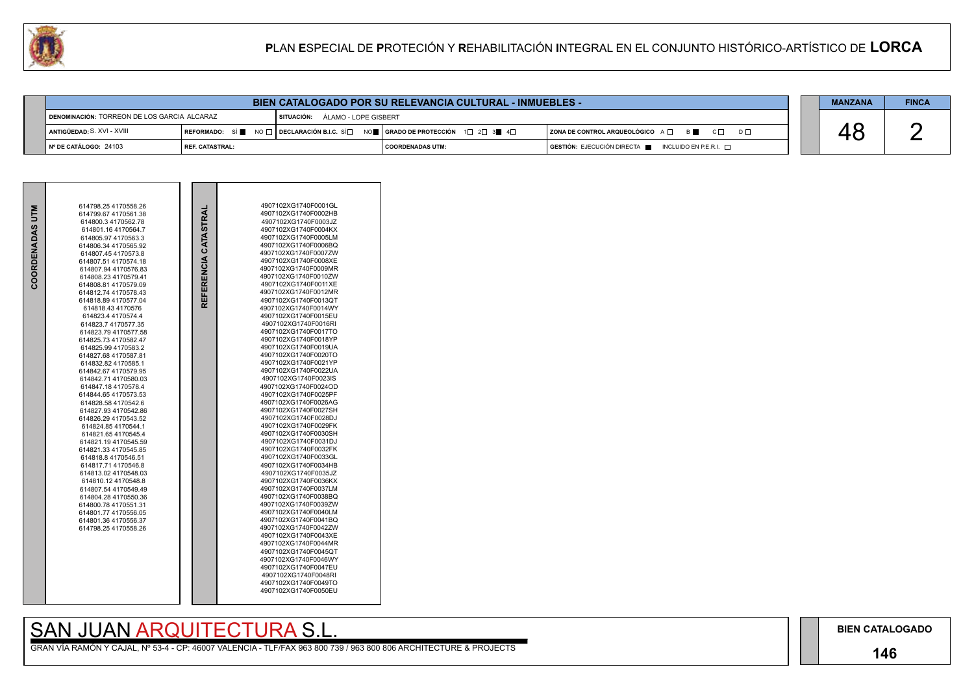### **146**

## SAN JUAN ARQUITECTURA S.L.

GRAN VÍA RAMÓN Y CAJAL, Nº 53-4 - CP: 46007 VALENCIA - TLF/FAX 963 800 739 / 963 800 806 ARCHITECTURE & PROJECTS



| U.<br>PLAN ESPECIAL DE PROTECIÓN Y REHABILITACIÓN INTEGRAL EN EL CONJUNTO HISTÓRICO-ARTÍSTICO DE LORCA |                 |                                 |  |                                                                                                                                                                                        |                                                   |  |                |              |  |  |
|--------------------------------------------------------------------------------------------------------|-----------------|---------------------------------|--|----------------------------------------------------------------------------------------------------------------------------------------------------------------------------------------|---------------------------------------------------|--|----------------|--------------|--|--|
|                                                                                                        |                 |                                 |  |                                                                                                                                                                                        |                                                   |  |                |              |  |  |
|                                                                                                        |                 |                                 |  | <b>BIEN CATALOGADO POR SU RELEVANCIA CULTURAL - INMUEBLES -</b>                                                                                                                        |                                                   |  | <b>MANZANA</b> | <b>FINCA</b> |  |  |
| DENOMINACIÓN: TORREON DE LOS GARCIA ALCARAZ                                                            |                 | SITUACIÓN: ÁLAMO - LOPE GISBERT |  |                                                                                                                                                                                        |                                                   |  |                |              |  |  |
| ANTIGÜEDAD: S. XVI - XVIII                                                                             |                 |                                 |  | $\mid$ REFORMADO: $\mid$ Si $\parallel$ $\parallel$ NO $\Box$ $\mid$ DECLARACIÓN B.I.C. Sí $\Box$ NO $\parallel$   GRADO DE PROTECCIÓN $\mid$ 1 $\Box$ 2 $\Box$ 3 $\parallel$ 4 $\Box$ | ZONA DE CONTROL ARQUEOLÓGICO A □ B ■ C □ D □      |  | 48             |              |  |  |
| ∣Nº DE CATÁLOGO: 24103                                                                                 | REF. CATASTRAL: |                                 |  | <b>COORDENADAS UTM:</b>                                                                                                                                                                | GESTIÓN: EJECUCIÓN DIRECTA   INCLUIDO EN P.E.R.I. |  |                |              |  |  |

| <b>MLD</b>        | 614798.25 4170558.26                         |                      | 4907102XG1740F0001GL                         |
|-------------------|----------------------------------------------|----------------------|----------------------------------------------|
|                   | 614799.67 4170561.38                         | REFERENCIA CATASTRAI | 4907102XG1740F0002HB                         |
|                   | 614800.3 4170562.78                          |                      | 4907102XG1740F0003JZ                         |
| <b>OORDENADAS</b> | 614801.16 4170564.7                          |                      | 4907102XG1740F0004KX                         |
|                   | 614805.97 4170563.3                          |                      | 4907102XG1740F0005LM                         |
|                   | 614806.34 4170565.92                         |                      | 4907102XG1740F0006BQ                         |
|                   | 614807.45 4170573.8                          |                      | 4907102XG1740F0007ZW                         |
|                   | 614807.51 4170574.18                         |                      | 4907102XG1740F0008XE                         |
|                   | 614807.94 4170576.83                         |                      | 4907102XG1740F0009MR                         |
|                   | 614808.23 4170579.41                         |                      | 4907102XG1740F0010ZW<br>4907102XG1740F0011XE |
|                   | 614808.81 4170579.09                         |                      | 4907102XG1740F0012MR                         |
|                   | 614812.74 4170578.43<br>614818.89 4170577.04 |                      | 4907102XG1740F0013QT                         |
|                   |                                              |                      | 4907102XG1740F0014WY                         |
|                   | 614818.43 4170576<br>614823.4 4170574.4      |                      | 4907102XG1740F0015EU                         |
|                   | 614823.7 4170577.35                          |                      | 4907102XG1740F0016RI                         |
|                   | 614823.79 4170577.58                         |                      | 4907102XG1740F0017TO                         |
|                   | 614825.73 4170582.47                         |                      | 4907102XG1740F0018YP                         |
|                   | 614825.99 4170583.2                          |                      | 4907102XG1740F0019UA                         |
|                   | 614827.68 4170587.81                         |                      | 4907102XG1740F0020TO                         |
|                   | 614832.82 4170585.1                          |                      | 4907102XG1740F0021YP                         |
|                   | 614842.67 4170579.95                         |                      | 4907102XG1740F0022UA                         |
|                   | 614842.71 4170580.03                         |                      | 4907102XG1740F0023IS                         |
|                   | 614847.184170578.4                           |                      | 4907102XG1740F0024OD                         |
|                   | 614844.65 4170573.53                         |                      | 4907102XG1740F0025PF                         |
|                   | 614828.58 4170542.6                          |                      | 4907102XG1740F0026AG                         |
|                   | 614827.93 4170542.86                         |                      | 4907102XG1740F0027SH                         |
|                   | 614826.29 4170543.52                         |                      | 4907102XG1740F0028DJ                         |
|                   | 614824.85 4170544.1                          |                      | 4907102XG1740F0029FK                         |
|                   | 614821.65 4170545.4                          |                      | 4907102XG1740F0030SH                         |
|                   | 614821.19 4170545.59                         |                      | 4907102XG1740F0031DJ                         |
|                   | 614821.33 4170545.85                         |                      | 4907102XG1740F0032FK                         |
|                   | 614818.8 4170546.51                          |                      | 4907102XG1740F0033GL                         |
|                   | 614817.71 4170546.8                          |                      | 4907102XG1740F0034HB                         |
|                   | 614813.02 4170548.03                         |                      | 4907102XG1740F0035JZ                         |
|                   | 614810.12 4170548.8                          |                      | 4907102XG1740F0036KX                         |
|                   | 614807.54 4170549.49                         |                      | 4907102XG1740F0037LM                         |
|                   | 614804.28 4170550.36                         |                      | 4907102XG1740F0038BQ                         |
|                   | 614800.78 4170551.31                         |                      | 4907102XG1740F0039ZW                         |
|                   | 614801.77 4170556.05                         |                      | 4907102XG1740F0040LM                         |
|                   | 614801.36 4170556.37                         |                      | 4907102XG1740F0041BQ                         |
|                   | 614798.25 4170558.26                         |                      | 4907102XG1740F0042ZW                         |
|                   |                                              |                      | 4907102XG1740F0043XE                         |
|                   |                                              |                      | 4907102XG1740F0044MR<br>4907102XG1740F0045QT |
|                   |                                              |                      | 4907102XG1740F0046WY                         |
|                   |                                              |                      | 4907102XG1740F0047EU                         |
|                   |                                              |                      | 4907102XG1740F0048RI                         |
|                   |                                              |                      | 4907102XG1740F0049TO                         |
|                   |                                              |                      |                                              |

4907102XG1740F0050EU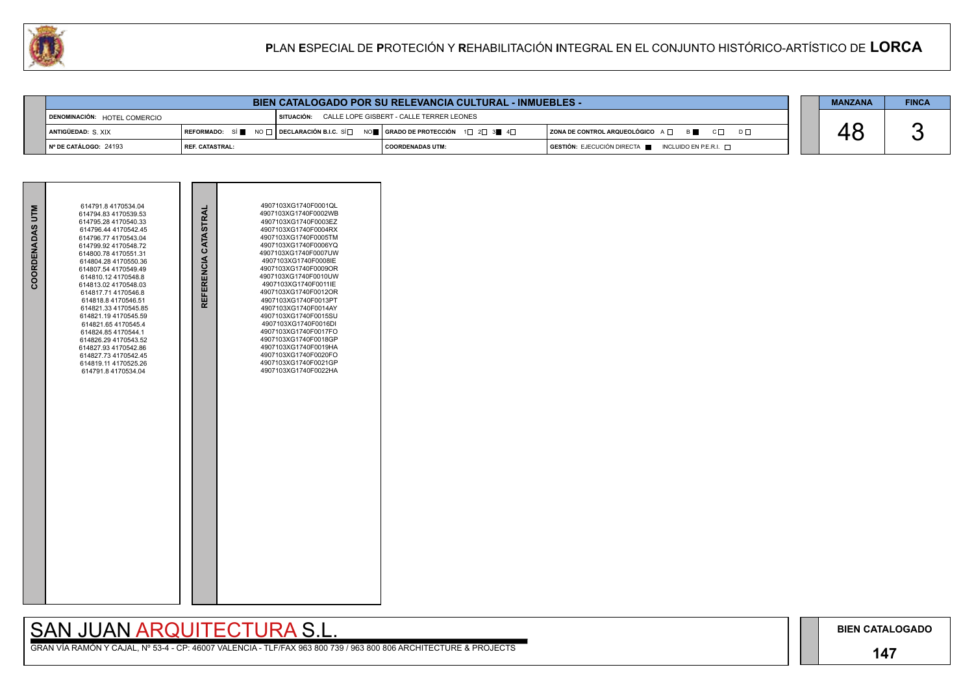### **147**

GRAN VÍA RAMÓN Y CAJAL, Nº 53-4 - CP: 46007 VALENCIA - TLF/FAX 963 800 739 / 963 800 806 ARCHITECTURE & PROJECTS

|  | <b>MANZANA</b> | <b>FINCA</b> |
|--|----------------|--------------|
|  |                |              |
|  | ' >            |              |
|  |                |              |

|                              |                        | <b>BIEN CATALOGADO POR SU RELEVANCIA CULTURAL - INMUEBLES -</b>                                                  |                                          |                                                                                              | <b>MANZANA</b> | <b>FINCA</b> |
|------------------------------|------------------------|------------------------------------------------------------------------------------------------------------------|------------------------------------------|----------------------------------------------------------------------------------------------|----------------|--------------|
| DENOMINACIÓN: HOTEL COMERCIO |                        | SITUACIÓN:                                                                                                       | CALLE LOPE GISBERT - CALLE TERRER LEONES |                                                                                              |                |              |
| ANTIGÜEDAD: S. XIX           |                        | │REFORMADO: SÍ █ NO $\Box$ │DECLARACIÓN B.I.C. SÍ $\Box$ NO █ │GRADO DE PROTECCIÓN 1 $\Box$ 2 $\Box$ 3█ 4 $\Box$ |                                          | $ $ ZONA DE CONTROL ARQUEOLÓGICO $A \Box$ B<br>$C \Box$<br>$D \Box$                          |                |              |
| N° DE CATÁLOGO: 24193        | <b>REF. CATASTRAL:</b> |                                                                                                                  | I COORDENADAS UTM:                       | $\overline{S}$ GESTIÓN: EJECUCIÓN DIRECTA $\overline{S}$ INCLUIDO EN P.E.R.I. $\overline{S}$ |                |              |

| COORDENADAS UTM | 614791.8 4170534.04<br>614794.83 4170539.53<br>614795.28 4170540.33<br>614796.44 4170542.45<br>614796.77 4170543.04<br>614799.92 4170548.72<br>614800.78 4170551.31<br>614804.28 4170550.36<br>614807.54 4170549.49<br>614810.12 4170548.8<br>614813.02 4170548.03<br>614817.71 4170546.8<br>614818.8 4170546.51<br>614821.33 4170545.85<br>614821.19 4170545.59<br>614821.65 4170545.4<br>614824.85 4170544.1<br>614826.29 4170543.52<br>614827.93 4170542.86<br>614827.73 4170542.45<br>614819.11 4170525.26<br>614791.8 4170534.04 | REFERENCIA CATASTRAI | 4907103XG1740F0001QL<br>4907103XG1740F0002WB<br>4907103XG1740F0003EZ<br>4907103XG1740F0004RX<br>4907103XG1740F0005TM<br>4907103XG1740F0006YQ<br>4907103XG1740F0007UW<br>4907103XG1740F0008IE<br>4907103XG1740F0009OR<br>4907103XG1740F0010UW<br>4907103XG1740F0011IE<br>4907103XG1740F0012OR<br>4907103XG1740F0013PT<br>4907103XG1740F0014AY<br>4907103XG1740F0015SU<br>4907103XG1740F0016DI<br>4907103XG1740F0017FO<br>4907103XG1740F0018GP<br>4907103XG1740F0019HA<br>4907103XG1740F0020FO<br>4907103XG1740F0021GP<br>4907103XG1740F0022HA |  |
|-----------------|---------------------------------------------------------------------------------------------------------------------------------------------------------------------------------------------------------------------------------------------------------------------------------------------------------------------------------------------------------------------------------------------------------------------------------------------------------------------------------------------------------------------------------------|----------------------|----------------------------------------------------------------------------------------------------------------------------------------------------------------------------------------------------------------------------------------------------------------------------------------------------------------------------------------------------------------------------------------------------------------------------------------------------------------------------------------------------------------------------------------------|--|

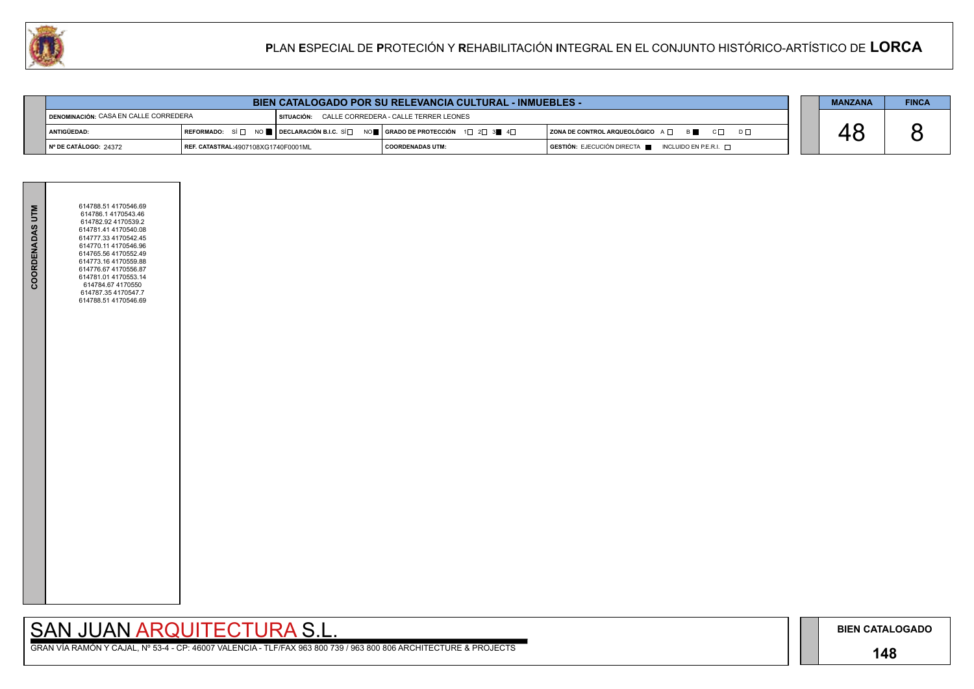### **148**

# SAN JUAN ARQUITECTURA S.L.



| <b>BIEN CATALOGADO POR SU RELEVANCIA CULTURAL - INMUEBLES -</b> |  |
|-----------------------------------------------------------------|--|
|-----------------------------------------------------------------|--|

|                                                |                                            | <b>BIEN CATALOGADO POR SU RELEVANCIA CULTURAL - INMUEBLES -</b>                                                                                                        |                                       |                                                                                      | <b>MANZANA</b> | <b>FINCA</b> |
|------------------------------------------------|--------------------------------------------|------------------------------------------------------------------------------------------------------------------------------------------------------------------------|---------------------------------------|--------------------------------------------------------------------------------------|----------------|--------------|
| <b>I DENOMINACIÓN:</b> CASA EN CALLE CORREDERA |                                            | I SITUACIÓN:                                                                                                                                                           | CALLE CORREDERA - CALLE TERRER LEONES |                                                                                      |                |              |
| ANTIGÜEDAD:                                    |                                            | REFORMADO: SÍ $\square$ NO $\blacksquare$ DECLARACIÓN B.I.C. SÍ $\square$ NO $\blacksquare$   GRADO DE PROTECCIÓN 1 $\square$ 2 $\square$ 3 $\blacksquare$ 4 $\square$ |                                       | $ $ ZONA DE CONTROL ARQUEOLÓGICO $A \Box$ $B \Box$ $C \Box$ $D \Box$                 |                |              |
| ∥Nº DE CATÁLOGO: 24372                         | <b>REF. CATASTRAL:4907108XG1740F0001ML</b> |                                                                                                                                                                        | I COORDENADAS UTM:                    | $\overline{S}$ GESTIÓN: EJECUCIÓN DIRECTA $\overline{S}$ INCLUIDO EN P.E.R.I. $\Box$ |                |              |

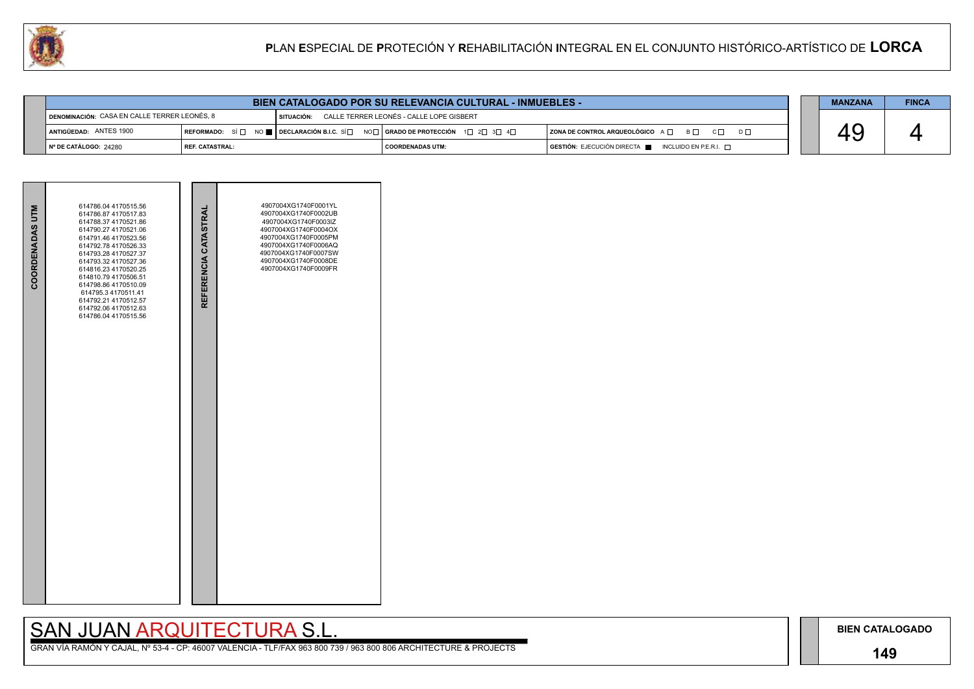### **149**

# SAN JUAN ARQUITECTURA S.L.





|                                              |                   | <b>BIEN CATALOGADO POR SU RELEVANCIA CULTURAL - INMUEBLES -</b>                                                                       |                                          |                                                                                      | <b>MANZANA</b> | <b>FINCA</b> |
|----------------------------------------------|-------------------|---------------------------------------------------------------------------------------------------------------------------------------|------------------------------------------|--------------------------------------------------------------------------------------|----------------|--------------|
| DENOMINACIÓN: CASA EN CALLE TERRER LEONÉS, 8 |                   | SITUACIÓN:                                                                                                                            | CALLE TERRER LEONÉS - CALLE LOPE GISBERT |                                                                                      |                |              |
| ANTIGÜEDAD: ANTES 1900                       |                   | REFORMADO: SÍ $\Box$ NO $\blacksquare$ DECLARACIÓN B.I.C. SÍ $\Box$ NO $\Box$ GRADO DE PROTECCIÓN 1 $\Box$ 2 $\Box$ 3 $\Box$ 4 $\Box$ |                                          | ZONA DE CONTROL ARQUEOLÓGICO A □ B □ C □ D □                                         |                |              |
| I Nº DE CATÁLOGO: 24280                      | I REF. CATASTRAL: |                                                                                                                                       | COORDENADAS UTM:                         | $\overline{)}$ GESTIÓN: EJECUCIÓN DIRECTA $\blacksquare$ INCLUIDO EN P.E.R.I. $\Box$ |                |              |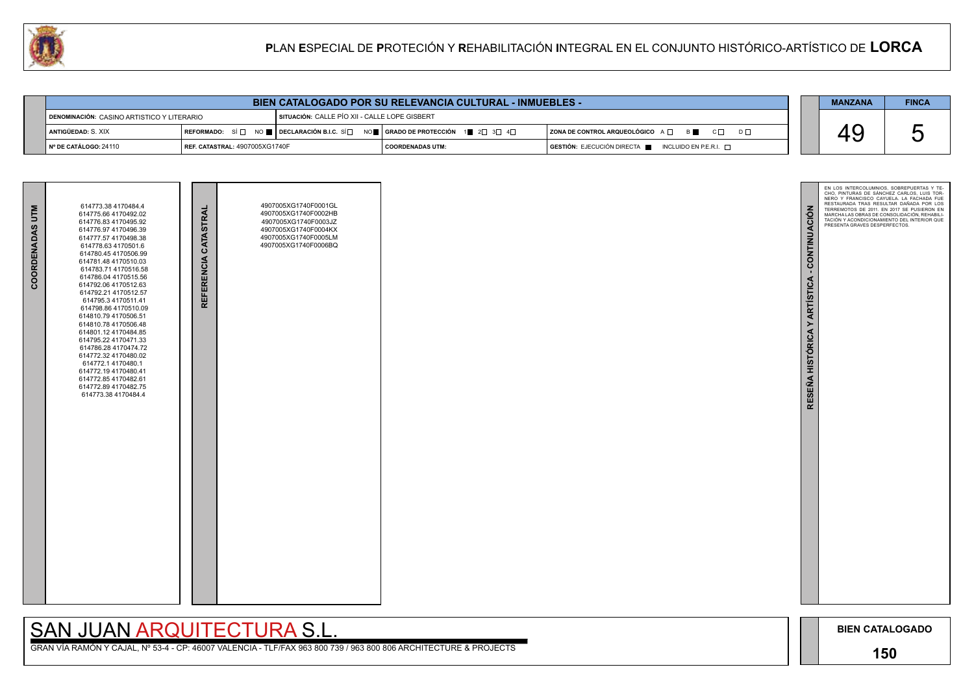

GRAN VÍA RAMÓN Y CAJAL, Nº 53-4 - CP: 46007 VALENCIA - TLF/FAX 963 800 739 / 963 800 806 ARCHITECTURE & PROJECTS

|                                            |                                       | <b>BIEN CATALOGADO POR SU RELEVANCIA CULTURAL - INMUEBLES -</b>                                                                                                   |                    |                                                                                              | <b>MANZANA</b> | <b>FINCA</b> |
|--------------------------------------------|---------------------------------------|-------------------------------------------------------------------------------------------------------------------------------------------------------------------|--------------------|----------------------------------------------------------------------------------------------|----------------|--------------|
| DENOMINACIÓN: CASINO ARTISTICO Y LITERARIO |                                       | SITUACIÓN: CALLE PÍO XII - CALLE LOPE GISBERT                                                                                                                     |                    |                                                                                              |                |              |
| LANTIGÜEDAD: S. XIX                        |                                       | $\vert$ REFORMADO: SÍ $\Box$ NO $\blacksquare$   DECLARACIÓN B.I.C. SÍ $\Box$ NO $\blacksquare$   GRADO DE PROTECCIÓN 1 $\blacksquare$ 2 $\Box$ 3 $\Box$ 4 $\Box$ |                    | $ $ ZONA DE CONTROL ARQUEOLÓGICO $A \Box$ $B \Box$ $C \Box$<br>$D \Box$                      |                |              |
| ∥ Nº DE CATÁLOGO: 24110                    | <b>REF. CATASTRAL: 4907005XG1740F</b> |                                                                                                                                                                   | I COORDENADAS UTM: | $\overline{a}$ GESTIÓN: EJECUCIÓN DIRECTA $\overline{a}$ INCLUIDO EN P.E.R.I. $\overline{a}$ |                |              |

|                 | 614773.38 4170484.4                                                                                                                                                                                                                                                                                                                                                                                                                                                                                                                                                                    |                      | 4907005XG1740F0001GL                                                                                                 |  |
|-----------------|----------------------------------------------------------------------------------------------------------------------------------------------------------------------------------------------------------------------------------------------------------------------------------------------------------------------------------------------------------------------------------------------------------------------------------------------------------------------------------------------------------------------------------------------------------------------------------------|----------------------|----------------------------------------------------------------------------------------------------------------------|--|
| COORDENADAS UTM | 614775.66 4170492.02<br>614776.83 4170495.92<br>614776.97 4170496.39<br>614777.57 4170498.38<br>614778.63 4170501.6<br>614780.45 4170506.99<br>614781.48 4170510.03<br>614783.71 4170516.58<br>614786.04 4170515.56<br>614792.06 4170512.63<br>614792.21 4170512.57<br>614795.3 4170511.41<br>614798.86 4170510.09<br>614810.79 4170506.51<br>614810.78 4170506.48<br>614801.12 4170484.85<br>614795.22 4170471.33<br>614786.28 4170474.72<br>614772.32 4170480.02<br>614772.1 4170480.1<br>614772.194170480.41<br>614772.85 4170482.61<br>614772.89 4170482.75<br>614773.38 4170484.4 | REFERENCIA CATASTRAL | 4907005XG1740F0002HB<br>4907005XG1740F0003JZ<br>4907005XG1740F0004KX<br>4907005XG1740F0005LM<br>4907005XG1740F0006BQ |  |

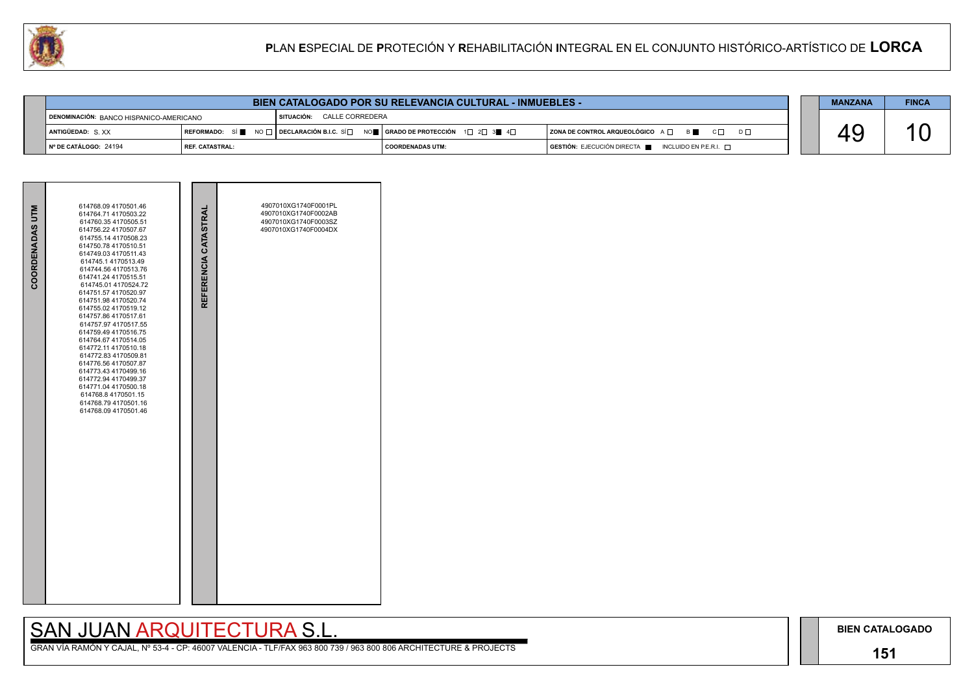### **151**

## SAN JUAN ARQUITECTURA S.L.



| <b>BIEN CATALOGADO POR SU RELEVANCIA CULTURAL - INMUEBLES -</b> |                   |  |  |                                                                               |  | <b>MANZANA</b>     | <b>FINCA</b>                                                        |  |  |
|-----------------------------------------------------------------|-------------------|--|--|-------------------------------------------------------------------------------|--|--------------------|---------------------------------------------------------------------|--|--|
| DENOMINACIÓN: BANCO HISPANICO-AMERICANO                         |                   |  |  | I SITUACIÓN: CALLE CORREDERA                                                  |  |                    |                                                                     |  |  |
| ANTIGÜEDAD: S.XX                                                |                   |  |  | REFORMADO: SÍ NO □ DECLARACIÓN B.I.C. SÍ NO SE RADO DE PROTECCIÓN 1 2 3 3 4 0 |  |                    | $ $ ZONA DE CONTROL ARQUEOLÓGICO $A \Box$ B<br>$C \Box$<br>$D \Box$ |  |  |
| Nº DE CATÁLOGO: 24194                                           | l REF. CATASTRAL: |  |  |                                                                               |  | I COORDENADAS UTM: | GESTIÓN: EJECUCIÓN DIRECTA NE INCLUIDO EN P.E.R.I.                  |  |  |

| <b>COORDENADAS UTM</b> | 614768.09 4170501.46<br>614764.71 4170503.22<br>614760.35 4170505.51<br>614756.22 4170507.67<br>614755.14 4170508.23<br>614750.78 4170510.51<br>614749.03 4170511.43<br>614745.1 4170513.49<br>614744.56 4170513.76<br>614741.24 4170515.51<br>614745.01 4170524.72<br>614751.57 4170520.97<br>614751.98 4170520.74<br>614755.02 4170519.12<br>614757.86 4170517.61<br>614757.97 4170517.55<br>614759.49 4170516.75<br>614764.67 4170514.05<br>614772.11 4170510.18<br>614772.83 4170509.81<br>614776.56 4170507.87<br>614773.43 4170499.16<br>614772.94 4170499.37<br>614771.04 4170500.18<br>614768.8 4170501.15<br>614768.79 4170501.16<br>614768.09 4170501.46 | REFERENCIA CATASTRAL | 4907010XG1740F0001PL<br>4907010XG1740F0002AB<br>4907010XG1740F0003SZ<br>4907010XG1740F0004DX |  |
|------------------------|--------------------------------------------------------------------------------------------------------------------------------------------------------------------------------------------------------------------------------------------------------------------------------------------------------------------------------------------------------------------------------------------------------------------------------------------------------------------------------------------------------------------------------------------------------------------------------------------------------------------------------------------------------------------|----------------------|----------------------------------------------------------------------------------------------|--|

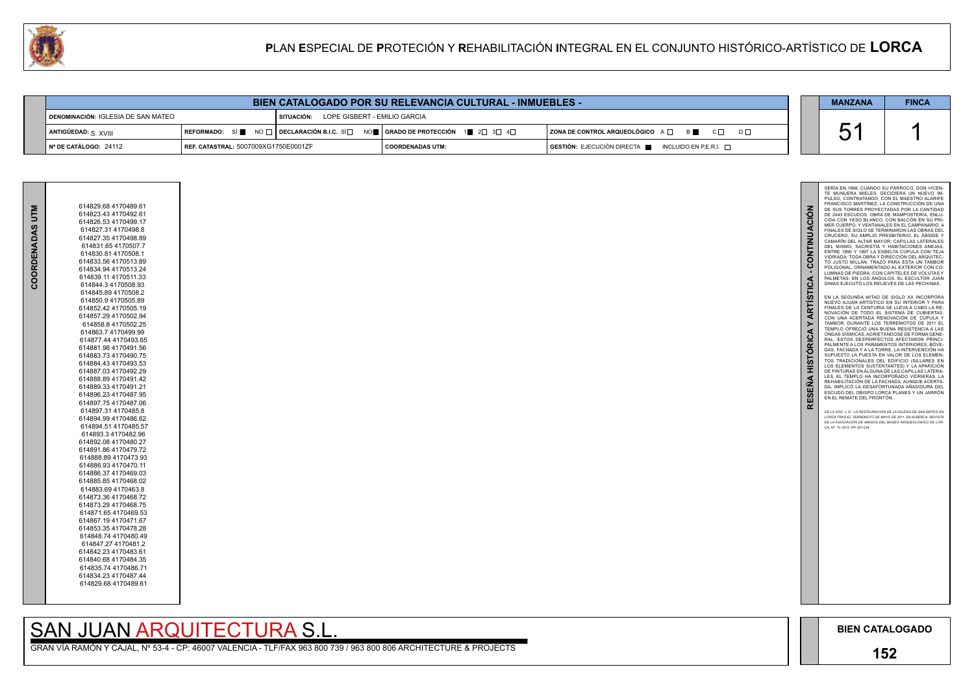### **152**

51 1 SERIA EN 1868, CUANDO SU PARROCO, DON VICEN-<br>TE MUNUERA MIELES, DECIDIERA UN NUEVO IM-PULSO, CONTRATANDO, CON EL MAESTRO ALARIFE FRANCISCO MARTÍNEZ, LA CONSTRUCCIÓN DE UNA DE SUS TORRES PROYECTADAS POR LA CANTIDAD CONTINUACIÓN **RESEÑA HISTÓRICA Y ARTÍSTICA - CONTINUACIÓN** DE 2443 ESCUDOS. OBRA DE MAMPOSTERÍA, ENLU - CIDA CON YESO BLANCO, CON BALCÓN EN SU PRI - MER CUERPO, Y VENTANALES EN EL CAMPANARIO. A FINALES DE SIGLO SE TERMINARON LAS OBRAS DEL CRUCERO, SU AMPLIO PRESBITERIO, EL ÁBSIDE Y CAMARÍN DEL ALTAR MAYOR; CAPILLAS LATERALES DEL MISMO, SACRISTÍA Y HABITACIONES ANEJAS. ENTRE 1890 Y 1897 LA ESBELTA CÚPULA CON TEJA VIDRIADA: TODA OBRA Y DIRECCIÓN DEL ARQUITEC - TO JUSTO MILLÁN. TRAZÓ PARA ÉSTA UN TAMBOR<br>POLIGONAL ORNAMENTADO AL EXTERIOR CON CO-POLIGONAL, ORNAMENTADO AL EXTERIOR CON CO-<br>LUMNAS DE PIEDRA -CON CAPITELES DE VOLUTAS Y<br>PALMETAS- EN LOS ÁNGULOS. EL ESCULTOR JUAN<br>DIMAS EJECUTÓ LOS RELIEVES DE LAS PECHINAS. **ARTÍSTICA** EN LA SEGUNDA MITAD DE SIGLO XX INCORPORA NUEVO AJUAR ARTÍSTICO EN SU INTERIOR Y PARA FINALES DE LA CENTURIA SE LLEVA A CABO LA RE - NOVACIÓN DE TODO EL SISTEMA DE CUBIERTAS. CON UNA ACERTADA RENOVACIÓN DE CÚPULA Y TAMBOR. DURANTE LOS TERREMOTOS DE 2011 EL TEMPLO OFRECIÓ UNA BUENA RESISTENCIA A LAS  $\geq$ **HISTÓRICA** ONDAS SÍSMICAS, AGRIETÁNDOSE DE FORMA GENE - RAL. ESTOS DESPERFECTOS AFECTARON PRINCI - PALMENTE A LOS PARAMENTOS INTERIORES, BÓVE - DAS, FACHADA Y A LA TORRE. LA INTERVENCION HA<br>SUPUESTO LA PUESTA EN VALOR DE LOS ELEMEN-<br>TOS TRADICIONALES DEL EDIFICIO (SILLARES EN LOS ELEMENTOS SUSTENTANTES) Y LA APARICIÓN DE PINTURAS EN ALGUNA DE LAS CAPILLAS LATERA - LES. EL TEMPLO HA INCORPORADO VIDRIERAS. LA REHABILITACIÓN DE LA FACHADA, AUNQUE ACERTA - **RESEÑA** DA, IMPLICO LA DESAFORTUNADA ANADIDURA DEL<br>ESCUDO DEL OBISPO LORCA PLANES Y UN JARRÓN<br>EN EL REMATE DEL FRONTÓN. *DE LA HOZ, J. D.: LA RESTAURACIÓN DE LA IGLESIA DE SAN MATEO EN LORCA TRAS EL TERREMOTO DE MAYO DE 2011. EN ALBERCA: REVISTA DE LA ASOCIACIÓN DE AMIGOS DEL MUSEO ARQUEOLÓGICO DE LOR - CA, Nº. 10. 2012. PP. 207-224.*

GRAN VÍA RAMÓN Y CAJAL, Nº 53-4 - CP: 46007 VALENCIA - TLF/FAX 963 800 739 / 963 800 806 ARCHITECTURE & PROJECTS

| 614829.68 4170489.61 |
|----------------------|
| 614823.43 4170492.61 |
| 614826.53 4170499.17 |
| 614827.31 4170498.8  |
| 614827.35 4170498.89 |
| 614831.65 4170507.7  |
| 614830.81 4170508.1  |
| 614833.56 4170513.89 |
|                      |
| 614834.94 4170513.24 |
| 614839.11 4170511.33 |
| 614844.3 4170508.93  |
| 614845.89 4170508.2  |
| 614850.9 4170505.89  |
| 614852.42 4170505.19 |
| 614857.29 4170502.94 |
| 614858.8 4170502.25  |
| 614863.74170499.99   |
| 614877.44 4170493.65 |
| 614881.98 4170491.56 |
| 614883.73 4170490.75 |
| 614884.43 4170493.53 |
| 614887.03 4170492.29 |
| 614888.89 4170491.42 |
| 614889.33 4170491.21 |
| 614896.23 4170487.95 |
| 614897.754170487.06  |
| 614897.31 4170485.8  |
| 614894.99 4170486.62 |
| 614894.51 4170485.57 |
| 614893.3 4170482.96  |
| 614892.08 4170480.27 |
| 614891.86 4170479.72 |
| 614888 89 4170473.93 |
| 614886.93 4170470.11 |
| 614886.37 4170469.03 |
| 614885.85 4170468.02 |
| 614883.69 4170463.8  |
| 614873.36 4170468.72 |
| 614873.29 4170468.75 |
| 614871.65 4170469.53 |
| 614867.19 4170471.67 |
| 614853.354170478.28  |
| 614848.74 4170480.49 |
| 614847.27 4170481.2  |
| 614842.23 4170483.61 |
| 614840.68 4170484.35 |
| 614835.74 4170486.71 |
| 614834.23 4170487.44 |
| 614829.68 4170489.61 |
|                      |
|                      |

## SAN JUAN ARQUITECTURA S.I.

| U. |                                                                                             | <b>PLAN ESPECIAL DE PROTECIÓN Y REHABILITACIÓN INTEGRAL EN EL CONJUNTO HISTÓRICO-ARTÍSTICO DE LORCA</b> |  |                                                                                                                                                                |                                                     |  |                   |              |
|----|---------------------------------------------------------------------------------------------|---------------------------------------------------------------------------------------------------------|--|----------------------------------------------------------------------------------------------------------------------------------------------------------------|-----------------------------------------------------|--|-------------------|--------------|
|    |                                                                                             |                                                                                                         |  |                                                                                                                                                                |                                                     |  |                   |              |
|    | <b>BIEN CATALOGADO POR SU RELEVANCIA CULTURAL - INMUEBLES -</b>                             |                                                                                                         |  |                                                                                                                                                                |                                                     |  | <b>MANZANA</b>    | <b>FINCA</b> |
|    | <b>I SITUACIÓN:      LOPE GISBERT - EMILIO GARCIA</b><br>DENOMINACIÓN: IGLESIA DE SAN MATEO |                                                                                                         |  |                                                                                                                                                                |                                                     |  |                   |              |
|    | ANTIGÜEDAD: $_{\rm S}$ $_{\rm XVIII}$                                                       |                                                                                                         |  | $\lceil$ REFORMADO: SÍ $\blacksquare$ NO $\Box$ DECLARACIÓN B.I.C. SÍ $\Box$ NO $\blacksquare$ GRADO DE PROTECCIÓN 1 $\blacksquare$ 2 $\Box$ 3 $\Box$ 4 $\Box$ | <b>ZONA DE CONTROL ARQUEOLÓGICO</b> A □ B ■ C □ D □ |  | にんしょう にっぽん しゅうしょう |              |
|    | Nº DE CATÁLOGO: 24112                                                                       | REF. CATASTRAL: 5007009XG1750E0001ZF                                                                    |  | <b>COORDENADAS UTM:</b>                                                                                                                                        | GESTIÓN: EJECUCIÓN DIRECTA NICLUIDO EN P.E.R.I.     |  |                   |              |



**COORDENADAS UTM**

COORDENADAS UTM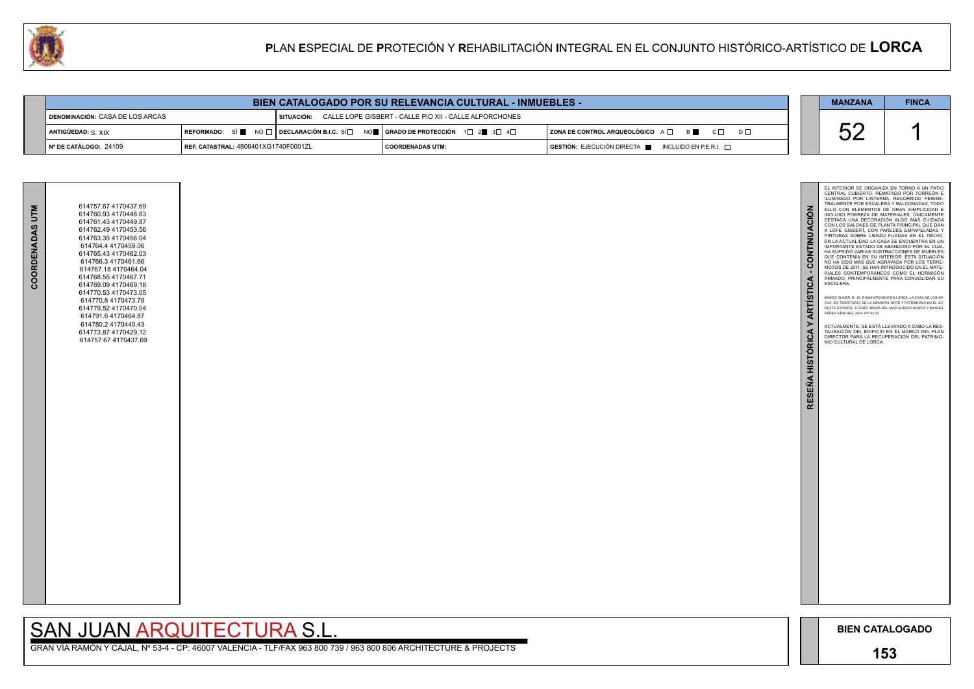## **153**



| <b>BIEN CATALOGADO POR SU RELEVANCIA CULTURAL - INMUEBLES -</b> |                                      |  |                                                                                                                                                       |                                                                                              |  |                    | <b>FINCA</b> |
|-----------------------------------------------------------------|--------------------------------------|--|-------------------------------------------------------------------------------------------------------------------------------------------------------|----------------------------------------------------------------------------------------------|--|--------------------|--------------|
| DENOMINACIÓN: CASA DE LOS ARCAS                                 |                                      |  | SITUACIÓN: CALLE LOPE GISBERT - CALLE PIO XII - CALLE ALPORCHONES                                                                                     |                                                                                              |  |                    |              |
| ANTIGÜEDAD: S. XIX                                              |                                      |  | REFORMADO: SÍ $\blacksquare$ NO $\Box$ DECLARACIÓN B.I.C. SÍ $\Box$ NO $\blacksquare$ GRADO DE PROTECCIÓN 1 $\Box$ 2 $\blacksquare$ 3 $\Box$ 4 $\Box$ | ZONA DE CONTROL ARQUEOLÓGICO A □ B ■ C □ D □                                                 |  | $\mathsf{r}$<br>UL |              |
| INº DE CATÁLOGO: 24109                                          | REF. CATASTRAL: 4806401XG1740F0001ZL |  | <b>COORDENADAS UTM:</b>                                                                                                                               | $\overline{a}$ GESTIÓN: EJECUCIÓN DIRECTA $\overline{a}$ INCLUIDO EN P.E.R.I. $\overline{a}$ |  |                    |              |

# SAN JUAN ARQUITECTURA S.L.

| COORDENADAS UTM | 614757.67 4170437.69<br>614760.93 4170448.83<br>614761.43 4170449.87<br>614762.49 4170453.56<br>614763.354170456.04<br>614764.4 4170459.06<br>614765.43 4170462.03<br>614766.3 4170461.66<br>614767.18 4170464.04<br>614768.55 4170467.71<br>614769.09 4170469.18<br>614770.53 4170473.05<br>614770.8 4170473.78<br>614779.52 4170470.04<br>614791.6 4170464.87<br>614780.24170440.43<br>614773.87 4170429.12<br>614757.67 4170437.69 |  |
|-----------------|---------------------------------------------------------------------------------------------------------------------------------------------------------------------------------------------------------------------------------------------------------------------------------------------------------------------------------------------------------------------------------------------------------------------------------------|--|
|                 |                                                                                                                                                                                                                                                                                                                                                                                                                                       |  |

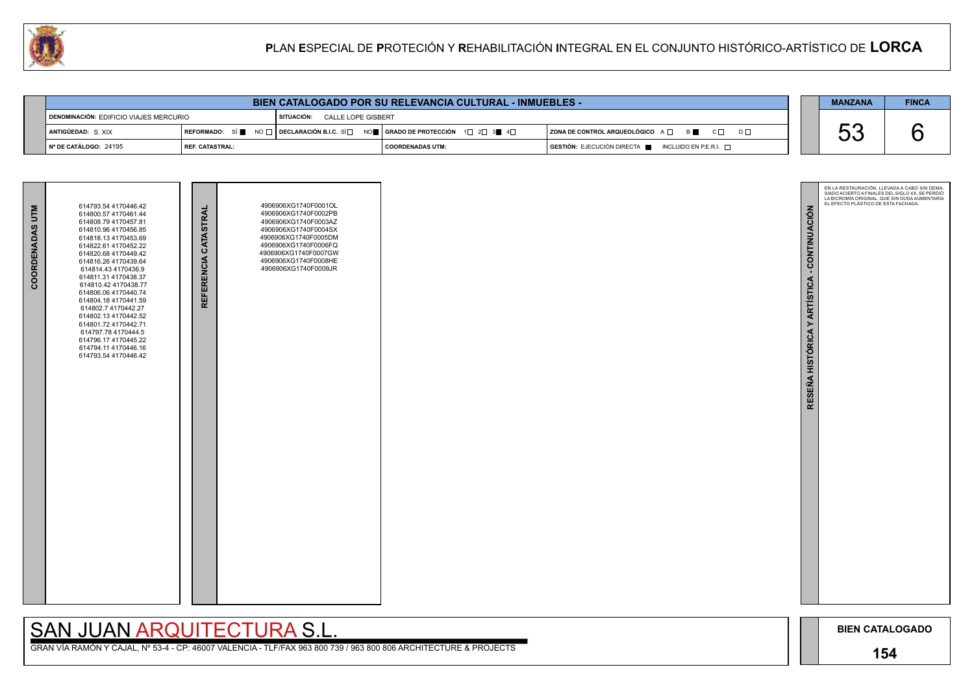GRAN VÍA RAMÓN Y CAJAL, Nº 53-4 - CP: 46007 VALENCIA - TLF/FAX 963 800 739 / 963 800 806 ARCHITECTURE & PROJECTS



| <b>BIEN CATALOGADO POR SU RELEVANCIA CULTURAL - INMUEBLES -</b> |                   |                                                                                                                                                                                 |                           |  |                                                                                                                                                                                                                                                                                                                                                                                                                                                          |  | <b>MANZANA</b> | <b>FINCA</b> |
|-----------------------------------------------------------------|-------------------|---------------------------------------------------------------------------------------------------------------------------------------------------------------------------------|---------------------------|--|----------------------------------------------------------------------------------------------------------------------------------------------------------------------------------------------------------------------------------------------------------------------------------------------------------------------------------------------------------------------------------------------------------------------------------------------------------|--|----------------|--------------|
| I DENOMINACIÓN: EDIFICIO VIAJES MERCURIO                        |                   | SITUACIÓN:                                                                                                                                                                      | <b>CALLE LOPE GISBERT</b> |  |                                                                                                                                                                                                                                                                                                                                                                                                                                                          |  |                |              |
| <b>ANTIGÜEDAD: S. XIX</b>                                       |                   | REFORMADO: SÍ $\blacksquare$ No $\square$   DECLARACIÓN B.I.C. SÍ $\square$ No $\blacksquare$   GRADO DE PROTECCIÓN $\bot$ 1 $\square$ 2 $\square$ 3 $\blacksquare$ 4 $\square$ |                           |  | $\overline{\phantom{a}}$ ZONA DE CONTROL ARQUEOLÓGICO $\overline{\phantom{a}}$ $\overline{\phantom{a}}$ $\overline{\phantom{a}}$ $\overline{\phantom{a}}$ $\overline{\phantom{a}}$ $\overline{\phantom{a}}$ $\overline{\phantom{a}}$ $\overline{\phantom{a}}$ $\overline{\phantom{a}}$ $\overline{\phantom{a}}$ $\overline{\phantom{a}}$ $\overline{\phantom{a}}$ $\overline{\phantom{a}}$ $\overline{\phantom{a}}$ $\overline{\phantom{a}}$<br>$D \Box$ |  | UL             |              |
| $\vert$ N° DE CATÁLOGO: 24195                                   | l REF. CATASTRAL: |                                                                                                                                                                                 | I COORDENADAS UTM:        |  | $\overline{S}$ GESTIÓN: EJECUCIÓN DIRECTA $\blacksquare$ INCLUIDO EN P.E.R.I. $\Box$                                                                                                                                                                                                                                                                                                                                                                     |  |                |              |

| COORDENADAS UTM | 614793.54 4170446.42<br>614800.57 4170461.44<br>614808.79 4170457.81<br>614810.96 4170456.85<br>614818.13 4170453.69<br>614822.61 4170452.22<br>614820.68 4170449.42<br>614816.26 4170439.64<br>614814.43 4170436.9<br>614811.31 4170438.37<br>614810.42 4170438.77<br>614806.06 4170440.74<br>614804.18 4170441.59<br>614802.7 4170442.27<br>614802.13 4170442.52<br>614801.72 4170442.71<br>614797.78 4170444.5<br>614796.17 4170445.22<br>614794.11 4170446.16<br>614793.54 4170446.42 | REFERENCIA CATASTRAL | 4906906XG1740F0001OL<br>4906906XG1740F0002PB<br>4906906XG1740F0003AZ<br>4906906XG1740F0004SX<br>4906906XG1740F0005DM<br>4906906XG1740F0006FQ<br>4906906XG1740F0007GW<br>4906906XG1740F0008HE<br>4906906XG1740F0009JR |  |
|-----------------|-------------------------------------------------------------------------------------------------------------------------------------------------------------------------------------------------------------------------------------------------------------------------------------------------------------------------------------------------------------------------------------------------------------------------------------------------------------------------------------------|----------------------|----------------------------------------------------------------------------------------------------------------------------------------------------------------------------------------------------------------------|--|

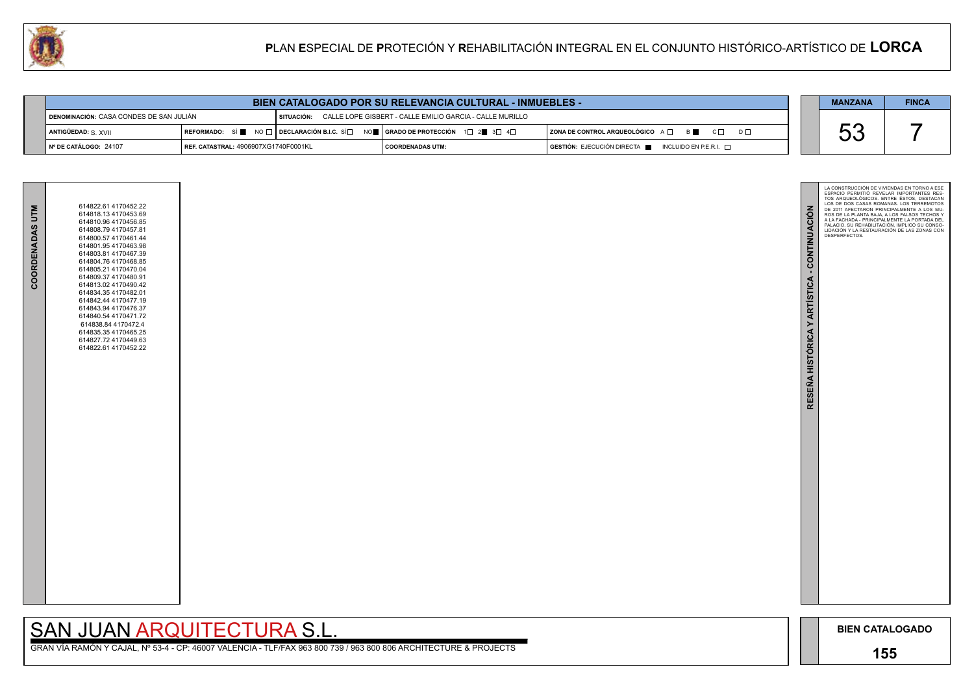

GRAN VÍA RAMÓN Y CAJAL, Nº 53-4 - CP: 46007 VALENCIA - TLF/FAX 963 800 739 / 963 800 806 ARCHITECTURE & PROJECTS

| <b>BIEN CATALOGADO POR SU RELEVANCIA CULTURAL - INMUEBLES -</b>                                                       |                                      |  |                                                                                         |                                                                         |  |  | <b>FINCA</b> |
|-----------------------------------------------------------------------------------------------------------------------|--------------------------------------|--|-----------------------------------------------------------------------------------------|-------------------------------------------------------------------------|--|--|--------------|
| CALLE LOPE GISBERT - CALLE EMILIO GARCIA - CALLE MURILLO<br>¶ DENOMINACIÓN: CASA CONDES DE SAN JULIÁN<br>I SITUACIÓN: |                                      |  |                                                                                         |                                                                         |  |  |              |
| ANTIGÜEDAD: S. XVII                                                                                                   |                                      |  | <b>OREFORMADO:</b> SÍ I NO □ DECLARACIÓN B.I.C. SÍ NO I GRADO DE PROTECCIÓN 1□ 2■ 3□ 4□ | $ $ ZONA DE CONTROL ARQUEOLÓGICO $A \Box$ $B \Box$ $C \Box$<br>$D \Box$ |  |  |              |
| I Nº DE CATÁLOGO: 24107                                                                                               | REF. CATASTRAL: 4906907XG1740F0001KL |  | I COORDENADAS UTM:                                                                      | $GESTIÓN: EJECUCIÓN DIRECTA \blacksquare INCLUIDO EN P.E.R.I. \square$  |  |  |              |

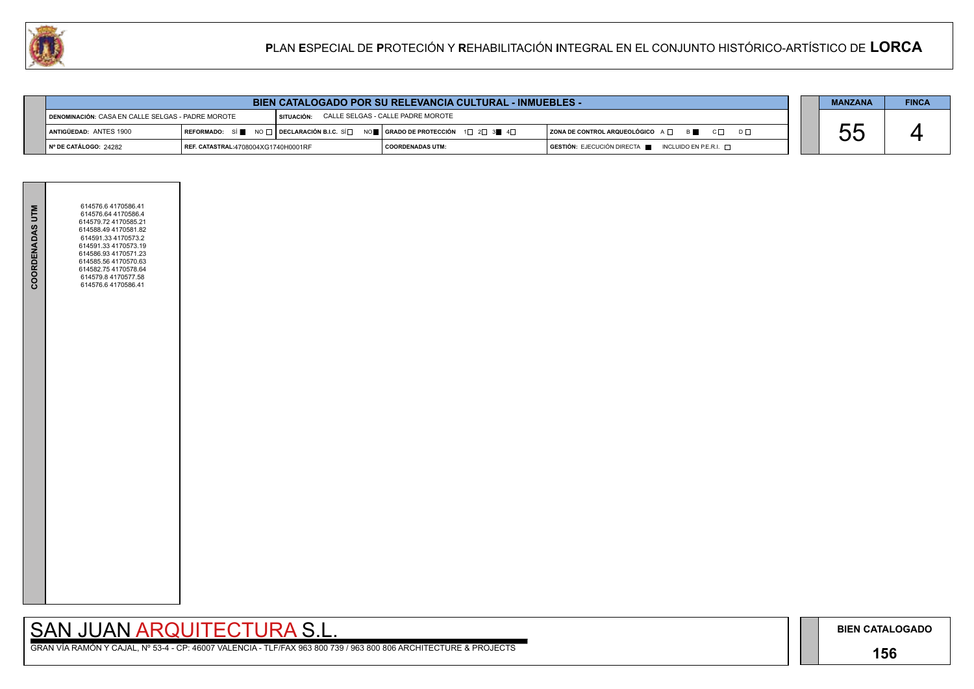## **156**

GRAN VÍA RAMÓN Y CAJAL, Nº 53-4 - CP: 46007 VALENCIA - TLF/FAX 963 800 739 / 963 800 806 ARCHITECTURE & PROJECTS

|     | <b>MANZANA</b> | <b>FINCA</b> |
|-----|----------------|--------------|
|     |                |              |
| ו ח |                |              |
|     |                |              |



| <b>BIEN CATALOGADO POR SU RELEVANCIA CULTURAL - INMUEBLES -</b>                                                 |                                     |  |                                                                                                                                                          |  |                                                                        |  | <b>MANZANA</b> | <b>FINCA</b> |
|-----------------------------------------------------------------------------------------------------------------|-------------------------------------|--|----------------------------------------------------------------------------------------------------------------------------------------------------------|--|------------------------------------------------------------------------|--|----------------|--------------|
| CALLE SELGAS - CALLE PADRE MOROTE<br><b>I DENOMINACIÓN: CASA EN CALLE SELGAS - PADRE MOROTE</b><br>I SITUACIÓN: |                                     |  |                                                                                                                                                          |  |                                                                        |  |                |              |
| ANTIGÜEDAD: ANTES 1900                                                                                          |                                     |  | REFORMADO: SÍ $\blacksquare$ NO $\sqcap$ DECLARACIÓN B.I.C. SÍ $\Box$ NO $\blacksquare$ SERADO DE PROTECCIÓN 1 $\Box$ 2 $\Box$ 3 $\blacksquare$ 4 $\Box$ |  | $ $ ZONA DE CONTROL ARQUEOLÓGICO $A \Box$ $B \Box$ $C \Box$            |  |                |              |
| ∥ Nº DE CATÁLOGO: 24282                                                                                         | REF. CATASTRAL:4708004XG1740H0001RF |  | I COORDENADAS UTM:                                                                                                                                       |  | $GESTIÓN: EJECUCIÓN DIRECTA \blacksquare INCLUIDO EN P.E.R.I. \square$ |  |                |              |

| <b>COORDENADAS UTM</b> | 614576.6 4170586.41<br>614576.64 4170586.4<br>614579.72 4170585.21<br>614588.49 4170581.82<br>614591.33 4170573.2<br>614591.33 4170573.19<br>614586.93 4170571.23<br>614585.56 4170570.63<br>614582.75 4170578.64<br>614579.8 4170577.58<br>614576.6 4170586.41 |  |
|------------------------|-----------------------------------------------------------------------------------------------------------------------------------------------------------------------------------------------------------------------------------------------------------------|--|
|                        |                                                                                                                                                                                                                                                                 |  |
|                        |                                                                                                                                                                                                                                                                 |  |
|                        |                                                                                                                                                                                                                                                                 |  |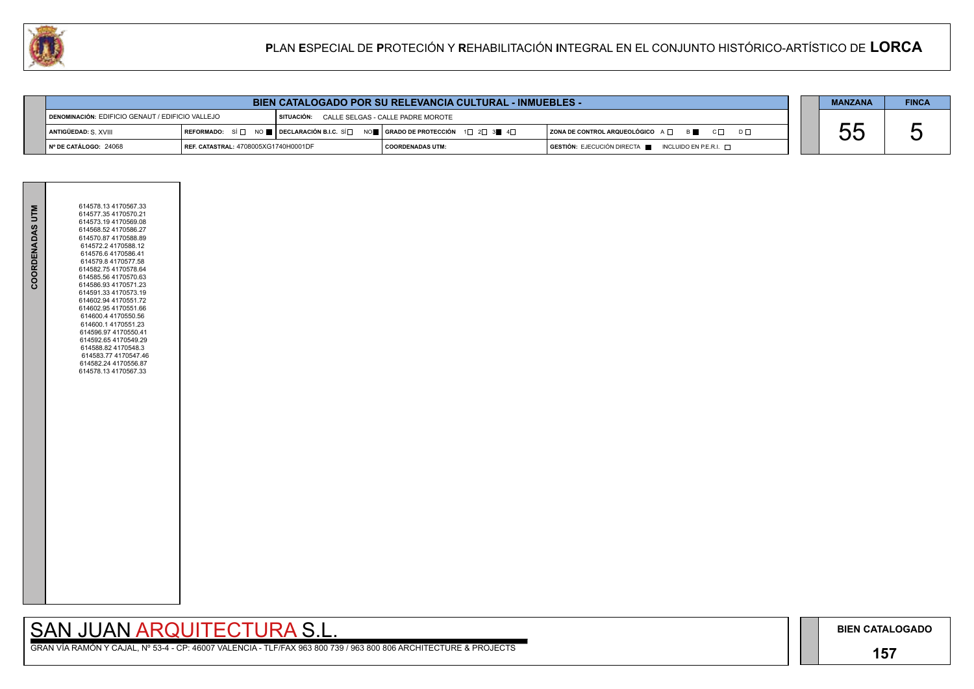

**Contract Contract** 

**BIEN CATALOGADO**

## **157**

## SAN JUAN ARQUITECTURA S.L.

|          | <b>MANZANA</b> | <b>FINCA</b> |
|----------|----------------|--------------|
|          |                |              |
| $D \cup$ |                | ∽            |
|          |                |              |

| COORDENADAS UTM | 614578.13 4170567.33<br>614577.35 4170570.21<br>614573.194170569.08<br>614568.52 4170586.27<br>614570.87 4170588.89<br>614572.2 4170588.12<br>614576.6 4170586.41<br>614579.8 4170577.58<br>614582.75 4170578.64<br>614585.56 4170570.63<br>614586.93 4170571.23<br>614591.33 4170573.19<br>614602.94 4170551.72<br>614602.95 4170551.66<br>614600.4 4170550.56<br>614600.1 4170551.23<br>614596.97 4170550.41<br>614592.65 4170549.29<br>614588.82 4170548.3<br>614583.77 4170547.46<br>614582.24 4170556.87<br>614578.13 4170567.33 |  |
|-----------------|---------------------------------------------------------------------------------------------------------------------------------------------------------------------------------------------------------------------------------------------------------------------------------------------------------------------------------------------------------------------------------------------------------------------------------------------------------------------------------------------------------------------------------------|--|
|                 |                                                                                                                                                                                                                                                                                                                                                                                                                                                                                                                                       |  |

| <b>BIEN CATALOGADO POR SU RELEVANCIA CULTURAL - INMUEBLES -</b>                                       |                                      |                                                                                                                                                       |                    |  |                                                                        |  | <b>MANZANA</b> | <b>FINCA</b> |
|-------------------------------------------------------------------------------------------------------|--------------------------------------|-------------------------------------------------------------------------------------------------------------------------------------------------------|--------------------|--|------------------------------------------------------------------------|--|----------------|--------------|
| I SITUACIÓN:<br>DENOMINACIÓN: EDIFICIO GENAUT / EDIFICIO VALLEJO<br>CALLE SELGAS - CALLE PADRE MOROTE |                                      |                                                                                                                                                       |                    |  |                                                                        |  |                |              |
| ANTIGÜEDAD: S. XVIII                                                                                  |                                      | REFORMADO: SÍ $\square$ No $\square$ DECLARACIÓN B.I.C. SÍ $\square$ No $\square$ GRADO DE PROTECCIÓN 1 $\square$ 2 $\square$ 3 $\square$ 4 $\square$ |                    |  | ZONA DE CONTROL ARQUEOLÓGICO A Q B B C Q                               |  |                |              |
| I Nº DE CATÁLOGO: 24068                                                                               | REF. CATASTRAL: 4708005XG1740H0001DF |                                                                                                                                                       | I COORDENADAS UTM: |  | $GESTIÓN: EJECUCIÓN DIRECTA \blacksquare INCLUIDO EN P.E.R.I. \square$ |  |                |              |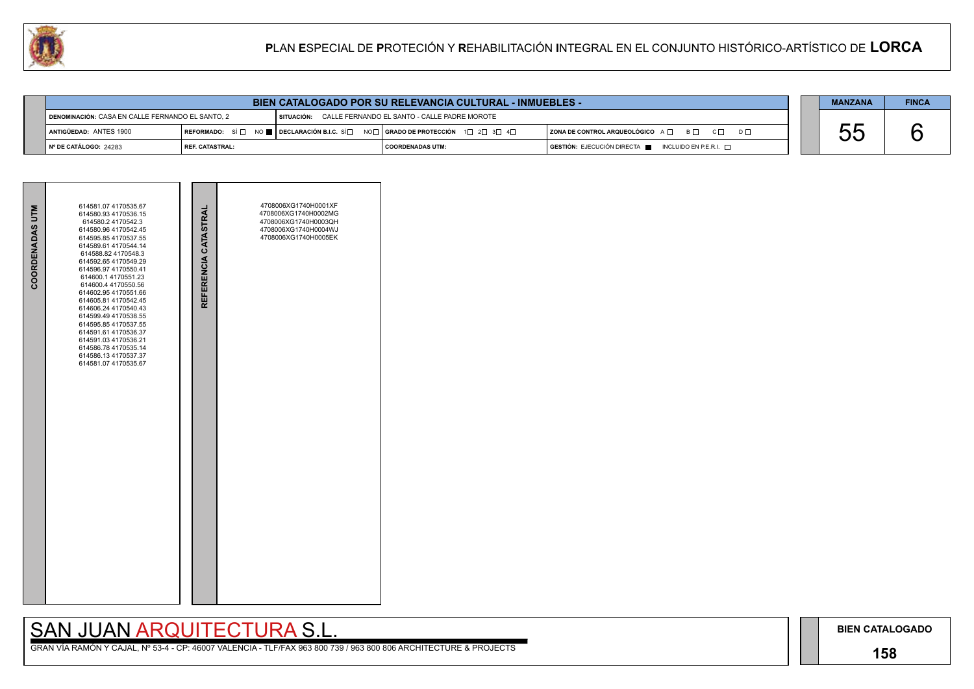## **158**

# SAN JUAN ARQUITECTURA S.L.

|     | <b>MANZANA</b> | <b>FINCA</b> |
|-----|----------------|--------------|
|     |                |              |
| ו ח |                |              |
|     |                |              |



| COORDENADAS UTM | 614581.07 4170535.67<br>614580.93 4170536.15<br>614580.24170542.3<br>614580.96 4170542.45<br>614595.85 4170537.55<br>614589.61 4170544.14<br>614588.82 4170548.3<br>614592.65 4170549.29<br>614596.97 4170550.41<br>614600.1 4170551.23<br>614600.4 4170550.56<br>614602.95 4170551.66<br>614605.81 4170542.45<br>614606.24 4170540.43<br>614599.49 4170538.55<br>614595.85 4170537.55<br>614591.61 4170536.37<br>614591.03 4170536.21<br>614586.78 4170535.14<br>614586.13 4170537.37<br>614581.07 4170535.67 | REFERENCIA CATASTRAL | 4708006XG1740H0001XF<br>4708006XG1740H0002MG<br>4708006XG1740H0003QH<br>4708006XG1740H0004WJ<br>4708006XG1740H0005EK |  |
|-----------------|----------------------------------------------------------------------------------------------------------------------------------------------------------------------------------------------------------------------------------------------------------------------------------------------------------------------------------------------------------------------------------------------------------------------------------------------------------------------------------------------------------------|----------------------|----------------------------------------------------------------------------------------------------------------------|--|
|                 |                                                                                                                                                                                                                                                                                                                                                                                                                                                                                                                |                      |                                                                                                                      |  |

| <b>BIEN CATALOGADO POR SU RELEVANCIA CULTURAL - INMUEBLES -</b> |                 |                                                                                                                                           |                         |  |                                                                                      | <b>MANZANA</b> | <b>FINCA</b> |  |
|-----------------------------------------------------------------|-----------------|-------------------------------------------------------------------------------------------------------------------------------------------|-------------------------|--|--------------------------------------------------------------------------------------|----------------|--------------|--|
| DENOMINACIÓN: CASA EN CALLE FERNANDO EL SANTO, 2                |                 | SITUACIÓN: CALLE FERNANDO EL SANTO - CALLE PADRE MOROTE                                                                                   |                         |  |                                                                                      |                |              |  |
| ANTIGÜEDAD: ANTES 1900                                          |                 | REFORMADO: SÍ $\Box$ NO $\blacksquare$   DECLARACIÓN B.I.C. SÍ $\Box$ NO $\Box$   GRADO DE PROTECCIÓN 1 $\Box$ 2 $\Box$ 3 $\Box$ 4 $\Box$ |                         |  | ZONA DE CONTROL ARQUEOLÓGICO A □ B □ C □ D □                                         | r              |              |  |
| N° DE CATÁLOGO: 24283                                           | REF. CATASTRAL: |                                                                                                                                           | <b>COORDENADAS UTM:</b> |  | $\overline{S}$ GESTIÓN: EJECUCIÓN DIRECTA $\overline{S}$ INCLUIDO EN P.E.R.I. $\Box$ |                |              |  |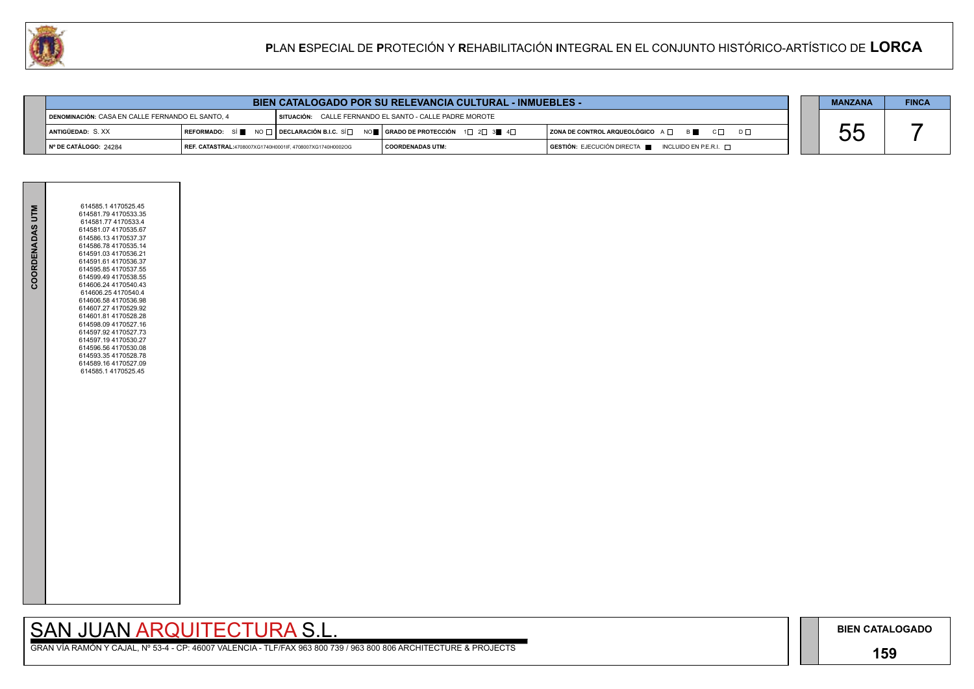## **159**

GRAN VÍA RAMÓN Y CAJAL, Nº 53-4 - CP: 46007 VALENCIA - TLF/FAX 963 800 739 / 963 800 806 ARCHITECTURE & PROJECTS

|          | <b>MANZANA</b>       | <b>FINCA</b> |
|----------|----------------------|--------------|
| $D \Box$ |                      |              |
|          | $\tilde{\mathbf{C}}$ |              |



| <b>BIEN CATALOGADO POR SU RELEVANCIA CULTURAL - INMUEBLES -</b> |                                                           |  |                                                                                                                        |                                                                                      |  | <b>MANZANA</b> | <b>FINCA</b> |
|-----------------------------------------------------------------|-----------------------------------------------------------|--|------------------------------------------------------------------------------------------------------------------------|--------------------------------------------------------------------------------------|--|----------------|--------------|
| DENOMINACIÓN: CASA EN CALLE FERNANDO EL SANTO. 4                |                                                           |  | SITUACIÓN: CALLE FERNANDO EL SANTO - CALLE PADRE MOROTE                                                                |                                                                                      |  |                |              |
| ANTIGÜEDAD: S.XX                                                |                                                           |  | REFORMADO: SÍ NO $\Box$ DECLARACIÓN B.I.C. SÍ $\Box$ NO $\Box$ GRADO DE PROTECCIÓN 1 $\Box$ 2 $\Box$ 3 $\Box$ 4 $\Box$ | ZONA DE CONTROL ARQUEOLÓGICO A Q B B C Q                                             |  |                |              |
| ∥N° DE CATÁLOGO: 24284                                          | REF. CATASTRAL:4708007XG1740H0001IF, 4708007XG1740H0002OG |  | I COORDENADAS UTM:                                                                                                     | $\overline{)}$ GESTIÓN: EJECUCIÓN DIRECTA $\overline{)}$ INCLUIDO EN P.E.R.I. $\Box$ |  |                |              |

| 614581.07 4170535.67<br>614586.13 4170537.37<br>614586.78 4170535.14<br>614591.03 4170536.21<br>614591.61 4170536.37<br>614595.85 4170537.55<br>614599.49 4170538.55<br>614606.24 4170540.43<br>614606.25 4170540.4<br>614606.58 4170536.98<br>614607.27 4170529.92<br>614601.81 4170528.28<br>614598.09 4170527.16<br>614597.92 4170527.73<br>614597.19 4170530.27<br>614596.56 4170530.08<br>614593.35 4170528.78<br>614589.16 4170527.09<br>614585.1 4170525.45 | COORDENADAS UTM | 614585.1 4170525.45<br>614581.79 4170533.35<br>614581.77 4170533.4 |  |
|--------------------------------------------------------------------------------------------------------------------------------------------------------------------------------------------------------------------------------------------------------------------------------------------------------------------------------------------------------------------------------------------------------------------------------------------------------------------|-----------------|--------------------------------------------------------------------|--|
|--------------------------------------------------------------------------------------------------------------------------------------------------------------------------------------------------------------------------------------------------------------------------------------------------------------------------------------------------------------------------------------------------------------------------------------------------------------------|-----------------|--------------------------------------------------------------------|--|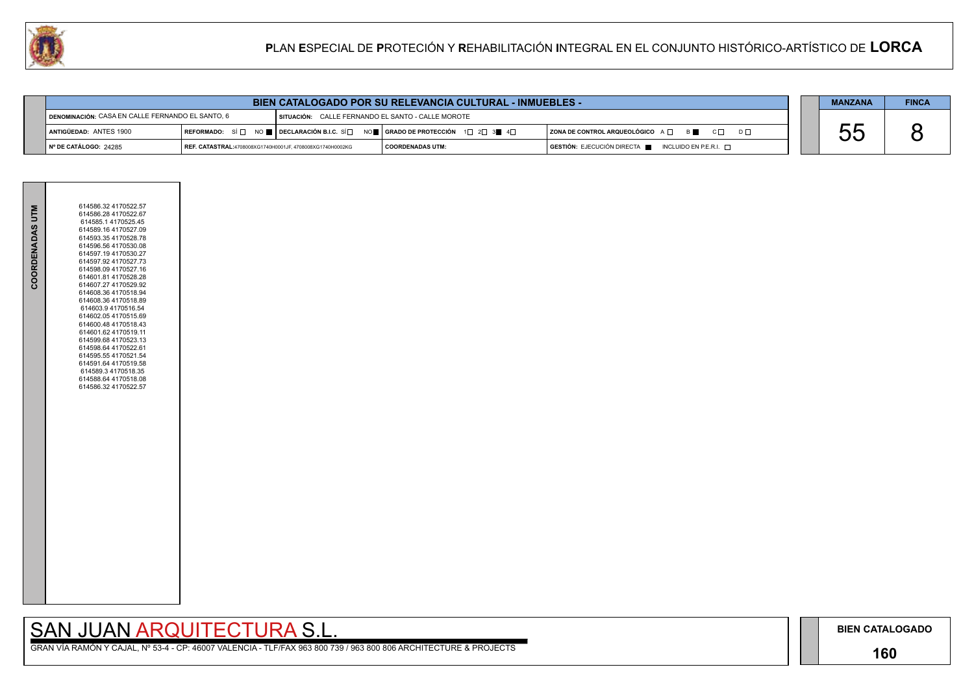## **160**

GRAN VÍA RAMÓN Y CAJAL, Nº 53-4 - CP: 46007 VALENCIA - TLF/FAX 963 800 739 / 963 800 806 ARCHITECTURE & PROJECTS

|     | <b>MANZANA</b> | <b>FINCA</b> |
|-----|----------------|--------------|
|     |                |              |
| n r |                |              |
|     |                |              |



| <b>BIEN CATALOGADO POR SU RELEVANCIA CULTURAL - INMUEBLES -</b> |                                                           |                                                                                                                                                       |                    |  | <b>MANZANA</b>                                                                       | <b>FINCA</b> |  |
|-----------------------------------------------------------------|-----------------------------------------------------------|-------------------------------------------------------------------------------------------------------------------------------------------------------|--------------------|--|--------------------------------------------------------------------------------------|--------------|--|
| DENOMINACIÓN: CASA EN CALLE FERNANDO EL SANTO, 6                |                                                           | SITUACIÓN: CALLE FERNANDO EL SANTO - CALLE MOROTE                                                                                                     |                    |  |                                                                                      |              |  |
| ANTIGÜEDAD: ANTES 1900                                          |                                                           | REFORMADO: SÍ $\square$ NO $\square$ DECLARACIÓN B.I.C. SÍ $\square$ NO $\square$ GRADO DE PROTECCIÓN 1 $\square$ 2 $\square$ 3 $\square$ 4 $\square$ |                    |  | ZONA DE CONTROL ARQUEOLÓGICO A □ B B C □ D □                                         | n n<br>UU    |  |
| Nº DE CATÁLOGO: 24285                                           | REF. CATASTRAL:4708008XG1740H0001JF, 4708008XG1740H0002KG |                                                                                                                                                       | I COORDENADAS UTM: |  | $\overline{)}$ GESTIÓN: EJECUCIÓN DIRECTA $\blacksquare$ INCLUIDO EN P.E.R.I. $\Box$ |              |  |

| COORDENADAS UTM | 614586.32 4170522.57<br>614586.28 4170522.67<br>614585.1 4170525.45<br>614589.16 4170527.09<br>614593.35 4170528.78<br>614596.56 4170530.08<br>614597.19 4170530.27<br>614597.92 4170527.73<br>614598.09 4170527.16<br>614601.81 4170528.28<br>614607.27 4170529.92<br>614608.36 4170518.94<br>614608.36 4170518.89<br>614603.9 4170516.54<br>614602.05 4170515.69<br>614600.48 4170518.43<br>614601.62 4170519.11<br>614599.68 4170523.13<br>614598.64 4170522.61<br>614595.55 4170521.54<br>614591.64 4170519.58<br>614589.3 4170518.35<br>614588.64 4170518.08<br>614586.32 4170522.57 |  |
|-----------------|-------------------------------------------------------------------------------------------------------------------------------------------------------------------------------------------------------------------------------------------------------------------------------------------------------------------------------------------------------------------------------------------------------------------------------------------------------------------------------------------------------------------------------------------------------------------------------------------|--|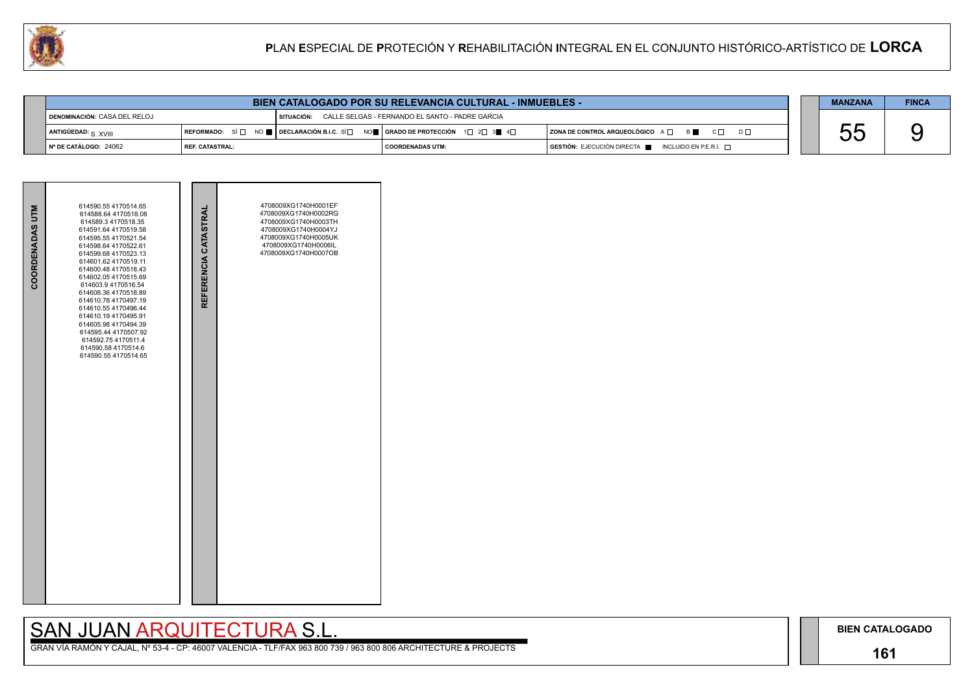## **161**

# SAN JUAN ARQUITECTURA S.L.

|  | <b>MANZANA</b> | <b>FINCA</b> |
|--|----------------|--------------|
|  |                |              |
|  |                |              |
|  |                |              |



| <b>BIEN CATALOGADO POR SU RELEVANCIA CULTURAL - INMUEBLES -</b> |                                                                                                                                                                      |              |                                                 | <b>MANZANA</b>                                                      | <b>FINCA</b> |  |
|-----------------------------------------------------------------|----------------------------------------------------------------------------------------------------------------------------------------------------------------------|--------------|-------------------------------------------------|---------------------------------------------------------------------|--------------|--|
| DENOMINACIÓN: CASA DEL RELOJ                                    |                                                                                                                                                                      | I SITUACIÓN: | CALLE SELGAS - FERNANDO EL SANTO - PADRE GARCIA |                                                                     |              |  |
| ANTIGÜEDAD: $_{\rm S.}$ XVIII                                   | REFORMADO: SÍ $\square$ NO $\blacksquare$ DECLARACIÓN B.I.C. SÍ $\square$ NO $\blacksquare$ GRADO DE PROTECCIÓN 1 $\square$ 2 $\square$ 3 $\blacksquare$ 4 $\square$ |              |                                                 | $ $ ZONA DE CONTROL ARQUEOLÓGICO $A \Box$ B<br>$C \Box$<br>$D \Box$ | UL           |  |
| N° DE CATÁLOGO: 24062                                           | l REF. CATASTRAL:                                                                                                                                                    |              | I COORDENADAS UTM:                              | GESTIÓN: EJECUCIÓN DIRECTA NEUNCLUIDO EN P.E.R.I.                   |              |  |

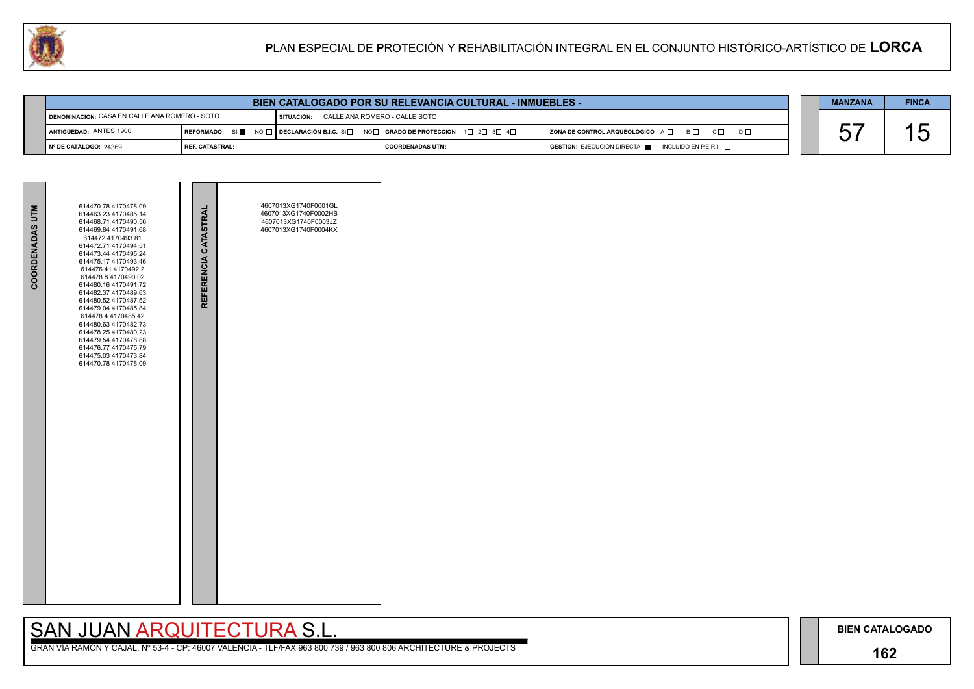## **162**

# SAN JUAN ARQUITECTURA S.L.

| $D \Box$ |  |
|----------|--|
|          |  |

| <b>MANZANA</b> | <b>FINCA</b> |
|----------------|--------------|
|                |              |



| <b>COORDENADAS UTM</b> | 614470.78 4170478.09<br>614463.23 4170485.14<br>614468.71 4170490.56<br>614469.84 4170491.68<br>614472 4170493.81<br>614472.71 4170494.51<br>614473.44 4170495.24<br>614475.17 4170493.46<br>614476.41 4170492.2<br>614478.8 4170490.02<br>614480.16 4170491.72<br>614482.37 4170489.63<br>614480.52 4170487.52<br>614479.04 4170485.84<br>614478.4 4170485.42<br>614480.63 4170482.73<br>614478.254170480.23<br>614479.54 4170478.88<br>614476.77 4170475.79<br>614475.03 4170473.84<br>614470.78 4170478.09 | REFERENCIA CATASTRAL | 4607013XG1740F0001GL<br>4607013XG1740F0002HB<br>4607013XG1740F0003JZ<br>4607013XG1740F0004KX |  |
|------------------------|---------------------------------------------------------------------------------------------------------------------------------------------------------------------------------------------------------------------------------------------------------------------------------------------------------------------------------------------------------------------------------------------------------------------------------------------------------------------------------------------------------------|----------------------|----------------------------------------------------------------------------------------------|--|

| <b>BIEN CATALOGADO POR SU RELEVANCIA CULTURAL - INMUEBLES -</b> |                   |                                                                                                                                                               |                                 |  |                                                                                      | <b>MANZANA</b> | <b>FINCA</b>       |
|-----------------------------------------------------------------|-------------------|---------------------------------------------------------------------------------------------------------------------------------------------------------------|---------------------------------|--|--------------------------------------------------------------------------------------|----------------|--------------------|
| DENOMINACIÓN: CASA EN CALLE ANA ROMERO - SOTO                   |                   | I SITUACIÓN:                                                                                                                                                  | : CALLE ANA ROMERO - CALLE SOTO |  |                                                                                      |                |                    |
| ANTIGÜEDAD: ANTES 1900                                          |                   | $\mid$ REFORMADO: SÍ $\blacksquare$ No $\sqcap\mid$ Declaración B.I.C. SÍ $\Box$ No $\Box\mid$ Grado de Protección $\mid$ 1 $\Box$ 2 $\Box$ 3 $\Box$ 4 $\Box$ |                                 |  | $ $ ZONA DE CONTROL ARQUEOLÓGICO $A \Box$ $B \Box$ $C \Box$<br>$D$ $\Box$            |                | ゙゙゙゙゙゙゙゙゙゙゙゙゙゙゙゙゙゙ |
| │ Nº DE CATÁLOGO: 24369                                         | I REF. CATASTRAL: |                                                                                                                                                               | I COORDENADAS UTM:              |  | $\overline{)}$ GESTIÓN: EJECUCIÓN DIRECTA $\overline{)}$ INCLUIDO EN P.E.R.I. $\Box$ |                |                    |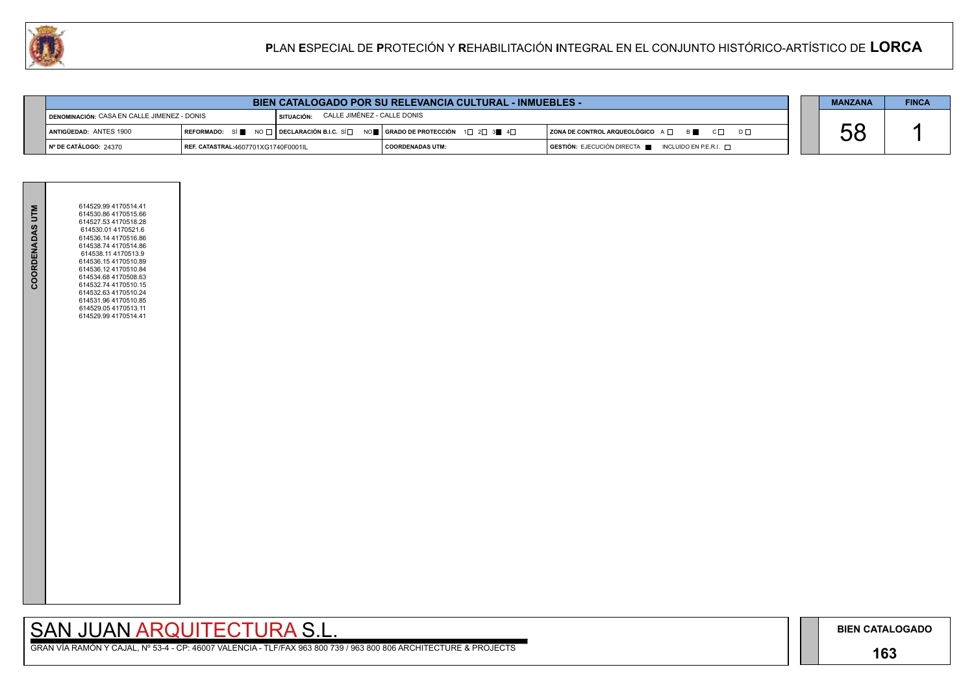## **163**

GRAN VÍA RAMÓN Y CAJAL, Nº 53-4 - CP: 46007 VALENCIA - TLF/FAX 963 800 739 / 963 800 806 ARCHITECTURE & PROJECTS

|                | <b>MANZANA</b> | <b>FINCA</b> |
|----------------|----------------|--------------|
|                |                |              |
| D <sub>D</sub> |                |              |
|                |                |              |



| <b>BIEN CATALOGADO POR SU RELEVANCIA CULTURAL - INMUEBLES -</b> |                                     |              |                                                                                                                                                                      |                                                                                      |  | <b>MANZANA</b> | <b>FINCA</b> |
|-----------------------------------------------------------------|-------------------------------------|--------------|----------------------------------------------------------------------------------------------------------------------------------------------------------------------|--------------------------------------------------------------------------------------|--|----------------|--------------|
| DENOMINACIÓN: CASA EN CALLE JIMENEZ - DONIS                     |                                     | I SITUACIÓN: | CALLE JIMÉNEZ - CALLE DONIS                                                                                                                                          |                                                                                      |  |                |              |
| 1 Antigüedad: ANTES 1900                                        |                                     |              | REFORMADO: SÍ $\blacksquare$ NO $\square$ DECLARACIÓN B.I.C. SÍ $\square$ NO $\blacksquare$ GRADO DE PROTECCIÓN 1 $\square$ 2 $\square$ 3 $\blacksquare$ 4 $\square$ | $ $ ZONA DE CONTROL ARQUEOLÓGICO $A \Box$ $B \Box$ $C \Box$<br>$D \Box$              |  | UU             |              |
| ∥ Nº DE CATÁLOGO: 24370                                         | REF. CATASTRAL:4607701XG1740F0001IL |              | COORDENADAS UTM:                                                                                                                                                     | $\overline{)}$ GESTIÓN: EJECUCIÓN DIRECTA $\blacksquare$ INCLUIDO EN P.E.R.I. $\Box$ |  |                |              |

| COORDENADAS UTM | 614529.99 4170514.41<br>614530.86 4170515.66<br>614527.53 4170518.28<br>614530.01 4170521.6<br>614536.14 4170516.86<br>614538.74 4170514.86<br>614538.11 4170513.9<br>614536.154170510.89<br>614536.12 4170510.84<br>614534.68 4170508.63<br>614532.74 4170510.15<br>614532.63 4170510.24<br>614531.96 4170510.85<br>614529.05 4170513.11<br>614529.99 4170514.41 |  |
|-----------------|-------------------------------------------------------------------------------------------------------------------------------------------------------------------------------------------------------------------------------------------------------------------------------------------------------------------------------------------------------------------|--|
|                 |                                                                                                                                                                                                                                                                                                                                                                   |  |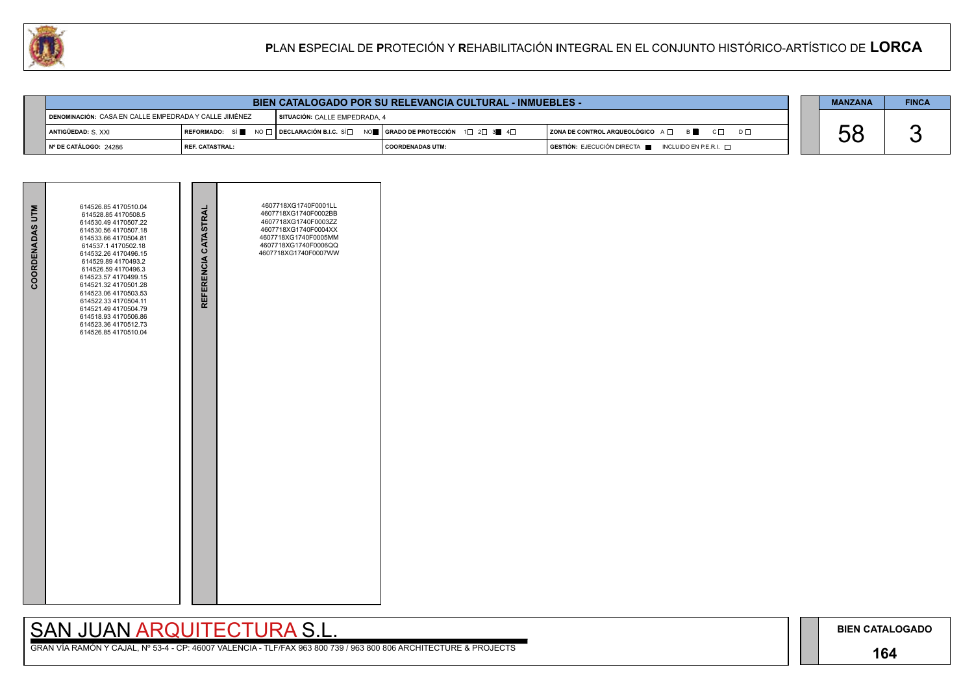## **164**

## SAN JUAN ARQUITECTURA S.L.

| <b>BIEN CATALOGADO POR SU RELEVANCIA CULTURAL - INMUEBLES -</b> |                                                         |                                                                                                                                                         |                               |  |                                                                        | <b>MANZANA</b> | <b>FINCA</b> |
|-----------------------------------------------------------------|---------------------------------------------------------|---------------------------------------------------------------------------------------------------------------------------------------------------------|-------------------------------|--|------------------------------------------------------------------------|----------------|--------------|
|                                                                 | I DENOMINACIÓN: CASA EN CALLE EMPEDRADA Y CALLE JIMÉNEZ |                                                                                                                                                         | SITUACIÓN: CALLE EMPEDRADA, 4 |  |                                                                        |                |              |
| ANTIGÜEDAD: S. XXI                                              |                                                         | REFORMADO: SÍ $\blacksquare$ NO $\Box$ DECLARACIÓN B.I.C. SÍ $\Box$ NO $\blacksquare$   GRADO DE PROTECCIÓN 1 $\Box$ 2 $\Box$ 3 $\blacksquare$ 4 $\Box$ |                               |  | ZONA DE CONTROL ARQUEOLÓGICO $A \Box$ B C $\Box$<br>$D \Box$           |                |              |
| N° DE CATÁLOGO: 24286                                           | REF. CATASTRAL:                                         |                                                                                                                                                         | I COORDENADAS UTM:            |  | $GESTIÓN: EJECUCIÓN DIRECTA \blacksquare INCLUIDO EN P.E.R.I. \square$ | UL             |              |

| COORDENADAS UTM | 614526.85 4170510.04<br>614528.85 4170508.5<br>614530.49 4170507.22<br>614530.56 4170507.18<br>614533.66 4170504.81<br>614537.1 4170502.18<br>614532.26 4170496.15<br>614529.89 4170493.2<br>614526.59 4170496.3<br>614523.57 4170499.15<br>614521.32 4170501.28<br>614523.06 4170503.53<br>614522.33 4170504.11<br>614521.49 4170504.79<br>614518.93 4170506.86<br>614523.36 4170512.73<br>614526.85 4170510.04 | REFERENCIA CATASTRAL | 4607718XG1740F0001LL<br>4607718XG1740F0002BB<br>4607718XG1740F0003ZZ<br>4607718XG1740F0004XX<br>4607718XG1740F0005MM<br>4607718XG1740F0006QQ<br>4607718XG1740F0007WW |  |
|-----------------|------------------------------------------------------------------------------------------------------------------------------------------------------------------------------------------------------------------------------------------------------------------------------------------------------------------------------------------------------------------------------------------------------------------|----------------------|----------------------------------------------------------------------------------------------------------------------------------------------------------------------|--|
|                 |                                                                                                                                                                                                                                                                                                                                                                                                                  |                      |                                                                                                                                                                      |  |

|     | <b>MANZANA</b> | <b>FINCA</b> |
|-----|----------------|--------------|
|     |                |              |
| ו ח |                |              |
|     |                |              |

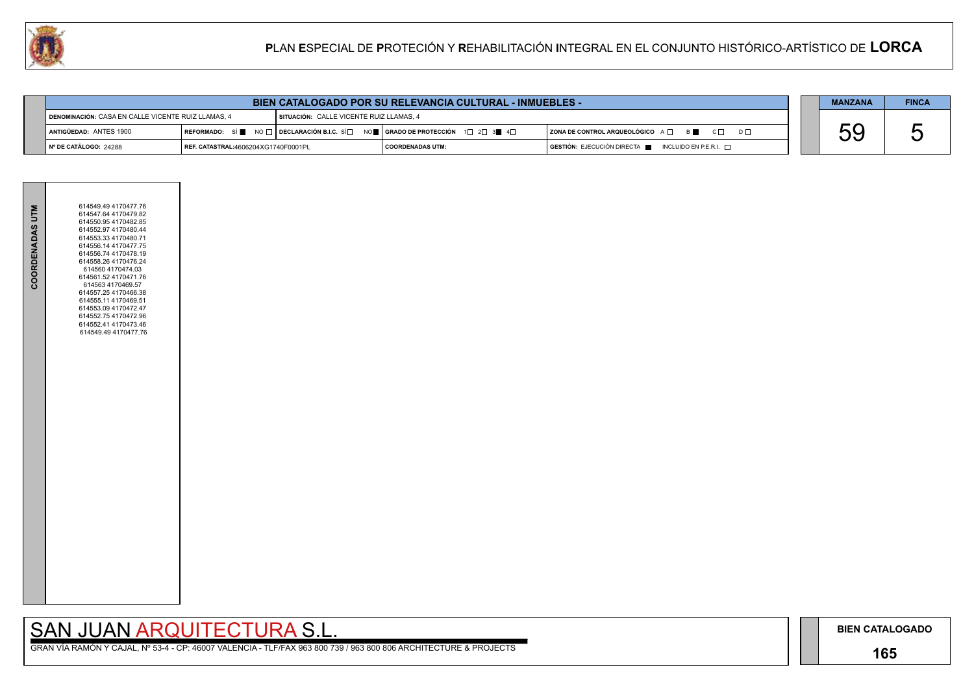## **165**

GRAN VÍA RAMÓN Y CAJAL, Nº 53-4 - CP: 46007 VALENCIA - TLF/FAX 963 800 739 / 963 800 806 ARCHITECTURE & PROJECTS

|     | <b>MANZANA</b> | <b>FINCA</b> |
|-----|----------------|--------------|
| ו ח |                |              |



| <b>BIEN CATALOGADO POR SU RELEVANCIA CULTURAL - INMUEBLES -</b>                               |                                            |  |                                                                                                                                                                      |                                                                                      | <b>MANZANA</b> | <b>FINCA</b> |
|-----------------------------------------------------------------------------------------------|--------------------------------------------|--|----------------------------------------------------------------------------------------------------------------------------------------------------------------------|--------------------------------------------------------------------------------------|----------------|--------------|
| DENOMINACIÓN: CASA EN CALLE VICENTE RUIZ LLAMAS, 4<br>SITUACIÓN: CALLE VICENTE RUIZ LLAMAS, 4 |                                            |  |                                                                                                                                                                      |                                                                                      |                |              |
| ANTIGÜEDAD: ANTES 1900                                                                        |                                            |  | REFORMADO: SÍ $\blacksquare$ NO $\square$ DECLARACIÓN B.I.C. SÍ $\square$ NO $\blacksquare$ GRADO DE PROTECCIÓN 1 $\square$ 2 $\square$ 3 $\blacksquare$ 4 $\square$ | $ $ ZONA DE CONTROL ARQUEOLÓGICO $A \Box$ $B \Box$ $C \Box$ $D \Box$                 | hu<br>UU       |              |
| Nº DE CATÁLOGO: 24288                                                                         | <b>REF. CATASTRAL:4606204XG1740F0001PL</b> |  | I COORDENADAS UTM:                                                                                                                                                   | $\overline{)}$ GESTIÓN: EJECUCIÓN DIRECTA $\blacksquare$ INCLUIDO EN P.E.R.I. $\Box$ |                |              |

|                 | 614549.49 4170477.76                                                                                                                                                                                                                                                                                                                                                                   |  |
|-----------------|----------------------------------------------------------------------------------------------------------------------------------------------------------------------------------------------------------------------------------------------------------------------------------------------------------------------------------------------------------------------------------------|--|
| COORDENADAS UTM | 614547.64 4170479.82<br>614550.95 4170482.85<br>614552.97 4170480.44<br>614553.33 4170480.71<br>614556.14 4170477.75<br>614556.74 4170478.19<br>614558.26 4170476.24<br>614560 4170474.03<br>614561.52 4170471.76<br>614563 4170469.57<br>614557.25 4170466.38<br>614555.11 4170469.51<br>614553.09 4170472.47<br>614552.75 4170472.96<br>614552.41 4170473.46<br>614549.49 4170477.76 |  |
|                 |                                                                                                                                                                                                                                                                                                                                                                                        |  |
|                 |                                                                                                                                                                                                                                                                                                                                                                                        |  |
|                 |                                                                                                                                                                                                                                                                                                                                                                                        |  |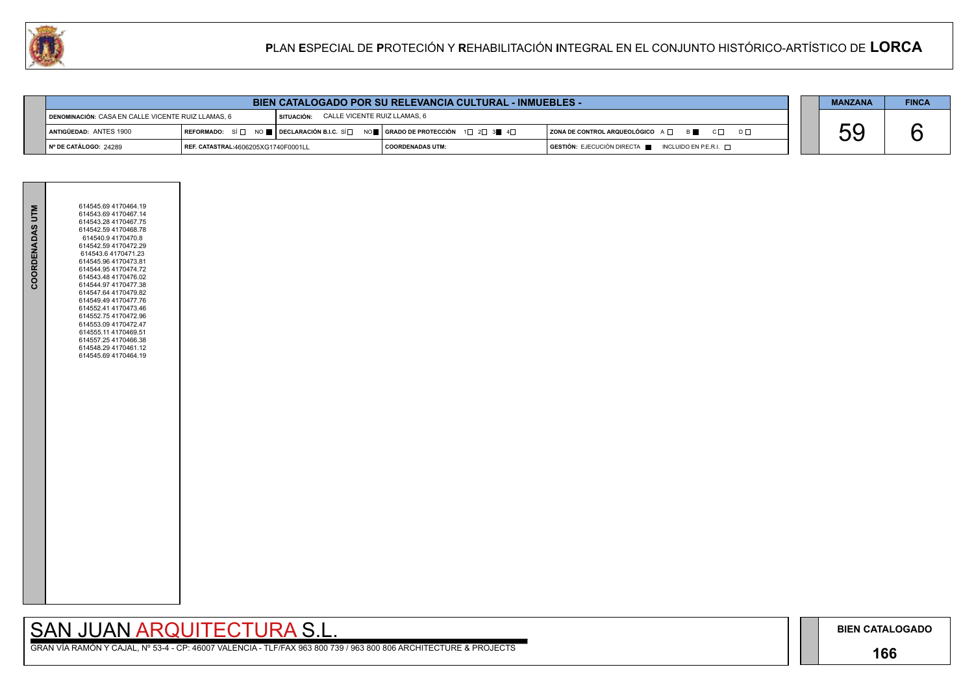## **166**

GRAN VÍA RAMÓN Y CAJAL, Nº 53-4 - CP: 46007 VALENCIA - TLF/FAX 963 800 739 / 963 800 806 ARCHITECTURE & PROJECTS

|     | <b>MANZANA</b> | <b>FINCA</b> |
|-----|----------------|--------------|
|     |                |              |
| ו ח |                |              |



| <b>BIEN CATALOGADO POR SU RELEVANCIA CULTURAL - INMUEBLES -</b> |                                            |                                                   |                                                                                                                                                         |                                                             |  | <b>MANZANA</b> | <b>FINCA</b> |
|-----------------------------------------------------------------|--------------------------------------------|---------------------------------------------------|---------------------------------------------------------------------------------------------------------------------------------------------------------|-------------------------------------------------------------|--|----------------|--------------|
| DENOMINACIÓN: CASA EN CALLE VICENTE RUIZ LLAMAS, 6              |                                            | CALLE VICENTE RUIZ LLAMAS, 6<br><b>SITUACIÓN:</b> |                                                                                                                                                         |                                                             |  |                |              |
| <b>LANTIGÜEDAD: ANTES 1900</b>                                  |                                            |                                                   | REFORMADO: SÍ $\square$ NO $\square$ DECLARACIÓN B.I.C. SÍ $\square$ NO $\square$   GRADO DE PROTECCIÓN 1 $\square$ 2 $\square$ 3 $\square$ 4 $\square$ | $ $ ZONA DE CONTROL ARQUEOLÓGICO $A \Box$ $B \Box$ $C \Box$ |  |                |              |
| $\vert$ N° DE CATÁLOGO: 24289                                   | <b>REF. CATASTRAL:4606205XG1740F0001LL</b> |                                                   | I COORDENADAS UTM:                                                                                                                                      | $GESTIÓN: EJECUCIÓN DIRECTA$ INCLUIDO EN P.E.R.I. $\Box$    |  |                |              |

| COORDENADAS UTM | 614545.69 4170464.19<br>614543.69 4170467.14<br>614543.28 4170467.75<br>614542.59 4170468.78<br>614540.9 4170470.8<br>614542.59 4170472.29<br>614543.6 4170471.23<br>614545.96 4170473.81<br>614544.95 4170474.72<br>614543.48 4170476.02<br>614544.97 4170477.38<br>614547.64 4170479.82<br>614549.49 4170477.76<br>614552.41 4170473.46<br>614552.75 4170472.96<br>614553.09 4170472.47<br>614555.11 4170469.51<br>614557.25 4170466.38<br>614548.29 4170461.12<br>614545.69 4170464.19 |  |
|-----------------|-------------------------------------------------------------------------------------------------------------------------------------------------------------------------------------------------------------------------------------------------------------------------------------------------------------------------------------------------------------------------------------------------------------------------------------------------------------------------------------------|--|
|                 |                                                                                                                                                                                                                                                                                                                                                                                                                                                                                           |  |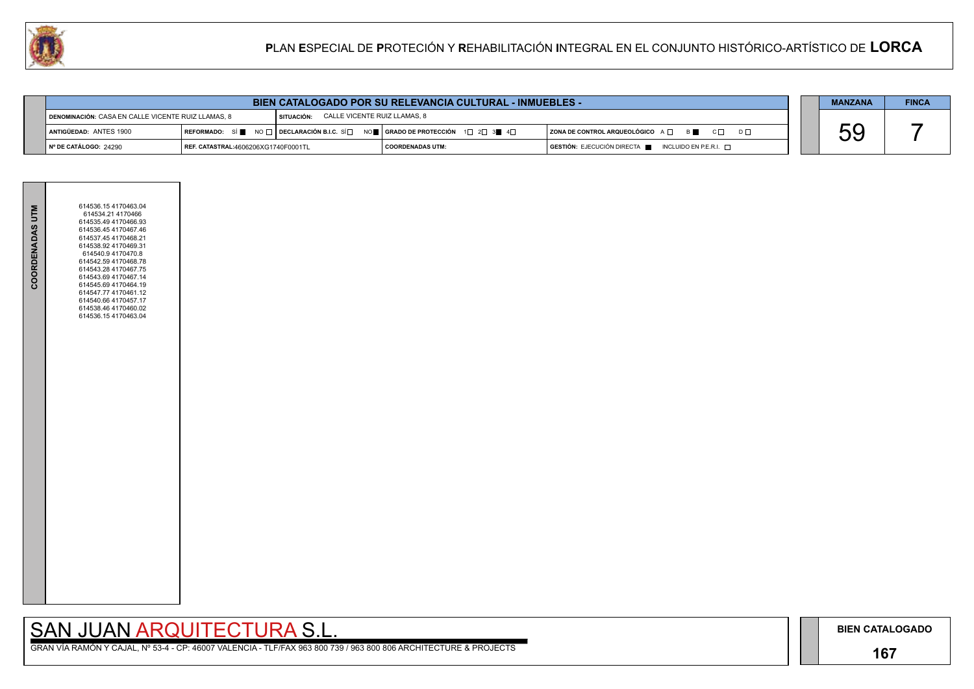## **167**

GRAN VÍA RAMÓN Y CAJAL, Nº 53-4 - CP: 46007 VALENCIA - TLF/FAX 963 800 739 / 963 800 806 ARCHITECTURE & PROJECTS

|     | <b>MANZANA</b> | <b>FINCA</b> |
|-----|----------------|--------------|
| ו ח |                |              |



| <b>BIEN CATALOGADO POR SU RELEVANCIA CULTURAL - INMUEBLES -</b> |                                            |                                              |                                                                                                                                                          |                                                                                      |  | <b>MANZANA</b> | <b>FINCA</b> |
|-----------------------------------------------------------------|--------------------------------------------|----------------------------------------------|----------------------------------------------------------------------------------------------------------------------------------------------------------|--------------------------------------------------------------------------------------|--|----------------|--------------|
| DENOMINACIÓN: CASA EN CALLE VICENTE RUIZ LLAMAS, 8              |                                            | CALLE VICENTE RUIZ LLAMAS, 8<br>I SITUACIÓN: |                                                                                                                                                          |                                                                                      |  |                |              |
| <b>I ANTIGÜEDAD: ANTES 1900</b>                                 |                                            |                                              | REFORMADO: SÍ $\blacksquare$ NO $\sqcap$ DECLARACIÓN B.I.C. SÍ $\Box$ NO $\blacksquare$ SERADO DE PROTECCIÓN 1 $\Box$ 2 $\Box$ 3 $\blacksquare$ 4 $\Box$ | $ $ ZONA DE CONTROL ARQUEOLÓGICO $A \Box$ $B \Box$ $C \Box$                          |  |                |              |
| $\vert$ N° DE CATÁLOGO: 24290                                   | <b>REF. CATASTRAL:4606206XG1740F0001TL</b> |                                              | COORDENADAS UTM:                                                                                                                                         | $\overline{)}$ GESTIÓN: EJECUCIÓN DIRECTA $\overline{)}$ INCLUIDO EN P.E.R.I. $\Box$ |  |                |              |

| COORDENADAS UTM | 614536.154170463.04<br>614534.21 4170466<br>614535.49 4170466.93<br>614536.45 4170467.46<br>614537.45 4170468.21<br>614538.92 4170469.31<br>614540.9 4170470.8<br>614542.59 4170468.78<br>614543.28 4170467.75<br>614543.69 4170467.14<br>614545.69 4170464.19<br>614547.77 4170461.12<br>614540.66 4170457.17<br>614538.46 4170460.02<br>614536.154170463.04 |  |
|-----------------|---------------------------------------------------------------------------------------------------------------------------------------------------------------------------------------------------------------------------------------------------------------------------------------------------------------------------------------------------------------|--|
|                 |                                                                                                                                                                                                                                                                                                                                                               |  |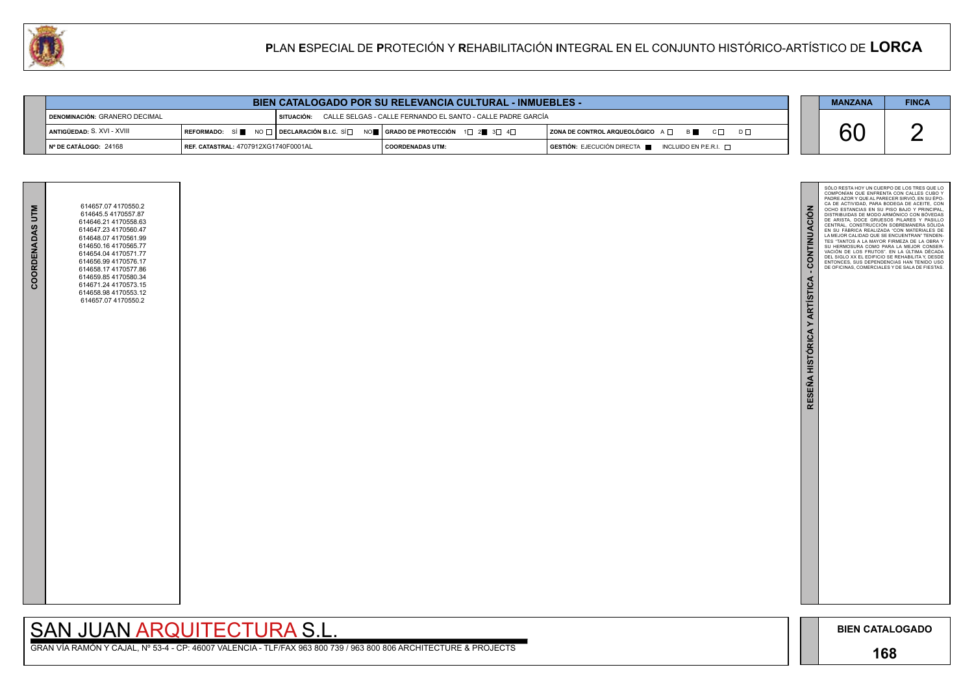

GRAN VÍA RAMÓN Y CAJAL, Nº 53-4 - CP: 46007 VALENCIA - TLF/FAX 963 800 739 / 963 800 806 ARCHITECTURE & PROJECTS

| COORDENADAS UTM | 614657.07 4170550.2<br>614645.5 4170557.87<br>614646.21 4170558.63<br>614647.23 4170560.47<br>614648.07 4170561.99<br>614650.16 4170565.77<br>614654.04 4170571.77<br>614656.99 4170576.17<br>614658.17 4170577.86<br>614659.85 4170580.34<br>614671.24 4170573.15<br>614658.98 4170553.12<br>614657.07 4170550.2 |  |
|-----------------|-------------------------------------------------------------------------------------------------------------------------------------------------------------------------------------------------------------------------------------------------------------------------------------------------------------------|--|
|                 |                                                                                                                                                                                                                                                                                                                   |  |

| <b>BIEN CATALOGADO POR SU RELEVANCIA CULTURAL - INMUEBLES -</b> |                                               |  |                                                                                                                                             |                                                                                                                            |  | <b>MANZANA</b> | <b>FINCA</b> |
|-----------------------------------------------------------------|-----------------------------------------------|--|---------------------------------------------------------------------------------------------------------------------------------------------|----------------------------------------------------------------------------------------------------------------------------|--|----------------|--------------|
| DENOMINACIÓN: GRANERO DECIMAL                                   |                                               |  | I SITUACIÓN: CALLE SELGAS - CALLE FERNANDO EL SANTO - CALLE PADRE GARCÍA                                                                    |                                                                                                                            |  |                |              |
| <b>  ANTIGÜEDAD:</b> S. XVI - XVIII                             |                                               |  | REFORMADO: SÍ $\square$ NO $\square$ DECLARACIÓN B.I.C. SÍ $\square$ NO $\square$ GRADO DE PROTECCIÓN 1 $\square$ 2 3 $\square$ 4 $\square$ | ZONA DE CONTROL ARQUEOLÓGICO A Q B C Q<br>$D \Box$                                                                         |  | $\mathcal{L}$  |              |
| ∥Nº DE CATÁLOGO: 24168                                          | <b>  REF. CATASTRAL: 4707912XG1740F0001AL</b> |  | <b>COORDENADAS UTM:</b>                                                                                                                     | $\overline{\phantom{a}}$ GESTIÓN: EJECUCIÓN DIRECTA $\overline{\phantom{a}}$ INCLUIDO EN P.E.R.I. $\overline{\phantom{a}}$ |  |                |              |

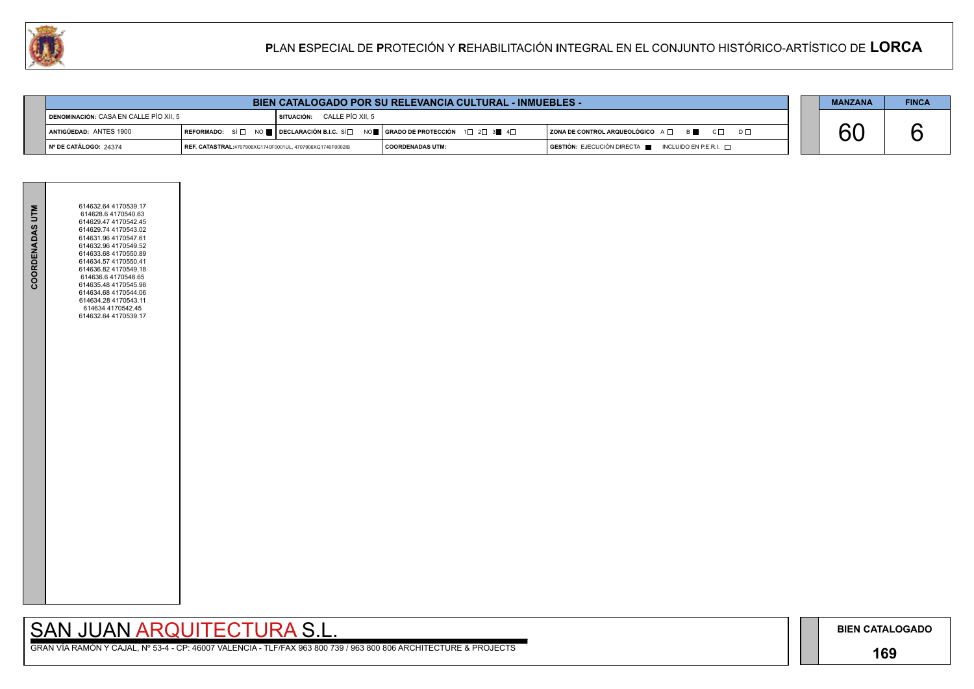## **169**

# SAN JUAN ARQUITECTURA S.L.

|                | <b>MANZANA</b> | <b>FINCA</b> |
|----------------|----------------|--------------|
|                |                |              |
| D <sub>L</sub> |                |              |
|                |                |              |



| <b>BIEN CATALOGADO POR SU RELEVANCIA CULTURAL - INMUEBLES -</b> |  |  |  |                                                                                     | <b>MANZANA</b>   | <b>FINCA</b>                                                                       |  |  |
|-----------------------------------------------------------------|--|--|--|-------------------------------------------------------------------------------------|------------------|------------------------------------------------------------------------------------|--|--|
| DENOMINACIÓN: CASA EN CALLE PÍO XII, 5                          |  |  |  | $\blacksquare$ SITUACIÓN: CALLE PÍO XII, 5                                          |                  |                                                                                    |  |  |
| ANTIGÜEDAD: ANTES 1900                                          |  |  |  | REFORMADO: SÍ □ NO    DECLARACIÓN B.I.C. SÍ □ NO    GRADO DE PROTECCIÓN 1□ 2□ 3■ 4□ |                  | ZONA DE CONTROL ARQUEOLÓGICO A □ B ■ C □ D □                                       |  |  |
| Nº DE CATÁLOGO: 24374                                           |  |  |  | REF. CATASTRAL:4707906XG1740F0001UL, 4707906XG1740F0002IB                           | COORDENADAS UTM: | GESTIÓN: EJECUCIÓN DIRECTA <b>DE</b><br>$\blacksquare$ INCLUIDO EN P.E.R.I. $\Box$ |  |  |

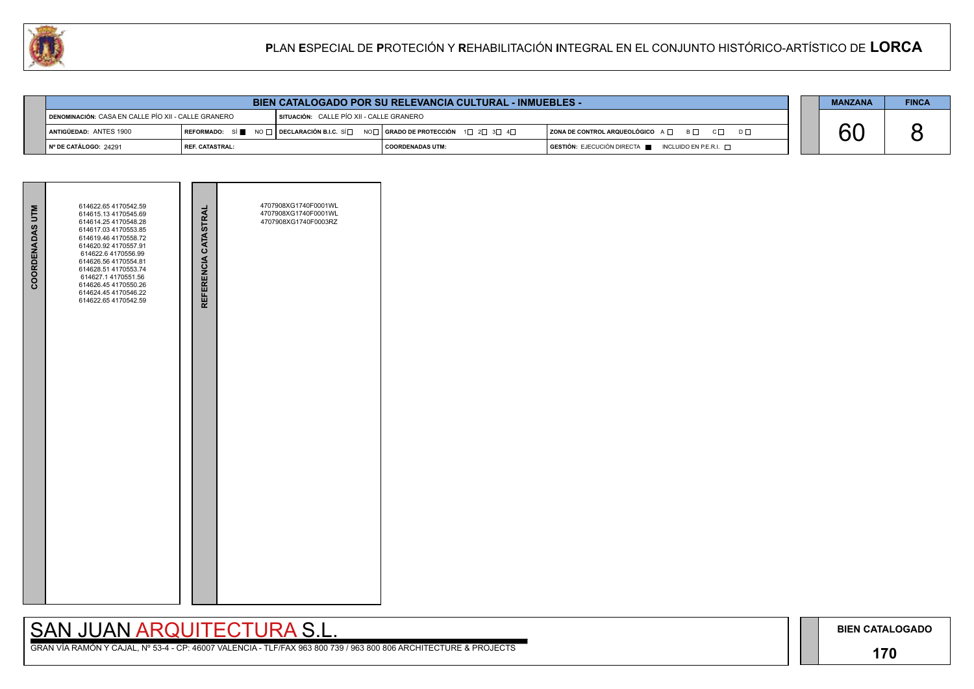## **170**

# SAN JUAN ARQUITECTURA S.L.

|     | <b>MANZANA</b> | <b>FINCA</b> |
|-----|----------------|--------------|
|     |                |              |
| ו ח |                |              |
|     |                |              |





| <b>BIEN CATALOGADO POR SU RELEVANCIA CULTURAL - INMUEBLES -</b>                                   |                   |  |                                                                                                                        |                                                          |  | <b>MANZANA</b> | <b>FINCA</b> |
|---------------------------------------------------------------------------------------------------|-------------------|--|------------------------------------------------------------------------------------------------------------------------|----------------------------------------------------------|--|----------------|--------------|
| I DENOMINACIÓN: CASA EN CALLE PÍO XII - CALLE GRANERO<br>SITUACIÓN: CALLE PÍO XII - CALLE GRANERO |                   |  |                                                                                                                        |                                                          |  |                |              |
| ANTIGÜEDAD: ANTES 1900                                                                            |                   |  | REFORMADO: SÍ NO $\Box$ DECLARACIÓN B.I.C. SÍ $\Box$ NO $\Box$ GRADO DE PROTECCIÓN 1 $\Box$ 2 $\Box$ 3 $\Box$ 4 $\Box$ | ZONA DE CONTROL ARQUEOLÓGICO A □ B □ C □ D □             |  |                |              |
| │ № DE CATÁLOGO: 24291                                                                            | l REF. CATASTRAL: |  | I COORDENADAS UTM:                                                                                                     | $GESTIÓN: EJECUCIÓN DIRECTA$ INCLUIDO EN P.E.R.I. $\Box$ |  |                |              |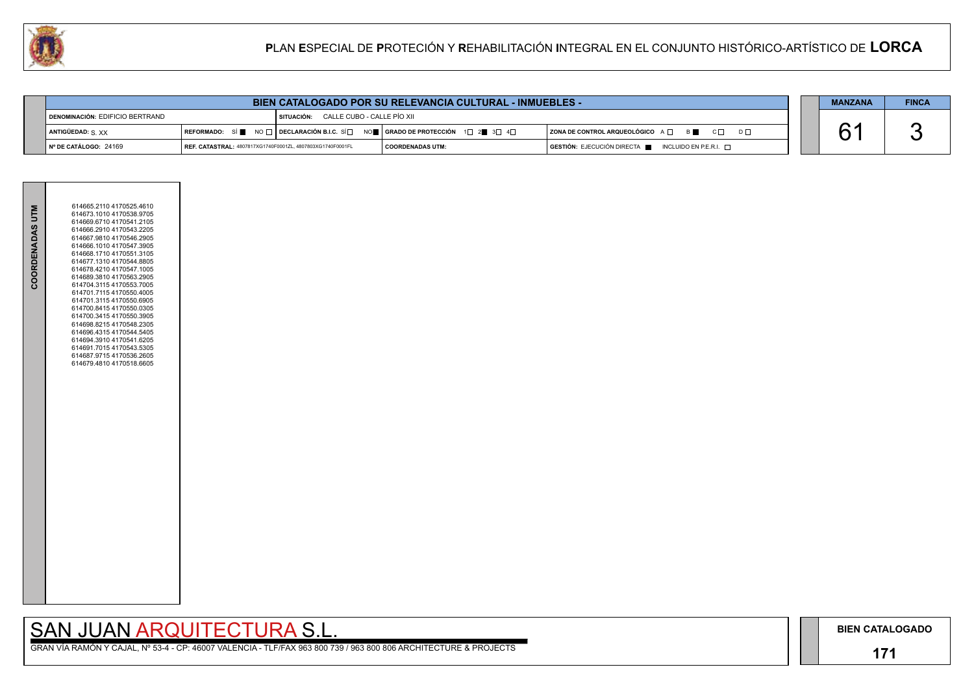## **171**

GRAN VÍA RAMÓN Y CAJAL, Nº 53-4 - CP: 46007 VALENCIA - TLF/FAX 963 800 739 / 963 800 806 ARCHITECTURE & PROJECTS

| $\mathsf{D}\ \Box$ |  |
|--------------------|--|
|                    |  |

| <b>MANZANA</b> | <b>FINCA</b> |
|----------------|--------------|
|                |              |

|                 | 614665.2110 4170525.4610 |  |
|-----------------|--------------------------|--|
| COORDENADAS UTM | 614673.1010 4170538.9705 |  |
|                 | 614669.6710 4170541.2105 |  |
|                 | 614666.2910 4170543.2205 |  |
|                 | 614667.9810 4170546.2905 |  |
|                 | 614666.1010 4170547.3905 |  |
|                 | 614668.1710 4170551.3105 |  |
|                 | 614677.1310 4170544.8805 |  |
|                 | 614678.4210 4170547.1005 |  |
|                 | 614689.3810 4170563.2905 |  |
|                 | 614704.3115 4170553.7005 |  |
|                 | 614701.7115 4170550.4005 |  |
|                 | 614701.3115 4170550.6905 |  |
|                 | 614700.8415 4170550.0305 |  |
|                 | 614700.3415 4170550.3905 |  |
|                 | 614698.8215 4170548.2305 |  |
|                 | 614696.4315 4170544.5405 |  |
|                 | 614694.3910 4170541.6205 |  |
|                 | 614691.7015 4170543.5305 |  |
|                 | 614687.9715 4170536.2605 |  |
|                 | 614679.4810 4170518.6605 |  |
|                 |                          |  |
|                 |                          |  |
|                 |                          |  |
|                 |                          |  |
|                 |                          |  |
|                 |                          |  |
|                 |                          |  |
|                 |                          |  |
|                 |                          |  |
|                 |                          |  |
|                 |                          |  |
|                 |                          |  |
|                 |                          |  |
|                 |                          |  |
|                 |                          |  |
|                 |                          |  |
|                 |                          |  |
|                 |                          |  |
|                 |                          |  |
|                 |                          |  |
|                 |                          |  |
|                 |                          |  |
|                 |                          |  |
|                 |                          |  |
|                 |                          |  |
|                 |                          |  |
|                 |                          |  |
|                 |                          |  |

| <b>BIEN CATALOGADO POR SU RELEVANCIA CULTURAL - INMUEBLES -</b> |                                                            |                                       |                                                                                |                                                                        | <b>MANZANA</b> | <b>FINCA</b> |
|-----------------------------------------------------------------|------------------------------------------------------------|---------------------------------------|--------------------------------------------------------------------------------|------------------------------------------------------------------------|----------------|--------------|
| DENOMINACIÓN: EDIFICIO BERTRAND                                 |                                                            | SITUACIÓN: CALLE CUBO - CALLE PÍO XII |                                                                                |                                                                        |                |              |
| ANTIGÜEDAD: S XX                                                |                                                            |                                       | REFORMADO: SÍ NO □ DECLARACIÓN B.I.C. SÍ NO I GRADO DE PROTECCIÓN 1□ 2 3 3 4 0 | $ $ ZONA DE CONTROL ARQUEOLÓGICO $A \Box$ B<br>$D \Box$                |                |              |
| │ № DE CATÁLOGO: 24169                                          | REF. CATASTRAL: 4807817XG1740F0001ZL, 4807803XG1740F0001FL |                                       | <b>COORDENADAS UTM:</b>                                                        | $GESTIÓN: EJECUCIÓN DIRECTA \blacksquare INCLUIDO EN P.E.R.I. \square$ |                |              |

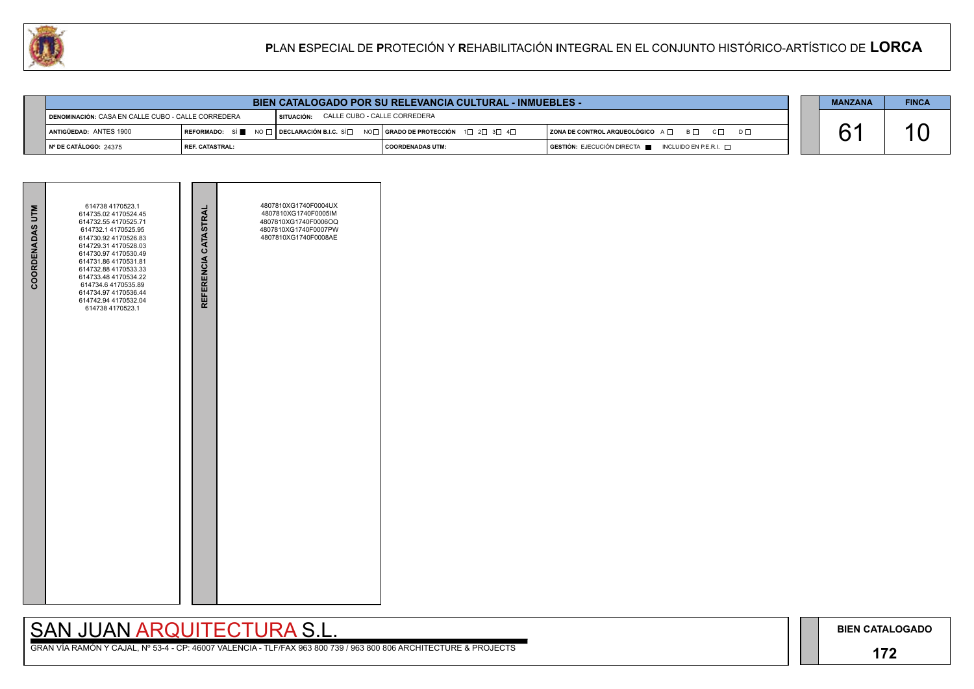## **172**

# SAN JUAN ARQUITECTURA S.L.

| $\mathsf{D}\ \Box$ |  |
|--------------------|--|
|                    |  |

| <b>MANZANA</b> | <b>FINCA</b> |
|----------------|--------------|
|                |              |





| <b>BIEN CATALOGADO POR SU RELEVANCIA CULTURAL - INMUEBLES -</b> |                   |                                            |                                                                                                                        |                                                                        |  | <b>MANZANA</b> | <b>FINCA</b> |
|-----------------------------------------------------------------|-------------------|--------------------------------------------|------------------------------------------------------------------------------------------------------------------------|------------------------------------------------------------------------|--|----------------|--------------|
| DENOMINACIÓN: CASA EN CALLE CUBO - CALLE CORREDERA              |                   | CALLE CUBO - CALLE CORREDERA<br>SITUACIÓN: |                                                                                                                        |                                                                        |  |                |              |
| ANTIGÜEDAD: ANTES 1900                                          |                   |                                            | REFORMADO: SÍ NO $\Box$ DECLARACIÓN B.I.C. SÍ $\Box$ NO $\Box$ GRADO DE PROTECCIÓN 1 $\Box$ 2 $\Box$ 3 $\Box$ 4 $\Box$ | ZONA DE CONTROL ARQUEOLÓGICO A □ B □ C □                               |  |                |              |
| № DE CATÁLOGO: 24375                                            | l REF. CATASTRAL: |                                            | <b>I COORDENADAS UTM:</b>                                                                                              | $GESTIÓN: EJECUCIÓN DIRECTA \blacksquare INCLUIDO EN P.E.R.I. \square$ |  |                |              |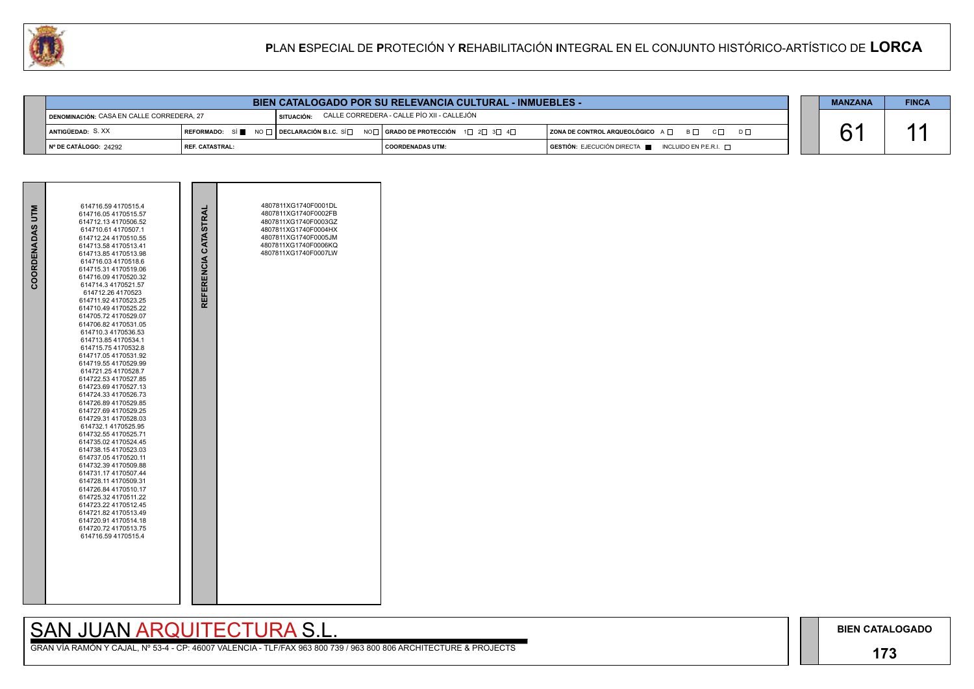## **173**

GRAN VÍA RAMÓN Y CAJAL, Nº 53-4 - CP: 46007 VALENCIA - TLF/FAX 963 800 739 / 963 800 806 ARCHITECTURE & PROJECTS



| COORDENADAS UTM | 614716.59 4170515.4<br>614716.05 4170515.57<br>614712.13 4170506.52<br>614710.61 4170507.1<br>614712.24 4170510.55<br>614713.58 4170513.41<br>614713.85 4170513.98<br>614716.03 4170518.6<br>614715.31 4170519.06<br>614716.09 4170520.32<br>614714.3 4170521.57<br>614712.26 4170523<br>614711.92 4170523.25<br>614710.49 4170525.22<br>614705.72 4170529.07<br>614706.82 4170531.05<br>614710.3 4170536.53<br>614713.85 4170534.1<br>614715.75 4170532.8<br>614717.05 4170531.92<br>614719.55 4170529.99<br>614721.25 4170528.7<br>614722.53 4170527.85<br>614723.69 4170527.13<br>614724.33 4170526.73<br>614726.89 4170529.85<br>614727.69 4170529.25<br>614729.31 4170528.03<br>614732.1 4170525.95<br>614732.55 4170525.71<br>614735.02 4170524.45<br>614738.154170523.03<br>614737.05 4170520.11<br>614732.39 4170509.88<br>614731.17 4170507.44<br>614728.11 4170509.31<br>614726.84 4170510.17<br>614725.32 4170511.22<br>614723.22 4170512.45<br>614721.82 4170513.49<br>614720.91 4170514.18<br>614720.72 4170513.75<br>614716.59 4170515.4 | REFERENCIA CATASTRAL | 4807811XG1740F0001DL<br>4807811XG1740F0002FB<br>4807811XG1740F0003GZ<br>4807811XG1740F0004HX<br>4807811XG1740F0005JM<br>4807811XG1740F0006KQ<br>4807811XG1740F0007LW |  |
|-----------------|--------------------------------------------------------------------------------------------------------------------------------------------------------------------------------------------------------------------------------------------------------------------------------------------------------------------------------------------------------------------------------------------------------------------------------------------------------------------------------------------------------------------------------------------------------------------------------------------------------------------------------------------------------------------------------------------------------------------------------------------------------------------------------------------------------------------------------------------------------------------------------------------------------------------------------------------------------------------------------------------------------------------------------------------------------|----------------------|----------------------------------------------------------------------------------------------------------------------------------------------------------------------|--|

|                        | <b>BIEN CATALOGADO POR SU RELEVANCIA CULTURAL - INMUEBLES -</b>                                                |  |                                                                                                                                       |                                                                                      |  |  | <b>FINCA</b> |
|------------------------|----------------------------------------------------------------------------------------------------------------|--|---------------------------------------------------------------------------------------------------------------------------------------|--------------------------------------------------------------------------------------|--|--|--------------|
|                        | CALLE CORREDERA - CALLE PÍO XII - CALLEJÓN<br><b>I DENOMINACIÓN: CASA EN CALLE CORREDERA, 27</b><br>SITUACIÓN: |  |                                                                                                                                       |                                                                                      |  |  |              |
| ANTIGÜEDAD: S.XX       |                                                                                                                |  | REFORMADO: SÍ $\blacksquare$ No $\sqcap$ Declaración B.I.C. Sí $\Box$ No $\Box$ Grado de Protección $\Box$ 2 $\Box$ 3 $\Box$ 4 $\Box$ | $ $ ZONA DE CONTROL ARQUEOLÓGICO $A \Box$ $B \Box$ $C \Box$ $D \Box$                 |  |  |              |
| ∣Nº DE CATÁLOGO: 24292 | I REF. CATASTRAL:                                                                                              |  | I COORDENADAS UTM:                                                                                                                    | $\overline{)}$ GESTIÓN: EJECUCIÓN DIRECTA $\blacksquare$ INCLUIDO EN P.E.R.I. $\Box$ |  |  |              |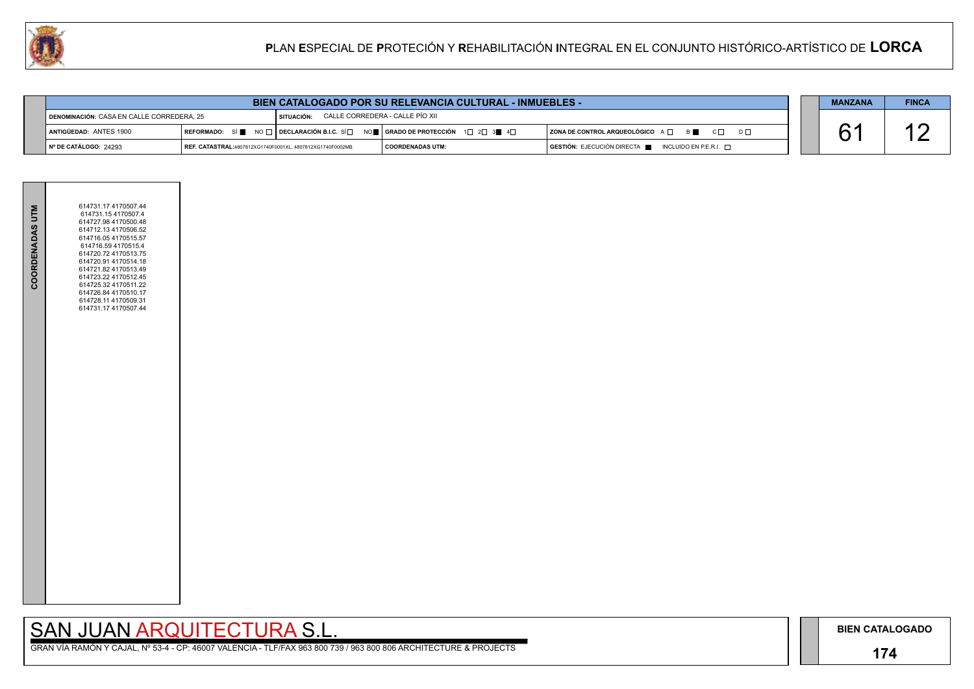## **174**

GRAN VÍA RAMÓN Y CAJAL, Nº 53-4 - CP: 46007 VALENCIA - TLF/FAX 963 800 739 / 963 800 806 ARCHITECTURE & PROJECTS

| $D \Box$ |  |
|----------|--|
|          |  |

| <b>MANZANA</b> | <b>FINCA</b> |
|----------------|--------------|
|                |              |



|                               | <b>BIEN CATALOGADO POR SU RELEVANCIA CULTURAL - INMUEBLES -</b>                                          |  |                                                                             |                                                                                      |  | <b>MANZANA</b> | <b>FINCA</b> |
|-------------------------------|----------------------------------------------------------------------------------------------------------|--|-----------------------------------------------------------------------------|--------------------------------------------------------------------------------------|--|----------------|--------------|
|                               | CALLE CORREDERA - CALLE PÍO XII<br><b>DENOMINACIÓN: CASA EN CALLE CORREDERA, 25</b><br><b>SITUACIÓN:</b> |  |                                                                             |                                                                                      |  |                |              |
| ANTIGÜEDAD: ANTES 1900        |                                                                                                          |  | REFORMADO: SÍ NO T DECLARACIÓN B.I.C. SÍ NO T GRADO DE PROTECCIÓN 1 2 3 4 4 | $ $ ZONA DE CONTROL ARQUEOLÓGICO $A \Box$ B $ \Box$ C $ \Box$ D $ \Box$              |  |                |              |
| $\vert$ N° DE CATÁLOGO: 24293 | REF. CATASTRAL:4807812XG1740F0001XL, 4807812XG1740F0002MB                                                |  | <b>COORDENADAS UTM:</b>                                                     | $\overline{)}$ GESTIÓN: EJECUCIÓN DIRECTA $\blacksquare$ INCLUIDO EN P.E.R.I. $\Box$ |  |                |              |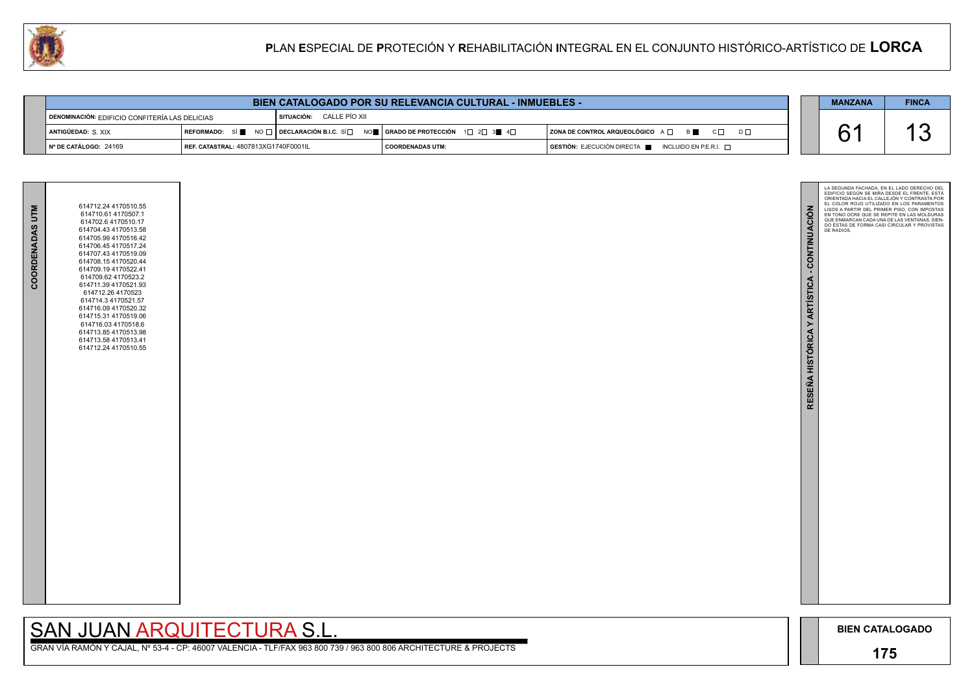

GRAN VÍA RAMÓN Y CAJAL, Nº 53-4 - CP: 46007 VALENCIA - TLF/FAX 963 800 739 / 963 800 806 ARCHITECTURE & PROJECTS

| <b>COORDENADAS UTM</b> | 614712.24 4170510.55<br>614710.61 4170507.1<br>614702.6 4170510.17<br>614704.43 4170513.58<br>614705.99 4170516.42<br>614706.45 4170517.24<br>614707.43 4170519.09<br>614708.15 4170520.44<br>614709.19 4170522.41<br>614709.62 4170523.2<br>614711.39 4170521.93<br>614712.26 4170523<br>614714.3 4170521.57<br>614716.09 4170520.32<br>614715.31 4170519.06<br>614716.03 4170518.6<br>614713.85 4170513.98<br>614713.58 4170513.41<br>614712.24 4170510.55 |  |
|------------------------|--------------------------------------------------------------------------------------------------------------------------------------------------------------------------------------------------------------------------------------------------------------------------------------------------------------------------------------------------------------------------------------------------------------------------------------------------------------|--|
|                        |                                                                                                                                                                                                                                                                                                                                                                                                                                                              |  |

# SAN JUAN ARQUITECTURA S.L.

| <b>BIEN CATALOGADO POR SU RELEVANCIA CULTURAL - INMUEBLES -</b> |                                                    |                                 |                                                                                   |                                                                                                           |  | <b>MANZANA</b> | <b>FINCA</b> |
|-----------------------------------------------------------------|----------------------------------------------------|---------------------------------|-----------------------------------------------------------------------------------|-----------------------------------------------------------------------------------------------------------|--|----------------|--------------|
| DENOMINACIÓN: EDIFICIO CONFITERÍA LAS DELICIAS                  |                                                    | <b>SITUACIÓN: CALLE PÍO XII</b> |                                                                                   |                                                                                                           |  |                |              |
| ANTIGÜEDAD: S. XIX                                              |                                                    |                                 | REFORMADO: SÍ NO DECLARACIÓN B.I.C. SÍ NO SE GRADO DE PROTECCIÓN 1 2 3 4 4 $\Box$ | $\mid$ ZONA DE CONTROL ARQUEOLÓGICO A $\Box$<br><b>B</b><br>$\overline{C} \square$ $\overline{D} \square$ |  |                |              |
| Nº DE CATÁLOGO: 24160.                                          | $I$ RFF CATASTRAL: $A$ 807813 $X$ G17 $A$ 0E000111 |                                 | COORDENADAS UTM                                                                   | $\overline{a}$ gestión $\cdot$ e ieclición directa $\blacksquare$<br>INCLUIDO EN PERIT                    |  |                |              |

24169 4807813XG1740F0001IL **Nº DE CATÁLOGO: REF. CATASTRAL: COORDENADAS UTM: GESTIÓN:** EJECUCIÓN DIRECTA INCLUIDO EN P.E.R.I.

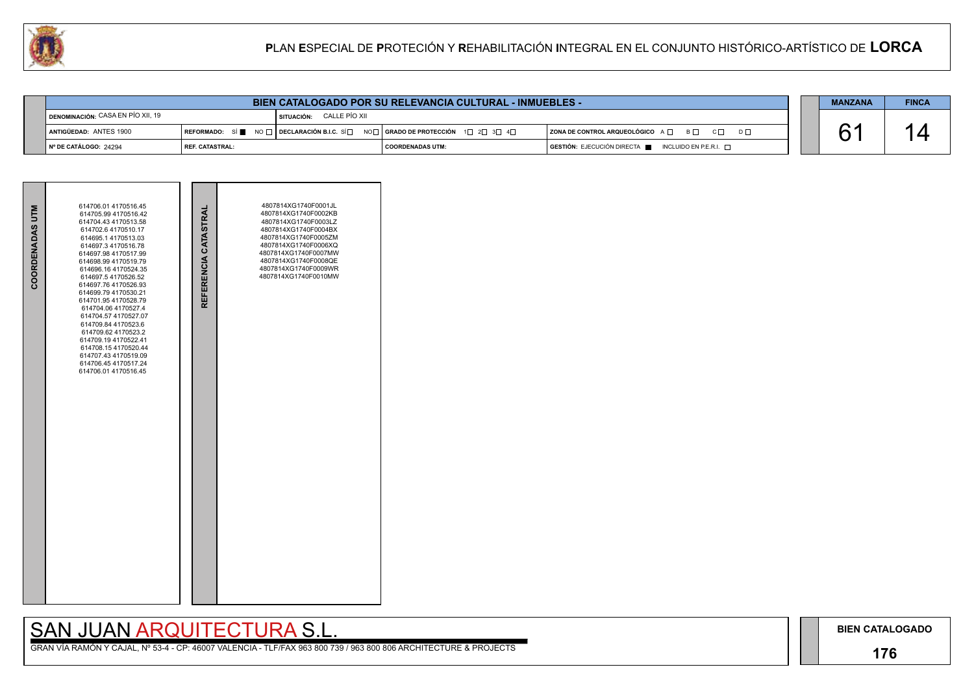## **176**

# SAN JUAN ARQUITECTURA S.L.

| $D \Box$ |  |
|----------|--|
|          |  |

| <b>MANZANA</b> | <b>FINCA</b> |
|----------------|--------------|
|                |              |

| COORDENADAS UTM | 614706.01 4170516.45<br>614705.99 4170516.42<br>614704.43 4170513.58<br>614702.6 4170510.17<br>614695.1 4170513.03<br>614697.3 4170516.78<br>614697.98 4170517.99<br>614698.99 4170519.79<br>614696.16 4170524.35<br>614697.5 4170526.52<br>614697.76 4170526.93<br>614699.79 4170530.21<br>614701.95 4170528.79<br>614704.06 4170527.4<br>614704.57 4170527.07<br>614709.84 4170523.6<br>614709.62 4170523.2<br>614709.19 4170522.41<br>614708.154170520.44<br>614707.43 4170519.09<br>614706.45 4170517.24<br>614706.01 4170516.45 | REFERENCIA CATASTRAL | 4807814XG1740F0001JL<br>4807814XG1740F0002KB<br>4807814XG1740F0003LZ<br>4807814XG1740F0004BX<br>4807814XG1740F0005ZM<br>4807814XG1740F0006XQ<br>4807814XG1740F0007MW<br>4807814XG1740F0008QE<br>4807814XG1740F0009WR<br>4807814XG1740F0010MW |  |
|-----------------|--------------------------------------------------------------------------------------------------------------------------------------------------------------------------------------------------------------------------------------------------------------------------------------------------------------------------------------------------------------------------------------------------------------------------------------------------------------------------------------------------------------------------------------|----------------------|----------------------------------------------------------------------------------------------------------------------------------------------------------------------------------------------------------------------------------------------|--|



| BIEN CATALOGADO POR SU RELEVANCIA CULTURAL - INMUEBLES - |                          |                                                                                     |                    |  |                                                                                              | <b>MANZANA</b> | <b>FINCA</b> |
|----------------------------------------------------------|--------------------------|-------------------------------------------------------------------------------------|--------------------|--|----------------------------------------------------------------------------------------------|----------------|--------------|
| DENOMINACIÓN: CASA EN PÍO XII, 19                        |                          | CALLE PÍO XII<br>SITUACIÓN:                                                         |                    |  |                                                                                              |                |              |
| ANTIGÜEDAD: ANTES 1900                                   |                          | REFORMADO: SÍ NO DE O DECLARACIÓN B.I.C. SÍ NO DE ORADO DE PROTECCIÓN 1 D 2 3 3 4 D |                    |  | ZONA DE CONTROL ARQUEOLÓGICO $A \Box$ $B \Box$ $C \Box$<br>$D \Box$                          |                |              |
| ∣N° DE CATÁLOGO: 24294                                   | <b>I REF. CATASTRAL:</b> |                                                                                     | I COORDENADAS UTM: |  | $\overline{S}$ GESTIÓN: EJECUCIÓN DIRECTA $\overline{S}$ INCLUIDO EN P.E.R.I. $\overline{S}$ |                |              |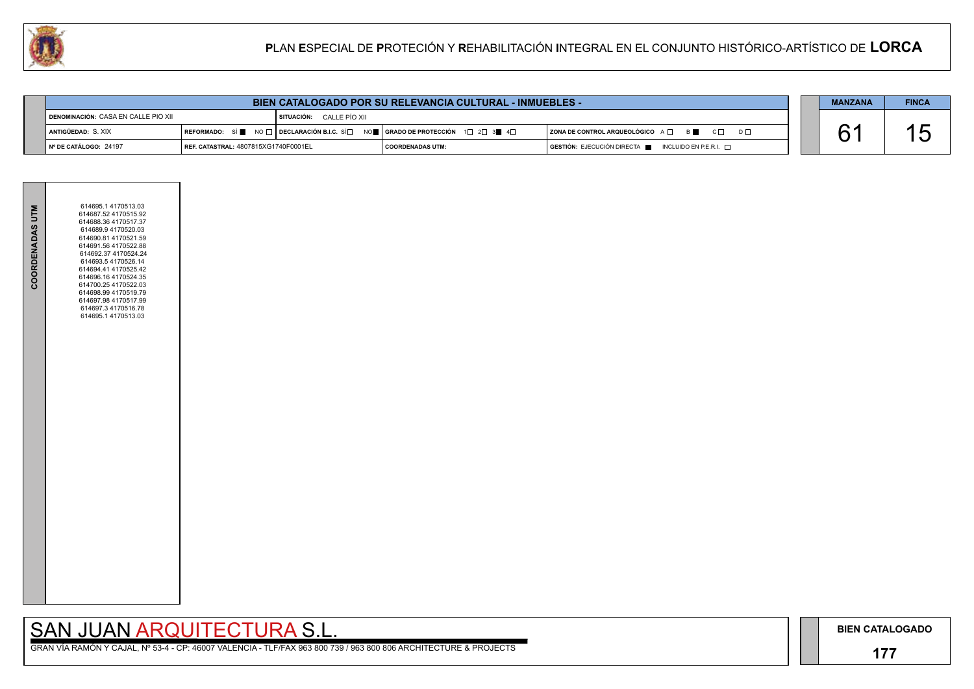## **177**

GRAN VÍA RAMÓN Y CAJAL, Nº 53-4 - CP: 46007 VALENCIA - TLF/FAX 963 800 739 / 963 800 806 ARCHITECTURE & PROJECTS

|  | <b>MANZANA</b> |
|--|----------------|
|  |                |
|  |                |
|  |                |

| COORDENADAS UTM | 614695.1 4170513.03<br>614687.52 4170515.92<br>614688.36 4170517.37<br>614689.9 4170520.03<br>614690.81 4170521.59<br>614691.56 4170522.88<br>614692.37 4170524.24<br>614693.5 4170526.14<br>614694.41 4170525.42<br>614696.16 4170524.35<br>614700.25 4170522.03<br>614698.99 4170519.79<br>614697.98 4170517.99<br>614697.3 4170516.78<br>614695.1 4170513.03 |  |
|-----------------|-----------------------------------------------------------------------------------------------------------------------------------------------------------------------------------------------------------------------------------------------------------------------------------------------------------------------------------------------------------------|--|
|                 |                                                                                                                                                                                                                                                                                                                                                                 |  |

| <b>BIEN CATALOGADO POR SU RELEVANCIA CULTURAL - INMUEBLES -</b> |                                             |                            |                                                                                                                 |                                                                                 |  | <b>MANZANA</b> | <b>FINCA</b> |
|-----------------------------------------------------------------|---------------------------------------------|----------------------------|-----------------------------------------------------------------------------------------------------------------|---------------------------------------------------------------------------------|--|----------------|--------------|
| DENOMINACIÓN: CASA EN CALLE PIO XII                             |                                             | I SITUACIÓN: CALLE PÍO XII |                                                                                                                 |                                                                                 |  |                |              |
| antigüedad: S. XIX                                              |                                             |                            | REFORMADO: SÍ NO $\Box$ DECLARACIÓN B.I.C. SÍ $\Box$ NO $\Box$ GRADO DE PROTECCIÓN 1 $\Box$ 2 $\Box$ 3 4 $\Box$ | $ $ ZONA DE CONTROL ARQUEOLÓGICO $A \cap B$<br>$C\Box$ $D\Box$                  |  |                | ゚ゟ           |
| Nº DE CATÁLOGO: 24197                                           | <b>REF. CATASTRAL: 4807815XG1740F0001EL</b> |                            | I COORDENADAS UTM:                                                                                              | $G$ <b>ESTIÓN:</b> EJECUCIÓN DIRECTA $\blacksquare$ INCLUIDO EN P.E.R.I. $\Box$ |  |                |              |

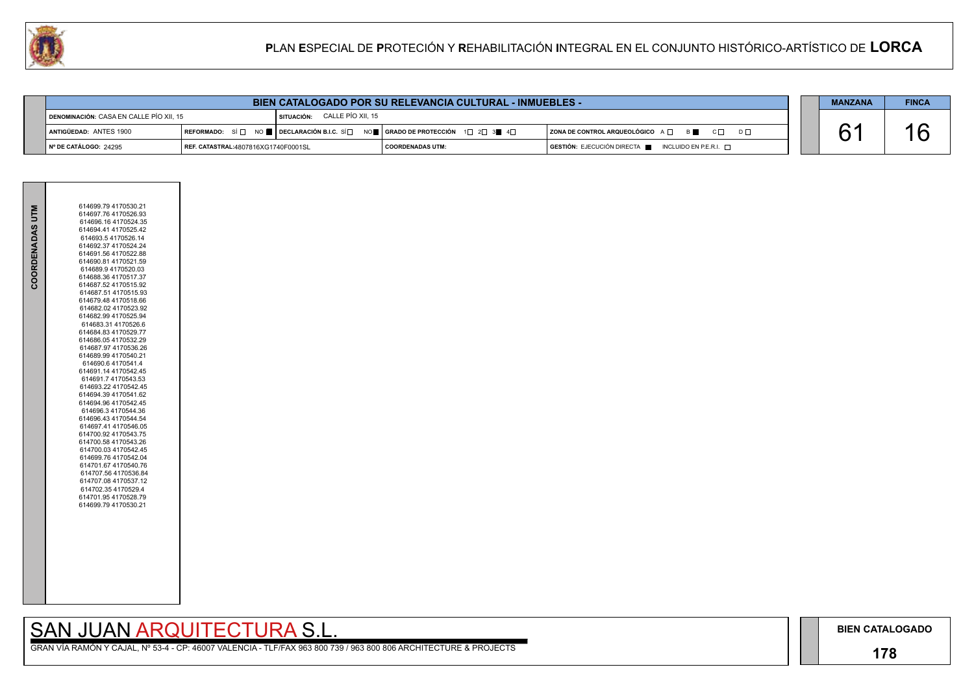## **178**

GRAN VÍA RAMÓN Y CAJAL, Nº 53-4 - CP: 46007 VALENCIA - TLF/FAX 963 800 739 / 963 800 806 ARCHITECTURE & PROJECTS

| $D \square$ |  |
|-------------|--|
|             |  |

| <b>MANZANA</b> | <b>FINCA</b> |
|----------------|--------------|
|                |              |



| UAR<br>PLAN ESPECIAL DE PROTECIÓN Y REHABILITACIÓN INTEGRAL EN EL CONJUNTO HISTÓRICO-ARTÍSTICO DE LORCA |                                                                 |                                                                                                                                                                                                             |                         |  |                                                                      |  |    |    |  |
|---------------------------------------------------------------------------------------------------------|-----------------------------------------------------------------|-------------------------------------------------------------------------------------------------------------------------------------------------------------------------------------------------------------|-------------------------|--|----------------------------------------------------------------------|--|----|----|--|
|                                                                                                         |                                                                 |                                                                                                                                                                                                             |                         |  |                                                                      |  |    |    |  |
|                                                                                                         | <b>BIEN CATALOGADO POR SU RELEVANCIA CULTURAL - INMUEBLES -</b> |                                                                                                                                                                                                             |                         |  |                                                                      |  |    |    |  |
| DENOMINACIÓN: CASA EN CALLE PÍO XII, 15                                                                 | SITUACIÓN: CALLE PÍO XII, 15                                    |                                                                                                                                                                                                             |                         |  |                                                                      |  |    |    |  |
| ANTIGÜEDAD: ANTES 1900                                                                                  |                                                                 | $\sf I$ REFORMADO: $\;$ SÍ $\sqcap$ $\;$ NO $\blacksquare$ $\sf I$ DECLARACIÓN B.I.C. SÍ $\sqcap$ $\;$ NO $\blacksquare$ $\sf I$ GRADO DE PROTECCIÓN $\;$ 1 $\sqcap$ 2 $\sqcap$ 3 $\blacksquare$ 4 $\sqcap$ |                         |  | $ $ ZONA DE CONTROL ARQUEOLÓGICO $A \Box$ $B \Box$ $C \Box$ $D \Box$ |  | 61 | 16 |  |
| Nº DE CATÁLOGO: 24295                                                                                   | REF. CATASTRAL:4807816XG1740F0001SL                             |                                                                                                                                                                                                             | <b>COORDENADAS UTM:</b> |  | GESTIÓN: EJECUCIÓN DIRECTA E<br>INCLUIDO EN P.E.R.I. $\Box$          |  |    |    |  |

| COORDENADAS UTM | 614699.79 4170530.21<br>614697.76 4170526.93<br>614696.16 4170524.35<br>614694.41 4170525.42<br>614693.5 4170526.14<br>614692.37 4170524.24<br>614691.56 4170522.88<br>614690.81 4170521.59<br>614689.9 4170520.03<br>614688.36 4170517.37<br>614687.52 4170515.92<br>614687.51 4170515.93<br>614679.48 4170518.66<br>614682.02 4170523.92<br>614682.99 4170525.94<br>614683.31 4170526.6<br>614684.83 4170529.77<br>614686.054170532.29<br>614687.97 4170536.26<br>614689.99 4170540.21<br>614690.64170541.4<br>614691.14 4170542.45<br>614691.7 4170543.53<br>614693 22 4170542.45<br>614694 39 4170541.62<br>614694.96 4170542.45<br>614696.3 4170544.36<br>614696.43 4170544.54<br>614697.41 4170546.05<br>614700.92 4170543.75<br>614700.58 4170543.26<br>614700.03 4170542.45<br>614699.76 4170542.04<br>614701.67 4170540.76<br>614707.56 4170536.84<br>614707.08 4170537.12<br>614702.35 4170529.4<br>614701.95 4170528.79<br>614699.79 4170530.21 |
|-----------------|------------------------------------------------------------------------------------------------------------------------------------------------------------------------------------------------------------------------------------------------------------------------------------------------------------------------------------------------------------------------------------------------------------------------------------------------------------------------------------------------------------------------------------------------------------------------------------------------------------------------------------------------------------------------------------------------------------------------------------------------------------------------------------------------------------------------------------------------------------------------------------------------------------------------------------------------------------|
|                 |                                                                                                                                                                                                                                                                                                                                                                                                                                                                                                                                                                                                                                                                                                                                                                                                                                                                                                                                                            |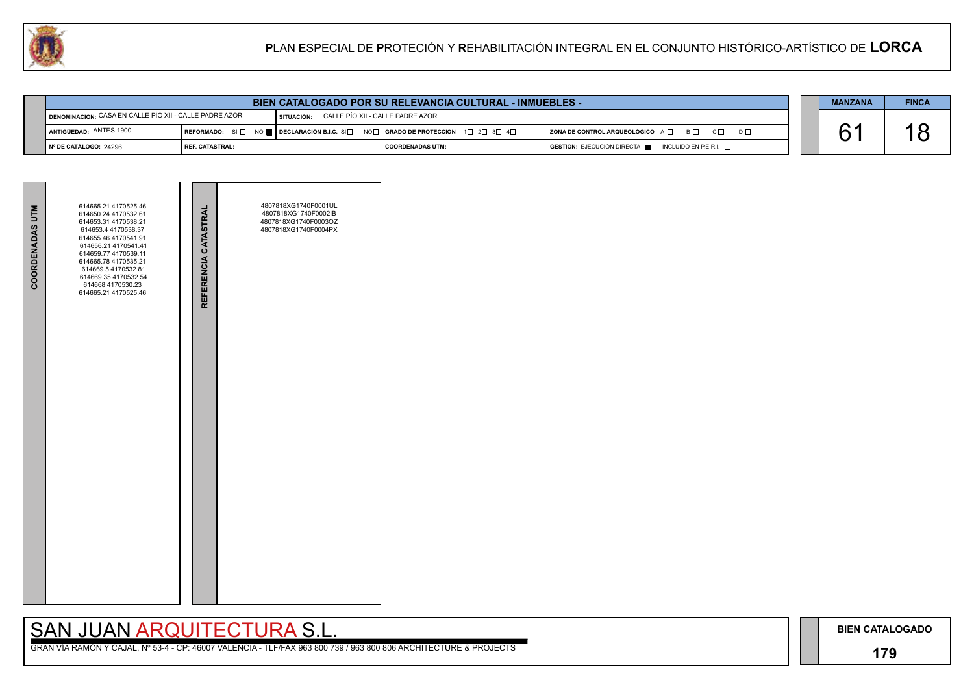## **179**

## SAN JUAN ARQUITECTURA S.L.

| $\mathsf{D}\ \Box$ |  |
|--------------------|--|
|                    |  |

| <b>MANZANA</b> | <b>FINCA</b> |
|----------------|--------------|
|                | Ч            |

| <b>COORDENADAS UTM</b> | 614665.21 4170525.46<br>614650.24 4170532.61<br>614653.31 4170538.21<br>614653.4 4170538.37<br>614655.46 4170541.91<br>614656.21 4170541.41<br>614659.77 4170539.11<br>614665.78 4170535.21<br>614669.5 4170532.81<br>614669.35 4170532.54<br>614668 4170530.23<br>614665.21 4170525.46 | REFERENCIA CATASTRAL | 4807818XG1740F0001UL<br>4807818XG1740F0002IB<br>4807818XG1740F0003OZ<br>4807818XG1740F0004PX |  |
|------------------------|-----------------------------------------------------------------------------------------------------------------------------------------------------------------------------------------------------------------------------------------------------------------------------------------|----------------------|----------------------------------------------------------------------------------------------|--|
|                        |                                                                                                                                                                                                                                                                                         |                      |                                                                                              |  |



| <b>BIEN CATALOGADO POR SU RELEVANCIA CULTURAL - INMUEBLES -</b> |                                                                                                       |                                                                                                                                                       |                    |  |                                                    |  |  | <b>FINCA</b> |
|-----------------------------------------------------------------|-------------------------------------------------------------------------------------------------------|-------------------------------------------------------------------------------------------------------------------------------------------------------|--------------------|--|----------------------------------------------------|--|--|--------------|
|                                                                 | DENOMINACIÓN: CASA EN CALLE PÍO XII - CALLE PADRE AZOR<br>SITUACIÓN: CALLE PÍO XII - CALLE PADRE AZOR |                                                                                                                                                       |                    |  |                                                    |  |  |              |
| ANTIGÜEDAD: ANTES 1900                                          |                                                                                                       | REFORMADO: SÍ $\square$ NO $\square$ DECLARACIÓN B.I.C. SÍ $\square$ NO $\square$   GRADO DE PROTECCIÓN $\square$ 2 $\square$ 3 $\square$ 4 $\square$ |                    |  | ZONA DE CONTROL ARQUEOLÓGICO A □ B □ C □           |  |  |              |
| │ № DE CATÁLOGO: 24296                                          | l REF. CATASTRAL:                                                                                     |                                                                                                                                                       | I COORDENADAS UTM: |  | GESTIÓN: EJECUCIÓN DIRECTA NE INCLUIDO EN P.E.R.I. |  |  |              |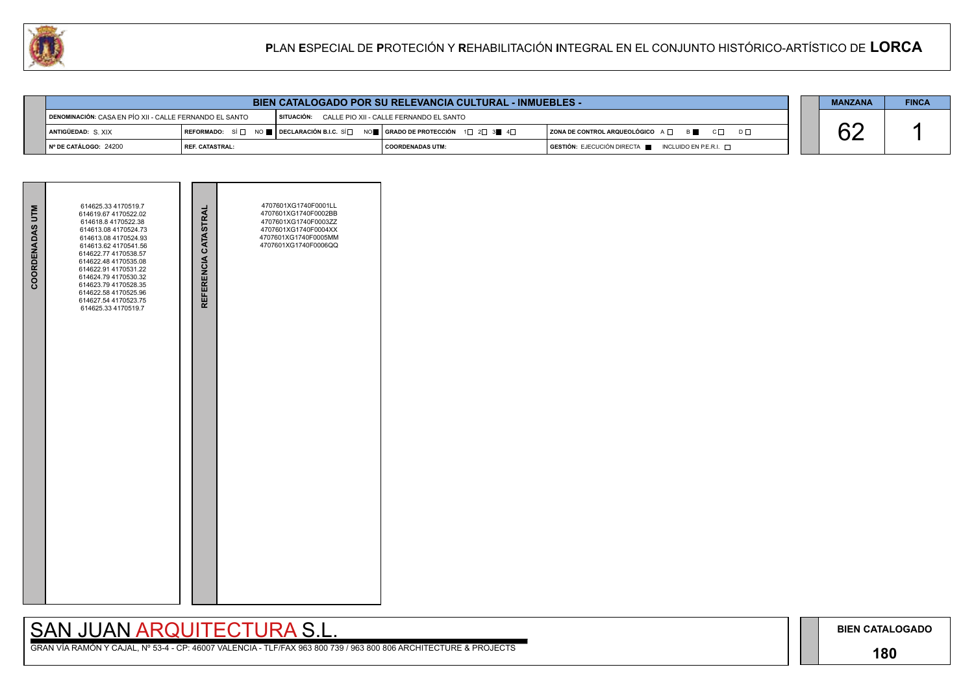## **180**

# SAN JUAN ARQUITECTURA S.L.

|     | <b>MANZANA</b> | <b>FINCA</b> |
|-----|----------------|--------------|
|     |                |              |
| D L |                |              |
|     |                |              |



| <b>BIEN CATALOGADO POR SU RELEVANCIA CULTURAL - INMUEBLES -</b> |                 |                                                                                                                                                       |                                                    |  |                                                    |  |  | <b>FINCA</b> |
|-----------------------------------------------------------------|-----------------|-------------------------------------------------------------------------------------------------------------------------------------------------------|----------------------------------------------------|--|----------------------------------------------------|--|--|--------------|
| DENOMINACIÓN: CASA EN PÍO XII - CALLE FERNANDO EL SANTO         |                 |                                                                                                                                                       | SITUACIÓN: CALLE PIO XII - CALLE FERNANDO EL SANTO |  |                                                    |  |  |              |
| ANTIGÜEDAD: S.XIX                                               |                 | REFORMADO: SÍ $\Box$ NO $\blacksquare$ DECLARACIÓN B.I.C. SÍ $\Box$ NO $\blacksquare$ GRADO DE PROTECCIÓN 1 $\Box$ 2 $\Box$ 3 $\blacksquare$ 4 $\Box$ |                                                    |  | ZONA DE CONTROL ARQUEOLÓGICO A Q B C Q<br>$D \Box$ |  |  |              |
| I Nº DE CATÁLOGO: 24200                                         | REF. CATASTRAL: |                                                                                                                                                       | COORDENADAS UTM:                                   |  | GESTIÓN: EJECUCIÓN DIRECTA NE INCLUIDO EN P.E.R.I. |  |  |              |

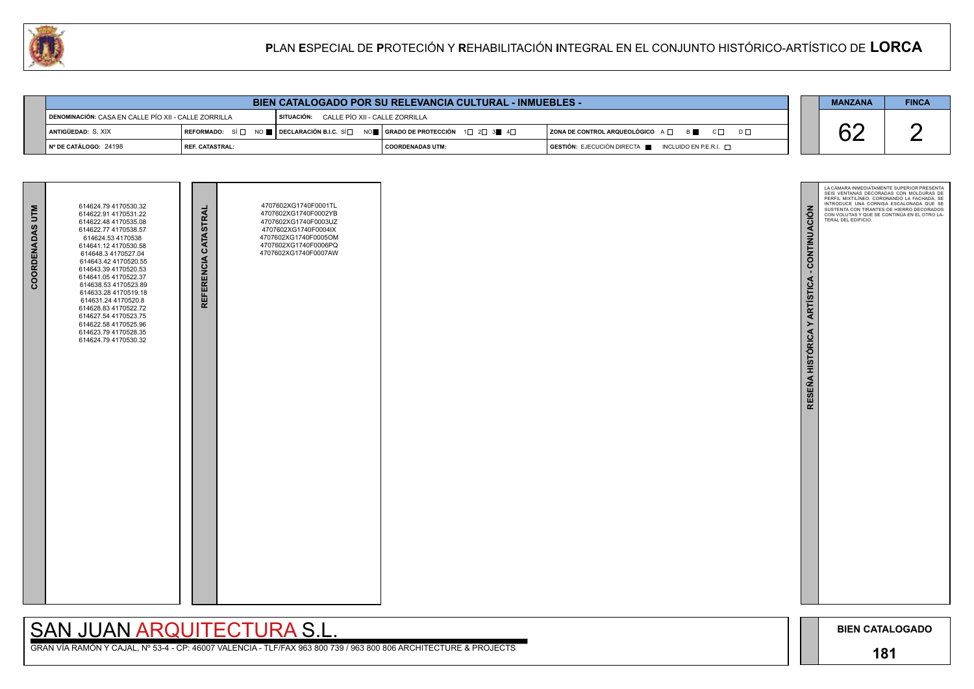# SAN JUAN ARQUITECTURA S.L.



| <b>BIEN CATALOGADO POR SU RELEVANCIA CULTURAL - INMUEBLES -</b> |                   |                                                                                                                                                                   |                                           |  |                                                                                      |  | <b>MANZANA</b> | <b>FINCA</b> |
|-----------------------------------------------------------------|-------------------|-------------------------------------------------------------------------------------------------------------------------------------------------------------------|-------------------------------------------|--|--------------------------------------------------------------------------------------|--|----------------|--------------|
| DENOMINACIÓN: CASA EN CALLE PÍO XII - CALLE ZORRILLA            |                   |                                                                                                                                                                   | SITUACIÓN: CALLE PÍO XII - CALLE ZORRILLA |  |                                                                                      |  |                |              |
| <b>i antigüedad:</b> S. XIX                                     |                   | $\mid$ REFORMADO: $\mid$ Si $\mid$ $\mid$ $\mid$ $\mid$ Declaración B.I.C. Si $\mid$ $\mid$ $\mid$ orado de protección $\mid$ 1 $\mid$ 2 $\mid$ 3 $\mid$ 4 $\mid$ |                                           |  | $ $ ZONA DE CONTROL ARQUEOLÓGICO $A \Box$ $B \Box$ $C \Box$<br>$D \Box$              |  | VZ             |              |
| Nº DE CATÁLOGO: 24198                                           | l REF. CATASTRAL: |                                                                                                                                                                   | <b>COORDENADAS UTM:</b>                   |  | $\overline{S}$ GESTIÓN: EJECUCIÓN DIRECTA $\blacksquare$ INCLUIDO EN P.E.R.I. $\Box$ |  |                |              |

| COORDENADAS UTM | 614624.79 4170530.32<br>614622.91 4170531.22<br>614622.48 4170535.08<br>614622.77 4170538.57<br>614624.53 4170538<br>614641.12 4170530.58<br>614648.3 4170527.04<br>614643.42 4170520.55<br>614643.39 4170520.53<br>614641.05 4170522.37<br>614638.53 4170523.89<br>614633.28 4170519.18<br>614631.24 4170520.8<br>614628.83 4170522.72<br>614627.54 4170523.75<br>614622.58 4170525.96<br>614623.79 4170528.35<br>614624.79 4170530.32 | REFERENCIA CATASTRAL | 4707602XG1740F0001TL<br>4707602XG1740F0002YB<br>4707602XG1740F0003UZ<br>4707602XG1740F0004IX<br>4707602XG1740F0005OM<br>4707602XG1740F0006PQ<br>4707602XG1740F0007AW |  |
|-----------------|-----------------------------------------------------------------------------------------------------------------------------------------------------------------------------------------------------------------------------------------------------------------------------------------------------------------------------------------------------------------------------------------------------------------------------------------|----------------------|----------------------------------------------------------------------------------------------------------------------------------------------------------------------|--|
|                 |                                                                                                                                                                                                                                                                                                                                                                                                                                         |                      |                                                                                                                                                                      |  |

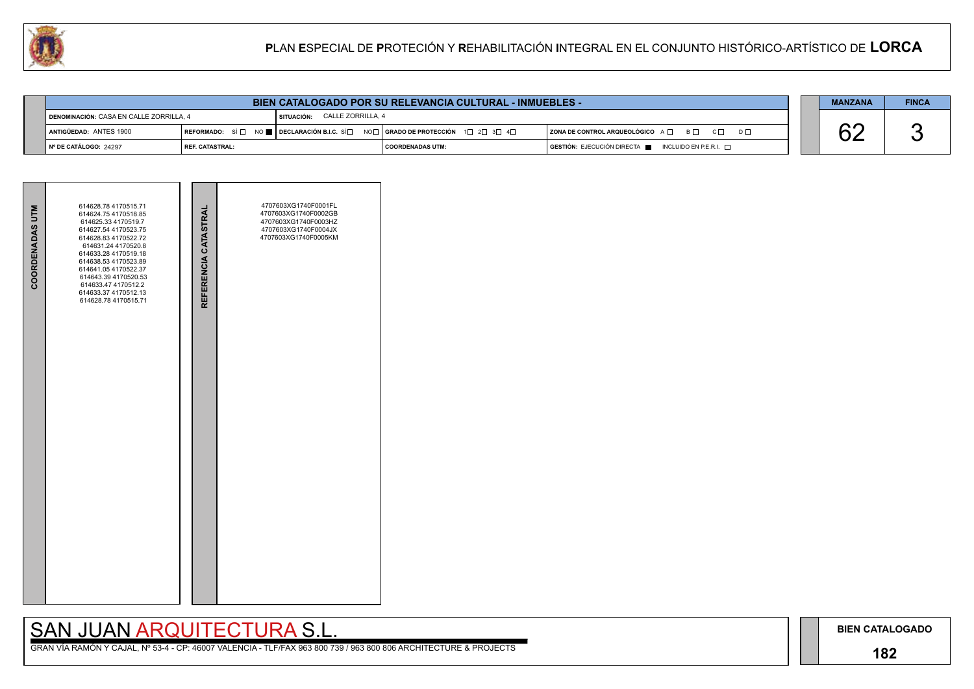## **182**

# SAN JUAN ARQUITECTURA S.L.

|  | <b>MANZANA</b> | <b>FINCA</b> |
|--|----------------|--------------|
|  |                |              |





| <b>BIEN CATALOGADO POR SU RELEVANCIA CULTURAL - INMUEBLES -</b>                |                                                                                       |  |                    |  |                                                                                              |  | <b>MANZANA</b> | <b>FINCA</b> |
|--------------------------------------------------------------------------------|---------------------------------------------------------------------------------------|--|--------------------|--|----------------------------------------------------------------------------------------------|--|----------------|--------------|
| SITUACIÓN: CALLE ZORRILLA, 4<br><b>DENOMINACIÓN: CASA EN CALLE ZORRILLA, 4</b> |                                                                                       |  |                    |  |                                                                                              |  |                |              |
| ANTIGÜEDAD: ANTES 1900                                                         | REFORMADO: SÍ □ NO ■ DECLARACIÓN B.I.C. SÍ □ NO □ GRADO DE PROTECCIÓN 1 □ 2 □ 3 □ 4 □ |  |                    |  | $ $ ZONA DE CONTROL ARQUEOLÓGICO $A \Box$ $B \Box$ $C \Box$<br>$D \Box$                      |  |                |              |
| $\vert$ N° DE CATÁLOGO: 24297                                                  | I REF. CATASTRAL:                                                                     |  | I COORDENADAS UTM: |  | $\overline{S}$ GESTIÓN: EJECUCIÓN DIRECTA $\overline{S}$ INCLUIDO EN P.E.R.I. $\overline{S}$ |  |                |              |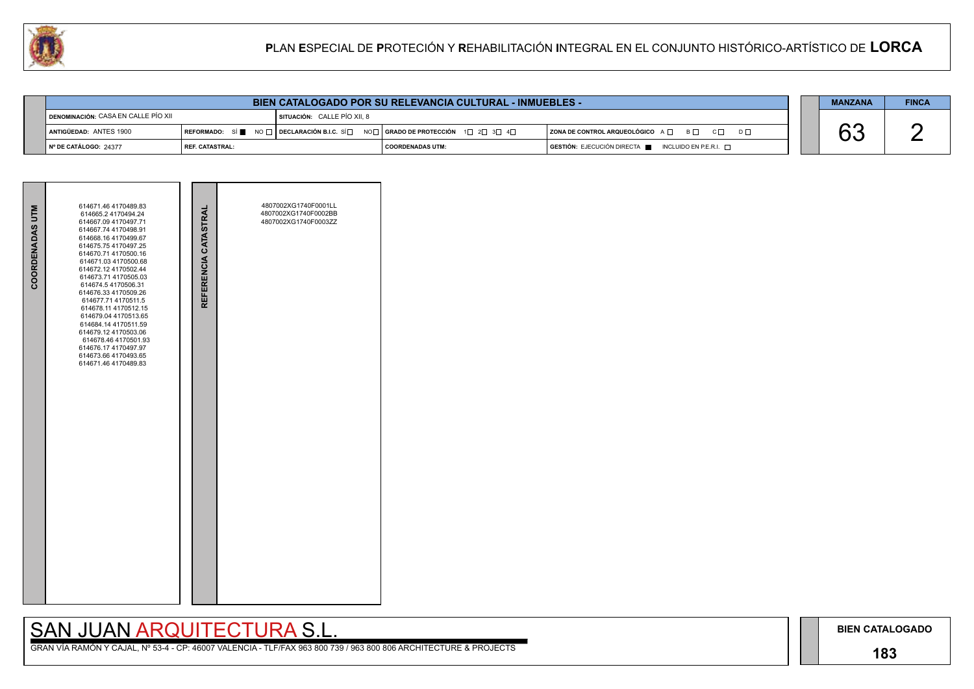## **183**

## SAN JUAN ARQUITECTURA S.L.

| $D \Box$ |  |
|----------|--|
|          |  |

| <b>MANZANA</b> | <b>FINCA</b> |
|----------------|--------------|
|                |              |



| <b>COORDENADAS UTM</b> | 614671.46 4170489.83<br>614665.2 4170494.24<br>614667.09 4170497.71<br>614667.74 4170498.91<br>614668.16 4170499.67<br>614675.75 4170497.25<br>614670.71 4170500.16<br>614671.03 4170500.68<br>614672.12 4170502.44<br>614673.71 4170505.03<br>614674.5 4170506.31<br>614676.33 4170509.26<br>614677.71 4170511.5<br>614678.11 4170512.15<br>614679.04 4170513.65<br>614684.14 4170511.59<br>614679.12 4170503.06<br>614678.46 4170501.93<br>614676.17 4170497.97<br>614673.66 4170493.65<br>614671.46 4170489.83 | REFERENCIA CATASTRAL | 4807002XG1740F0001LL<br>4807002XG1740F0002BB<br>4807002XG1740F0003ZZ |  |
|------------------------|-------------------------------------------------------------------------------------------------------------------------------------------------------------------------------------------------------------------------------------------------------------------------------------------------------------------------------------------------------------------------------------------------------------------------------------------------------------------------------------------------------------------|----------------------|----------------------------------------------------------------------|--|

|                                              | <b>BIEN CATALOGADO POR SU RELEVANCIA CULTURAL - INMUEBLES -</b> |                                                                                                                                       |                         |  |                                                                                      |  | <b>MANZANA</b> | <b>FINCA</b> |
|----------------------------------------------|-----------------------------------------------------------------|---------------------------------------------------------------------------------------------------------------------------------------|-------------------------|--|--------------------------------------------------------------------------------------|--|----------------|--------------|
| <b>I DENOMINACIÓN:</b> CASA EN CALLE PÍO XII |                                                                 | SITUACIÓN: CALLE PÍO XII. 8                                                                                                           |                         |  |                                                                                      |  |                |              |
| ANTIGÜEDAD: ANTES 1900                       |                                                                 | REFORMADO: SÍ $\blacksquare$ No $\Box$ DECLARACIÓN B.I.C. SÍ $\Box$ No $\Box$ GRADO DE PROTECCIÓN 1 $\Box$ 2 $\Box$ 3 $\Box$ 4 $\Box$ |                         |  | ZONA DE CONTROL ARQUEOLÓGICO A □ B □ C □ D □                                         |  |                |              |
| ∥ № DE CATÁLOGO: 24377                       | <b>REF. CATASTRAL:</b>                                          |                                                                                                                                       | <b>COORDENADAS UTM:</b> |  | $\overline{S}$ GESTIÓN: EJECUCIÓN DIRECTA $\blacksquare$ INCLUIDO EN P.E.R.I. $\Box$ |  |                |              |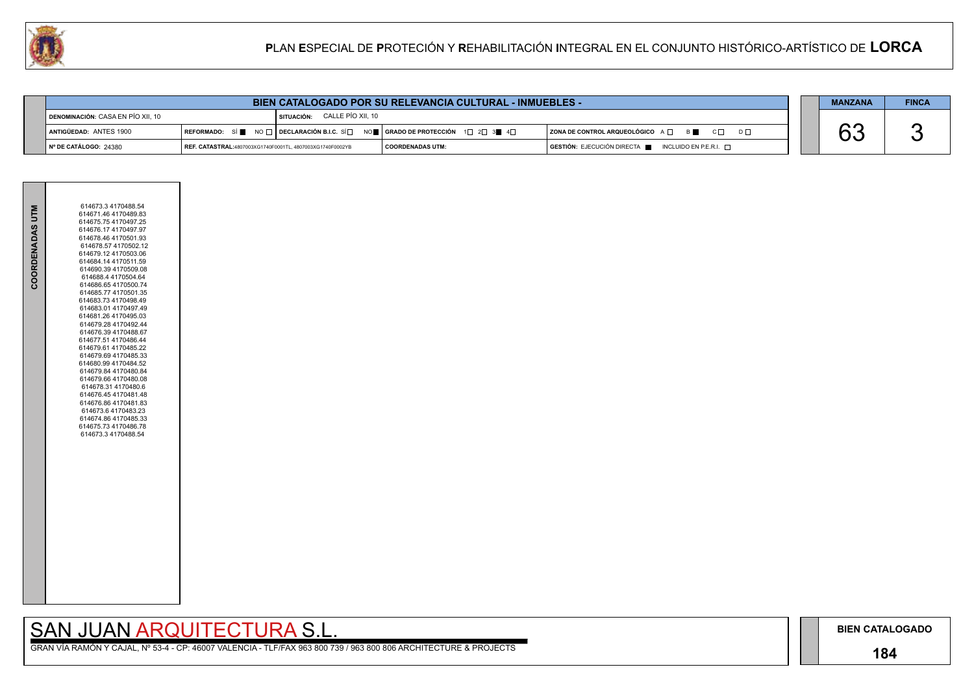## **184**

GRAN VÍA RAMÓN Y CAJAL, Nº 53-4 - CP: 46007 VALENCIA - TLF/FAX 963 800 739 / 963 800 806 ARCHITECTURE & PROJECTS

| $D \Box$ |  |
|----------|--|
|          |  |

| <b>MANZANA</b> | <b>FINCA</b> |
|----------------|--------------|
|                |              |



|                                   | <b>BIEN CATALOGADO POR SU RELEVANCIA CULTURAL - INMUEBLES -</b> |                                     |                                                                             |                                                                                              | <b>MANZANA</b> | <b>FINCA</b> |
|-----------------------------------|-----------------------------------------------------------------|-------------------------------------|-----------------------------------------------------------------------------|----------------------------------------------------------------------------------------------|----------------|--------------|
| DENOMINACIÓN: CASA EN PÍO XII, 10 |                                                                 | <b>SITUACIÓN: CALLE PÍO XII, 10</b> |                                                                             |                                                                                              |                |              |
| ANTIGÜEDAD: ANTES 1900            |                                                                 |                                     | REFORMADO: SÍ NO T DECLARACIÓN B.I.C. SÍ NO T GRADO DE PROTECCIÓN 1 2 3 3 4 | $ $ ZONA DE CONTROL ARQUEOLÓGICO $A \Box$ $B \Box$ $C \Box$<br>$D \Box$                      |                |              |
| ∥ Nº DE CATÁLOGO: 24380           | REF. CATASTRAL:4807003XG1740F0001TL, 4807003XG1740F0002YB       |                                     | COORDENADAS UTM:                                                            | $\overline{a}$ GESTIÓN: EJECUCIÓN DIRECTA $\overline{a}$ INCLUIDO EN P.E.R.I. $\overline{a}$ |                |              |

| COORDENADAS UTM | 614673.3 4170488.54<br>614671.46 4170489.83<br>614675.754170497.25<br>614676.17 4170497.97<br>614678.46 4170501.93<br>614678.57 4170502.12<br>614679.12 4170503.06<br>614684.14 4170511.59<br>614690.39 4170509.08<br>614688.4 4170504.64<br>614686.654170500.74<br>614685.77 4170501.35<br>614683.734170498.49<br>614683.01 4170497.49<br>614681.26 4170495.03<br>614679.28 4170492.44<br>614676.39 4170488.67<br>614677.51 4170486.44<br>614679.61 4170485.22<br>614679.69 4170485.33<br>614680.99 4170484.52<br>614679.84 4170480.84<br>614679.66 4170480.08<br>614678.31 4170480.6<br>614676.45 4170481.48<br>614676.86 4170481.83<br>614673.6 4170483.23<br>614674.86 4170485.33<br>614675.73 4170486.78<br>614673.3 4170488.54 |
|-----------------|--------------------------------------------------------------------------------------------------------------------------------------------------------------------------------------------------------------------------------------------------------------------------------------------------------------------------------------------------------------------------------------------------------------------------------------------------------------------------------------------------------------------------------------------------------------------------------------------------------------------------------------------------------------------------------------------------------------------------------------|
|                 |                                                                                                                                                                                                                                                                                                                                                                                                                                                                                                                                                                                                                                                                                                                                      |
|                 |                                                                                                                                                                                                                                                                                                                                                                                                                                                                                                                                                                                                                                                                                                                                      |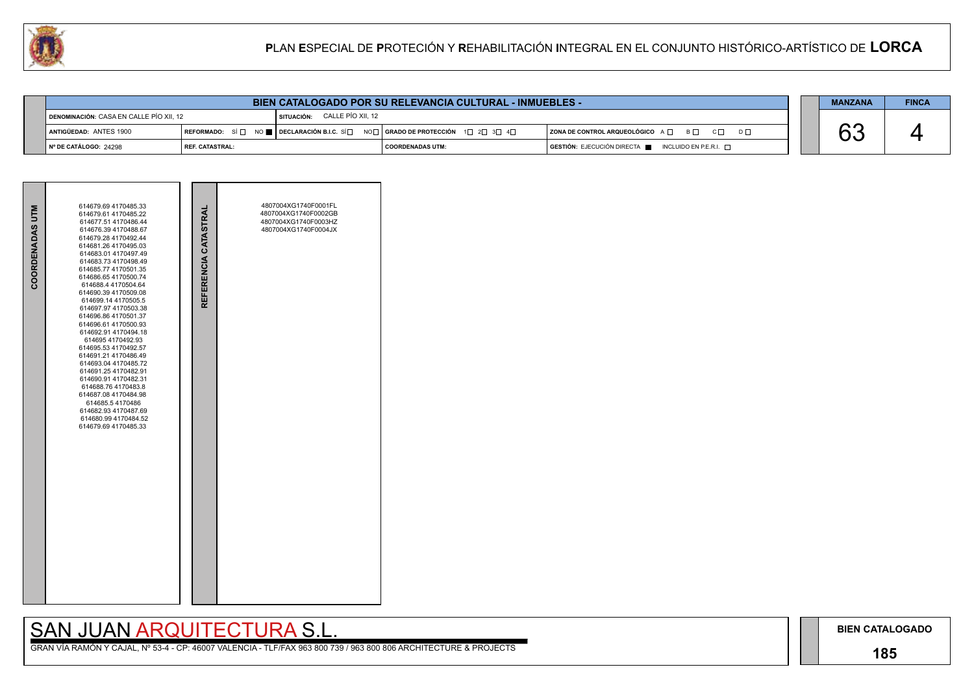## **185**

## SAN JUAN ARQUITECTURA S.L.

|  | <b>MANZANA</b>            | <b>FINCA</b> |
|--|---------------------------|--------------|
|  | $\cdot$ $\curvearrowleft$ |              |



| COORDENADAS UTM | 614679.69 4170485.33<br>614679.61 4170485.22<br>614677.51 4170486.44<br>614676.39 4170488.67<br>614679.28 4170492.44<br>614681.26 4170495.03<br>614683.01 4170497.49<br>614683.734170498.49<br>614685.77 4170501.35<br>614686.654170500.74<br>614688.4 4170504.64<br>614690.39 4170509.08<br>614699.14 4170505.5<br>614697.97 4170503.38<br>614696.86 4170501.37<br>614696.61 4170500.93<br>614692.91 4170494.18<br>614695 4170492.93<br>614695.53 4170492.57<br>614691.21 4170486.49<br>614693.04 4170485.72<br>614691.25 4170482.91<br>614690.91 4170482.31<br>614688.764170483.8<br>614687.08 4170484.98<br>614685.54170486<br>614682.93 4170487.69<br>614680.99 4170484.52<br>614679.69 4170485.33 | REFERENCIA CATASTRAL | 4807004XG1740F0001FL<br>4807004XG1740F0002GB<br>4807004XG1740F0003HZ<br>4807004XG1740F0004JX |  |
|-----------------|--------------------------------------------------------------------------------------------------------------------------------------------------------------------------------------------------------------------------------------------------------------------------------------------------------------------------------------------------------------------------------------------------------------------------------------------------------------------------------------------------------------------------------------------------------------------------------------------------------------------------------------------------------------------------------------------------------|----------------------|----------------------------------------------------------------------------------------------|--|

|                                         |                          | <b>BIEN CATALOGADO POR SU RELEVANCIA CULTURAL - INMUEBLES -</b>                                                                                            |                    |  |                                                                                              |  | <b>MANZANA</b> | <b>FINCA</b> |
|-----------------------------------------|--------------------------|------------------------------------------------------------------------------------------------------------------------------------------------------------|--------------------|--|----------------------------------------------------------------------------------------------|--|----------------|--------------|
| DENOMINACIÓN: CASA EN CALLE PÍO XII, 12 |                          | CALLE PÍO XII. 12<br>l SITUACIÓN:                                                                                                                          |                    |  |                                                                                              |  |                |              |
| ANTIGÜEDAD: ANTES 1900                  |                          | REFORMADO: SÍ $\square$ NO $\blacksquare$ DECLARACIÓN B.I.C. SÍ $\square$ NO $\square$ GRADO DE PROTECCIÓN 1 $\square$ 2 $\square$ 3 $\square$ 4 $\square$ |                    |  | ZONA DE CONTROL ARQUEOLÓGICO $A \Box$ $B \Box$ $C \Box$<br>$D \Box$                          |  | ⌒⌒             |              |
| $\vert$ N° DE CATÁLOGO: 24298           | <b>I REF. CATASTRAL:</b> |                                                                                                                                                            | I COORDENADAS UTM: |  | $\overline{a}$ GESTIÓN: EJECUCIÓN DIRECTA $\overline{a}$ INCLUIDO EN P.E.R.I. $\overline{a}$ |  |                |              |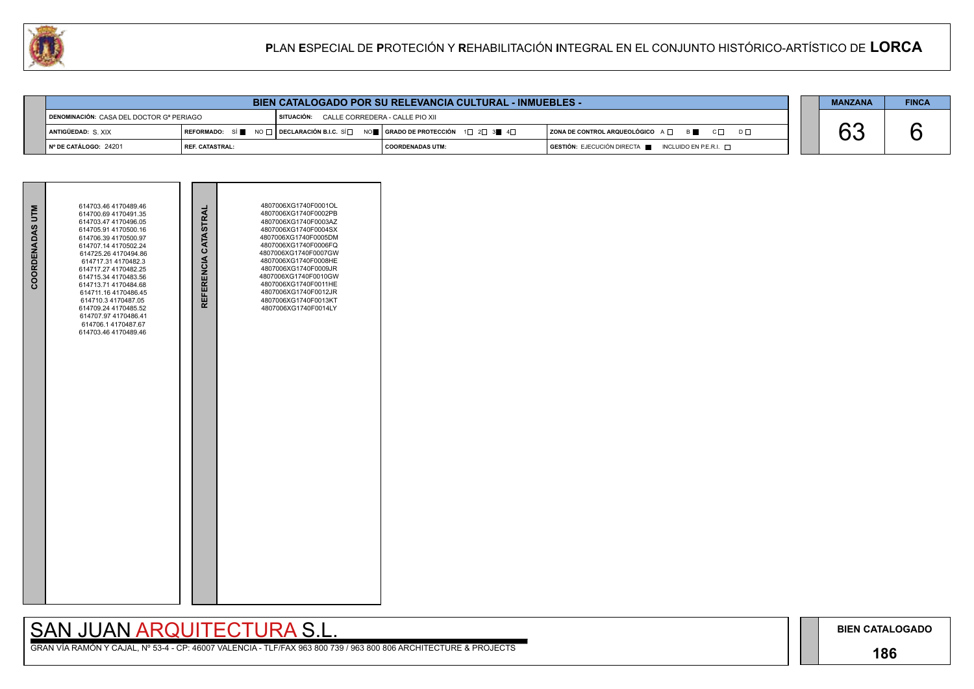## **186**

# SAN JUAN ARQUITECTURA S.L.

|     | <b>MANZANA</b> | <b>FINCA</b> |
|-----|----------------|--------------|
| D L |                |              |
|     |                |              |



| <b>BIEN CATALOGADO POR SU RELEVANCIA CULTURAL - INMUEBLES -</b> |                   |                                                                                                                                                       |                         |  |                                                                                              |  |  | <b>FINCA</b> |
|-----------------------------------------------------------------|-------------------|-------------------------------------------------------------------------------------------------------------------------------------------------------|-------------------------|--|----------------------------------------------------------------------------------------------|--|--|--------------|
| DENOMINACIÓN: CASA DEL DOCTOR Gª PERIAGO                        |                   | SITUACIÓN: CALLE CORREDERA - CALLE PIO XII                                                                                                            |                         |  |                                                                                              |  |  |              |
| <b>ANTIGÜEDAD: S. XIX</b>                                       |                   | REFORMADO: SÍ $\blacksquare$ NO $\Box$ DECLARACIÓN B.I.C. SÍ $\Box$ NO $\blacksquare$ GRADO DE PROTECCIÓN 1 $\Box$ 2 $\Box$ 3 $\blacksquare$ 4 $\Box$ |                         |  | ZONA DE CONTROL ARQUEOLÓGICO A □ B B C □ D □                                                 |  |  |              |
| $\vert$ N° DE CATÁLOGO: 24201                                   | l REF. CATASTRAL: |                                                                                                                                                       | <b>COORDENADAS UTM:</b> |  | $\overline{S}$ GESTIÓN: EJECUCIÓN DIRECTA $\overline{S}$ INCLUIDO EN P.E.R.I. $\overline{S}$ |  |  |              |

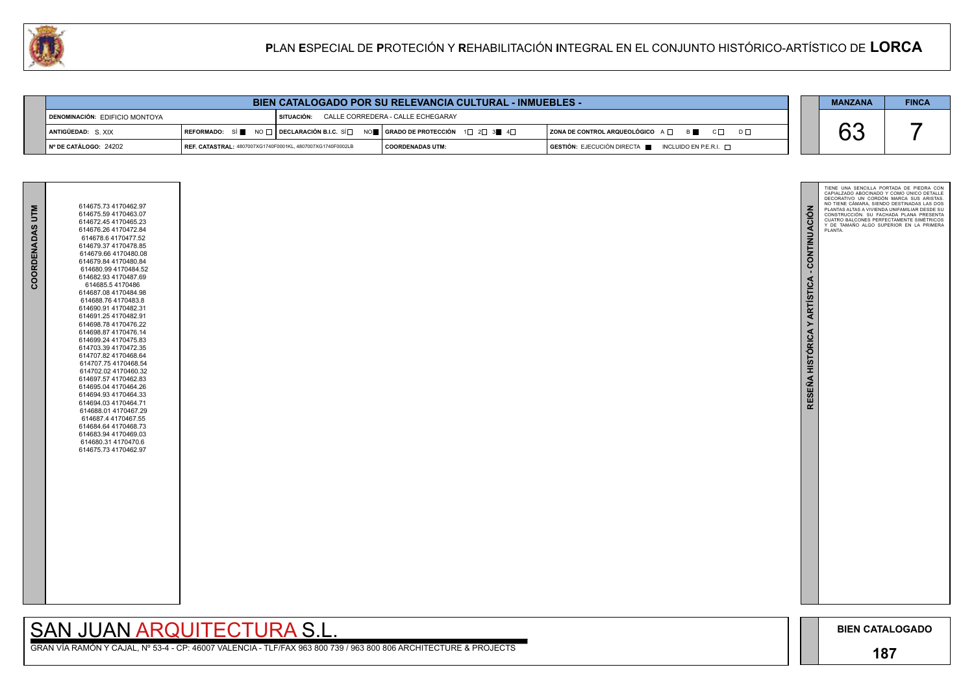

GRAN VÍA RAMÓN Y CAJAL, Nº 53-4 - CP: 46007 VALENCIA - TLF/FAX 963 800 739 / 963 800 806 ARCHITECTURE & PROJECTS

| COORDENADAS UTM | 614675.73 4170462.97<br>614675.59 4170463.07<br>614672.45 4170465.23<br>614676.26 4170472.84<br>614678.6 4170477.52<br>614679.37 4170478.85<br>614679.66 4170480.08<br>614679.84 4170480.84<br>614680.99 4170484.52<br>614682.93 4170487.69<br>614685.54170486<br>614687.08 4170484.98<br>614688.76 4170483.8<br>614690.91 4170482.31<br>614691.254170482.91<br>614698.78 4170476.22<br>614698.87 4170476.14<br>614699.24 4170475.83<br>614703.39 4170472.35<br>614707.82 4170468.64<br>614707.75 4170468.54<br>614702.02 4170460.32<br>614697.57 4170462.83<br>614695.04 4170464.26<br>614694.93 4170464.33<br>614694.03 4170464.71<br>614688.01 4170467.29<br>614687.4 4170467.55<br>614684.64 4170468.73<br>614683.94 4170469.03<br>614680.31 4170470.6<br>614675.73 4170462.97 |
|-----------------|------------------------------------------------------------------------------------------------------------------------------------------------------------------------------------------------------------------------------------------------------------------------------------------------------------------------------------------------------------------------------------------------------------------------------------------------------------------------------------------------------------------------------------------------------------------------------------------------------------------------------------------------------------------------------------------------------------------------------------------------------------------------------------|
|                 |                                                                                                                                                                                                                                                                                                                                                                                                                                                                                                                                                                                                                                                                                                                                                                                    |

| <b>BIEN CATALOGADO POR SU RELEVANCIA CULTURAL - INMUEBLES -</b> |                                                                                 |                                                   |                         |  |                                                                        |  | <b>MANZANA</b> | <b>FINCA</b> |
|-----------------------------------------------------------------|---------------------------------------------------------------------------------|---------------------------------------------------|-------------------------|--|------------------------------------------------------------------------|--|----------------|--------------|
| DENOMINACIÓN: EDIFICIO MONTOYA                                  |                                                                                 | CALLE CORREDERA - CALLE ECHEGARAY<br>I SITUACIÓN: |                         |  |                                                                        |  |                |              |
| ANTIGÜEDAD: S XIX                                               | REFORMADO: SÍ NO □ DECLARACIÓN B.I.C. SÍ NO I GRADO DE PROTECCIÓN 1 D 2 3 4 4 D |                                                   |                         |  | ZONA DE CONTROL ARQUEOLÓGICO A □ B ■ C □ D □                           |  |                |              |
| I Nº DE CATÁLOGO: 24202                                         | REF. CATASTRAL: 4807007XG1740F0001KL, 4807007XG1740F0002LB                      |                                                   | <b>COORDENADAS UTM:</b> |  | $GESTIÓN: EJECUCIÓN DIRECTA \blacksquare INCLUIDO EN P.E.R.I. \square$ |  |                |              |

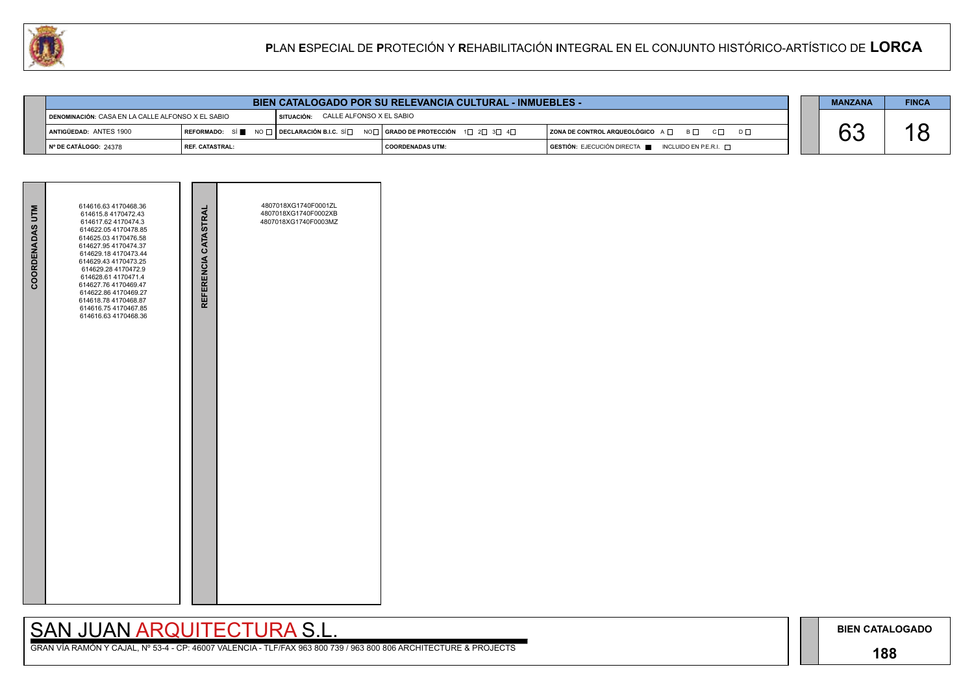## **188**

## SAN JUAN ARQUITECTURA S.L.

| $D \square$ |  |
|-------------|--|
|             |  |



| <b>COORDENADAS UTM</b> | 614616.63 4170468.36<br>614615.8 4170472.43<br>614617.62 4170474.3<br>614622.05 4170478.85<br>614625.03 4170476.58<br>614627.95 4170474.37<br>614629.18 4170473.44<br>614629.43 4170473.25<br>614629.28 4170472.9<br>614628.61 4170471.4<br>614627.76 4170469.47<br>614622.86 4170469.27<br>614618.78 4170468.87<br>614616.75 4170467.85<br>614616.63 4170468.36 | REFERENCIA CATASTRAL | 4807018XG1740F0001ZL<br>4807018XG1740F0002XB<br>4807018XG1740F0003MZ |  |
|------------------------|------------------------------------------------------------------------------------------------------------------------------------------------------------------------------------------------------------------------------------------------------------------------------------------------------------------------------------------------------------------|----------------------|----------------------------------------------------------------------|--|
|                        |                                                                                                                                                                                                                                                                                                                                                                  |                      |                                                                      |  |



| <b>BIEN CATALOGADO POR SU RELEVANCIA CULTURAL - INMUEBLES -</b> |                   |                                                                                                                                                            |                         |  |                                                                        |  | <b>MANZANA</b> | <b>FINCA</b> |
|-----------------------------------------------------------------|-------------------|------------------------------------------------------------------------------------------------------------------------------------------------------------|-------------------------|--|------------------------------------------------------------------------|--|----------------|--------------|
| DENOMINACIÓN: CASA EN LA CALLE ALFONSO X EL SABIO               |                   | CALLE ALFONSO X EL SABIO<br>SITUACIÓN:                                                                                                                     |                         |  |                                                                        |  |                |              |
| ANTIGÜEDAD: ANTES 1900                                          |                   | REFORMADO: SÍ $\blacksquare$ NO $\square$ DECLARACIÓN B.I.C. SÍ $\square$ NO $\square$ GRADO DE PROTECCIÓN 1 $\square$ 2 $\square$ 3 $\square$ 4 $\square$ |                         |  | $ $ ZONA DE CONTROL ARQUEOLÓGICO $A \Box$ $B \Box$<br>$C \Box$         |  |                |              |
| Nº DE CATÁLOGO: 24378                                           | l REF. CATASTRAL: |                                                                                                                                                            | <b>COORDENADAS UTM:</b> |  | $GESTIÓN: EJECUCIÓN DIRECTA \blacksquare INCLUIDO EN P.E.R.I. \square$ |  |                |              |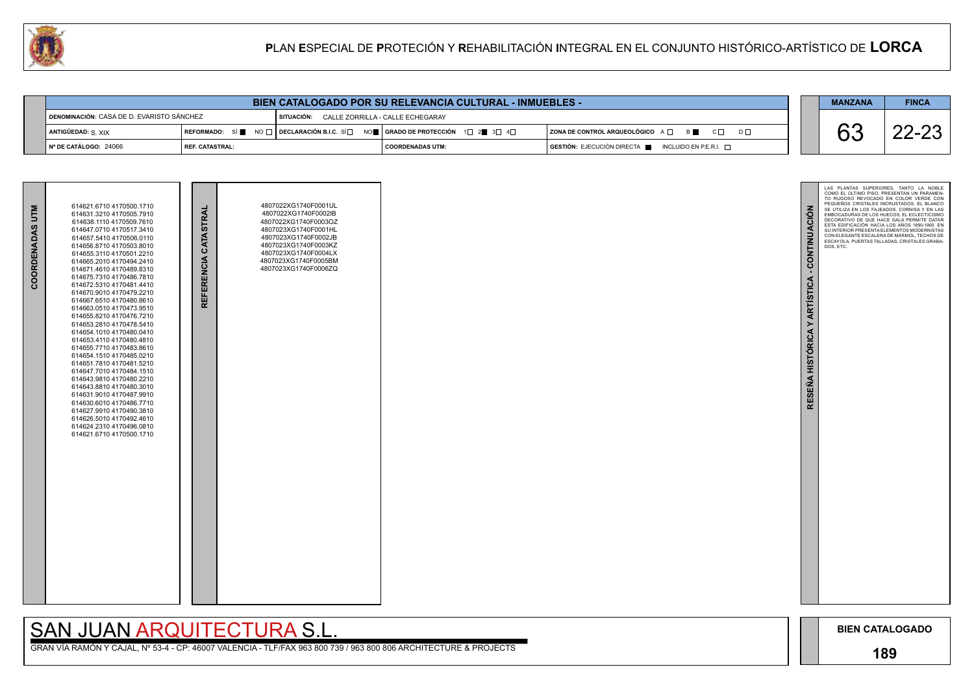

GRAN VÍA RAMÓN Y CAJAL, Nº 53-4 - CP: 46007 VALENCIA - TLF/FAX 963 800 739 / 963 800 806 ARCHITECTURE & PROJECTS

|                                           |                 | <b>BIEN CATALOGADO POR SU RELEVANCIA CULTURAL - INMUEBLES -</b> |                                                                                      |  | <b>MANZANA</b> | <b>FINCA</b> |
|-------------------------------------------|-----------------|-----------------------------------------------------------------|--------------------------------------------------------------------------------------|--|----------------|--------------|
| DENOMINACIÓN: CASA DE D. EVARISTO SÁNCHEZ |                 | SITUACIÓN: CALLE ZORRILLA - CALLE ECHEGARAY                     |                                                                                      |  |                |              |
| ANTIGÜEDAD: S. XIX                        |                 |                                                                 | $ $ ZONA DE CONTROL ARQUEOLÓGICO $A \Box$ $B \Box$<br>$C \Box$<br>$D \Box$           |  | $\bigcap$      | י הה         |
| $\blacksquare$ N° DE CATÁLOGO: 24066      | REF. CATASTRAL: | I COORDENADAS UTM:                                              | $\overline{S}$ GESTIÓN: EJECUCIÓN DIRECTA $\blacksquare$ INCLUIDO EN P.E.R.I. $\Box$ |  |                |              |

| 614621.6710 4170500.1710<br>614631.3210 4170505.7910<br>614638.1110 4170509.7610<br>614647.0710 4170517.3410<br>614657.5410 4170506.0110<br>614656.8710 4170503.8010<br>614655.3110 4170501.2210<br>614665.2010 4170494.2410<br>614671.4610 4170489.8310<br>614675.7310 4170486.7810<br>614672.5310 4170481.4410<br>614670.9010 4170479.2210<br>614667.6510 4170480.8610<br>614663.0510 4170473.9510<br>614655.8210 4170476.7210<br>614653.2810 4170478.5410<br>614654.1010 4170480.0410<br>614653.4110 4170480.4810<br>614655.7710 4170483.8610<br>614654.1510 4170485.0210<br>614651.7810 4170481.5210<br>614647.7010 4170484.1510<br>614643.9810 4170480.2210<br>614643.8810 4170480.3010<br>614631.9010 4170487.9910<br>614630.6010 4170486.7710<br>614627.9910 4170490.3810<br>614626.5010 4170492.4610<br>614624.2310 4170496 0810 |                          | REFERENCIA CATASTRAL | 4807022XG1740F0001UL<br>4807022XG1740F0002IB<br>4807022XG1740F0003OZ<br>4807023XG1740F0001HL<br>4807023XG1740F0002JB<br>4807023XG1740F0003KZ<br>4807023XG1740F0004LX<br>4807023XG1740F0005BM<br>4807023XG1740F0006ZQ |  |
|------------------------------------------------------------------------------------------------------------------------------------------------------------------------------------------------------------------------------------------------------------------------------------------------------------------------------------------------------------------------------------------------------------------------------------------------------------------------------------------------------------------------------------------------------------------------------------------------------------------------------------------------------------------------------------------------------------------------------------------------------------------------------------------------------------------------------------------|--------------------------|----------------------|----------------------------------------------------------------------------------------------------------------------------------------------------------------------------------------------------------------------|--|
|                                                                                                                                                                                                                                                                                                                                                                                                                                                                                                                                                                                                                                                                                                                                                                                                                                          | 614621.6710 4170500.1710 |                      |                                                                                                                                                                                                                      |  |

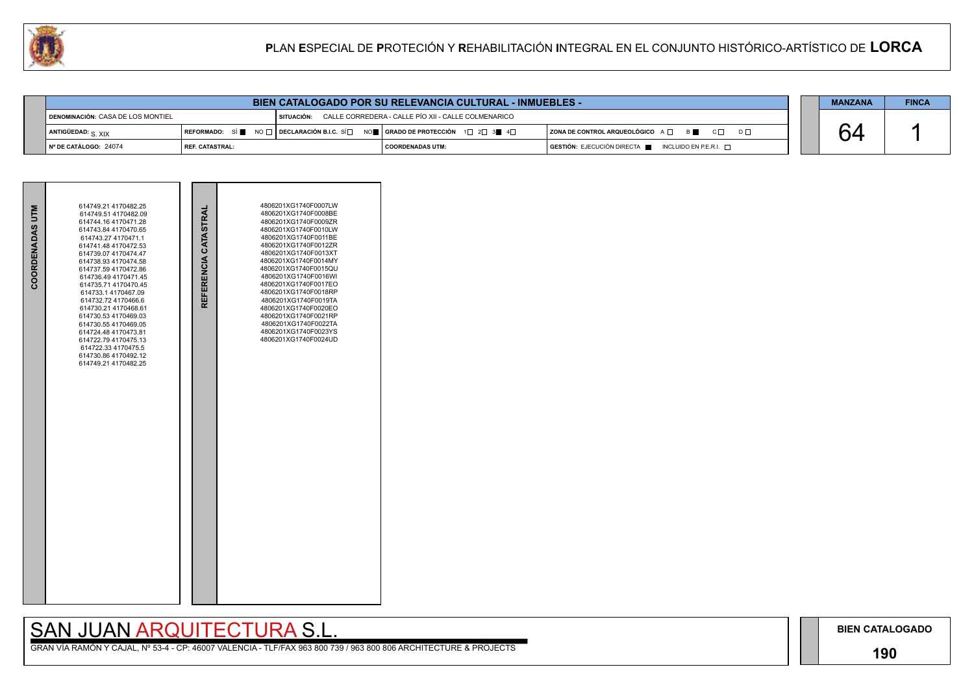### **190**

# SAN JUAN ARQUITECTURA S.L.

|                               | <b>BIEN CATALOGADO POR SU RELEVANCIA CULTURAL - INMUEBLES -</b>                                        |  |                                                                                                                                                       |                                                                                         |  |  |  |
|-------------------------------|--------------------------------------------------------------------------------------------------------|--|-------------------------------------------------------------------------------------------------------------------------------------------------------|-----------------------------------------------------------------------------------------|--|--|--|
|                               | CALLE CORREDERA - CALLE PÍO XII - CALLE COLMENARICO<br>DENOMINACIÓN: CASA DE LOS MONTIEL<br>SITUACIÓN: |  |                                                                                                                                                       |                                                                                         |  |  |  |
| ANTIGÜEDAD: <sub>S. XIX</sub> |                                                                                                        |  | REFORMADO: SÍ $\blacksquare$ NO $\Box$ DECLARACIÓN B.I.C. SÍ $\Box$ NO $\blacksquare$ GRADO DE PROTECCIÓN 1 $\Box$ 2 $\Box$ 3 $\blacksquare$ 4 $\Box$ | $ $ ZONA DE CONTROL ARQUEOLÓGICO $A \Box$ $B \Box$ $C \Box$<br>$D \Box$                 |  |  |  |
| │ № DE CATÁLOGO: 24074        | <b>I REF. CATASTRAL:</b>                                                                               |  | <b>COORDENADAS UTM:</b>                                                                                                                               | $\blacksquare$ GESTIÓN: EJECUCIÓN DIRECTA $\blacksquare$ INCLUIDO EN P.E.R.I. $\square$ |  |  |  |

| COORDENADAS UTM | 614749.21 4170482.25<br>614749.51 4170482.09<br>614744.16 4170471.28<br>614743.84 4170470.65<br>614743.27 4170471.1<br>614741.48 4170472.53<br>614739.07 4170474.47<br>614738.93 4170474.58<br>614737.59 4170472.86<br>614736.49 4170471.45<br>614735.71 4170470.45<br>614733.1 4170467.09<br>614732.72 4170466.6<br>614730.21 4170468.61<br>614730.53 4170469.03<br>614730.554170469.05<br>614724.48 4170473.81<br>614722.79 4170475.13<br>614722.33 4170475.5<br>614730.86 4170492.12<br>614749.21 4170482.25 | REFERENCIA CATASTRAI | 4806201XG1740F0007LW<br>4806201XG1740F0008BE<br>4806201XG1740F0009ZR<br>4806201XG1740F0010LW<br>4806201XG1740F0011BE<br>4806201XG1740F0012ZR<br>4806201XG1740F0013XT<br>4806201XG1740F0014MY<br>4806201XG1740F0015QU<br>4806201XG1740F0016WI<br>4806201XG1740F0017EO<br>4806201XG1740F0018RP<br>4806201XG1740F0019TA<br>4806201XG1740F0020EO<br>4806201XG1740F0021RP<br>4806201XG1740F0022TA<br>4806201XG1740F0023YS<br>4806201XG1740F0024UD |  |
|-----------------|-----------------------------------------------------------------------------------------------------------------------------------------------------------------------------------------------------------------------------------------------------------------------------------------------------------------------------------------------------------------------------------------------------------------------------------------------------------------------------------------------------------------|----------------------|----------------------------------------------------------------------------------------------------------------------------------------------------------------------------------------------------------------------------------------------------------------------------------------------------------------------------------------------------------------------------------------------------------------------------------------------|--|

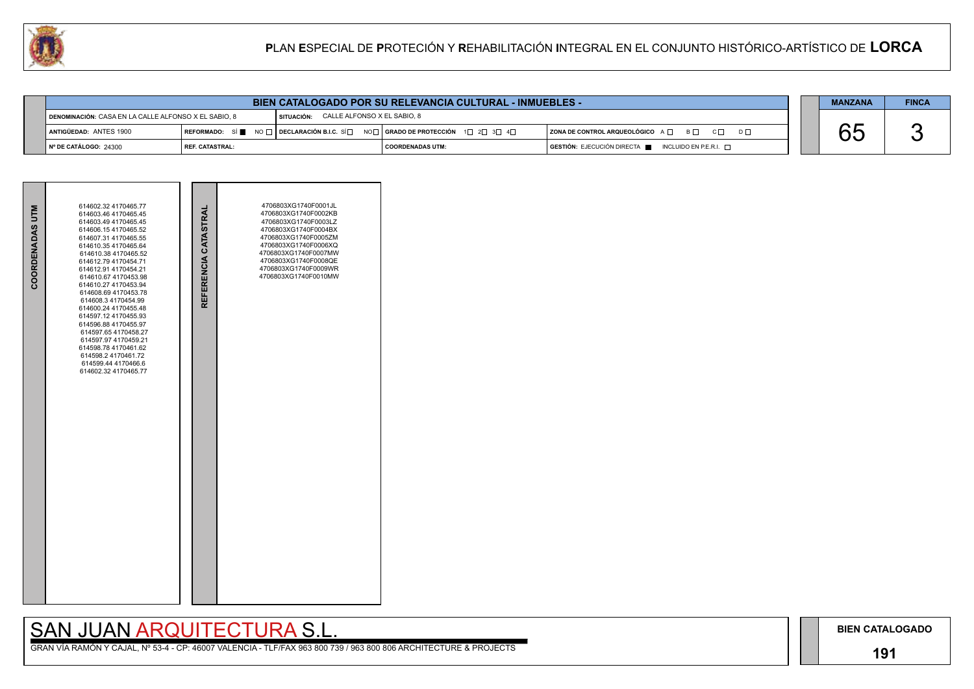### **191**

## SAN JUAN ARQUITECTURA S.L.

|    | <b>MANZANA</b> | <b>FINCA</b> |
|----|----------------|--------------|
|    |                |              |
| nГ |                |              |
|    |                |              |

| COORDENADAS UTM | 614602.32 4170465.77<br>614603.46 4170465.45<br>614603.49 4170465.45<br>614606.154170465.52<br>614607.31 4170465.55<br>614610.35 4170465.64<br>614610.38 4170465.52<br>614612.79 4170454.71<br>614612.91 4170454.21                                                                                               | REFERENCIA CATASTRAL | 4706803XG1740F0001JL<br>4706803XG1740F0002KB<br>4706803XG1740F0003LZ<br>4706803XG1740F0004BX<br>4706803XG1740F0005ZM<br>4706803XG1740F0006XQ<br>4706803XG1740F0007MW<br>4706803XG1740F0008QE<br>4706803XG1740F0009WR |  |
|-----------------|-------------------------------------------------------------------------------------------------------------------------------------------------------------------------------------------------------------------------------------------------------------------------------------------------------------------|----------------------|----------------------------------------------------------------------------------------------------------------------------------------------------------------------------------------------------------------------|--|
|                 | 614610.67 4170453.98<br>614610.27 4170453.94<br>614608.69 4170453.78<br>614608.3 4170454.99<br>614600.24 4170455.48<br>614597.12 4170455.93<br>614596.88 4170455.97<br>614597.65 4170458.27<br>614597.97 4170459.21<br>614598.78 4170461.62<br>614598.2 4170461.72<br>614599.44 4170466.6<br>614602.32 4170465.77 |                      | 4706803XG1740F0010MW                                                                                                                                                                                                 |  |
|                 |                                                                                                                                                                                                                                                                                                                   |                      |                                                                                                                                                                                                                      |  |
|                 |                                                                                                                                                                                                                                                                                                                   |                      |                                                                                                                                                                                                                      |  |



|                                                      |                        | <b>BIEN CATALOGADO POR SU RELEVANCIA CULTURAL - INMUEBLES -</b>                 |                         |                                                                                      | <b>MANZANA</b> | <b>FINCA</b> |
|------------------------------------------------------|------------------------|---------------------------------------------------------------------------------|-------------------------|--------------------------------------------------------------------------------------|----------------|--------------|
| DENOMINACIÓN: CASA EN LA CALLE ALFONSO X EL SABIO, 8 |                        | SITUACIÓN: CALLE ALFONSO X EL SABIO, 8                                          |                         |                                                                                      |                |              |
| ANTIGÜEDAD: ANTES 1900                               |                        | REFORMADO: SÍ NO D DECLARACIÓN B.I.C. SÍ NO RADO DE PROTECCIÓN 1 2 3 3 4 $\Box$ |                         | ZONA DE CONTROL ARQUEOLÓGICO A □ B □ C □ D □                                         |                |              |
| Nº DE CATÁLOGO: 24300                                | <b>REF. CATASTRAL:</b> |                                                                                 | <b>COORDENADAS UTM:</b> | $\overline{S}$ GESTIÓN: EJECUCIÓN DIRECTA $\blacksquare$ INCLUIDO EN P.E.R.I. $\Box$ |                |              |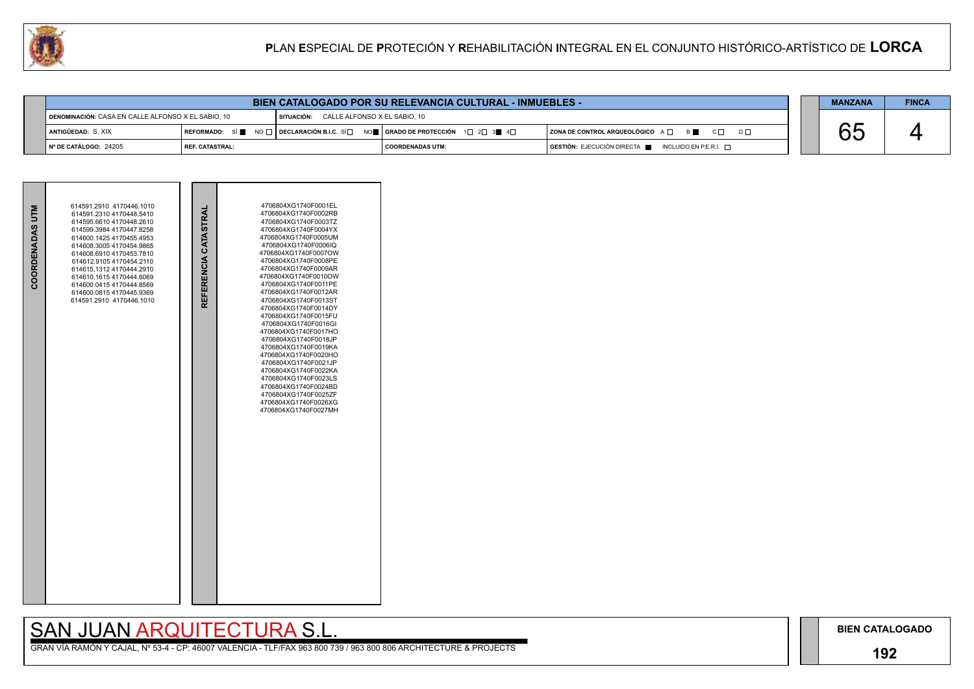## **192**

## SAN JUAN ARQUITECTURA S.L.

|                                                    |                   | <b>BIEN CATALOGADO POR SU RELEVANCIA CULTURAL - INMUEBLES -</b>                                                                                       |                                         |  |                                                                        |  | <b>MANZANA</b> | <b>FINCA</b> |
|----------------------------------------------------|-------------------|-------------------------------------------------------------------------------------------------------------------------------------------------------|-----------------------------------------|--|------------------------------------------------------------------------|--|----------------|--------------|
| DENOMINACIÓN: CASA EN CALLE ALFONSO X EL SABIO, 10 |                   |                                                                                                                                                       | SITUACIÓN: CALLE ALFONSO X EL SABIO, 10 |  |                                                                        |  |                |              |
| <b>i</b> antigüedad: S. XIX                        |                   | REFORMADO: SÍ $\blacksquare$ NO $\Box$ DECLARACIÓN B.I.C. SÍ $\Box$ NO $\blacksquare$ GRADO DE PROTECCIÓN 1 $\Box$ 2 $\Box$ 3 $\blacksquare$ 4 $\Box$ |                                         |  | $ $ ZONA DE CONTROL ARQUEOLÓGICO $A \Box$ $B \Box$ $C \Box$ $D \Box$   |  | nņ<br>UL       |              |
| I Nº DE CATÁLOGO: 24205                            | I REF. CATASTRAL: |                                                                                                                                                       | COORDENADAS UTM:                        |  | $GESTIÓN: EJECUCIÓN DIRECTA \blacksquare INCLUIDO EN P.E.R.I. \square$ |  |                |              |

|     | <b>MANZANA</b> | <b>FINCA</b> |
|-----|----------------|--------------|
|     |                |              |
| D L |                |              |
|     |                |              |

| COORDENADAS UTM | 614591.2910 4170446.1010<br>614591.2310 4170448.5410<br>614595.6610 4170448.2610<br>614599.3984 4170447.8258<br>614600.1425 4170455.4953<br>614608 3005 4170454 9865<br>614608.6910 4170453.7810<br>614612.9105 4170454.2110<br>614615.1312 4170444.2910<br>614610.1615 4170444.6069<br>614600.0415 4170444.8569<br>614600.0815 4170445.9369<br>614591.2910 4170446.1010 | REFERENCIA CATASTRAL | 4706804XG1740F0002RB<br>4706804XG1740F0003TZ<br>4706804XG1740F0004YX<br>4706804XG1740F0005UM<br>4706804XG1740F0006IQ<br>4706804XG1740F0007OW<br>4706804XG1740F0008PE<br>4706804XG1740F0009AR<br>4706804XG1740F0010OW<br>4706804XG1740F0011PE<br>4706804XG1740F0012AR<br>4706804XG1740F0013ST<br>4706804XG1740F0014DY<br>4706804XG1740F0015FU<br>4706804XG1740F0016GI<br>4706804XG1740F0017HO<br>4706804XG1740F0018JP<br>4706804XG1740F0019KA<br>4706804XG1740F0020HO<br>4706804XG1740F0021JP<br>4706804XG1740F0022KA<br>4706804XG1740F0023LS<br>4706804XG1740F0024BD<br>4706804XG1740F0025ZF<br>4706804XG1740F0026XG<br>4706804XG1740F0027MH |  |
|-----------------|--------------------------------------------------------------------------------------------------------------------------------------------------------------------------------------------------------------------------------------------------------------------------------------------------------------------------------------------------------------------------|----------------------|----------------------------------------------------------------------------------------------------------------------------------------------------------------------------------------------------------------------------------------------------------------------------------------------------------------------------------------------------------------------------------------------------------------------------------------------------------------------------------------------------------------------------------------------------------------------------------------------------------------------------------------------|--|

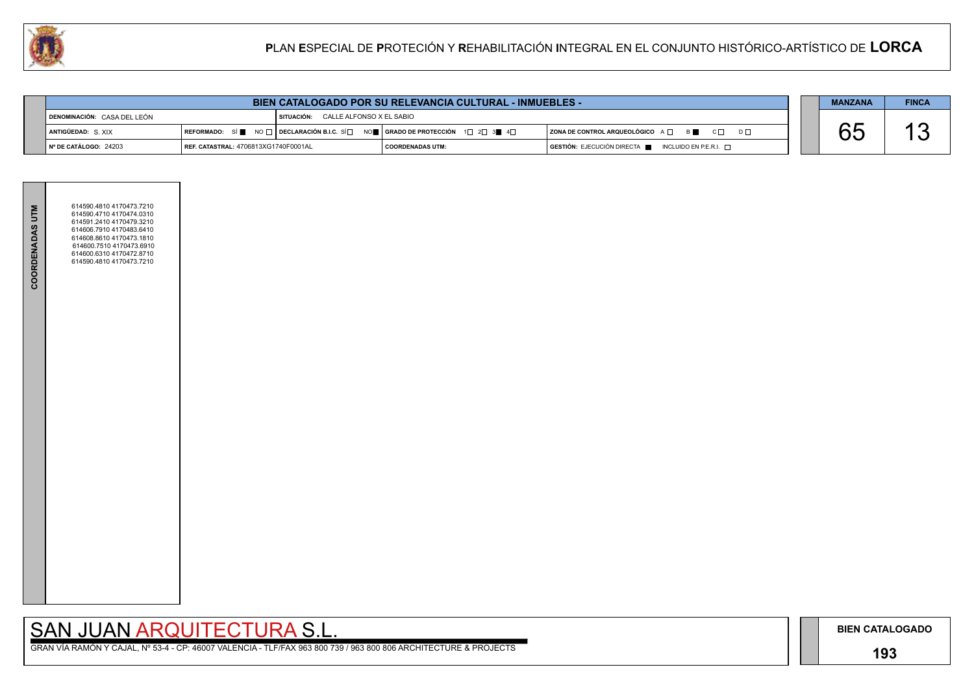

**The Common** 

**BIEN CATALOGADO**

## **193**

## SAN JUAN ARQUITECTURA S.L.

|  | <b>MANZANA</b> | <b>FINCA</b> |
|--|----------------|--------------|
|  |                |              |
|  |                |              |
|  |                |              |

| <b>COORDENADAS UTM</b> | 614590.4810 4170473.7210<br>614590.4710 4170474.0310<br>614591.2410 4170479.3210<br>614606.7910 4170483.6410<br>614608.8610 4170473.1810<br>614600.7510 4170473.6910<br>614600.6310 4170472.8710<br>614590.4810 4170473.7210 |  |  |
|------------------------|------------------------------------------------------------------------------------------------------------------------------------------------------------------------------------------------------------------------------|--|--|
|                        |                                                                                                                                                                                                                              |  |  |

| <b>BIEN CATALOGADO POR SU RELEVANCIA CULTURAL - INMUEBLES -</b> |                                      |                                              |                                                                                                                                                                        | <b>MANZANA</b>                                                                       | <b>FINCA</b> |  |
|-----------------------------------------------------------------|--------------------------------------|----------------------------------------------|------------------------------------------------------------------------------------------------------------------------------------------------------------------------|--------------------------------------------------------------------------------------|--------------|--|
| DENOMINACIÓN: CASA DEL LEÓN                                     |                                      | <b>I SITUACIÓN: CALLE ALFONSO X EL SABIO</b> |                                                                                                                                                                        |                                                                                      |              |  |
| <b>ANTIGÜEDAD: S.XIX</b>                                        |                                      |                                              | REFORMADO: SÍ $\blacksquare$ NO $\square$ DECLARACIÓN B.I.C. SÍ $\square$ NO $\blacksquare$   GRADO DE PROTECCIÓN 1 $\square$ 2 $\square$ 3 $\blacksquare$ 4 $\square$ | $ $ ZONA DE CONTROL ARQUEOLÓGICO $A \Box$ $B \Box$ $C \Box$                          |              |  |
| $\vert$ N° DE CATÁLOGO: 24203                                   | REF. CATASTRAL: 4706813XG1740F0001AL |                                              | COORDENADAS UTM:                                                                                                                                                       | $\overline{)}$ GESTIÓN: EJECUCIÓN DIRECTA $\blacksquare$ INCLUIDO EN P.E.R.I. $\Box$ |              |  |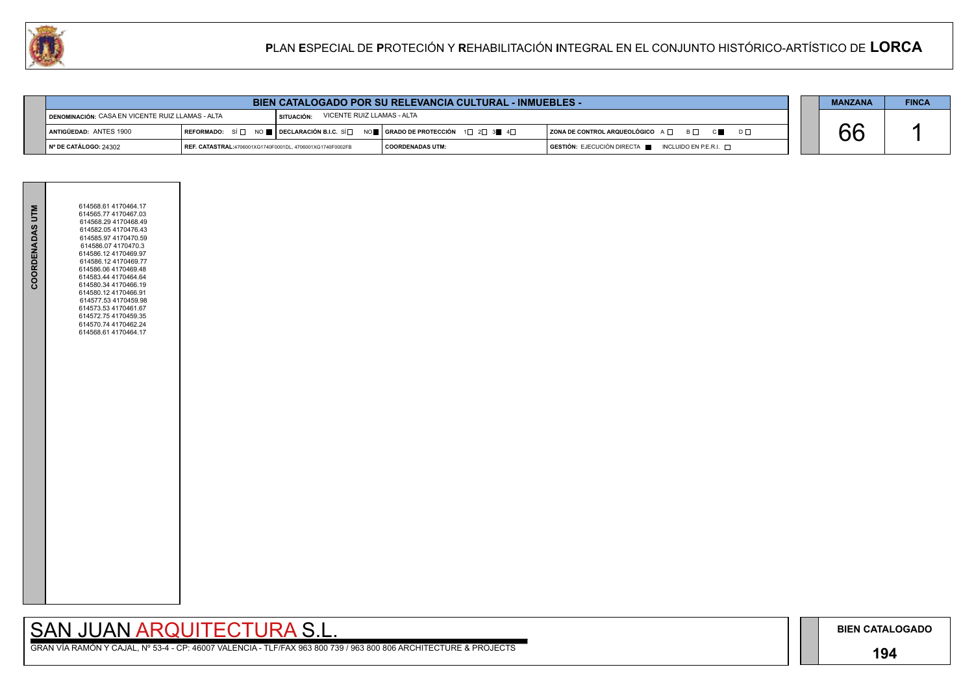### **194**

GRAN VÍA RAMÓN Y CAJAL, Nº 53-4 - CP: 46007 VALENCIA - TLF/FAX 963 800 739 / 963 800 806 ARCHITECTURE & PROJECTS

|     | <b>MANZANA</b> | <b>FINCA</b> |
|-----|----------------|--------------|
|     |                |              |
| D L |                |              |
|     |                |              |



|                                                           | <b>BIEN CATALOGADO POR SU RELEVANCIA CULTURAL - INMUEBLES -</b> |                                                           |                            |                                                                                                                                                       |                                                                                                     | <b>MANZANA</b> | <b>FINCA</b> |  |
|-----------------------------------------------------------|-----------------------------------------------------------------|-----------------------------------------------------------|----------------------------|-------------------------------------------------------------------------------------------------------------------------------------------------------|-----------------------------------------------------------------------------------------------------|----------------|--------------|--|
| <b>I DENOMINACIÓN: CASA EN VICENTE RUIZ LLAMAS - ALTA</b> |                                                                 | I SITUACIÓN:                                              | VICENTE RUIZ LLAMAS - ALTA |                                                                                                                                                       |                                                                                                     |                |              |  |
|                                                           | <b>I ANTIGÜEDAD: ANTES 1900</b>                                 |                                                           |                            | REFORMADO: SÍ $\square$ NO $\square$ DECLARACIÓN B.I.C. SÍ $\square$ NO $\square$ GRADO DE PROTECCIÓN 1 $\square$ 2 $\square$ 3 $\square$ 4 $\square$ | ZONA DE CONTROL ARQUEOLÓGICO $A \Box$ $B \Box$ $C \Box$                                             |                |              |  |
|                                                           | ∥ Nº DE CATÁLOGO: 24302                                         | REF. CATASTRAL:4706001XG1740F0001DL, 4706001XG1740F0002FB |                            | I COORDENADAS UTM:                                                                                                                                    | $\overline{G}$ <b>GESTIÓN:</b> EJECUCIÓN DIRECTA $\overline{F}$ INCLUIDO EN P.E.R.I. $\overline{F}$ |                |              |  |

| COORDENADAS UTM | 614568.61 4170464.17<br>614565.77 4170467.03<br>614568.29 4170468.49<br>614582.054170476.43<br>614585.97 4170470.59<br>614586.07 4170470.3<br>614586.12 4170469.97<br>614586.12 4170469.77<br>614586.06 4170469.48<br>614583.44 4170464.64<br>614580.34 4170466.19<br>614580.12 4170466.91<br>614577.53 4170459.98<br>614573.53 4170461.67<br>614572.75 4170459.35<br>614570.74 4170462.24<br>614568.61 4170464.17 |  |
|-----------------|--------------------------------------------------------------------------------------------------------------------------------------------------------------------------------------------------------------------------------------------------------------------------------------------------------------------------------------------------------------------------------------------------------------------|--|
|                 |                                                                                                                                                                                                                                                                                                                                                                                                                    |  |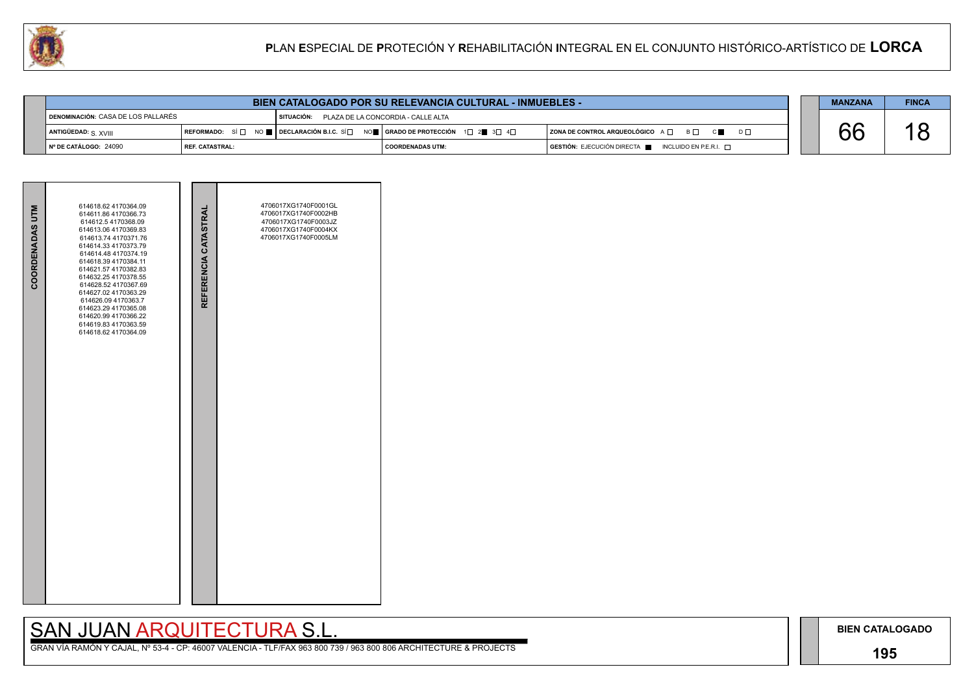## **195**

## SAN JUAN ARQUITECTURA S.L.

|     | <b>MANZANA</b> | <b>FINCA</b> |
|-----|----------------|--------------|
|     |                |              |
| ו ח |                |              |
|     |                |              |

| <b>BIEN CATALOGADO POR SU RELEVANCIA CULTURAL - INMUEBLES -</b> |                   |                                                                                                                                                     |                         | <b>MANZANA</b>                                                                       | <b>FINCA</b> |  |  |
|-----------------------------------------------------------------|-------------------|-----------------------------------------------------------------------------------------------------------------------------------------------------|-------------------------|--------------------------------------------------------------------------------------|--------------|--|--|
| DENOMINACIÓN: CASA DE LOS PALLARÉS                              |                   | I SITUACIÓN: PLAZA DE LA CONCORDIA - CALLE ALTA                                                                                                     |                         |                                                                                      |              |  |  |
| ANTIGÜEDAD: $S$ , $XVIII$                                       |                   | REFORMADO: SÍ $\square$ NO $\square$ DECLARACIÓN B.I.C. SÍ $\square$ NO $\square$ GRADO DE PROTECCIÓN $\square$ 2 $\square$ 3 $\square$ 4 $\square$ |                         | $ $ ZONA DE CONTROL ARQUEOLÓGICO $A \Box$ $B \Box$ $C \blacksquare$<br>$D \Box$      |              |  |  |
| ∥N° DE CATÁLOGO: 24090                                          | l REF. CATASTRAL: |                                                                                                                                                     | <b>COORDENADAS UTM:</b> | $\overline{S}$ GESTIÓN: EJECUCIÓN DIRECTA $\blacksquare$ INCLUIDO EN P.E.R.I. $\Box$ |              |  |  |

| <b>COORDENADAS UTM</b> | 614618.62 4170364.09<br>614611.86 4170366.73<br>614612.5 4170368.09<br>614613.06 4170369.83<br>614613.74 4170371.76<br>614614.33 4170373.79<br>614614.48 4170374.19<br>614618.39 4170384.11<br>614621.57 4170382.83<br>614632.25 4170378.55<br>614628.52 4170367.69<br>614627.02 4170363.29<br>614626.09 4170363.7<br>614623.29 4170365.08<br>614620.99 4170366.22<br>614619.83 4170363.59<br>614618.62 4170364.09 | REFERENCIA CATASTRAL | 4706017XG1740F0001GL<br>4706017XG1740F0002HB<br>4706017XG1740F0003JZ<br>4706017XG1740F0004KX<br>4706017XG1740F0005LM |  |
|------------------------|--------------------------------------------------------------------------------------------------------------------------------------------------------------------------------------------------------------------------------------------------------------------------------------------------------------------------------------------------------------------------------------------------------------------|----------------------|----------------------------------------------------------------------------------------------------------------------|--|
|                        |                                                                                                                                                                                                                                                                                                                                                                                                                    |                      |                                                                                                                      |  |

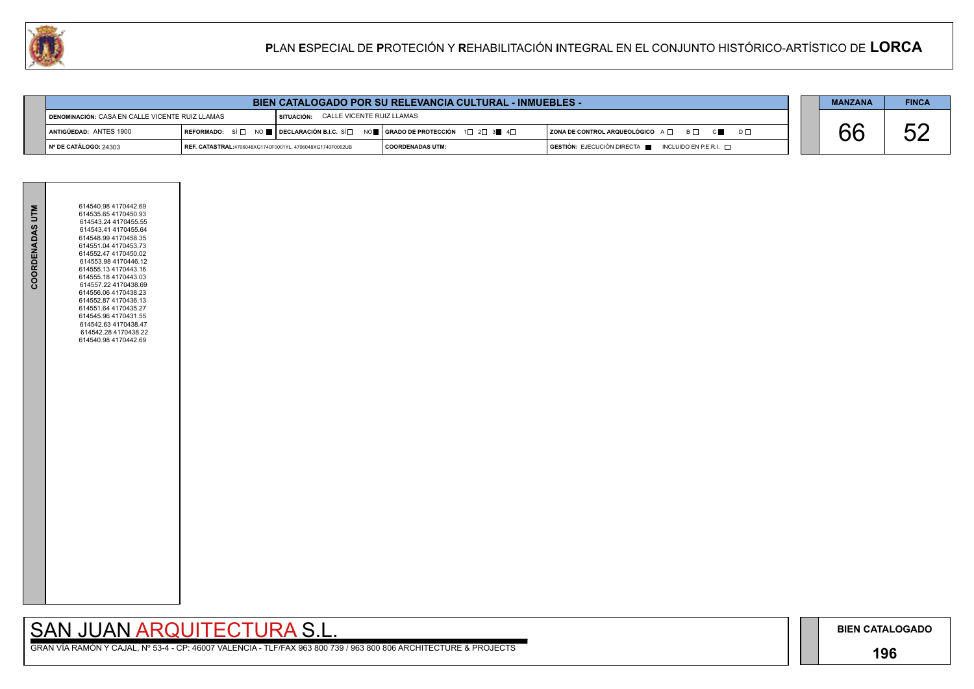## **196**

GRAN VÍA RAMÓN Y CAJAL, Nº 53-4 - CP: 46007 VALENCIA - TLF/FAX 963 800 739 / 963 800 806 ARCHITECTURE & PROJECTS

|  | <b>MANZANA</b> | <b>FINCA</b> |
|--|----------------|--------------|
|  |                |              |
|  |                |              |
|  |                |              |

| <b>BIEN CATALOGADO POR SU RELEVANCIA CULTURAL - INMUEBLES -</b> |  |  | <b>MANZANA</b> | <b>FINCA</b> |
|-----------------------------------------------------------------|--|--|----------------|--------------|
|-----------------------------------------------------------------|--|--|----------------|--------------|



| DENOMINACIÓN: CASA EN CALLE VICENTE RUIZ LLAMAS |                                                           | CALLE VICENTE RUIZ LLAMAS<br>SITUACIÓN: |                                                                                                                                                       |                                                                                      |  |  |
|-------------------------------------------------|-----------------------------------------------------------|-----------------------------------------|-------------------------------------------------------------------------------------------------------------------------------------------------------|--------------------------------------------------------------------------------------|--|--|
| ANTIGÜEDAD: ANTES 1900                          |                                                           |                                         | REFORMADO: SÍ $\square$ NO $\square$ DECLARACIÓN B.I.C. SÍ $\square$ NO $\square$ GRADO DE PROTECCIÓN 1 $\square$ 2 $\square$ 3 $\square$ 4 $\square$ | B O<br>$\vert$ ZONA DE CONTROL ARQUEOLÓGICO A $\Box$                                 |  |  |
| № DE CATÁLOGO: 24303                            | REF. CATASTRAL:4706048XG1740F0001YL, 4706048XG1740F0002UB |                                         | COORDENADAS UTM:                                                                                                                                      | $\blacksquare$ GESTIÓN: EJECUCIÓN DIRECTA $\blacksquare$ INCLUIDO EN P.E.R.I. $\Box$ |  |  |

| COORDENADAS UTM | 614540.98 4170442.69<br>614535.65 4170450.93<br>614543.24 4170455.55<br>614543.41 4170455.64<br>614548.99 4170458.35<br>614551.04 4170453.73<br>614552.47 4170450.02<br>614553.98 4170446.12<br>614555.13 4170443.16<br>614555.18 4170443.03<br>614557.22 4170438.69<br>614556.06 4170438.23<br>614552.87 4170436.13<br>614551.64 4170435.27<br>614545.96 4170431.55<br>614542.63 4170438.47<br>614542.28 4170438.22<br>614540.98 4170442.69 |  |
|-----------------|----------------------------------------------------------------------------------------------------------------------------------------------------------------------------------------------------------------------------------------------------------------------------------------------------------------------------------------------------------------------------------------------------------------------------------------------|--|
|                 |                                                                                                                                                                                                                                                                                                                                                                                                                                              |  |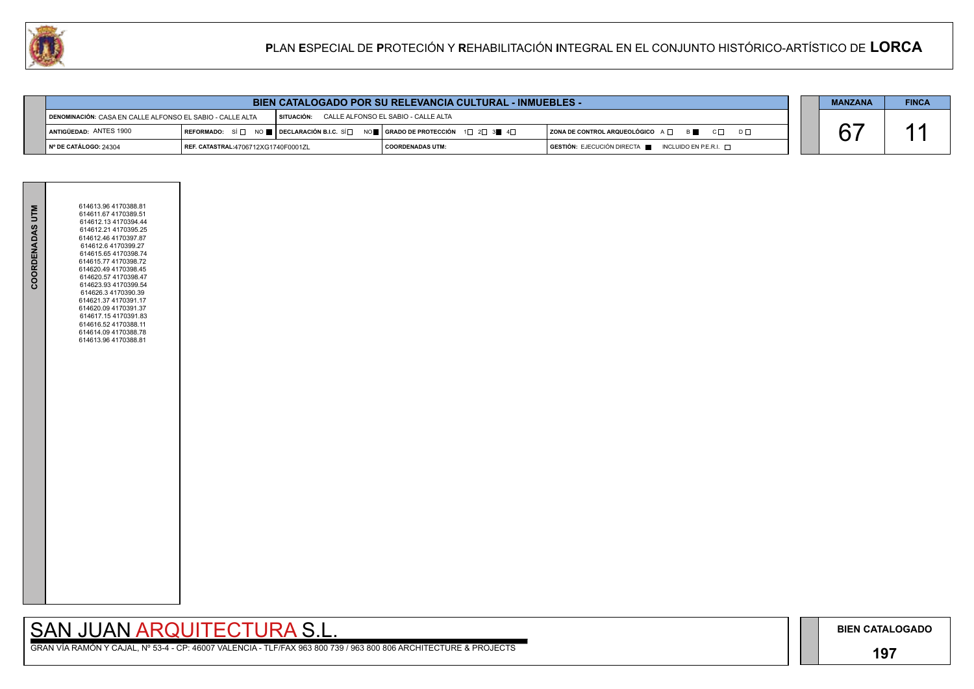## **197**

## SAN JUAN ARQUITECTURA S.L.

| $D \Box$ |  |
|----------|--|
|          |  |

| <b>MANZANA</b> | <b>FINCA</b> |
|----------------|--------------|
| $\mathsf{L}$ . |              |



|                                                           |                                     | <b>BIEN CATALOGADO POR SU RELEVANCIA CULTURAL - INMUEBLES -</b>                                                                                       |                                     |                                                                                      | <b>MANZANA</b> | <b>FINCA</b> |
|-----------------------------------------------------------|-------------------------------------|-------------------------------------------------------------------------------------------------------------------------------------------------------|-------------------------------------|--------------------------------------------------------------------------------------|----------------|--------------|
| DENOMINACIÓN: CASA EN CALLE ALFONSO EL SABIO - CALLE ALTA |                                     | I SITUACIÓN:                                                                                                                                          | CALLE ALFONSO EL SABIO - CALLE ALTA |                                                                                      |                |              |
| ANTIGÜEDAD: ANTES 1900                                    |                                     | REFORMADO: SÍ $\square$ No $\square$ Declaración B.I.C. SÍ $\square$ No $\square$ Grado de Protección 1 $\square$ 2 $\square$ 3 $\square$ 4 $\square$ |                                     | ZONA DE CONTROL ARQUEOLÓGICO A □ B ■ C □                                             |                |              |
| № DE CATÁLOGO: 24304                                      | REF. CATASTRAL:4706712XG1740F0001ZL |                                                                                                                                                       | I COORDENADAS UTM:                  | $\overline{)}$ GESTIÓN: EJECUCIÓN DIRECTA $\overline{)}$ INCLUIDO EN P.E.R.I. $\Box$ |                |              |

| COORDENADAS UTM | 614613.96 4170388.81<br>614611.67 4170389.51<br>614612.13 4170394.44<br>614612.21 4170395.25<br>614612.46 4170397.87<br>614612.6 4170399.27<br>614615.65 4170398.74<br>614615.77 4170398.72<br>614620.49 4170398.45<br>614620.57 4170398.47<br>614623.93 4170399.54<br>614626.3 4170390.39<br>614621.37 4170391.17<br>614620.09 4170391.37<br>614617.15 4170391.83<br>614616.52 4170388.11<br>614614.09 4170388.78<br>614613.96 4170388.81 |  |
|-----------------|--------------------------------------------------------------------------------------------------------------------------------------------------------------------------------------------------------------------------------------------------------------------------------------------------------------------------------------------------------------------------------------------------------------------------------------------|--|
|-----------------|--------------------------------------------------------------------------------------------------------------------------------------------------------------------------------------------------------------------------------------------------------------------------------------------------------------------------------------------------------------------------------------------------------------------------------------------|--|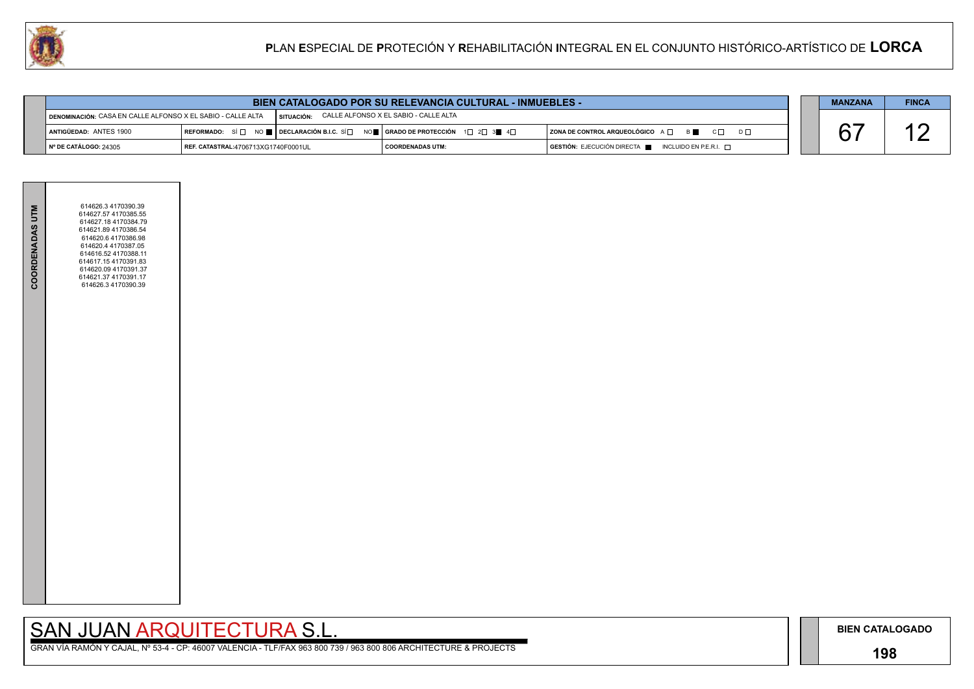## **198**

# SAN JUAN ARQUITECTURA S.L.

| $D \square$ |  |
|-------------|--|
|             |  |

| <b>MANZANA</b> | <b>FINCA</b> |
|----------------|--------------|
|                |              |



|                                                             |                                            |              | BIEN CATALOGADO POR SU RELEVANCIA CULTURAL - INMUEBLES -                                                                                              |                                                                                      | <b>MANZANA</b> | <b>FINCA</b> |
|-------------------------------------------------------------|--------------------------------------------|--------------|-------------------------------------------------------------------------------------------------------------------------------------------------------|--------------------------------------------------------------------------------------|----------------|--------------|
| DENOMINACIÓN: CASA EN CALLE ALFONSO X EL SABIO - CALLE ALTA |                                            | I SITUACIÓN: | CALLE ALFONSO X EL SABIO - CALLE ALTA                                                                                                                 |                                                                                      |                |              |
| ANTIGÜEDAD: ANTES 1900                                      |                                            |              | REFORMADO: SÍ $\square$ NO $\square$ DECLARACIÓN B.I.C. SÍ $\square$ NO $\square$ GRADO DE PROTECCIÓN 1 $\square$ 2 $\square$ 3 $\square$ 4 $\square$ | $ $ ZONA DE CONTROL ARQUEOLÓGICO $A \Box$ $B \Box$ $C \Box$<br>$D \Box$              |                |              |
| $\blacksquare$ N° DE CATÁLOGO: 24305                        | <b>REF. CATASTRAL:4706713XG1740F0001UL</b> |              | COORDENADAS UTM:                                                                                                                                      | $\overline{)}$ GESTIÓN: EJECUCIÓN DIRECTA $\overline{ }$ INCLUIDO EN P.E.R.I. $\Box$ |                |              |

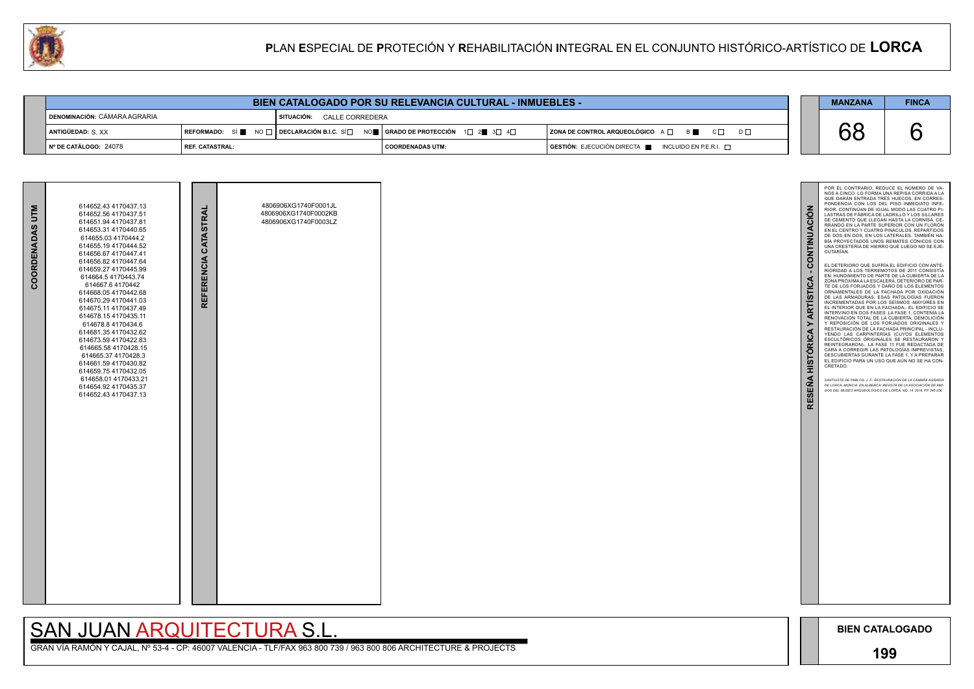### **199**

68 6 POR EL CONTRARIO, REDUCE EL NÚMERO DE VA - NOS A CINCO. LO FORMA UNA REPISA CORRIDA A LA QUE DARAN ENTRADA TRES HUECOS, EN CORRES-PONDENCIA CON LOS DEL PISO INMEDIATO INFE - RIOR. CONTINÚAN DE IGUAL MODO LAS CUATRO PI - CONTINUACIÓN **RESEÑA HISTÓRICA Y ARTÍSTICA - CONTINUACIÓN** LASTRAS DE FÁBRICA DE LADRILLO Y LOS SILLARES DE CEMENTO QUE LLEGAN HASTA LA CORNISA, CE - RRANDO EN LA PARTE SUPERIOR CON UN FLORÓN EN EL CENTRO Y CUATRO PINÁCULOS, REPARTIDOS DE DOS EN DOS, EN LOS LATERALES. TAMBIÉN HA - BÍA PROYECTADOS UNOS REMATES CÓNICOS CON UNA CRESTERÍA DE HIERRO QUE LUEGO NO SE EJE - CUTARÍAN. EL DETERIORO QUE SUFRÍA EL EDIFICIO CON ANTE-RIORIDAD A LOS TERREMOTOS DE 2011 CONSISTIA<br>EN: HUNDIMIENTO DE PARTE DE LA CUBIERTA DE LA<br>ZONA PRÓXIMA A LA ESCALERA, DETERIORO DE PAR-**ARTÍSTICA** TE DE LOS FORJADOS Y DANO DE LOS ELEMENTOS<br>ORNAMENTALES DE LA FACHADA POR OXIDACIÓN<br>DE LAS ARMADURAS. ESAS PATOLOGÍAS FUERON INCREMENTADAS POR LOS SEÍSMOS -MAYORES EN EL INTERIOR QUE EN LA FACHADA-. EL EDIFICIO SE INTERVINO EN DOS FASES: LA FASE 1, CONTENÍA LA RENOVACIÓN TOTAL DE LA CUBIERTA, DEMOLICIÓN<br>Y REPOSICIÓN DE LOS FORJADOS ORIGINALES Y<br>RESTAURACIÓN DE LA FACHADA PRINCIPAL - INCLU- $\geq$ **HISTÓRICA** YENDO LAS CARPINTERÍAS (CUYOS ELEMENTOS ESCULTÓRICOS ORIGINALES SE RESTAURARON Y REINTEGRARON)-. LA FASE 11 FUE REDACTADA DE CARA A CORREGIR LAS PATOLOGIAS IMPREVISTAS,<br>DESCUBIERTAS DURANTE LA FASE 1, Y A PREPARAR<br>EL EDIFICIO PARA UN USO QUE AÚN NO SE HA CON-CRETADO. **RESEÑA** *SANTIUSTE DE PABLOS, J. F.: RESTAURACIÓN DE LA CÁMARA AGRARIA DE LORCA, MURCIA. EN ALBERCA: REVISTA DE LA ASOCIACIÓN DE AMI - GOS DEL MUSEO ARQUEOLÓGICO DE LORCA, NQ, 14. 2016. PP. 245-256.*

GRAN VÍA RAMÓN Y CAJAL, Nº 53-4 - CP: 46007 VALENCIA - TLF/FAX 963 800 739 / 963 800 806 ARCHITECTURE & PROJECTS



| 以                                     |                        |                            |                                                                                                                                                                               | <b>PLAN ESPECIAL DE PROTECIÓN Y REHABILITACIÓN INTEGRAL EN EL CONJUNTO HISTÓRICO-ARTÍSTICO DE LORCA</b> |                |              |
|---------------------------------------|------------------------|----------------------------|-------------------------------------------------------------------------------------------------------------------------------------------------------------------------------|---------------------------------------------------------------------------------------------------------|----------------|--------------|
|                                       |                        |                            |                                                                                                                                                                               |                                                                                                         |                |              |
|                                       |                        |                            | <b>BIEN CATALOGADO POR SU RELEVANCIA CULTURAL - INMUEBLES -</b>                                                                                                               |                                                                                                         | <b>MANZANA</b> | <b>FINCA</b> |
| <b>I DENOMINACIÓN: CÁMARA AGRARIA</b> |                        | SITUACIÓN: CALLE CORREDERA |                                                                                                                                                                               |                                                                                                         |                |              |
| ANTIGÜEDAD: S. XX                     |                        |                            | REFORMADO: SÍ $\blacksquare$ NO $\square$ DECLARACIÓN B.I.C. SÍ $\square$ NO $\blacksquare$   GRADO DE PROTECCIÓN $\bot$ 1 $\square$ 2 $\blacksquare$ 3 $\square$ 4 $\square$ | $ $ ZONA DE CONTROL ARQUEOLÓGICO $A \Box$ $B \Box$ $C \Box$<br>$D \Box$                                 | 68             |              |
| N° DE CATÁLOGO: 24078                 | <b>REF. CATASTRAL:</b> |                            | <b>COORDENADAS UTM:</b>                                                                                                                                                       | GESTIÓN: EJECUCIÓN DIRECTA ■ INCLUIDO EN P.E.R.I. □                                                     |                |              |

| COORDENADAS UTM | 614652.43 4170437.13<br>614652.56 4170437.51<br>614651.94 4170437.81<br>614653.31 4170440.65<br>614655.03 4170444.2<br>614655.194170444.52<br>614656.67 4170447.41<br>614656.82 4170447.64<br>614659.27 4170445.99<br>614664.5 4170443.74<br>614667.64170442<br>614668.054170442.68<br>614670.29 4170441.03<br>614675.11 4170437.49<br>614678.15 4170435.11<br>614678.8 4170434.6<br>614681.35 4170432.62<br>614673.59 4170422.83<br>614665.58 4170428.15<br>614665.37 4170428.3<br>614661.59 4170430.82<br>614659.754170432.05<br>614658.01 4170433.21<br>614654.92 4170435.37<br>614652.43 4170437.13 | REFERENCIA CATASTRAL | 4806906XG1740F0001JL<br>4806906XG1740F0002KB<br>4806906XG1740F0003LZ |  |
|-----------------|---------------------------------------------------------------------------------------------------------------------------------------------------------------------------------------------------------------------------------------------------------------------------------------------------------------------------------------------------------------------------------------------------------------------------------------------------------------------------------------------------------------------------------------------------------------------------------------------------------|----------------------|----------------------------------------------------------------------|--|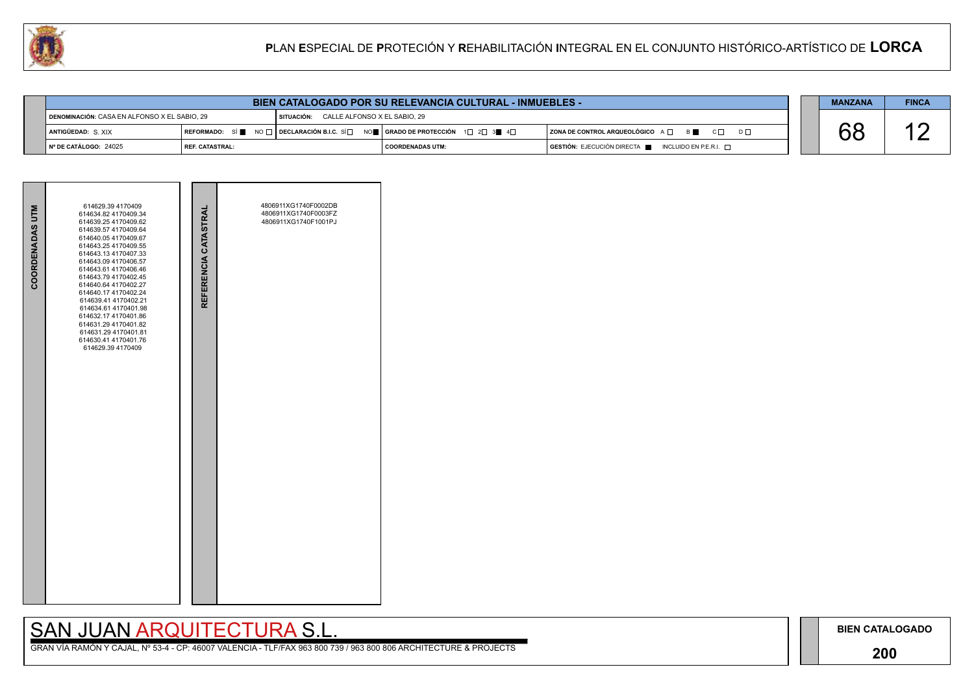### **200**

## SAN JUAN ARQUITECTURA S.L.

|    | <b>MANZANA</b> | <b>FINCA</b> |
|----|----------------|--------------|
| nГ |                |              |
|    |                |              |

|                                              |                        |                                         | <b>BIEN CATALOGADO POR SU RELEVANCIA CULTURAL - INMUEBLES -</b>                                                                                                                   |                                                                                      | <b>MANZANA</b> | <b>FINCA</b> |
|----------------------------------------------|------------------------|-----------------------------------------|-----------------------------------------------------------------------------------------------------------------------------------------------------------------------------------|--------------------------------------------------------------------------------------|----------------|--------------|
| DENOMINACIÓN: CASA EN ALFONSO X EL SABIO. 29 |                        | SITUACIÓN: CALLE ALFONSO X EL SABIO. 29 |                                                                                                                                                                                   |                                                                                      |                |              |
| ANTIGÜEDAD: S.XIX                            |                        |                                         | $\mid$ REFORMADO: SÍ $\blacksquare$ NO $\Box$ $\mid$ DECLARACIÓN B.I.C. SÍ $\Box$ NO $\blacksquare$   GRADO DE PROTECCIÓN $\parallel$ 1 $\Box$ 2 $\Box$ 3 $\blacksquare$ 4 $\Box$ | $ $ ZONA DE CONTROL ARQUEOLÓGICO $A \Box$ $B \Box$ $C \Box$<br>$D \Box$              |                |              |
| I № DE CATÁLOGO: 24025                       | <b>REF. CATASTRAL:</b> |                                         | <b>COORDENADAS UTM:</b>                                                                                                                                                           | $\overline{S}$ GESTIÓN: EJECUCIÓN DIRECTA $\blacksquare$ INCLUIDO EN P.E.R.I. $\Box$ |                |              |

| <b>COORDENADAS UTM</b> | 614629.39 4170409<br>614634.82 4170409.34<br>614639.25 4170409.62<br>614639.57 4170409.64<br>614640.05 4170409.67<br>614643.25 4170409.55<br>614643.13 4170407.33<br>614643.09 4170406.57<br>614643.61 4170406.46<br>614643.79 4170402.45<br>614640.64 4170402.27<br>614640.17 4170402.24<br>614639.41 4170402.21<br>614634.61 4170401.98<br>614632.17 4170401.86<br>614631.29 4170401.82<br>614631.29 4170401.81<br>614630.41 4170401.76<br>614629.39 4170409 | REFERENCIA CATASTRAL | 4806911XG1740F0002DB<br>4806911XG1740F0003FZ<br>4806911XG1740F1001PJ |  |
|------------------------|----------------------------------------------------------------------------------------------------------------------------------------------------------------------------------------------------------------------------------------------------------------------------------------------------------------------------------------------------------------------------------------------------------------------------------------------------------------|----------------------|----------------------------------------------------------------------|--|
|                        |                                                                                                                                                                                                                                                                                                                                                                                                                                                                |                      |                                                                      |  |

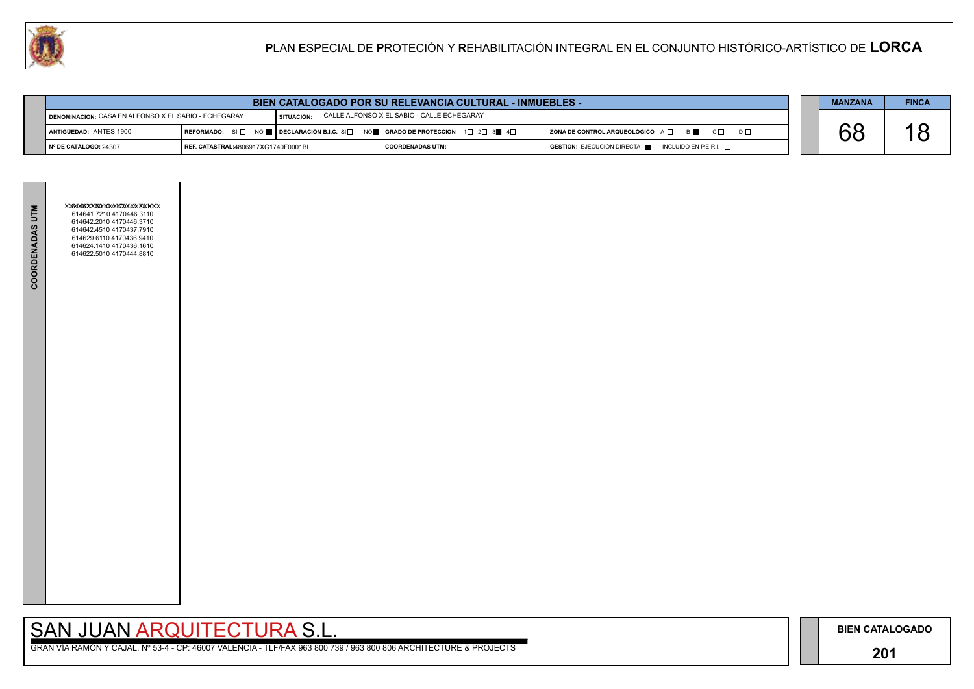### **201**

# SAN JUAN ARQUITECTURA S.L.

|     | <b>MANZANA</b> | <b>FINCA</b> |
|-----|----------------|--------------|
|     |                |              |
| D L |                |              |
|     |                |              |



| <b>BIEN CATALOGADO POR SU RELEVANCIA CULTURAL - INMUEBLES -</b>                                                  |                                     |                                                                                                                                |                         |  |                                                                        |  | <b>MANZANA</b> | <b>FINCA</b> |
|------------------------------------------------------------------------------------------------------------------|-------------------------------------|--------------------------------------------------------------------------------------------------------------------------------|-------------------------|--|------------------------------------------------------------------------|--|----------------|--------------|
| CALLE ALFONSO X EL SABIO - CALLE ECHEGARAY<br>DENOMINACIÓN: CASA EN ALFONSO X EL SABIO - ECHEGARAY<br>SITUACIÓN: |                                     |                                                                                                                                |                         |  |                                                                        |  |                |              |
| <b>LANTIGÜEDAD: ANTES 1900</b>                                                                                   | <b>IREFORMADO:</b> SÍ⊟              | NO $\blacksquare$ DECLARACIÓN B.I.C. SÍ $\Box$ NO $\blacksquare$ GRADO DE PROTECCIÓN $\Box$ 2 $\Box$ 3 $\blacksquare$ 4 $\Box$ |                         |  | $ $ ZONA DE CONTROL ARQUEOLÓGICO $A \Box$ $B \Box$ $C \Box$            |  |                |              |
| │ № DE CATÁLOGO: 24307                                                                                           | REF. CATASTRAL:4806917XG1740F0001BL |                                                                                                                                | <b>COORDENADAS UTM:</b> |  | $GESTIÓN: EJECUCIÓN DIRECTA \blacksquare INCLUIDO EN P.E.R.I. \square$ |  |                |              |

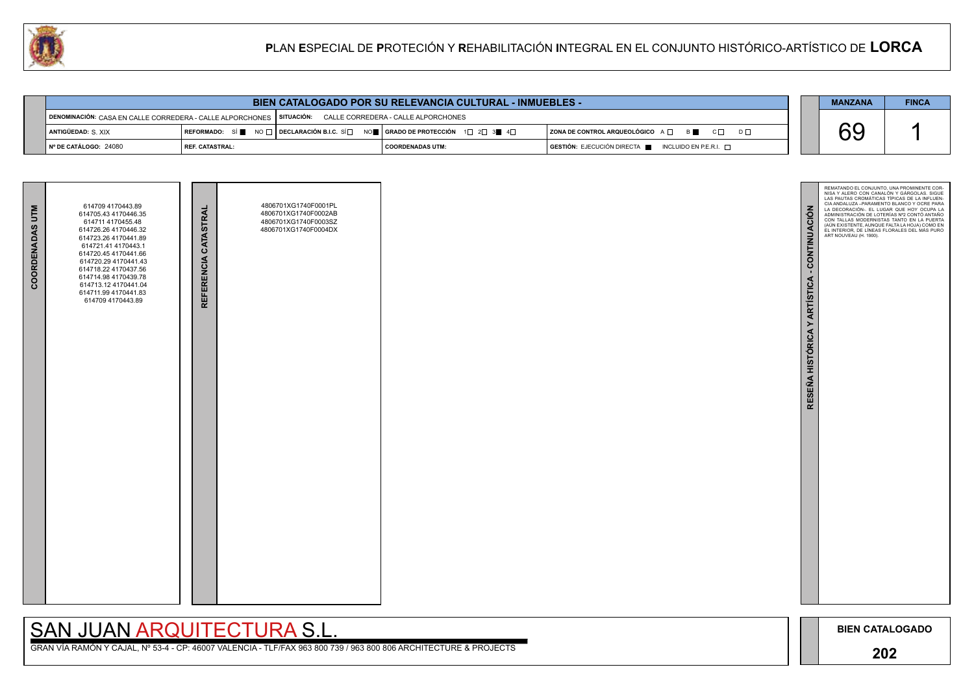

# SAN JUAN ARQUITECTURA S.L.

| <b>BIEN CATALOGADO POR SU RELEVANCIA CULTURAL - INMUEBLES -</b>                                            |                 |  |                                                                                                                                                                               |                                                                         |  |  | <b>FINCA</b> |
|------------------------------------------------------------------------------------------------------------|-----------------|--|-------------------------------------------------------------------------------------------------------------------------------------------------------------------------------|-------------------------------------------------------------------------|--|--|--------------|
| DENOMINACIÓN: CASA EN CALLE CORREDERA - CALLE ALPORCHONES   SITUACIÓN: CALLE CORREDERA - CALLE ALPORCHONES |                 |  |                                                                                                                                                                               |                                                                         |  |  |              |
| <b>  ANTIGÜEDAD:</b> S. XIX                                                                                |                 |  | REFORMADO: SÍ $\blacksquare$ No $\square$ Declaración B.I.C. Sí $\square$ No $\blacksquare$   Grado de Protección $\top$ 1 $\square$ 2 $\square$ 3 $\blacksquare$ 4 $\square$ | $ $ ZONA DE CONTROL ARQUEOLÓGICO $A \Box$ $B \Box$ $C \Box$<br>$D \Box$ |  |  |              |
| │ Nº DE CATÁLOGO: 24080                                                                                    | REF. CATASTRAL: |  | COORDENADAS UTM:                                                                                                                                                              | GESTIÓN: EJECUCIÓN DIRECTA NE INCLUIDO EN P.E.R.I.                      |  |  |              |

| <b>COORDENADAS UTM</b> | 614709 4170443.89<br>614705.43 4170446.35<br>614711 4170455.48<br>614726.26 4170446.32<br>614723.26 4170441.89<br>614721.41 4170443.1<br>614720.45 4170441.66<br>614720.29 4170441.43<br>614718.22 4170437.56<br>614714.98 4170439.78<br>614713.12 4170441.04<br>614711.99 4170441.83<br>614709 4170443.89 | REFERENCIA CATASTRAL | 4806701XG1740F0001PL<br>4806701XG1740F0002AB<br>4806701XG1740F0003SZ<br>4806701XG1740F0004DX |  |
|------------------------|------------------------------------------------------------------------------------------------------------------------------------------------------------------------------------------------------------------------------------------------------------------------------------------------------------|----------------------|----------------------------------------------------------------------------------------------|--|
|                        |                                                                                                                                                                                                                                                                                                            |                      |                                                                                              |  |

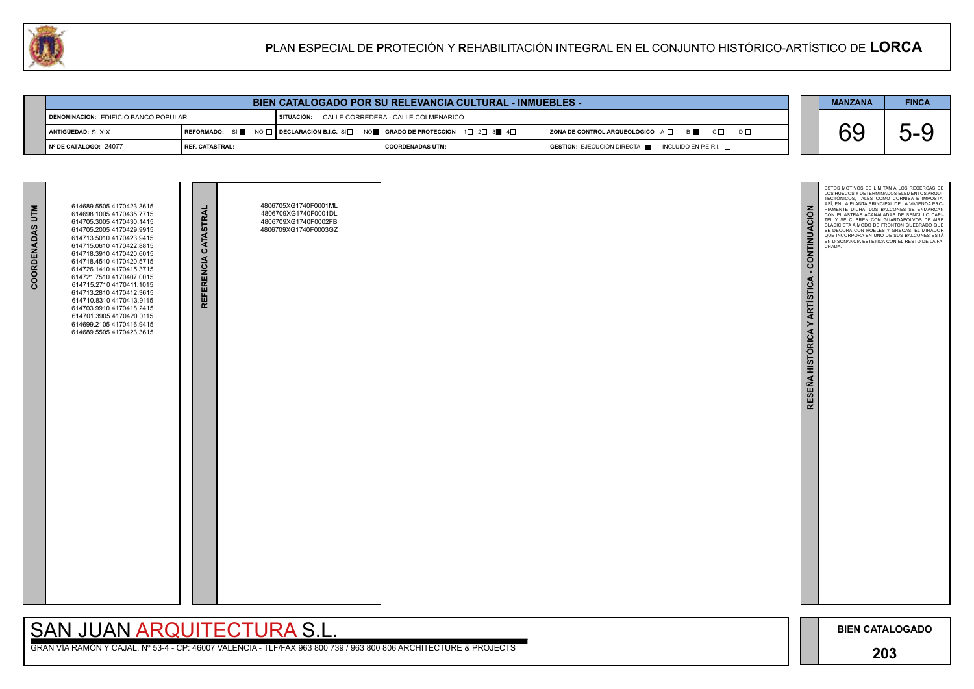

GRAN VÍA RAMÓN Y CAJAL, Nº 53-4 - CP: 46007 VALENCIA - TLF/FAX 963 800 739 / 963 800 806 ARCHITECTURE & PROJECTS

| <b>BIEN CATALOGADO POR SU RELEVANCIA CULTURAL - INMUEBLES -</b> |                 |  |                                                |  |                                                                                      |  | <b>MANZANA</b> | <b>FINCA</b>      |
|-----------------------------------------------------------------|-----------------|--|------------------------------------------------|--|--------------------------------------------------------------------------------------|--|----------------|-------------------|
| DENOMINACIÓN: EDIFICIO BANCO POPULAR                            |                 |  | SITUACIÓN: CALLE CORREDERA - CALLE COLMENARICO |  |                                                                                      |  |                |                   |
| ANTIGÜEDAD: S XIX                                               |                 |  |                                                |  | $ $ ZONA DE CONTROL ARQUEOLÓGICO $A \Box$ $B \Box$ $C \Box$<br>$D \Box$              |  |                | ∽<br>$\mathbf{r}$ |
| ∥N° DE CATÁLOGO: 24077                                          | REF. CATASTRAL: |  | I COORDENADAS UTM:                             |  | $\overline{S}$ GESTIÓN: EJECUCIÓN DIRECTA $\overline{S}$ INCLUIDO EN P.E.R.I. $\Box$ |  |                |                   |

| COORDENADAS UTM | 614689.5505 4170423.3615<br>614698.1005 4170435.7715<br>614705 3005 4170430 1415<br>614705.2005 4170429.9915<br>614713.5010 4170423.9415<br>614715.0610 4170422.8815<br>614718.3910 4170420.6015<br>614718.4510 4170420.5715<br>614726.1410 4170415.3715<br>614721.7510 4170407.0015<br>614715.2710 4170411.1015<br>614713.2810 4170412.3615<br>614710.8310 4170413.9115<br>614703.9910 4170418.2415<br>614701.3905 4170420.0115<br>614699.2105 4170416.9415<br>614689.5505 4170423.3615 | REFERENCIA CATASTRAL | 4806705XG1740F0001ML<br>4806709XG1740F0001DL<br>4806709XG1740F0002FB<br>4806709XG1740F0003GZ |  |
|-----------------|------------------------------------------------------------------------------------------------------------------------------------------------------------------------------------------------------------------------------------------------------------------------------------------------------------------------------------------------------------------------------------------------------------------------------------------------------------------------------------------|----------------------|----------------------------------------------------------------------------------------------|--|
|                 |                                                                                                                                                                                                                                                                                                                                                                                                                                                                                          |                      |                                                                                              |  |

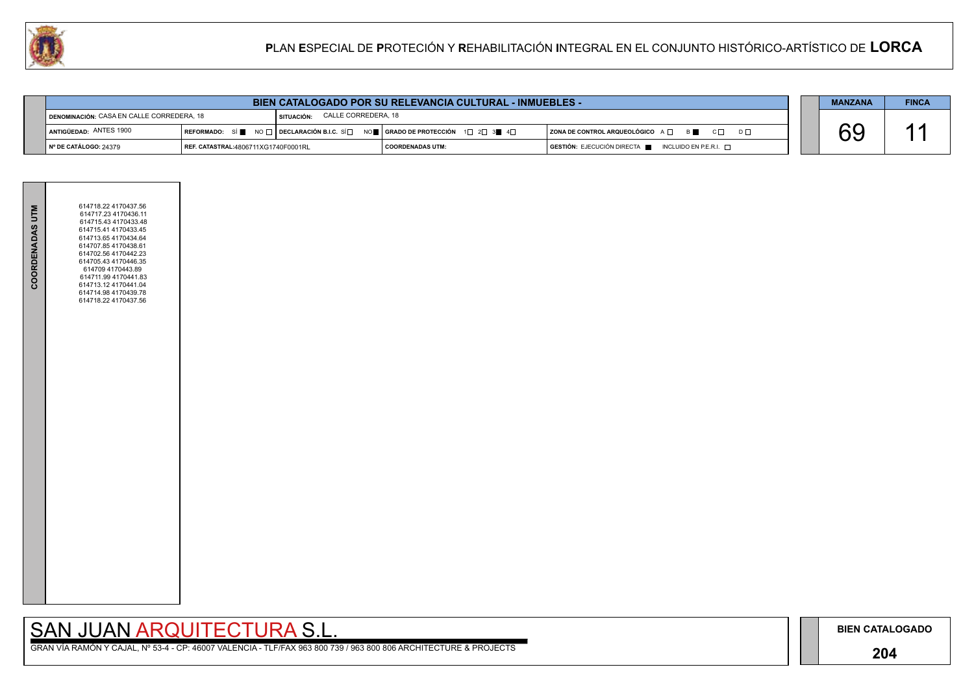### **204**

# SAN JUAN ARQUITECTURA S.L.

|  | <b>MANZANA</b> | <b>FINCA</b> |
|--|----------------|--------------|
|  |                |              |
|  |                |              |
|  |                |              |



| <b>BIEN CATALOGADO POR SU RELEVANCIA CULTURAL - INMUEBLES -</b> |                                     |            |                                                                             |                                                                                      |  |  | <b>FINCA</b> |  |
|-----------------------------------------------------------------|-------------------------------------|------------|-----------------------------------------------------------------------------|--------------------------------------------------------------------------------------|--|--|--------------|--|
| <b>I DENOMINACIÓN: CASA EN CALLE CORREDERA, 18</b>              |                                     | SITUACIÓN: | CALLE CORREDERA, 18                                                         |                                                                                      |  |  |              |  |
| ANTIGÜEDAD: ANTES 1900                                          |                                     |            | REFORMADO: SÍ NO T DECLARACIÓN B.I.C. SÍ NO T GRADO DE PROTECCIÓN 1 2 3 3 4 | $ $ ZONA DE CONTROL ARQUEOLÓGICO $A \Box$ $B \Box$ $C \Box$                          |  |  |              |  |
| ∥ Nº DE CATÁLOGO: 24379                                         | REF. CATASTRAL:4806711XG1740F0001RL |            | COORDENADAS UTM:                                                            | $\overline{)}$ GESTIÓN: EJECUCIÓN DIRECTA $\overline{)}$ INCLUIDO EN P.E.R.I. $\Box$ |  |  |              |  |

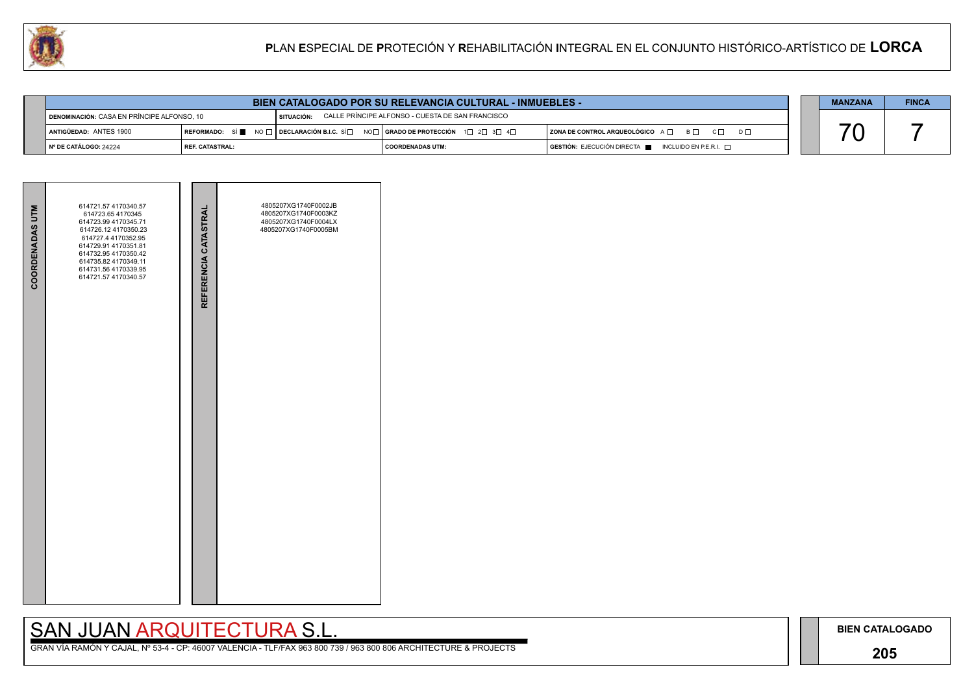## **205**

# SAN JUAN ARQUITECTURA S.L.





|                         | <b>BIEN CATALOGADO POR SU RELEVANCIA CULTURAL - INMUEBLES -</b> |  |                                                                                                                        |                                                                                                   |  |  |  |  |  |  |
|-------------------------|-----------------------------------------------------------------|--|------------------------------------------------------------------------------------------------------------------------|---------------------------------------------------------------------------------------------------|--|--|--|--|--|--|
|                         | DENOMINACIÓN: CASA EN PRÍNCIPE ALFONSO. 10                      |  | l situación:      CALLE PRÍNCIPE ALFONSO - CUESTA DE SAN FRANCISCO                                                     |                                                                                                   |  |  |  |  |  |  |
| ANTIGÜEDAD: ANTES 1900  |                                                                 |  | REFORMADO: SÍ NO $\Box$ DECLARACIÓN B.I.C. SÍ $\Box$ NO $\Box$ GRADO DE PROTECCIÓN 1 $\Box$ 2 $\Box$ 3 $\Box$ 4 $\Box$ | ZONA DE CONTROL ARQUEOLÓGICO A □ B □ C □ D □                                                      |  |  |  |  |  |  |
| │ Nº DE CATÁLOGO: 24224 | I REF. CATASTRAL:                                               |  |                                                                                                                        | $GESTIÓN: EJECUCIÓN DIRECTA \blacksquare INCLUIDO EN P.E.R.I. \square$<br><b>COORDENADAS UTM:</b> |  |  |  |  |  |  |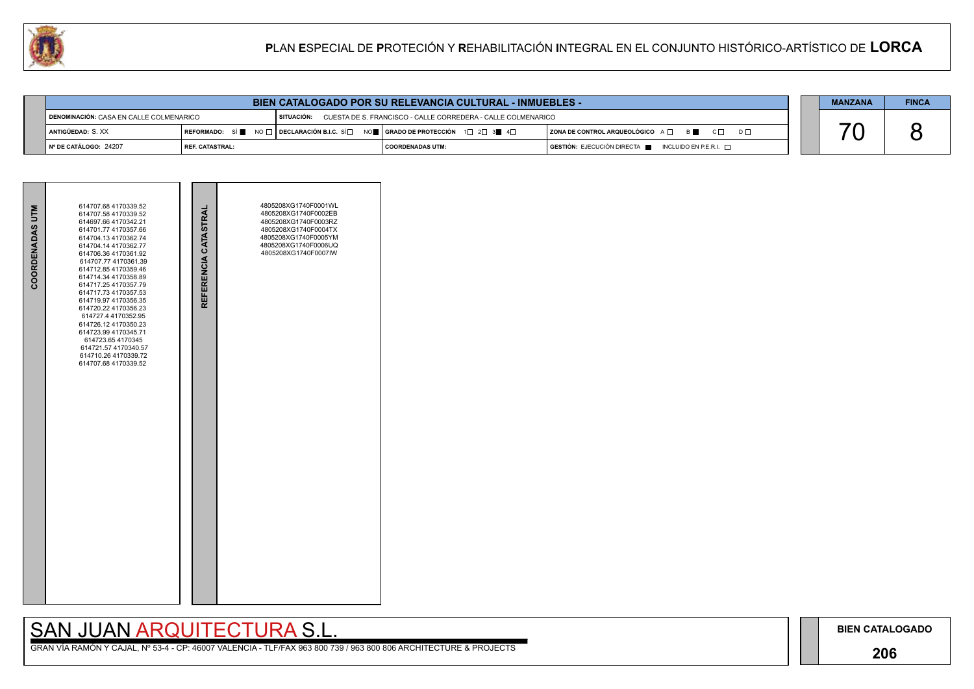## **206**

# SAN JUAN ARQUITECTURA S.L.

|                                                                        | <b>BIEN CATALOGADO POR SU RELEVANCIA CULTURAL - INMUEBLES -</b> |  |                                                                                                                                                       |                                                                                      |  |  | <b>FINCA</b> |
|------------------------------------------------------------------------|-----------------------------------------------------------------|--|-------------------------------------------------------------------------------------------------------------------------------------------------------|--------------------------------------------------------------------------------------|--|--|--------------|
| I SITUACIÓN:<br>$\blacksquare$ DENOMINACIÓN: CASA EN CALLE COLMENARICO |                                                                 |  | CUESTA DE S. FRANCISCO - CALLE CORREDERA - CALLE COLMENARICO                                                                                          |                                                                                      |  |  |              |
| <b>ANTIGÜEDAD: S. XX</b>                                               |                                                                 |  | REFORMADO: SÍ $\blacksquare$ NO $\Box$ DECLARACIÓN B.I.C. SÍ $\Box$ NO $\blacksquare$ GRADO DE PROTECCIÓN 1 $\Box$ 2 $\Box$ 3 $\blacksquare$ 4 $\Box$ | ZONA DE CONTROL ARQUEOLÓGICO A □ B C □ D □                                           |  |  |              |
| INº DE CATÁLOGO: 24207                                                 | <b>I REF. CATASTRAL:</b>                                        |  | I COORDENADAS UTM:                                                                                                                                    | $\overline{)}$ GESTIÓN: EJECUCIÓN DIRECTA $\blacksquare$ INCLUIDO EN P.E.R.I. $\Box$ |  |  |              |

| COORDENADAS UTM | 614707.68 4170339.52<br>614707.58 4170339.52<br>614697.66 4170342.21<br>614701.77 4170357.66<br>614704.13 4170362.74<br>614704.14 4170362.77<br>614706.36 4170361.92<br>614707.77 4170361.39<br>614712.85 4170359.46<br>614714.34 4170358.89<br>614717.25 4170357.79<br>614717.73 4170357.53<br>614719.97 4170356.35<br>614720.22 4170356.23<br>614727.4 4170352.95<br>614726.12 4170350.23<br>614723.99 4170345.71<br>614723.65 4170345<br>614721.57 4170340.57<br>614710.26 4170339.72<br>614707.68 4170339.52 | REFERENCIA CATASTRAL | 4805208XG1740F0001WL<br>4805208XG1740F0002EB<br>4805208XG1740F0003RZ<br>4805208XG1740F0004TX<br>4805208XG1740F0005YM<br>4805208XG1740F0006UQ<br>4805208XG1740F0007IW |  |
|-----------------|------------------------------------------------------------------------------------------------------------------------------------------------------------------------------------------------------------------------------------------------------------------------------------------------------------------------------------------------------------------------------------------------------------------------------------------------------------------------------------------------------------------|----------------------|----------------------------------------------------------------------------------------------------------------------------------------------------------------------|--|
|                 |                                                                                                                                                                                                                                                                                                                                                                                                                                                                                                                  |                      |                                                                                                                                                                      |  |

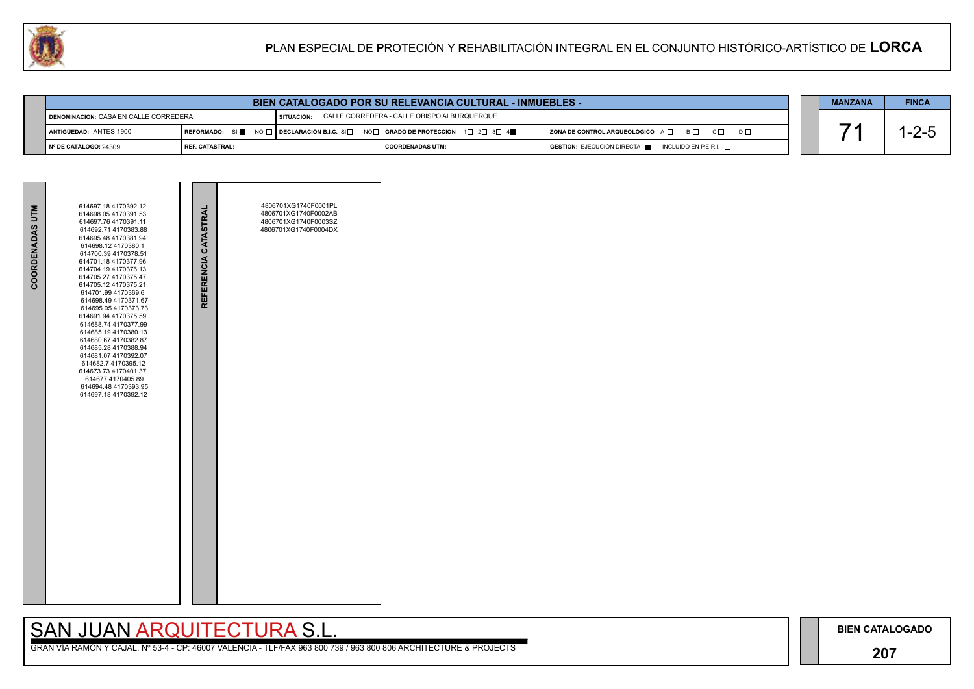## **207**

## SAN JUAN ARQUITECTURA S.L.



| COORDENADAS UTM | 614697.18 4170392.12<br>614698.054170391.53<br>614697.76 4170391.11<br>614692.71 4170383.88<br>614695.48 4170381.94<br>614698.124170380.1<br>614700.39 4170378.51<br>614701.18 4170377.96<br>614704.19 4170376.13<br>614705.27 4170375.47<br>614705.12 4170375.21<br>614701.99 4170369.6<br>614698.49 4170371.67<br>614695.05 4170373.73<br>614691.94 4170375.59<br>614688.74 4170377.99<br>614685.194170380.13<br>614680.67 4170382.87<br>614685.28 4170388.94<br>614681.07 4170392.07<br>614682.7 4170395.12<br>614673.73 4170401.37<br>614677 4170405.89<br>614694 48 4170393 95<br>614697.18 4170392.12 | REFERENCIA CATASTRAL | 4806701XG1740F0001PL<br>4806701XG1740F0002AB<br>4806701XG1740F0003SZ<br>4806701XG1740F0004DX |  |
|-----------------|-------------------------------------------------------------------------------------------------------------------------------------------------------------------------------------------------------------------------------------------------------------------------------------------------------------------------------------------------------------------------------------------------------------------------------------------------------------------------------------------------------------------------------------------------------------------------------------------------------------|----------------------|----------------------------------------------------------------------------------------------|--|

|                                                | <b>MANZANA</b>           | <b>FINCA</b> |                                                                                                                                                                 |                                                                                      |  |         |
|------------------------------------------------|--------------------------|--------------|-----------------------------------------------------------------------------------------------------------------------------------------------------------------|--------------------------------------------------------------------------------------|--|---------|
| <b>I DENOMINACIÓN: CASA EN CALLE CORREDERA</b> |                          | SITUACIÓN:   | CALLE CORREDERA - CALLE OBISPO ALBURQUERQUE                                                                                                                     |                                                                                      |  |         |
| ANTIGÜEDAD: ANTES 1900                         |                          |              | REFORMADO: SÍ $\blacksquare$ NO $\square$ DECLARACIÓN B.I.C. SÍ $\square$ NO $\square$ GRADO DE PROTECCIÓN 1 $\square$ 2 $\square$ 3 $\square$ 4 $\blacksquare$ | ZONA DE CONTROL ARQUEOLÓGICO A □ B □ C □ D □                                         |  | $ -2-1$ |
| № DE CATÁLOGO: 24309                           | <b>I REF. CATASTRAL:</b> |              | COORDENADAS UTM:                                                                                                                                                | $\overline{a}$ GESTIÓN: EJECUCIÓN DIRECTA $\overline{a}$ INCLUIDO EN P.E.R.I. $\Box$ |  |         |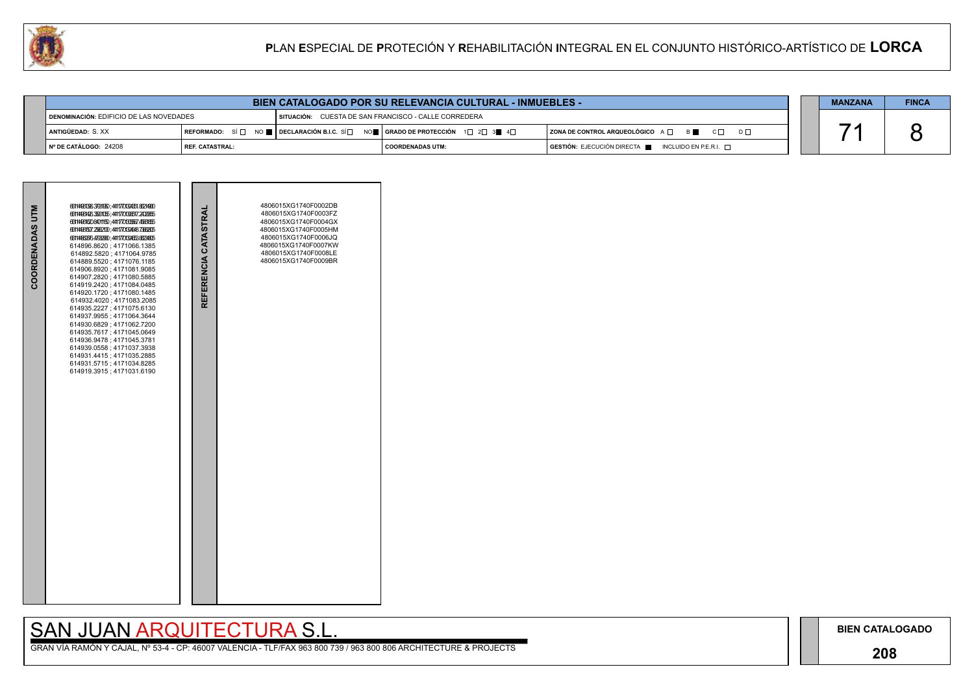### **208**

## SAN JUAN ARQUITECTURA S.L.

|                                         | <b>BIEN CATALOGADO POR SU RELEVANCIA CULTURAL - INMUEBLES -</b> |  |                                                                                                                                                                        |                                                                                      |  |  | <b>FINCA</b> |
|-----------------------------------------|-----------------------------------------------------------------|--|------------------------------------------------------------------------------------------------------------------------------------------------------------------------|--------------------------------------------------------------------------------------|--|--|--------------|
| DENOMINACIÓN: EDIFICIO DE LAS NOVEDADES |                                                                 |  | SITUACIÓN: CUESTA DE SAN FRANCISCO - CALLE CORREDERA                                                                                                                   |                                                                                      |  |  |              |
| ANTIGÜEDAD: S. XX                       |                                                                 |  | REFORMADO: SÍ $\square$ NO $\blacksquare$ DECLARACIÓN B.I.C. SÍ $\square$ NO $\blacksquare$   GRADO DE PROTECCIÓN 1 $\square$ 2 $\square$ 3 $\blacksquare$ 4 $\square$ | $ $ ZONA DE CONTROL ARQUEOLÓGICO $A \Box$ B $\Box$ C $\Box$ D $\Box$                 |  |  |              |
| INº DE CATÁLOGO: 24208                  | <b>I REF. CATASTRAL:</b>                                        |  | I COORDENADAS UTM:                                                                                                                                                     | $\overline{)}$ GESTIÓN: EJECUCIÓN DIRECTA $\blacksquare$ INCLUIDO EN P.E.R.I. $\Box$ |  |  |              |

|                 | 6614496139637981970;44117701394351.86214900<br>66144964263500055;4411770130517.2409955                                                                                                                                                                                                                                                                                                                                                                                                                                                                                                                                                            |                      | 4806015XG1740F0002DB<br>4806015XG1740F0003FZ<br>4806015XG1740F0004GX                                                 |  |
|-----------------|---------------------------------------------------------------------------------------------------------------------------------------------------------------------------------------------------------------------------------------------------------------------------------------------------------------------------------------------------------------------------------------------------------------------------------------------------------------------------------------------------------------------------------------------------------------------------------------------------------------------------------------------------|----------------------|----------------------------------------------------------------------------------------------------------------------|--|
| COORDENADAS UTM | 6611496162084011150;4411770133567.45661855<br>66144961507.2562100;441177013963137363835<br>66144869364793900;4411770130455385234805<br>614896.8620; 4171066.1385<br>614892.5820; 4171064.9785<br>614889.5520; 4171076.1185<br>614906.8920; 4171081.9085<br>614907.2820; 4171080.5885<br>614919.2420; 4171084.0485<br>614920.1720; 4171080.1485<br>614932.4020 ; 4171083.2085<br>614935.2227; 4171075.6130<br>614937.9955; 4171064.3644<br>614930.6829; 4171062.7200<br>614935.7617; 4171045.0649<br>614936.9478; 4171045.3781<br>614939.0558; 4171037.3938<br>614931.4415; 4171035.2885<br>614931.5715; 4171034.8285<br>614919.3915; 4171031.6190 | REFERENCIA CATASTRAL | 4806015XG1740F0005HM<br>4806015XG1740F0006JQ<br>4806015XG1740F0007KW<br>4806015XG1740F0008LE<br>4806015XG1740F0009BR |  |

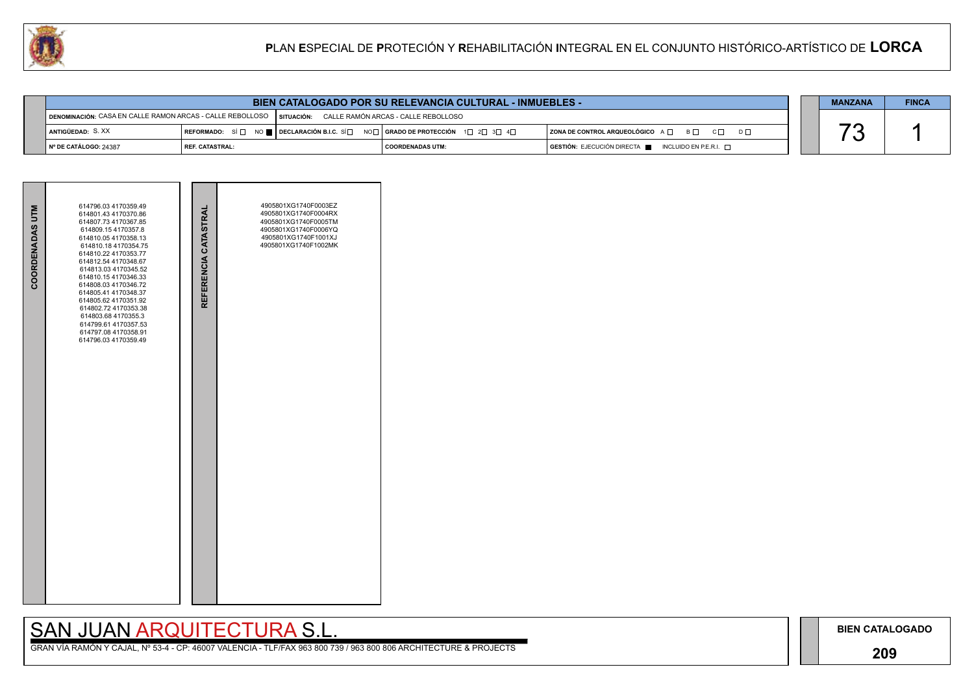### **209**

# SAN JUAN ARQUITECTURA S.L.





| <b>BIEN CATALOGADO POR SU RELEVANCIA CULTURAL - INMUEBLES -</b>                                            |                   |  |                                                                                                                                       |                                                                                      |  | <b>MANZANA</b> | <b>FINCA</b> |
|------------------------------------------------------------------------------------------------------------|-------------------|--|---------------------------------------------------------------------------------------------------------------------------------------|--------------------------------------------------------------------------------------|--|----------------|--------------|
| DENOMINACIÓN: CASA EN CALLE RAMON ARCAS - CALLE REBOLLOSO   SITUACIÓN: CALLE RAMÓN ARCAS - CALLE REBOLLOSO |                   |  |                                                                                                                                       |                                                                                      |  |                |              |
| ANTIGÜEDAD: S.XX                                                                                           |                   |  | REFORMADO: SÍ $\Box$ NO $\blacksquare$ DECLARACIÓN B.I.C. SÍ $\Box$ NO $\Box$ GRADO DE PROTECCIÓN 1 $\Box$ 2 $\Box$ 3 $\Box$ 4 $\Box$ | ZONA DE CONTROL ARQUEOLÓGICO A □ B □ C □ D □                                         |  |                |              |
| │ Nº DE CATÁLOGO: 24387                                                                                    | I REF. CATASTRAL: |  | I COORDENADAS UTM:                                                                                                                    | $\overline{)}$ GESTIÓN: EJECUCIÓN DIRECTA $\overline{)}$ INCLUIDO EN P.E.R.I. $\Box$ |  |                |              |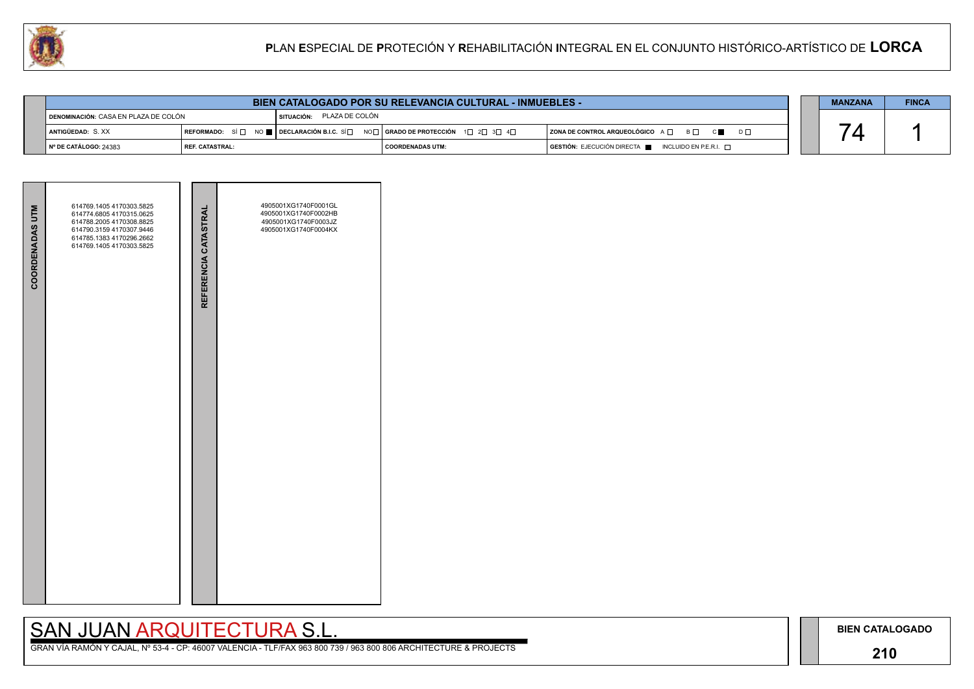## **210**

# SAN JUAN ARQUITECTURA S.L.

| <b>COORDENADAS UTM</b> | 614769.1405 4170303.5825<br>614774.6805 4170315.0625<br>614788.2005 4170308.8825<br>614790.3159 4170307.9446<br>614785.1383 4170296.2662<br>614769.1405 4170303.5825 | REFERENCIA CATASTRAL | 4905001XG1740F0001GL<br>4905001XG1740F0002HB<br>4905001XG1740F0003JZ<br>4905001XG1740F0004KX |  |
|------------------------|----------------------------------------------------------------------------------------------------------------------------------------------------------------------|----------------------|----------------------------------------------------------------------------------------------|--|
|                        |                                                                                                                                                                      |                      |                                                                                              |  |

|                                   | <b>BIEN CATALOGADO POR SU RELEVANCIA CULTURAL - INMUEBLES -</b> |  |                                                                                                                                                         |                                                                                      |  |  | <b>FINCA</b> |
|-----------------------------------|-----------------------------------------------------------------|--|---------------------------------------------------------------------------------------------------------------------------------------------------------|--------------------------------------------------------------------------------------|--|--|--------------|
|                                   | DENOMINACIÓN: CASA EN PLAZA DE COLÓN                            |  | SITUACIÓN: PLAZA DE COLÓN                                                                                                                               |                                                                                      |  |  |              |
| <b>ANTIGÜEDAD: S.XX</b>           |                                                                 |  | REFORMADO: SÍ $\square$ NO $\square$ DECLARACIÓN B.I.C. SÍ $\square$ NO $\square$   GRADO DE PROTECCIÓN 1 $\square$ 2 $\square$ 3 $\square$ 4 $\square$ | ZONA DE CONTROL ARQUEOLÓGICO A □ B □ C ■ D □                                         |  |  |              |
| $\parallel$ N° DE CATÁLOGO: 24383 | REF. CATASTRAL:                                                 |  | I COORDENADAS UTM:                                                                                                                                      | $\overline{)}$ GESTIÓN: EJECUCIÓN DIRECTA $\overline{)}$ INCLUIDO EN P.E.R.I. $\Box$ |  |  |              |

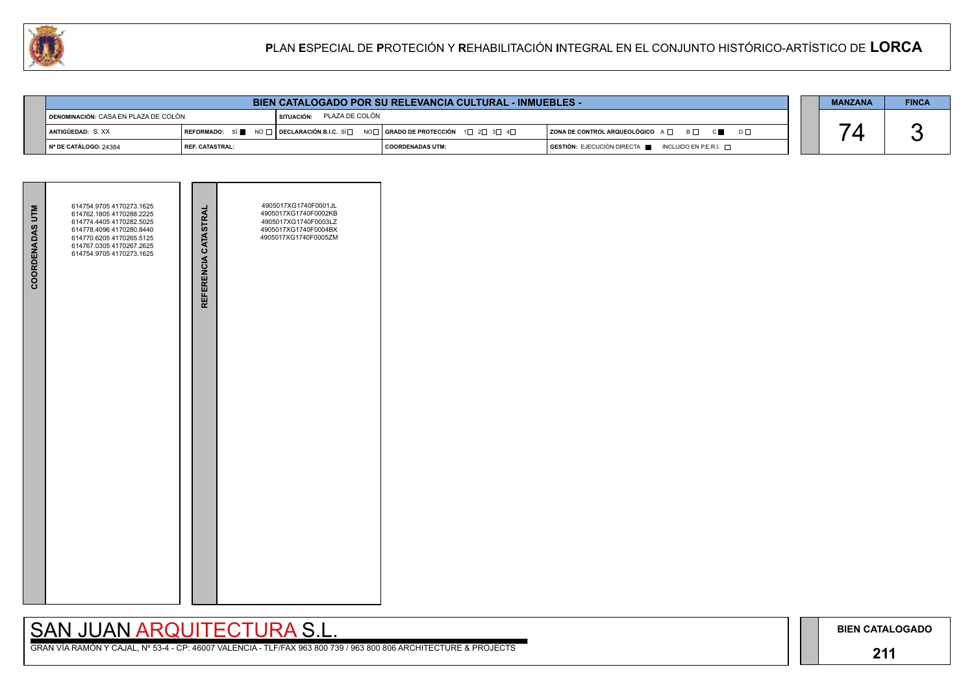## **211**

# SAN JUAN ARQUITECTURA S.L.

| <b>COORDENADAS UTM</b> | 614754.9705 4170273.1625<br>614762.1805 4170288.2225<br>614774.4405 4170282.5025<br>614778.4096 4170280.8440<br>614770.6205 4170265.5125<br>614767.0305 4170267.2625<br>614754.9705 4170273.1625 | REFERENCIA CATASTRAL | 4905017XG1740F0001JL<br>4905017XG1740F0002KB<br>4905017XG1740F0003LZ<br>4905017XG1740F0004BX<br>4905017XG1740F0005ZM |
|------------------------|--------------------------------------------------------------------------------------------------------------------------------------------------------------------------------------------------|----------------------|----------------------------------------------------------------------------------------------------------------------|
|                        |                                                                                                                                                                                                  |                      |                                                                                                                      |

|                                               | BIEN CATALOGADO POR SU RELEVANCIA CULTURAL - INMUEBLES - |                           |                                                                           |                                                                                              |  |  | <b>FINCA</b> |
|-----------------------------------------------|----------------------------------------------------------|---------------------------|---------------------------------------------------------------------------|----------------------------------------------------------------------------------------------|--|--|--------------|
| <b>す denominación:</b> CASA EN PLAZA DE COLÓN |                                                          | SITUACIÓN: PLAZA DE COLÓN |                                                                           |                                                                                              |  |  |              |
| I ANTIGÜEDAD: S.XX                            |                                                          |                           | REFORMADO: SÍ NO DE OBCLARACIÓN B.I.C. SÍ NO RADO DE PROTECCIÓN 1 2 3 3 4 | ZONA DE CONTROL ARQUEOLÓGICO A □ B □ C ■ D □                                                 |  |  |              |
| ∥ Nº DE CATÁLOGO: 24384                       | I REF. CATASTRAL:                                        |                           | I COORDENADAS UTM:                                                        | $\overline{S}$ GESTIÓN: EJECUCIÓN DIRECTA $\overline{S}$ INCLUIDO EN P.E.R.I. $\overline{S}$ |  |  |              |

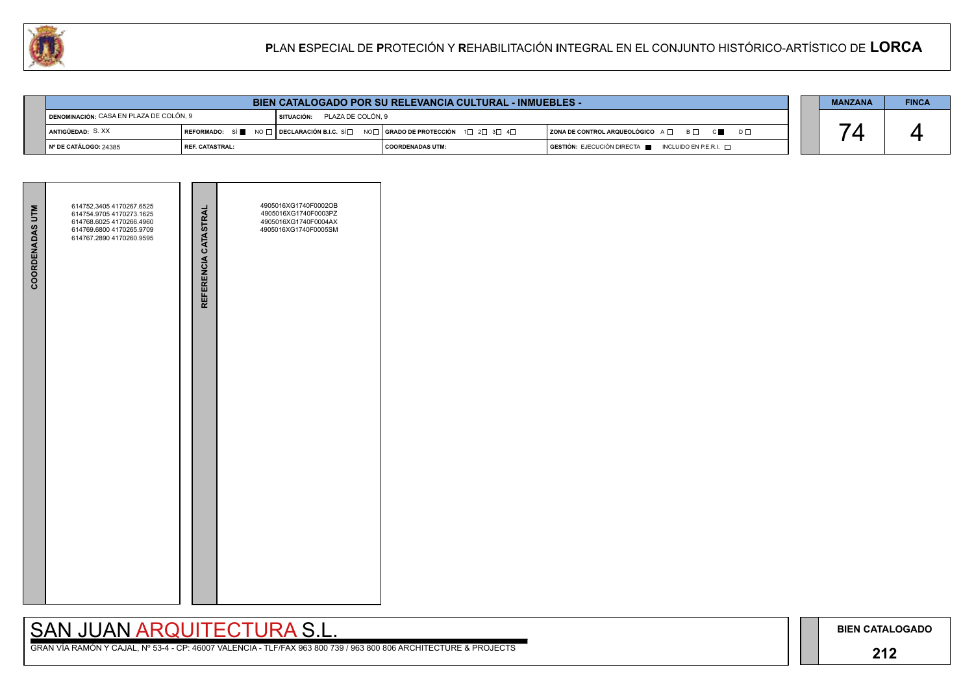## **212**

# SAN JUAN ARQUITECTURA S.L.

| <b>COORDENADAS UTM</b> | 614752.3405 4170267.6525<br>614754.9705 4170273.1625<br>614768.6025 4170266.4960<br>614769.6800 4170265.9709<br>614767.2890 4170260.9595 | REFERENCIA CATASTRAL | 4905016XG1740F0002OB<br>4905016XG1740F0003PZ<br>4905016XG1740F0004AX<br>4905016XG1740F0005SM |  |
|------------------------|------------------------------------------------------------------------------------------------------------------------------------------|----------------------|----------------------------------------------------------------------------------------------|--|

|                         | <b>BIEN CATALOGADO POR SU RELEVANCIA CULTURAL - INMUEBLES -</b> |  |                                                                             |                                                                                      |  |  | <b>FINCA</b> |
|-------------------------|-----------------------------------------------------------------|--|-----------------------------------------------------------------------------|--------------------------------------------------------------------------------------|--|--|--------------|
|                         | I DENOMINACIÓN: CASA EN PLAZA DE COLÓN, 9                       |  | <b>SITUACIÓN: PLAZA DE COLÓN. 9</b>                                         |                                                                                      |  |  |              |
| I ANTIGÜEDAD: S.XX      |                                                                 |  | REFORMADO: SÍ NO □ DECLARACIÓN B.I.C. SÍ NO GRADO DE PROTECCIÓN 1 2 3 3 4 D | ZONA DE CONTROL ARQUEOLÓGICO A □ B □ C ■ D □                                         |  |  |              |
| │ Nº DE CATÁLOGO: 24385 | <b>I REF. CATASTRAL:</b>                                        |  | COORDENADAS UTM:                                                            | $\overline{S}$ GESTIÓN: EJECUCIÓN DIRECTA $\overline{S}$ INCLUIDO EN P.E.R.I. $\Box$ |  |  |              |

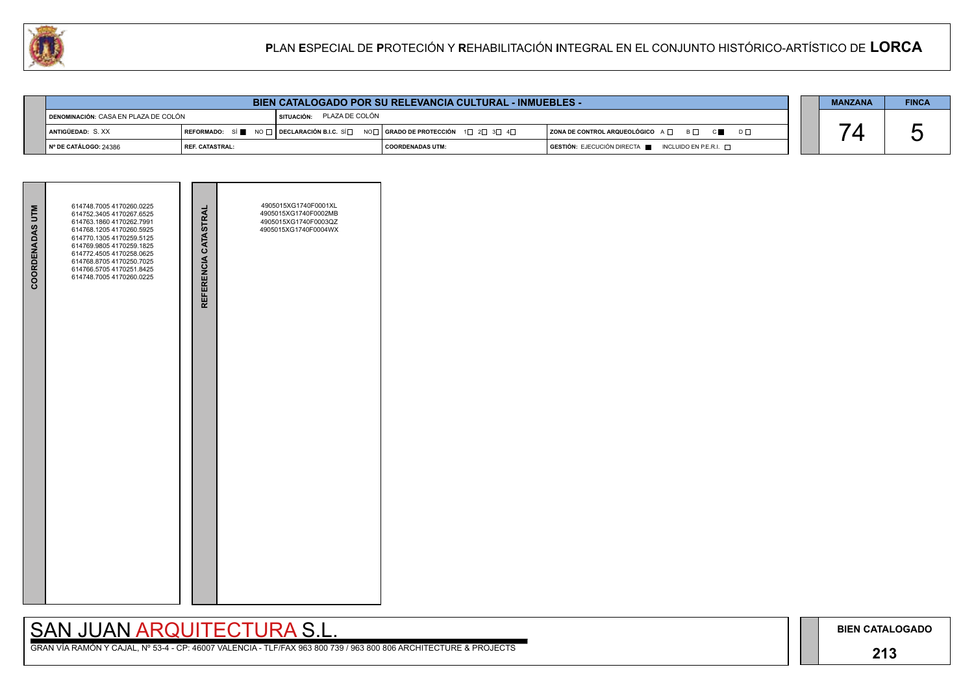## **213**

# SAN JUAN ARQUITECTURA S.L.

| <b>COORDENADAS UTM</b> | 614748.7005 4170260.0225<br>614752.3405 4170267.6525<br>614763.1860 4170262.7991<br>614768.1205 4170260.5925<br>614770.1305 4170259.5125<br>614769.9805 4170259.1825<br>614772.4505 4170258.0625<br>614768.8705 4170250.7025<br>614766.5705 4170251.8425<br>614748.7005 4170260.0225 | REFERENCIA CATASTRAL | 4905015XG1740F0001XL<br>4905015XG1740F0002MB<br>4905015XG1740F0003QZ<br>4905015XG1740F0004WX |  |
|------------------------|--------------------------------------------------------------------------------------------------------------------------------------------------------------------------------------------------------------------------------------------------------------------------------------|----------------------|----------------------------------------------------------------------------------------------|--|
|                        |                                                                                                                                                                                                                                                                                      |                      |                                                                                              |  |



|                                        | <b>BIEN CATALOGADO POR SU RELEVANCIA CULTURAL - INMUEBLES -</b> |                           |                                                                                                                                       |                                                                                      |  |  | <b>FINCA</b> |
|----------------------------------------|-----------------------------------------------------------------|---------------------------|---------------------------------------------------------------------------------------------------------------------------------------|--------------------------------------------------------------------------------------|--|--|--------------|
| ¶ DENOMINACIÓN: CASA EN PLAZA DE COLÓN |                                                                 | SITUACIÓN: PLAZA DE COLÓN |                                                                                                                                       |                                                                                      |  |  |              |
| ANTIGÜEDAD: S.XX                       |                                                                 |                           | REFORMADO: SÍ $\blacksquare$ NO $\Box$ DECLARACIÓN B.I.C. SÍ $\Box$ NO $\Box$ GRADO DE PROTECCIÓN 1 $\Box$ 2 $\Box$ 3 $\Box$ 4 $\Box$ | ZONA DE CONTROL ARQUEOLÓGICO A □ B □ C ■ D □                                         |  |  |              |
| │ Nº DE CATÁLOGO: 24386                | I REF. CATASTRAL:                                               |                           | COORDENADAS UTM:                                                                                                                      | $\overline{a}$ GESTIÓN: EJECUCIÓN DIRECTA $\overline{a}$ INCLUIDO EN P.E.R.I. $\Box$ |  |  |              |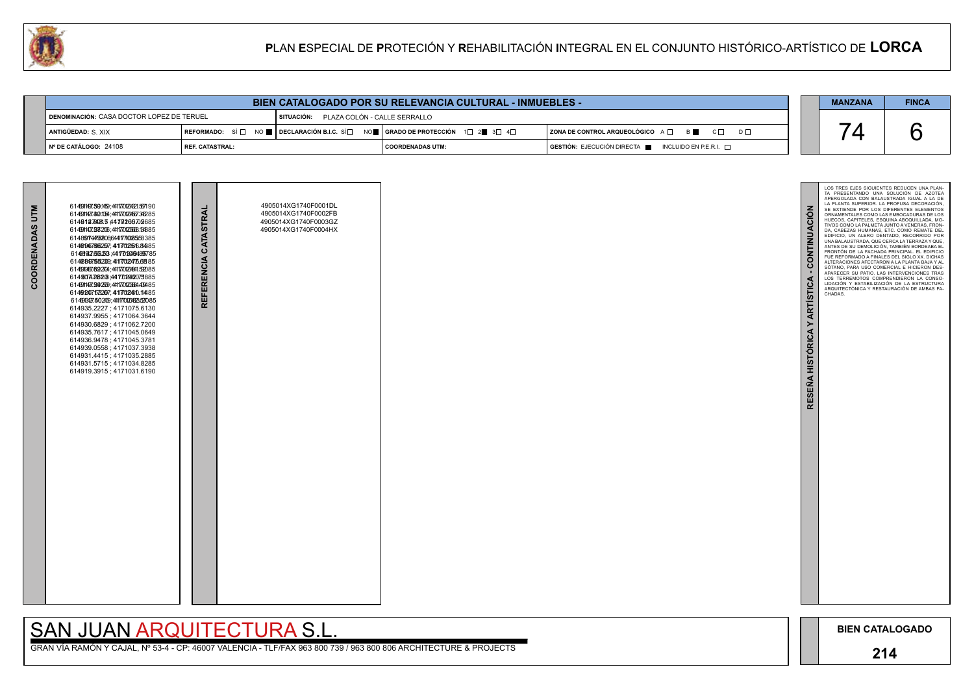

GRAN VÍA RAMÓN Y CAJAL, Nº 53-4 - CP: 46007 VALENCIA - TLF/FAX 963 800 739 / 963 800 806 ARCHITECTURE & PROJECTS

| <b>BIEN CATALOGADO POR SU RELEVANCIA CULTURAL - INMUEBLES -</b> |                 |                                                                                                                                                                                           |                                         |  |                                                                        |  |  | <b>FINCA</b> |
|-----------------------------------------------------------------|-----------------|-------------------------------------------------------------------------------------------------------------------------------------------------------------------------------------------|-----------------------------------------|--|------------------------------------------------------------------------|--|--|--------------|
| DENOMINACIÓN: CASA DOCTOR LOPEZ DE TERUEL                       |                 |                                                                                                                                                                                           | SITUACIÓN: PLAZA COLÓN - CALLE SERRALLO |  |                                                                        |  |  |              |
| ANTIGÜEDAD: S. XIX                                              |                 | $\mid$ REFORMADO: $\;$ SÍ $\Box$ $\;$ NO $\blacksquare$ $\mid$ DECLARACIÓN B.I.C. SÍ $\Box$ NO $\blacksquare$ $\mid$ GRADO DE PROTECCIÓN $\;$ 1 $\Box$ 2 $\blacksquare$ 3 $\Box$ 4 $\Box$ |                                         |  | ZONA DE CONTROL ARQUEOLÓGICO $A \Box$ $B \Box$ $C \Box$<br>$D \Box$    |  |  |              |
| Nº DE CATÁLOGO: 24108                                           | REF. CATASTRAL: |                                                                                                                                                                                           | I COORDENADAS UTM:                      |  | $GESTIÓN: EJECUCIÓN DIRECTA \blacksquare INCLUIDO EN P.E.R.I. \square$ |  |  |              |

| COORDENADAS UTM | 6146911497.50.1459,44117701204321.557190<br>6146911427.80.1054,44117701204557.345285<br>6140127808134470200702685<br>614591407.28206,4411770120668.13885<br>6148974495206644171008558385<br>6146896766257,441702568485<br>6148992582534470209489785<br>614689758209, 4117024766885<br>614690467892704,44117701204841592085<br>61496074.268208 441702042075885<br>6146911497.2492509,44117701206694409485<br>6149240753267,441702080.14485<br>614503427.502409,44117701204323527085<br>614935.2227; 4171075.6130<br>614937.9955; 4171064.3644<br>614930.6829; 4171062.7200<br>614935.7617; 4171045.0649<br>614936.9478; 4171045.3781<br>614939.0558; 4171037.3938<br>614931.4415; 4171035.2885<br>614931.5715; 4171034.8285<br>614919.3915; 4171031.6190 | REFERENCIA CATASTRAL | 4905014XG1740F0001DL<br>4905014XG1740F0002FB<br>4905014XG1740F0003GZ<br>4905014XG1740F0004HX |  |
|-----------------|---------------------------------------------------------------------------------------------------------------------------------------------------------------------------------------------------------------------------------------------------------------------------------------------------------------------------------------------------------------------------------------------------------------------------------------------------------------------------------------------------------------------------------------------------------------------------------------------------------------------------------------------------------------------------------------------------------------------------------------------------------|----------------------|----------------------------------------------------------------------------------------------|--|

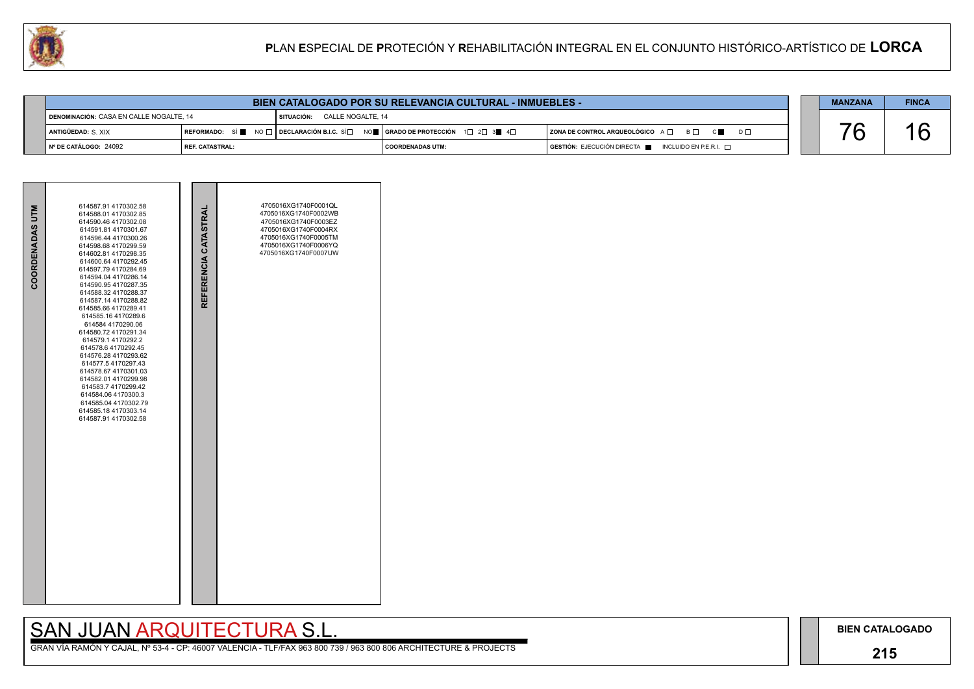## **215**

## SAN JUAN ARQUITECTURA S.L.

| <b>BIEN CATALOGADO POR SU RELEVANCIA CULTURAL - INMUEBLES -</b> |  |              |                                                                               |                                                                                      |  |  | <b>FINCA</b> |
|-----------------------------------------------------------------|--|--------------|-------------------------------------------------------------------------------|--------------------------------------------------------------------------------------|--|--|--------------|
| DENOMINACIÓN: CASA EN CALLE NOGALTE. 14                         |  | I SITUACIÓN: | CALLE NOGALTE. 14                                                             |                                                                                      |  |  |              |
| ANTIGÜEDAD: S. XIX                                              |  |              | REFORMADO: SÍ NO □ DECLARACIÓN B.I.C. SÍ NO I GRADO DE PROTECCIÓN 1 2 2 3 4 4 | ZONA DE CONTROL ARQUEOLÓGICO A □ B □ C ■ D □                                         |  |  |              |
| N° DE CATÁLOGO: 24092<br><b>I REF. CATASTRAL:</b>               |  |              | I COORDENADAS UTM:                                                            | $\overline{S}$ GESTIÓN: EJECUCIÓN DIRECTA $\overline{S}$ INCLUIDO EN P.E.R.I. $\Box$ |  |  |              |

| COORDENADAS UTM | 614587.91 4170302.58<br>614588.01 4170302.85<br>614590.46 4170302.08<br>614591.81 4170301.67<br>614596.44 4170300.26<br>614598.68 4170299.59<br>614602.81 4170298.35<br>614600.64 4170292.45<br>614597.79 4170284.69<br>614594.04 4170286.14<br>614590.95 4170287.35<br>614588.32 4170288.37<br>614587.14 4170288.82<br>614585.66 4170289.41<br>614585.16 4170289.6<br>614584 4170290.06<br>614580.72 4170291.34<br>614579.1 4170292.2<br>614578.6 4170292.45<br>614576.28 4170293.62<br>614577.5 4170297.43<br>614578.67 4170301.03<br>614582.01 4170299.98<br>614583.7 4170299.42<br>614584.06 4170300.3<br>614585.04 4170302.79<br>614585.18 4170303.14<br>614587.91 4170302.58 | REFERENCIA CATASTRAL | 4705016XG1740F0001QL<br>4705016XG1740F0002WB<br>4705016XG1740F0003EZ<br>4705016XG1740F0004RX<br>4705016XG1740F0005TM<br>4705016XG1740F0006YQ<br>4705016XG1740F0007UW |  |
|-----------------|------------------------------------------------------------------------------------------------------------------------------------------------------------------------------------------------------------------------------------------------------------------------------------------------------------------------------------------------------------------------------------------------------------------------------------------------------------------------------------------------------------------------------------------------------------------------------------------------------------------------------------------------------------------------------------|----------------------|----------------------------------------------------------------------------------------------------------------------------------------------------------------------|--|

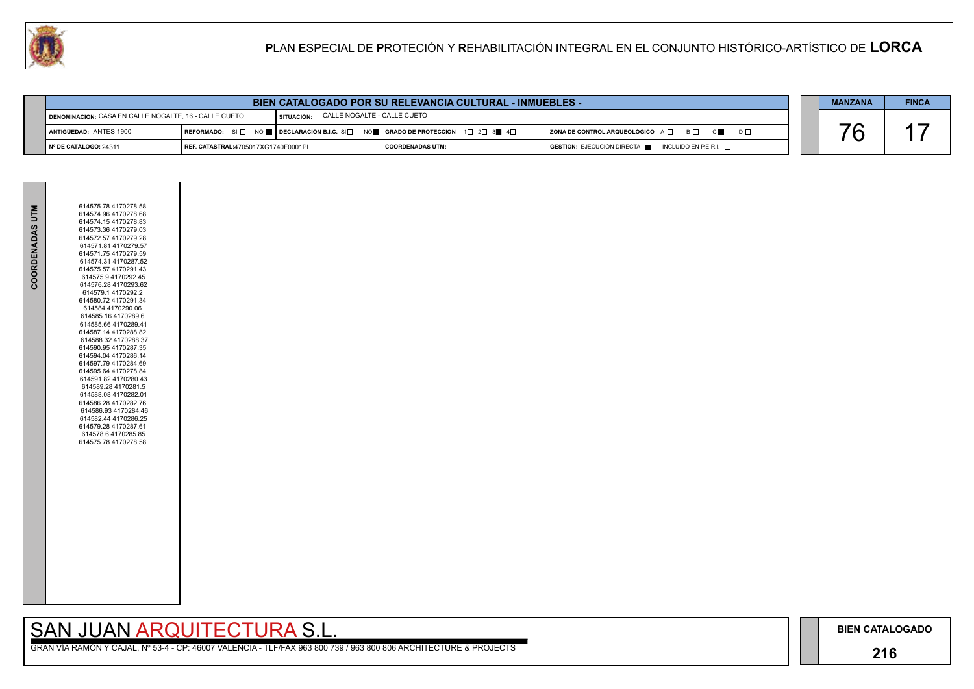## **216**

GRAN VÍA RAMÓN Y CAJAL, Nº 53-4 - CP: 46007 VALENCIA - TLF/FAX 963 800 739 / 963 800 806 ARCHITECTURE & PROJECTS



| <b>BIEN CATALOGADO POR SU RELEVANCIA CULTURAL - INMUEBLES -</b>       |  |                                        |                                                                                                                                                                                                       |                                                                                              |  | <b>MANZANA</b> | <b>FINCA</b> |
|-----------------------------------------------------------------------|--|----------------------------------------|-------------------------------------------------------------------------------------------------------------------------------------------------------------------------------------------------------|----------------------------------------------------------------------------------------------|--|----------------|--------------|
| DENOMINACIÓN: CASA EN CALLE NOGALTE, 16 - CALLE CUETO                 |  | SITUACIÓN: CALLE NOGALTE - CALLE CUETO |                                                                                                                                                                                                       |                                                                                              |  |                |              |
| ANTIGÜEDAD: ANTES 1900                                                |  |                                        | REFORMADO: SÍ $\square$ NO $\square$ DECLARACIÓN B.I.C. SÍ $\square$ NO $\square$ GRADO DE PROTECCIÓN 1 $\square$ 2 $\square$ 3 $\square$ 4 $\square$<br>ZONA DE CONTROL ARQUEOLÓGICO A □ B □ C ■ D □ |                                                                                              |  |                |              |
| │ Nº DE CATÁLOGO: 24311<br><b>REF. CATASTRAL:4705017XG1740F0001PL</b> |  |                                        | I COORDENADAS UTM:                                                                                                                                                                                    | $\overline{S}$ GESTIÓN: EJECUCIÓN DIRECTA $\overline{S}$ INCLUIDO EN P.E.R.I. $\overline{S}$ |  |                |              |

| COORDENADAS UTM | 614575.78 4170278.58<br>614574.96 4170278.68<br>614574.15 4170278.83<br>614573.36 4170279.03<br>614572.57 4170279.28<br>614571.81 4170279.57<br>614571.75 4170279.59<br>614574.31 4170287.52<br>614575.57 4170291.43<br>614575.9 4170292.45<br>614576.28 4170293.62<br>614579.14170292.2<br>614580.72 4170291.34<br>614584 4170290.06<br>614585.16 4170289.6<br>614585.66 4170289.41<br>614587.14 4170288.82<br>614588.32 4170288.37<br>614590.95 4170287.35<br>614594.04 4170286.14<br>614597.79 4170284.69<br>614595.64 4170278.84<br>614591.82 4170280.43<br>614589.28 4170281.5<br>614588.08 4170282.01<br>614586.28 4170282.76<br>614586.93 4170284.46<br>614582.44 4170286.25<br>614579.28 4170287.61<br>614578.6 4170285.85<br>614575.78 4170278.58 |  |
|-----------------|------------------------------------------------------------------------------------------------------------------------------------------------------------------------------------------------------------------------------------------------------------------------------------------------------------------------------------------------------------------------------------------------------------------------------------------------------------------------------------------------------------------------------------------------------------------------------------------------------------------------------------------------------------------------------------------------------------------------------------------------------------|--|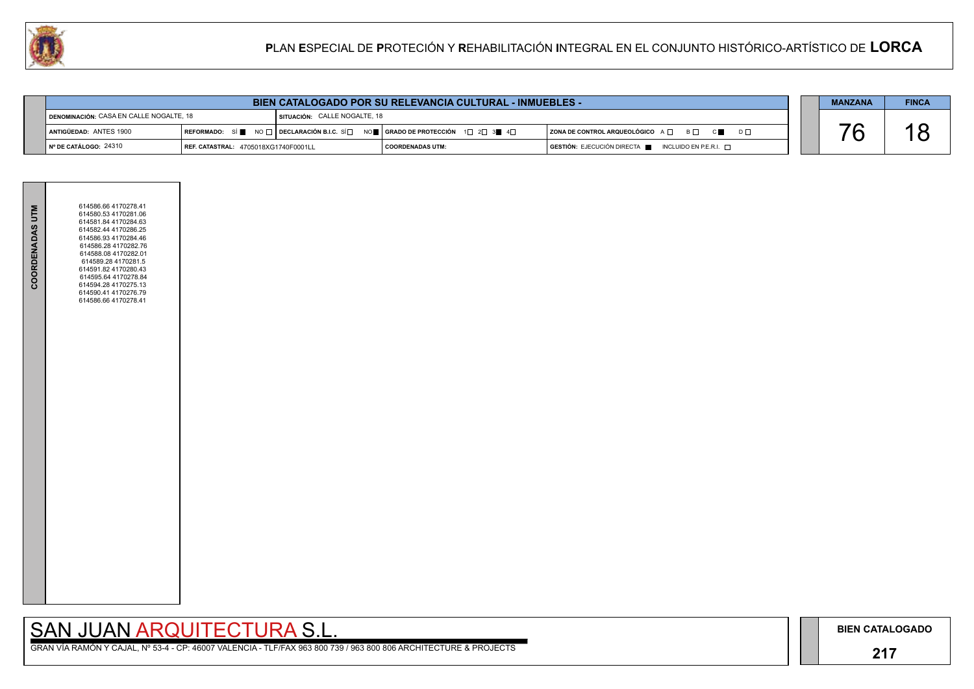## **217**

GRAN VÍA RAMÓN Y CAJAL, Nº 53-4 - CP: 46007 VALENCIA - TLF/FAX 963 800 739 / 963 800 806 ARCHITECTURE & PROJECTS



|                                                                                                                                                                                      | <b>BIEN CATALOGADO POR SU RELEVANCIA CULTURAL - INMUEBLES -</b> |                                     |                                                                                                                                                      |  |  |  | <b>FINCA</b> |
|--------------------------------------------------------------------------------------------------------------------------------------------------------------------------------------|-----------------------------------------------------------------|-------------------------------------|------------------------------------------------------------------------------------------------------------------------------------------------------|--|--|--|--------------|
| DENOMINACIÓN: CASA EN CALLE NOGALTE, 18                                                                                                                                              |                                                                 | <b>SITUACIÓN: CALLE NOGALTE, 18</b> |                                                                                                                                                      |  |  |  |              |
| ANTIGÜEDAD: ANTES 1900                                                                                                                                                               |                                                                 |                                     | REFORMADO: SÍ NO DECLARACIÓN B.I.C. SÍ NO RE GRADO DE PROTECCIÓN $1 \square 2 \square 3$ 4 $\square$<br>ZONA DE CONTROL ARQUEOLÓGICO A □ B □ C ■ D □ |  |  |  |              |
| I Nº DE CATÁLOGO: 24310<br>$\overline{S}$ GESTIÓN: EJECUCIÓN DIRECTA $\blacksquare$ INCLUIDO EN P.E.R.I. $\Box$<br><b>REF. CATASTRAL: 4705018XG1740F0001LL</b><br>  COORDENADAS UTM: |                                                                 |                                     |                                                                                                                                                      |  |  |  |              |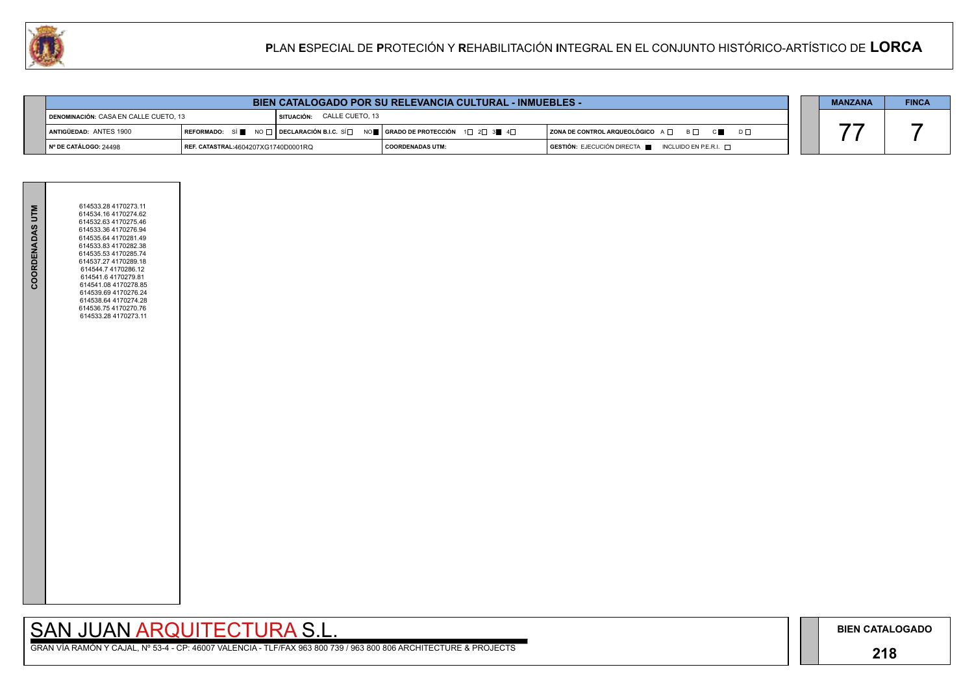## **218**

# SAN JUAN ARQUITECTURA S.L.



| <b>BIEN CATALOGADO POR SU RELEVANCIA CULTURAL - INMUEBLES -</b>      |  |  |                            |                                                                                                                                                                      |                                                                                 | <b>MANZANA</b>                                                                       | <b>FINCA</b> |  |
|----------------------------------------------------------------------|--|--|----------------------------|----------------------------------------------------------------------------------------------------------------------------------------------------------------------|---------------------------------------------------------------------------------|--------------------------------------------------------------------------------------|--------------|--|
| DENOMINACIÓN: CASA EN CALLE CUETO, 13                                |  |  | SITUACIÓN: CALLE CUETO, 13 |                                                                                                                                                                      |                                                                                 |                                                                                      |              |  |
| ANTIGÜEDAD: ANTES 1900                                               |  |  |                            | REFORMADO: SÍ $\blacksquare$ NO $\square$ DECLARACIÓN B.I.C. SÍ $\square$ NO $\blacksquare$ GRADO DE PROTECCIÓN 1 $\square$ 2 $\square$ 3 $\blacksquare$ 4 $\square$ | $ $ ZONA DE CONTROL ARQUEOLÓGICO $A \Box$ $B \Box$ $C \blacksquare$<br>$D \Box$ |                                                                                      |              |  |
| Nº DE CATÁLOGO: 24498<br><b>REF. CATASTRAL:</b> 4604207XG1740D0001RQ |  |  |                            |                                                                                                                                                                      | I COORDENADAS UTM:                                                              | $\overline{)}$ GESTIÓN: EJECUCIÓN DIRECTA $\overline{)}$ INCLUIDO EN P.E.R.I. $\Box$ |              |  |

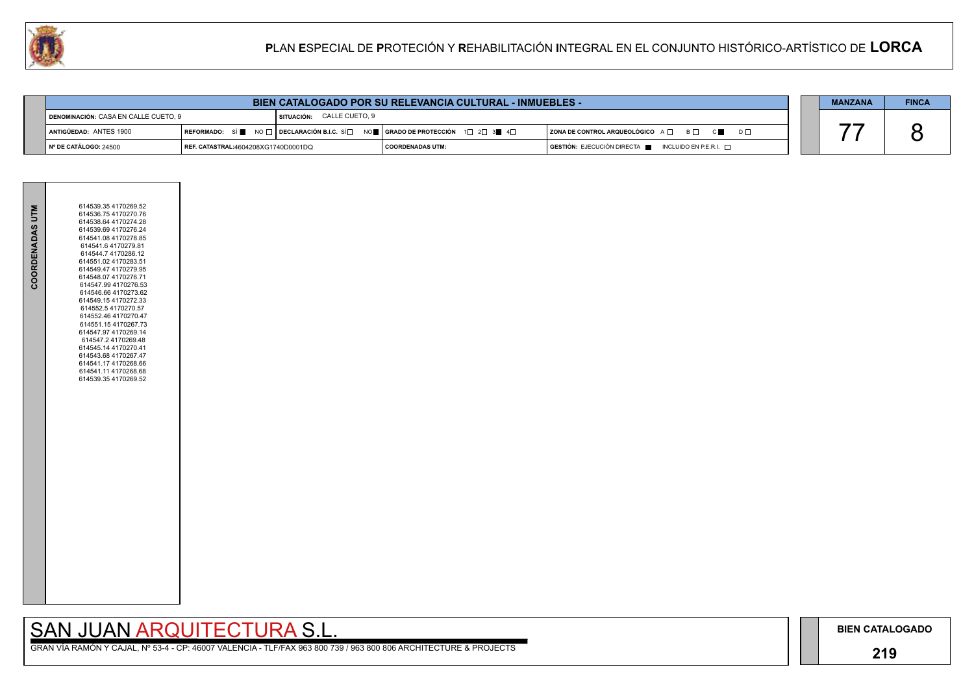## **219**

GRAN VÍA RAMÓN Y CAJAL, Nº 53-4 - CP: 46007 VALENCIA - TLF/FAX 963 800 739 / 963 800 806 ARCHITECTURE & PROJECTS



| <b>BIEN CATALOGADO POR SU RELEVANCIA CULTURAL - INMUEBLES -</b>             |                                                      |                             |                                              |                                                                                      |  | <b>MANZANA</b> | <b>FINCA</b> |
|-----------------------------------------------------------------------------|------------------------------------------------------|-----------------------------|----------------------------------------------|--------------------------------------------------------------------------------------|--|----------------|--------------|
| DENOMINACIÓN: CASA EN CALLE CUETO, 9                                        |                                                      | I SITUACIÓN: CALLE CUETO, 9 |                                              |                                                                                      |  |                |              |
| ANTIGÜEDAD: ANTES 1900                                                      | REFORMADO: SÍ NO $\Box$ DECLARACIÓN B.I.C. SÍ $\Box$ |                             | NO <b>DE GRADO DE PROTECCIÓN</b> 1□ 2□ 3● 4□ | ZONA DE CONTROL ARQUEOLÓGICO A □ B □ C ■ D □                                         |  |                |              |
| $\blacksquare$ N° DE CATÁLOGO: 24500<br>REF. CATASTRAL:4604208XG1740D0001DQ |                                                      |                             | COORDENADAS UTM:                             | $\overline{)}$ GESTIÓN: EJECUCIÓN DIRECTA $\blacksquare$ INCLUIDO EN P.E.R.I. $\Box$ |  |                |              |

| COORDENADAS UTM | 614539.35 4170269.52<br>614536.754170270.76<br>614538.64 4170274.28<br>614539.69 4170276.24<br>614541.08 4170278.85<br>614541.6 4170279.81<br>614544.7 4170286.12                                                                                                                         |  |
|-----------------|-------------------------------------------------------------------------------------------------------------------------------------------------------------------------------------------------------------------------------------------------------------------------------------------|--|
|                 | 614551.02 4170283.51<br>614549.47 4170279.95<br>614548.07 4170276.71<br>614547.99 4170276.53<br>614546.66 4170273.62<br>614549.154170272.33<br>614552.5 4170270.57<br>614552.46 4170270.47<br>614551.15 4170267.73<br>614547.97 4170269.14<br>614547.2 4170269.48<br>614545.14 4170270.41 |  |
|                 | 614543.68 4170267.47<br>614541.17 4170268.66<br>614541.11 4170268.68<br>614539.35 4170269.52                                                                                                                                                                                              |  |
|                 |                                                                                                                                                                                                                                                                                           |  |
|                 |                                                                                                                                                                                                                                                                                           |  |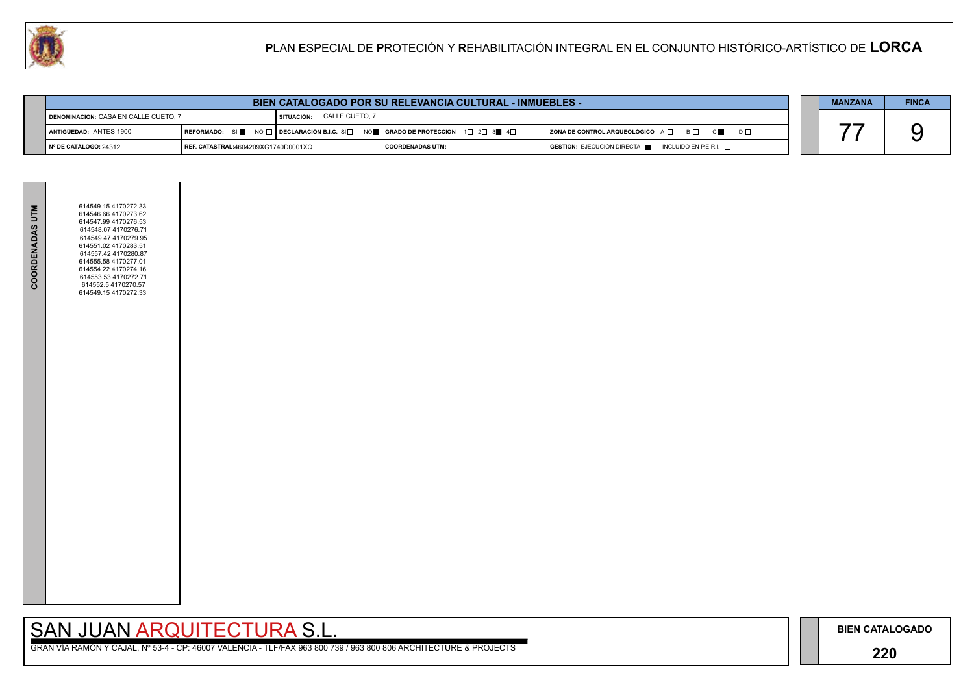## **220**

GRAN VÍA RAMÓN Y CAJAL, Nº 53-4 - CP: 46007 VALENCIA - TLF/FAX 963 800 739 / 963 800 806 ARCHITECTURE & PROJECTS



|                                                                                    | <b>BIEN CATALOGADO POR SU RELEVANCIA CULTURAL - INMUEBLES -</b> |                           |                                                                                                                                                                                                                        |  |  |  | <b>FINCA</b> |
|------------------------------------------------------------------------------------|-----------------------------------------------------------------|---------------------------|------------------------------------------------------------------------------------------------------------------------------------------------------------------------------------------------------------------------|--|--|--|--------------|
| DENOMINACIÓN: CASA EN CALLE CUETO, 7                                               |                                                                 | SITUACIÓN: CALLE CUETO, 7 |                                                                                                                                                                                                                        |  |  |  |              |
| ANTIGÜEDAD: ANTES 1900                                                             |                                                                 |                           | REFORMADO: SÍ $\blacksquare$ NO $\square$ DECLARACIÓN B.I.C. SÍ $\square$ NO $\blacksquare$ GRADO DE PROTECCIÓN 1 $\square$ 2 $\square$ 3 $\blacksquare$ 4 $\square$<br>  ZONA DE CONTROL ARQUEOLÓGICO A □ B □ C ■ D □ |  |  |  |              |
| $\blacksquare$ N° DE CATÁLOGO: 24312<br><b>REF. CATASTRAL:4604209XG1740D0001XQ</b> |                                                                 |                           | $\overline{)}$ GESTIÓN: EJECUCIÓN DIRECTA $\overline{)}$ INCLUIDO EN P.E.R.I. $\Box$<br>  COORDENADAS UTM:                                                                                                             |  |  |  |              |

| COORDENADAS UTM | 614549.154170272.33<br>614546.66 4170273.62<br>614547.99 4170276.53<br>614548.07 4170276.71<br>614549.47 4170279.95<br>614551.02 4170283.51<br>614557.42 4170280.87<br>614555.58 4170277.01<br>614554.22 4170274.16<br>614553.53 4170272.71<br>614552.5 4170270.57<br>614549.154170272.33 |  |
|-----------------|-------------------------------------------------------------------------------------------------------------------------------------------------------------------------------------------------------------------------------------------------------------------------------------------|--|
|                 |                                                                                                                                                                                                                                                                                           |  |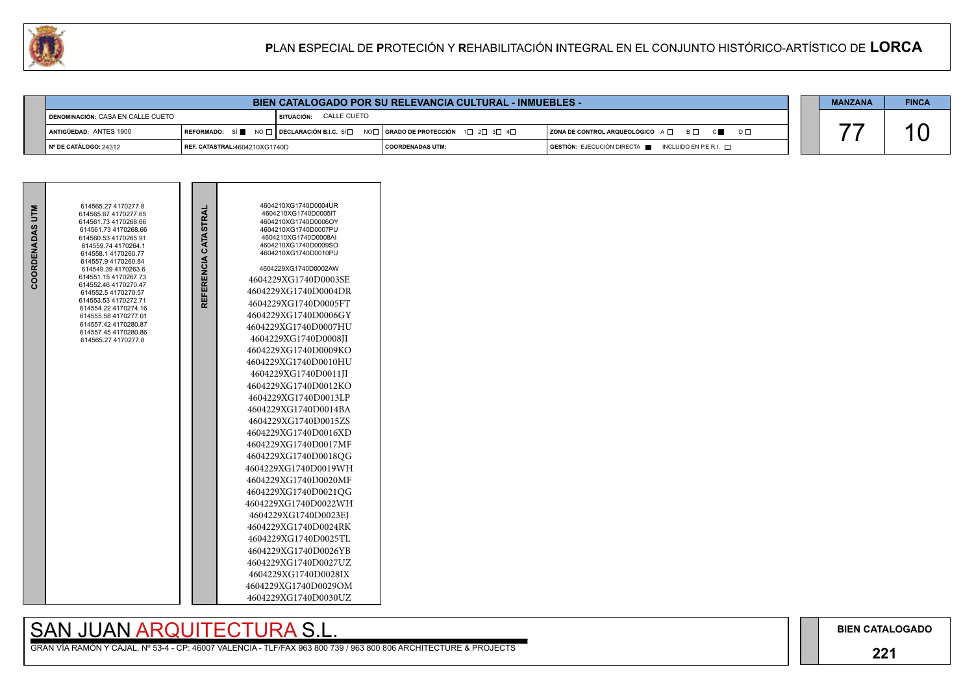## **221**

# SAN JUAN ARQUITECTURA S.L.

| COORDENADAS UTM | 614565.27 4170277.8<br>614565.67 4170277.65<br>614561.73 4170268.66<br>614561.73 4170268.66<br>614560.53 4170265.91<br>614559.74 4170264.1<br>614558.1 4170260.77<br>614557.9 4170260.84<br>614549.39 4170263.6<br>614551.15 4170267.73<br>614552.46 4170270.47<br>614552.5 4170270.57<br>614553.53 4170272.71<br>614554.22 4170274.16<br>614555.58 4170277.01<br>614557.42 4170280.87<br>614557.45 4170280.86<br>614565.27 4170277.8 |  | REFERENCIA CATASTRAL | 4604210XG1740D0004UR<br>4604210XG1740D0005IT<br>4604210XG1740D0006OY<br>4604210XG1740D0007PU<br>4604210XG1740D0008AI<br>4604210XG1740D0009SO<br>4604210XG1740D0010PU<br>4604229XG1740D0002AW<br>4604229XG1740D0003SE<br>4604229XG1740D0004DR<br>4604229XG1740D0005FT<br>4604229XG1740D0006GY<br>4604229XG1740D0007HU<br>4604229XG1740D0008JI<br>4604229XG1740D0009KO<br>4604229XG1740D0010HU<br>4604229XG1740D0011JI<br>4604229XG1740D0012KO<br>4604229XG1740D0013LP<br>4604229XG1740D0014BA<br>4604229XG1740D0015ZS<br>4604229XG1740D0016XD<br>4604229XG1740D0017MF<br>4604229XG1740D0018QG<br>4604229XG1740D0019WH<br>4604229XG1740D0020MF<br>4604229XG1740D0021QG<br>4604229XG1740D0022WH<br>4604229XG1740D0023EJ<br>4604229XG1740D0024RK<br>4604229XG1740D0025TL<br>4604229XG1740D0026YB<br>4604229XG1740D0027UZ<br>4604229XG1740D0028IX<br>4604229XG1740D0029OM<br>4604229XG1740D0030UZ |
|-----------------|---------------------------------------------------------------------------------------------------------------------------------------------------------------------------------------------------------------------------------------------------------------------------------------------------------------------------------------------------------------------------------------------------------------------------------------|--|----------------------|----------------------------------------------------------------------------------------------------------------------------------------------------------------------------------------------------------------------------------------------------------------------------------------------------------------------------------------------------------------------------------------------------------------------------------------------------------------------------------------------------------------------------------------------------------------------------------------------------------------------------------------------------------------------------------------------------------------------------------------------------------------------------------------------------------------------------------------------------------------------------------------------|
|-----------------|---------------------------------------------------------------------------------------------------------------------------------------------------------------------------------------------------------------------------------------------------------------------------------------------------------------------------------------------------------------------------------------------------------------------------------------|--|----------------------|----------------------------------------------------------------------------------------------------------------------------------------------------------------------------------------------------------------------------------------------------------------------------------------------------------------------------------------------------------------------------------------------------------------------------------------------------------------------------------------------------------------------------------------------------------------------------------------------------------------------------------------------------------------------------------------------------------------------------------------------------------------------------------------------------------------------------------------------------------------------------------------------|



| UJ. | PLAN ESPECIAL DE PROTECIÓN Y REHABILITACIÓN INTEGRAL EN EL CONJUNTO HISTÓRICO-ARTÍSTICO DE LORCA |                               |  |                                                                 |                         |  |                                                                  |  |                |              |
|-----|--------------------------------------------------------------------------------------------------|-------------------------------|--|-----------------------------------------------------------------|-------------------------|--|------------------------------------------------------------------|--|----------------|--------------|
|     |                                                                                                  |                               |  |                                                                 |                         |  |                                                                  |  |                |              |
|     |                                                                                                  |                               |  | <b>BIEN CATALOGADO POR SU RELEVANCIA CULTURAL - INMUEBLES -</b> |                         |  |                                                                  |  | <b>MANZANA</b> | <b>FINCA</b> |
|     | DENOMINACIÓN: CASA EN CALLE CUETO                                                                |                               |  | SITUACIÓN: CALLE CUETO                                          |                         |  |                                                                  |  |                |              |
|     | ANTIGÜEDAD: ANTES 1900                                                                           |                               |  |                                                                 |                         |  | ZONA DE CONTROL ARQUEOLÓGICO A $\Box$ B $\Box$ C $\Box$ D $\Box$ |  |                |              |
|     | Nº DE CATÁLOGO: 24312                                                                            | REF. CATASTRAL:4604210XG1740D |  |                                                                 | <b>COORDENADAS UTM:</b> |  | GESTIÓN: EJECUCIÓN DIRECTA<br>INCLUIDO EN P.E.R.I. $\Box$        |  |                |              |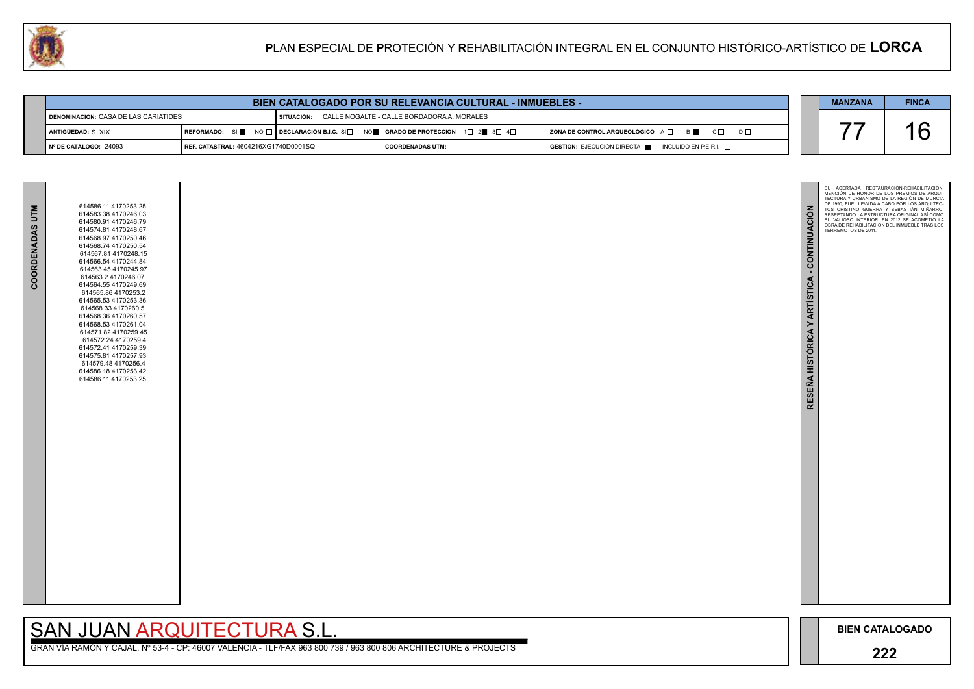

GRAN VÍA RAMÓN Y CAJAL, Nº 53-4 - CP: 46007 VALENCIA - TLF/FAX 963 800 739 / 963 800 806 ARCHITECTURE & PROJECTS

| COORDENADAS UTM | 614586.11 4170253.25<br>614583.38 4170246.03<br>614580.91 4170246.79<br>614574.81 4170248.67<br>614568.97 4170250.46<br>614568.74 4170250.54<br>614567.81 4170248.15<br>614566.54 4170244.84<br>614563.45 4170245.97<br>614563.2 4170246.07<br>614564.55 4170249.69<br>614565.86 4170253.2<br>614565.53 4170253.36<br>614568.33 4170260.5<br>614568.36 4170260.57<br>614568.53 4170261.04<br>614571.82 4170259.45<br>614572.24 4170259.4<br>614572.41 4170259.39<br>614575.81 4170257.93<br>614579.48 4170256.4<br>614586.18 4170253.42<br>614586.11 4170253.25 |  |
|-----------------|-----------------------------------------------------------------------------------------------------------------------------------------------------------------------------------------------------------------------------------------------------------------------------------------------------------------------------------------------------------------------------------------------------------------------------------------------------------------------------------------------------------------------------------------------------------------|--|
|                 |                                                                                                                                                                                                                                                                                                                                                                                                                                                                                                                                                                 |  |
|                 |                                                                                                                                                                                                                                                                                                                                                                                                                                                                                                                                                                 |  |

|                                      |                                             | <b>BIEN CATALOGADO POR SU RELEVANCIA CULTURAL - INMUEBLES -</b>                                                                                       |                    |                                                                                      | <b>MANZANA</b> | <b>FINCA</b> |
|--------------------------------------|---------------------------------------------|-------------------------------------------------------------------------------------------------------------------------------------------------------|--------------------|--------------------------------------------------------------------------------------|----------------|--------------|
| DENOMINACIÓN: CASA DE LAS CARIATIDES |                                             | SITUACIÓN: CALLE NOGALTE - CALLE BORDADORA A. MORALES                                                                                                 |                    |                                                                                      |                |              |
| ANTIGÜEDAD: S. XIX                   |                                             | REFORMADO: SÍ $\blacksquare$ NO $\Box$ DECLARACIÓN B.I.C. SÍ $\Box$ NO $\blacksquare$ GRADO DE PROTECCIÓN 1 $\Box$ 2 $\blacksquare$ 3 $\Box$ 4 $\Box$ |                    | $ $ ZONA DE CONTROL ARQUEOLÓGICO $A \Box$ $B \Box$ $C \Box$<br>$D \Box$              |                | - I.a        |
| $\vert$ N° DE CATÁLOGO: 24093        | <b>REF. CATASTRAL: 4604216XG1740D0001SQ</b> |                                                                                                                                                       | I COORDENADAS UTM: | $\blacksquare$ GESTIÓN: EJECUCIÓN DIRECTA $\blacksquare$ INCLUIDO EN P.E.R.I. $\Box$ |                |              |

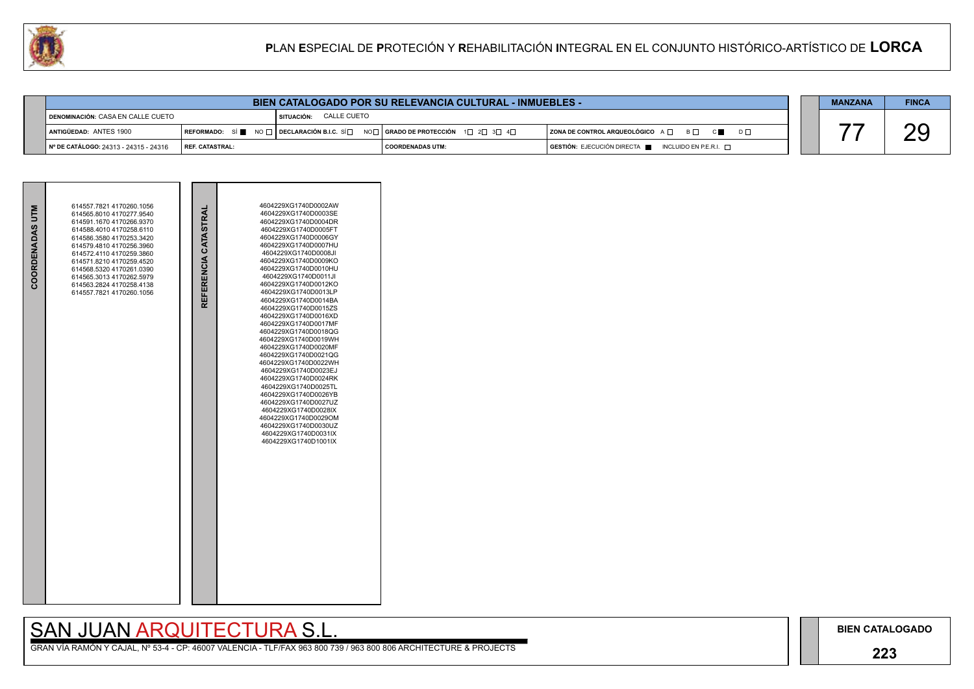## **223**

GRAN VÍA RAMÓN Y CAJAL, Nº 53-4 - CP: 46007 VALENCIA - TLF/FAX 963 800 739 / 963 800 806 ARCHITECTURE & PROJECTS

| COORDENADAS UTM | 614557.7821 4170260.1056<br>614565.8010 4170277.9540<br>614591.1670 4170266.9370<br>614588 4010 4170258 6110<br>614586.3580 4170253.3420<br>614579.4810 4170256.3960<br>614572.4110 4170259.3860<br>614571.8210 4170259.4520<br>614568.5320 4170261.0390<br>614565.3013 4170262.5979<br>614563.2824 4170258.4138<br>614557.7821 4170260.1056 | REFERENCIA CATASTRAL | 4604229XG1740D0002AW<br>4604229XG1740D0003SE<br>4604229XG1740D0004DR<br>4604229XG1740D0005FT<br>4604229XG1740D0006GY<br>4604229XG1740D0007HU<br>4604229XG1740D0008JI<br>4604229XG1740D0009KO<br>4604229XG1740D0010HU<br>4604229XG1740D0011JI<br>4604229XG1740D0012KO<br>4604229XG1740D0013LP<br>4604229XG1740D0014BA<br>4604229XG1740D0015ZS<br>4604229XG1740D0016XD<br>4604229XG1740D0017MF<br>4604229XG1740D0018QG<br>4604229XG1740D0019WH<br>4604229XG1740D0020MF<br>4604229XG1740D0021QG<br>4604229XG1740D0022WH<br>4604229XG1740D0023EJ<br>4604229XG1740D0024RK<br>4604229XG1740D0025TL<br>4604229XG1740D0026YB<br>4604229XG1740D0027UZ<br>4604229XG1740D0028IX<br>4604229XG1740D0029OM<br>4604229XG1740D0030UZ<br>4604229XG1740D0031IX<br>4604229XG1740D1001IX |  |
|-----------------|----------------------------------------------------------------------------------------------------------------------------------------------------------------------------------------------------------------------------------------------------------------------------------------------------------------------------------------------|----------------------|----------------------------------------------------------------------------------------------------------------------------------------------------------------------------------------------------------------------------------------------------------------------------------------------------------------------------------------------------------------------------------------------------------------------------------------------------------------------------------------------------------------------------------------------------------------------------------------------------------------------------------------------------------------------------------------------------------------------------------------------------------------------|--|



| U | PLAN ESPECIAL DE PROTECIÓN Y REHABILITACIÓN INTEGRAL EN EL CONJUNTO HISTÓRICO-ARTÍSTICO DE LORCA |                                                                           |                        |                                                                 |                                                                  |                |              |
|---|--------------------------------------------------------------------------------------------------|---------------------------------------------------------------------------|------------------------|-----------------------------------------------------------------|------------------------------------------------------------------|----------------|--------------|
|   |                                                                                                  |                                                                           |                        |                                                                 |                                                                  |                |              |
|   |                                                                                                  |                                                                           |                        | <b>BIEN CATALOGADO POR SU RELEVANCIA CULTURAL - INMUEBLES -</b> |                                                                  | <b>MANZANA</b> | <b>FINCA</b> |
|   | <b>I DENOMINACIÓN: CASA EN CALLE CUETO</b>                                                       |                                                                           | SITUACIÓN: CALLE CUETO |                                                                 |                                                                  |                |              |
|   | ANTIGÜEDAD: ANTES 1900                                                                           | REFORMADO: SÍ $\blacksquare$ NO $\square$ DECLARACIÓN B.I.C. SÍ $\square$ |                        | NO <b>de   Grado de Protección</b> → 1d → 2d → 3d → 4d          | ZONA DE CONTROL ARQUEOLÓGICO A $\Box$ B $\Box$ C $\Box$ D $\Box$ |                |              |
|   | № DE CATÁLOGO: 24313 - 24315 - 24316                                                             | REF. CATASTRAL:                                                           |                        | <b>COORDENADAS UTM:</b>                                         | GESTIÓN: EJECUCIÓN DIRECTA<br>INCLUIDO EN P.E.R.I. $\Box$        |                |              |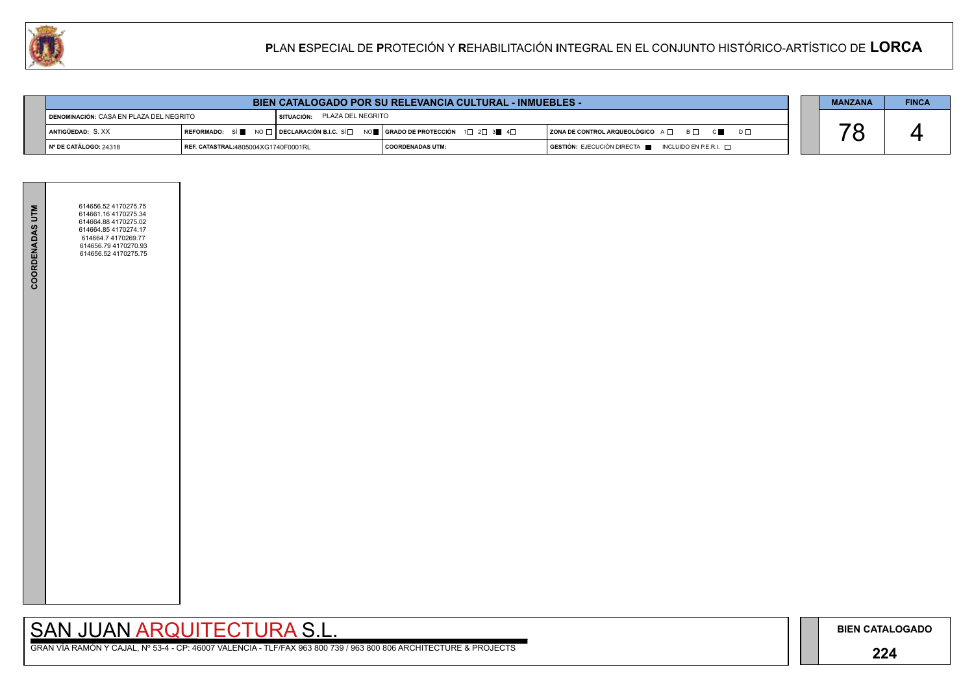### **224**

GRAN VÍA RAMÓN Y CAJAL, Nº 53-4 - CP: 46007 VALENCIA - TLF/FAX 963 800 739 / 963 800 806 ARCHITECTURE & PROJECTS

|                                         | <b>BIEN CATALOGADO POR SU RELEVANCIA CULTURAL - INMUEBLES -</b> |                                              |                                                                                                                                           |                                                      |  |  | <b>FINCA</b> |
|-----------------------------------------|-----------------------------------------------------------------|----------------------------------------------|-------------------------------------------------------------------------------------------------------------------------------------------|------------------------------------------------------|--|--|--------------|
| DENOMINACIÓN: CASA EN PLAZA DEL NEGRITO |                                                                 | PLAZA DEL NEGRITO<br><sup>I</sup> SITUACIÓN: |                                                                                                                                           |                                                      |  |  |              |
| ANTIGÜEDAD: S.XX                        | REFORMADO: SÍ                                                   |                                              | $\blacksquare$ NO $\Box$   DECLARACIÓN B.I.C. SÍ $\Box$ NO $\blacksquare$   GRADO DE PROTECCIÓN $\Box$ 2 $\Box$ 3 $\blacksquare$ 4 $\Box$ | ZONA DE CONTROL ARQUEOLÓGICO A □ B □ C ■ D □         |  |  |              |
| $\parallel$ N° DE CATÁLOGO: 24318       | REF. CATASTRAL:4805004XG1740F0001RL                             |                                              | <b>COORDENADAS UTM:</b>                                                                                                                   | GESTIÓN: EJECUCIÓN DIRECTA ██ INCLUIDO EN P.E.R.I. □ |  |  |              |



| <b>COORDENADAS UTM</b> | 614656.52 4170275.75<br>614661.16 4170275.34<br>614664.88 4170275.02<br>614664.85 4170274.17<br>614664.7 4170269.77<br>614656.79 4170270.93<br>614656.52 4170275.75 |  |
|------------------------|---------------------------------------------------------------------------------------------------------------------------------------------------------------------|--|
|                        |                                                                                                                                                                     |  |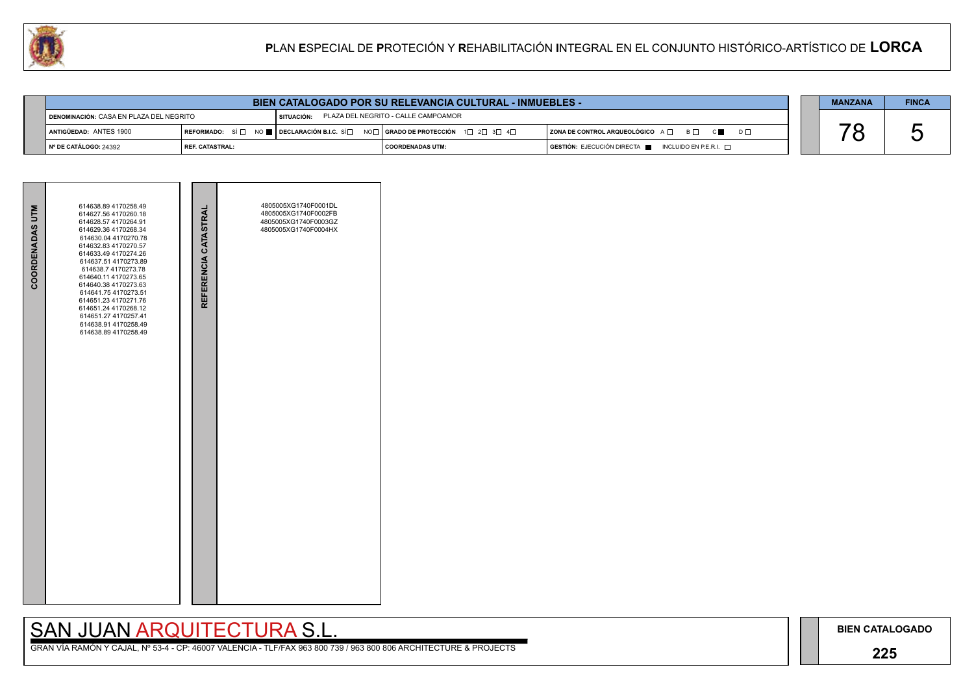### **225**

## SAN JUAN ARQUITECTURA S.L.

| COORDENADAS UTM | 614638.89 4170258.49<br>614627.56 4170260.18<br>614628.57 4170264.91<br>614629.36 4170268.34<br>614630.04 4170270.78<br>614632.83 4170270.57<br>614633.49 4170274.26<br>614637.51 4170273.89<br>614638.7 4170273.78<br>614640.11 4170273.65<br>614640.38 4170273.63<br>614641.75 4170273.51<br>614651.23 4170271.76<br>614651.24 4170268.12<br>614651.27 4170257.41<br>614638.91 4170258.49<br>614638.89 4170258.49 | REFERENCIA CATASTRAL | 4805005XG1740F0001DL<br>4805005XG1740F0002FB<br>4805005XG1740F0003GZ<br>4805005XG1740F0004HX |  |
|-----------------|---------------------------------------------------------------------------------------------------------------------------------------------------------------------------------------------------------------------------------------------------------------------------------------------------------------------------------------------------------------------------------------------------------------------|----------------------|----------------------------------------------------------------------------------------------|--|
|                 |                                                                                                                                                                                                                                                                                                                                                                                                                     |                      |                                                                                              |  |



|                                           | <b>BIEN CATALOGADO POR SU RELEVANCIA CULTURAL - INMUEBLES -</b> |              |                                                                                                                                                       |                                                                        |  | <b>MANZANA</b> | <b>FINCA</b> |
|-------------------------------------------|-----------------------------------------------------------------|--------------|-------------------------------------------------------------------------------------------------------------------------------------------------------|------------------------------------------------------------------------|--|----------------|--------------|
| I DENOMINACIÓN: CASA EN PLAZA DEL NEGRITO |                                                                 | I SITUACIÓN: | PLAZA DEL NEGRITO - CALLE CAMPOAMOR                                                                                                                   |                                                                        |  |                |              |
| ANTIGÜEDAD: ANTES 1900                    |                                                                 |              | REFORMADO: SÍ $\square$ NO $\square$ DECLARACIÓN B.I.C. SÍ $\square$ NO $\square$ GRADO DE PROTECCIÓN 1 $\square$ 2 $\square$ 3 $\square$ 4 $\square$ | ZONA DE CONTROL ARQUEOLÓGICO A □ B □ C ■ D □                           |  |                |              |
| № DE CATÁLOGO: 24392                      | <b>I REF. CATASTRAL:</b>                                        |              | I COORDENADAS UTM:                                                                                                                                    | $GESTIÓN: EJECUCIÓN DIRECTA \blacksquare INCLUIDO EN P.E.R.I. \square$ |  |                |              |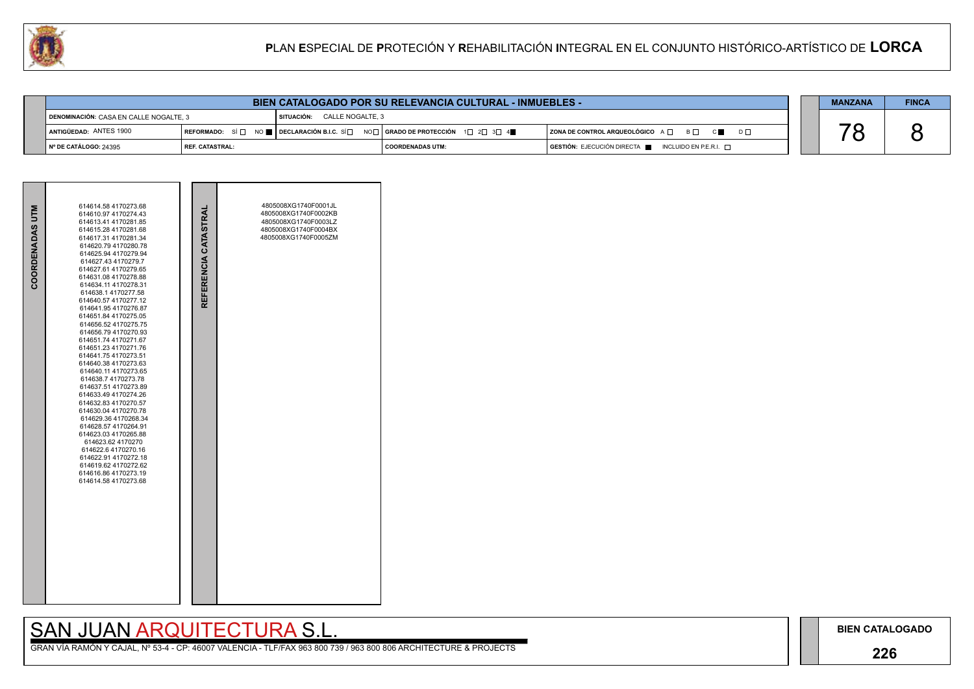### **226**

## SAN JUAN ARQUITECTURA S.L.

| COORDENADAS UTM | 614614.58 4170273.68<br>614610.97 4170274.43<br>614613 41 4170281 85<br>614615.28 4170281.68<br>614617.31 4170281.34<br>614620.79 4170280.78<br>614625.94 4170279.94<br>614627.43 4170279.7<br>614627.61 4170279.65<br>614631.08 4170278.88<br>614634.11 4170278.31<br>614638.1 4170277.58<br>614640.57 4170277.12<br>614641.95 4170276.87<br>614651.84 4170275.05<br>614656.52 4170275.75<br>614656.794170270.93<br>614651.74 4170271.67<br>614651.23 4170271.76<br>614641.75 4170273.51<br>614640.38 4170273.63<br>614640.11 4170273.65<br>614638.7 4170273.78<br>614637.51 4170273.89<br>614633.49 4170274.26<br>614632.83 4170270.57<br>614630.04 4170270.78<br>614629.36 4170268.34<br>614628.57 4170264.91<br>614623.03 4170265.88<br>614623.62 4170270<br>614622.6 4170270.16<br>614622.91 4170272.18<br>614619.62 4170272.62<br>614616.86 4170273.19<br>614614 58 4170273 68 | REFERENCIA CATASTRAL | 4805008XG1740F0001JL<br>4805008XG1740F0002KB<br>4805008XG1740F0003LZ<br>4805008XG1740F0004BX<br>4805008XG1740F0005ZM |  |
|-----------------|--------------------------------------------------------------------------------------------------------------------------------------------------------------------------------------------------------------------------------------------------------------------------------------------------------------------------------------------------------------------------------------------------------------------------------------------------------------------------------------------------------------------------------------------------------------------------------------------------------------------------------------------------------------------------------------------------------------------------------------------------------------------------------------------------------------------------------------------------------------------------------------|----------------------|----------------------------------------------------------------------------------------------------------------------|--|



| 94                                     |                                                                 | PLAN ESPECIAL DE PROTECIÓN Y REHABILITACIÓN INTEGRAL EN EL CONJUNTO HISTÓRICO-ARTÍSTICO DE LORCA |                         |                                                     |  |                |              |
|----------------------------------------|-----------------------------------------------------------------|--------------------------------------------------------------------------------------------------|-------------------------|-----------------------------------------------------|--|----------------|--------------|
|                                        |                                                                 |                                                                                                  |                         |                                                     |  |                |              |
|                                        | <b>BIEN CATALOGADO POR SU RELEVANCIA CULTURAL - INMUEBLES -</b> |                                                                                                  |                         |                                                     |  | <b>MANZANA</b> | <b>FINCA</b> |
| DENOMINACIÓN: CASA EN CALLE NOGALTE. 3 |                                                                 | SITUACIÓN: CALLE NOGALTE. 3                                                                      |                         |                                                     |  |                |              |
| ANTIGÜEDAD: ANTES 1900                 |                                                                 |                                                                                                  |                         | ZONA DE CONTROL ARQUEOLÓGICO A □ B □ C ■ D □        |  |                |              |
| N° DE CATÁLOGO: 24395                  | l REF. CATASTRAL:                                               |                                                                                                  | <b>COORDENADAS UTM:</b> | GESTIÓN: EJECUCIÓN DIRECTA NEL INCLUIDO EN P.E.R.I. |  |                |              |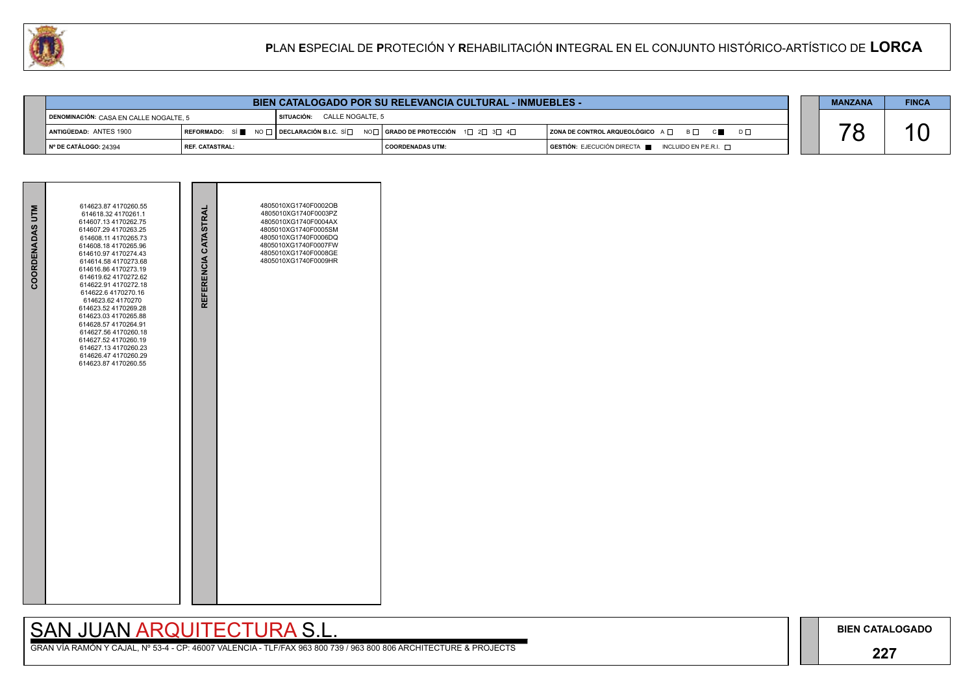### **227**

## SAN JUAN ARQUITECTURA S.L.

| COORDENADAS UTM | 614623.87 4170260.55<br>614618.32 4170261.1<br>614607.13 4170262.75<br>614607.29 4170263.25<br>614608.11 4170265.73<br>614608.18 4170265.96<br>614610.97 4170274.43<br>614614.58 4170273.68<br>614616.86 4170273.19<br>614619.62 4170272.62<br>614622.91 4170272.18<br>614622.6 4170270.16<br>614623.62 4170270<br>614623.52 4170269.28<br>614623.03 4170265.88<br>614628.57 4170264.91<br>614627.56 4170260.18<br>614627.52 4170260.19<br>614627.13 4170260.23<br>614626.47 4170260.29<br>614623.87 4170260.55 | REFERENCIA CATASTRAL | 4805010XG1740F0002OB<br>4805010XG1740F0003PZ<br>4805010XG1740F0004AX<br>4805010XG1740F0005SM<br>4805010XG1740F0006DQ<br>4805010XG1740F0007FW<br>4805010XG1740F0008GE<br>4805010XG1740F0009HR |  |
|-----------------|-----------------------------------------------------------------------------------------------------------------------------------------------------------------------------------------------------------------------------------------------------------------------------------------------------------------------------------------------------------------------------------------------------------------------------------------------------------------------------------------------------------------|----------------------|----------------------------------------------------------------------------------------------------------------------------------------------------------------------------------------------|--|



|                                                                        | <b>BIEN CATALOGADO POR SU RELEVANCIA CULTURAL - INMUEBLES -</b> |                             |                                                                                                                                                                    |                                                                        | <b>MANZANA</b> | <b>FINCA</b> |
|------------------------------------------------------------------------|-----------------------------------------------------------------|-----------------------------|--------------------------------------------------------------------------------------------------------------------------------------------------------------------|------------------------------------------------------------------------|----------------|--------------|
| $\blacktriangleleft$ DENOMINACIÓN: $\text{CASA}$ EN CALLE NOGALTE, $5$ |                                                                 | SITUACIÓN: CALLE NOGALTE, 5 |                                                                                                                                                                    |                                                                        |                |              |
| ANTIGÜEDAD: ANTES 1900                                                 |                                                                 |                             | $\mid$ REFORMADO: $\mid$ SÍ $\parallel$ NO $\sqcap$ $\mid$ DECLARACIÓN B.I.C. SÍ $\Box$ NO $\Box$   GRADO DE PROTECCIÓN $\mid$ 1 $\Box$ 2 $\Box$ 3 $\Box$ 4 $\Box$ | ZONA DE CONTROL ARQUEOLÓGICO A □ B □ C ■ D □                           |                |              |
| N° DE CATÁLOGO: 24394                                                  | l REF. CATASTRAL:                                               |                             | I COORDENADAS UTM:                                                                                                                                                 | $GESTIÓN: EJECUCIÓN DIRECTA \blacksquare INCLUIDO EN P.E.R.I. \square$ |                |              |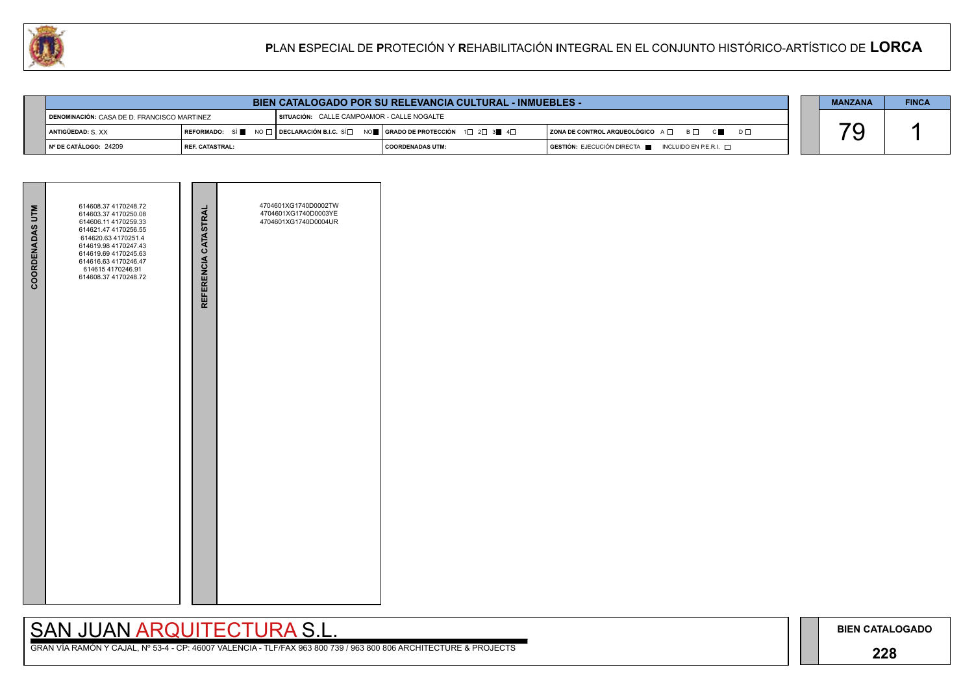### **228**

## SAN JUAN ARQUITECTURA S.L.

|                                             | <b>BIEN CATALOGADO POR SU RELEVANCIA CULTURAL - INMUEBLES -</b> |  |                                                                                                                                                       |                                                                                      |  | <b>MANZANA</b> | <b>FINCA</b> |
|---------------------------------------------|-----------------------------------------------------------------|--|-------------------------------------------------------------------------------------------------------------------------------------------------------|--------------------------------------------------------------------------------------|--|----------------|--------------|
| DENOMINACIÓN: CASA DE D. FRANCISCO MARTINEZ |                                                                 |  | SITUACIÓN: CALLE CAMPOAMOR - CALLE NOGALTE                                                                                                            |                                                                                      |  |                |              |
| ANTIGÜEDAD: S. XX                           |                                                                 |  | REFORMADO: SÍ $\blacksquare$ NO $\Box$ DECLARACIÓN B.I.C. SÍ $\Box$ NO $\blacksquare$ GRADO DE PROTECCIÓN 1 $\Box$ 2 $\Box$ 3 $\blacksquare$ 4 $\Box$ | ZONA DE CONTROL ARQUEOLÓGICO A □ B □ C ■ D □                                         |  |                |              |
| INº DE CATÁLOGO: 24209                      | <b>I REF. CATASTRAL:</b>                                        |  | <b>COORDENADAS UTM:</b>                                                                                                                               | $\overline{)}$ GESTIÓN: EJECUCIÓN DIRECTA $\overline{)}$ INCLUIDO EN P.E.R.I. $\Box$ |  |                |              |

| <b>COORDENADAS UTM</b> | 614608.37 4170248.72<br>614603.37 4170250.08<br>614606.11 4170259.33<br>614621.47 4170256.55<br>614620.63 4170251.4<br>614619.98 4170247.43<br>614619.69 4170245.63<br>614616.63 4170246.47<br>614615 4170246.91<br>614608.37 4170248.72 | REFERENCIA CATASTRAL | 4704601XG1740D0002TW<br>4704601XG1740D0003YE<br>4704601XG1740D0004UR |  |
|------------------------|------------------------------------------------------------------------------------------------------------------------------------------------------------------------------------------------------------------------------------------|----------------------|----------------------------------------------------------------------|--|
|                        |                                                                                                                                                                                                                                          |                      |                                                                      |  |

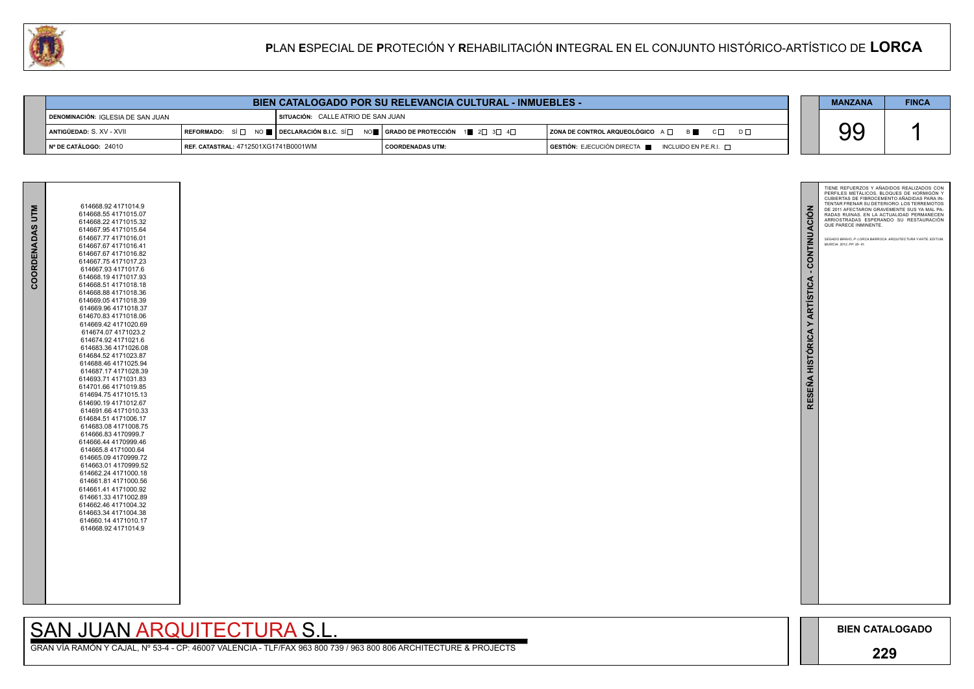

| 614668.92 4171014.9  |
|----------------------|
| 614668.554171015.07  |
| 614668.22 4171015.32 |
| 614667.95 4171015.64 |
| 614667.77 4171016.01 |
| 614667.67 4171016.41 |
| 614667.67 4171016.82 |
| 614667.754171017.23  |
| 614667.93 4171017.6  |
| 614668.194171017.93  |
| 614668.51 4171018.18 |
| 614668.88 4171018.36 |
| 614669.05 4171018.39 |
| 614669.96 4171018.37 |
| 614670.83 4171018.06 |
| 614669.42 4171020.69 |
| 614674.07 4171023.2  |
| 614674.92 4171021.6  |
| 614683.36 4171026.08 |
| 614684.52 4171023.87 |
| 614688.46 4171025.94 |
| 614687.17 4171028.39 |
| 614693.714171031.83  |
| 614701.66 4171019.85 |
| 614694.75 4171015.13 |
| 614690.19 4171012.67 |
| 614691.66 4171010.33 |
| 614684.51 4171006.17 |
| 614683.08 4171008.75 |
| 614666.83 4170999.7  |
| 614666.44 4170999.46 |
| 614665.8 4171000.64  |
| 614665.09 4170999.72 |
| 614663.01 4170999.52 |
| 614662.24 4171000.18 |
| 614661.81 4171000.56 |
| 614661.41 4171000.92 |
| 614661.33 4171002.89 |
| 614662.46 4171004.32 |
| 614663.34 4171004.38 |
| 614660.14 4171010.17 |
| 614668.92 4171014.9  |
|                      |
|                      |

# SAN JUAN ARQUITECTURA S.L.

| W                                 |                                      |                                    |                                                                                                                                                                          | PLAN ESPECIAL DE PROTECIÓN Y REHABILITACIÓN INTEGRAL EN EL CONJUNTO HISTÓRICO-ARTÍSTICO DE LORCA |                |            |
|-----------------------------------|--------------------------------------|------------------------------------|--------------------------------------------------------------------------------------------------------------------------------------------------------------------------|--------------------------------------------------------------------------------------------------|----------------|------------|
|                                   |                                      |                                    |                                                                                                                                                                          |                                                                                                  |                |            |
|                                   |                                      |                                    | BIEN CATALOGADO POR SU RELEVANCIA CULTURAL - INMUEBLES -                                                                                                                 |                                                                                                  | <b>MANZANA</b> | <b>FIN</b> |
| DENOMINACIÓN: IGLESIA DE SAN JUAN |                                      | SITUACIÓN: CALLE ATRIO DE SAN JUAN |                                                                                                                                                                          |                                                                                                  |                |            |
| ANTIGÜEDAD: S. XV - XVII          |                                      |                                    | $\mid$ REFORMADO: $\mid$ SÍ $\mid$ $\mid$ $\mid$ DECLARACIÓN B.I.C. SÍ $\mid$ $\mid$ $\mid$ $\mid$ $\mid$ GRADO DE PROTECCIÓN $\mid$ 1 $\mid$ 2 $\mid$ 3 $\mid$ 4 $\mid$ | $ $ ZONA DE CONTROL ARQUEOLÓGICO $A \Box$ $B \Box$ $C \Box$ $D \Box$                             | 99             |            |
| I Nº DE CATÁLOGO: 24010           | REF. CATASTRAL: 4712501XG1741B0001WM |                                    | <b>COORDENADAS UTM:</b>                                                                                                                                                  | GESTIÓN: EJECUCIÓN DIRECTA E<br>INCLUIDO EN P.E.R.I. $\Box$                                      |                |            |



**COORDENADAS UTM**

COORDENADAS UTM

| <b>BIEN CATALOGADO POR SU RELEVANCIA CULTURAL - INMUEBLES -</b> |  |  | <b>MANZANA</b> | <b>FINCA</b> |
|-----------------------------------------------------------------|--|--|----------------|--------------|
|-----------------------------------------------------------------|--|--|----------------|--------------|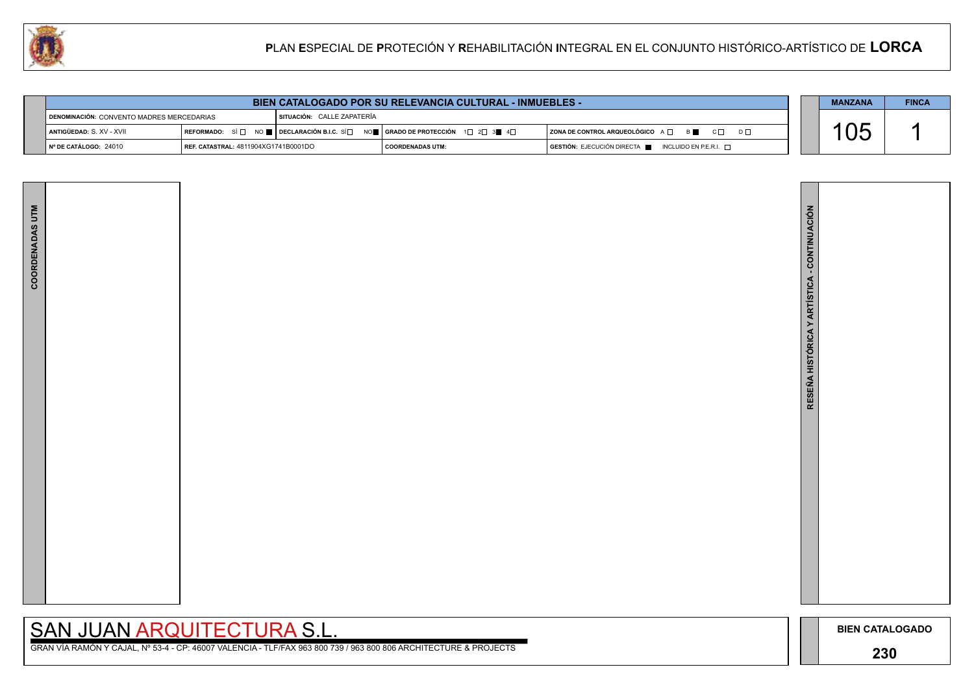





| <b>BIEN CATALOGADO POR SU RELEVANCIA CULTURAL - INMUEBLES -</b> |  | <b>MANZANA</b> | <b>FINCA</b> |
|-----------------------------------------------------------------|--|----------------|--------------|
|                                                                 |  |                |              |

| DENOMINACIÓN: CONVENTO MADRES MERCEDARIAS |                                              | I SITUACIÓN: CALLE ZAPATERIA |                                        |                                                                      |  |  |  |  |
|-------------------------------------------|----------------------------------------------|------------------------------|----------------------------------------|----------------------------------------------------------------------|--|--|--|--|
| ANTIGÜEDAD: S. XV - XVII                  | IREFORMADO: SÍ⊟ NO E IDECLARACIÓN B.I.C. SÍ⊟ |                              | NO LE CRADO DE PROTECCIÓN 2 2 3 LE 4 D | $C \Box$<br>$\mid$ ZONA DE CONTROL ARQUEOLÓGICO A $\Box$<br><b>B</b> |  |  |  |  |
| I Nº DE CATÁLOGO: 24010                   | REF. CATASTRAL: 4811904XG1741B0001DO         |                              | I COORDENADAS UTM:                     | GESTIÓN: EJECUCIÓN DIRECTA I<br>INCLUIDO EN P.E.R.I. $\sqcap$        |  |  |  |  |

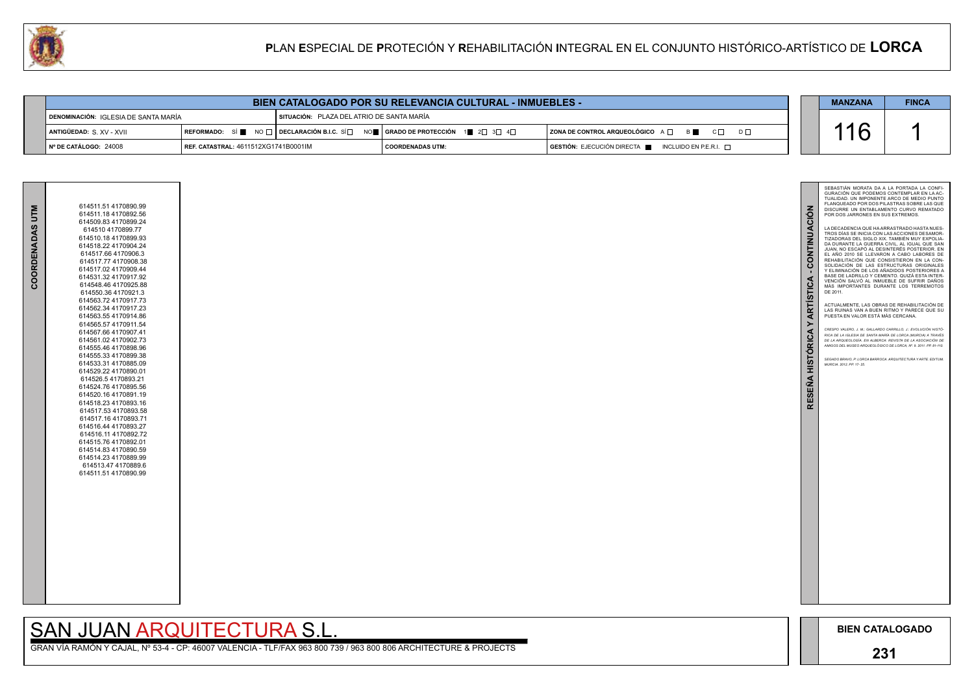

| 614511.51 4170890.99<br>614511.18 4170892.56<br>614509.83 4170899.24<br>614510 4170899.77<br>614510.18 4170899.93<br>614518.22 4170904.24<br>614517.66 4170906.3<br>614517.77 4170908.38<br>614517.02 4170909.44<br>614531.32 4170917.92<br>614548.46 4170925.88<br>614550.36 4170921.3<br>614563.72 4170917.73<br>614562.34 4170917.23<br>614563.55 4170914.86<br>614565.57 4170911.54<br>614567.66 4170907.41                            |
|--------------------------------------------------------------------------------------------------------------------------------------------------------------------------------------------------------------------------------------------------------------------------------------------------------------------------------------------------------------------------------------------------------------------------------------------|
| 614561.02 4170902.73<br>614555.46 4170898.96<br>614555.33 4170899.38<br>614533.31 4170885.09<br>614529.22 4170890.01<br>614526.5 4170893.21<br>614524.76 4170895.56<br>614520.16 4170891.19<br>614518.23 4170893.16<br>614517.53 4170893.58<br>614517.16 4170893.71<br>614516.44 4170893.27<br>614516.11 4170892.72<br>614515.76 4170892.01<br>614514.83 4170890.59<br>614514.23 4170889.99<br>614513.47 4170889.6<br>614511.51 4170890.99 |
|                                                                                                                                                                                                                                                                                                                                                                                                                                            |

|                                        | <b>BIEN CATALOGADO POR SU RELEVANCIA CULTURAL - INMUEBLES -</b> |                                                                                 |                                           |  |                                                                                      |  | <b>MANZANA</b> | <b>FINCA</b> |
|----------------------------------------|-----------------------------------------------------------------|---------------------------------------------------------------------------------|-------------------------------------------|--|--------------------------------------------------------------------------------------|--|----------------|--------------|
| ¶ DENOMINACIÓN: IGLESIA DE SANTA MARÍA |                                                                 |                                                                                 | SITUACIÓN: PLAZA DEL ATRIO DE SANTA MARÍA |  |                                                                                      |  |                |              |
| ANTIGÜEDAD: S. XV - XVII               |                                                                 | REFORMADO: SÍ NO □ DECLARACIÓN B.I.C. SÍ NO NO RADO DE PROTECCIÓN 1 2 1 3 4 4 D |                                           |  | $ $ ZONA DE CONTROL ARQUEOLÓGICO $A \Box$ $B \Box$ $C \Box$<br>$D \Box$              |  |                |              |
| N° DE CATÁLOGO: 24008                  | REF. CATASTRAL: 4611512XG1741B0001IM                            |                                                                                 | COORDENADAS UTM:                          |  | $\overline{S}$ GESTIÓN: EJECUCIÓN DIRECTA $\blacksquare$ INCLUIDO EN P.E.R.I. $\Box$ |  |                |              |

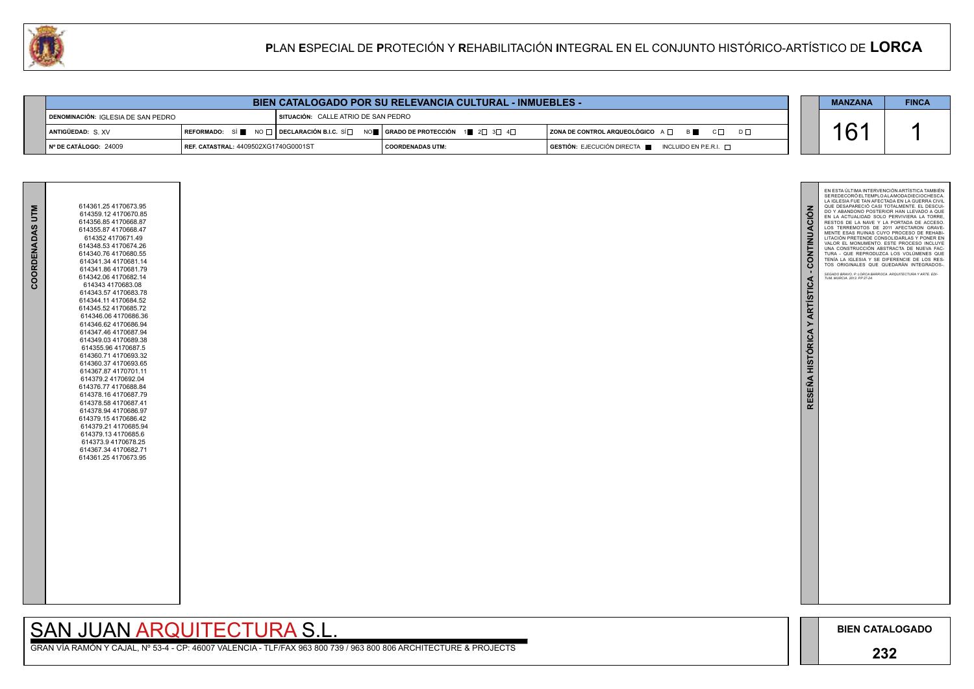

| COORDENADAS UTM | 614361.25 4170673.95<br>614359.12 4170670.85<br>614356.85 4170668.87<br>614355.87 4170668.47<br>614352 4170671.49<br>614348.53 4170674.26<br>614340.76 4170680.55<br>614341.34 4170681.14<br>614341.86 4170681.79<br>614342.06 4170682.14<br>614343 4170683.08<br>614343.57 4170683.78<br>614344.11 4170684.52<br>614345.52 4170685.72<br>614346.06 4170686.36<br>614346.62 4170686.94<br>614347.46 4170687.94<br>614349.03 4170689.38<br>614355.96 4170687.5<br>614360.714170693.32<br>614360.37 4170693.65<br>614367.87 4170701.11<br>614379.2 4170692.04<br>614376.77 4170688.84<br>614378 16 4170687 79<br>614378.58 4170687.41<br>614378.94 4170686.97<br>614379.15 4170686.42<br>614379.21 4170685.94<br>614379.13 4170685.6<br>614373.9 4170678.25<br>614367.34 4170682.71<br>614361.25 4170673.95 |
|-----------------|-----------------------------------------------------------------------------------------------------------------------------------------------------------------------------------------------------------------------------------------------------------------------------------------------------------------------------------------------------------------------------------------------------------------------------------------------------------------------------------------------------------------------------------------------------------------------------------------------------------------------------------------------------------------------------------------------------------------------------------------------------------------------------------------------------------|

| <b>BIEN CATALOGADO POR SU RELEVANCIA CULTURAL - INMUEBLES -</b>      |  |                         |                                                                                                          |                                                                      |  |  | <b>FINCA</b> |
|----------------------------------------------------------------------|--|-------------------------|----------------------------------------------------------------------------------------------------------|----------------------------------------------------------------------|--|--|--------------|
| DENOMINACIÓN: IGLESIA DE SAN PEDRO                                   |  |                         | SITUACIÓN: CALLE ATRIO DE SAN PEDRO                                                                      |                                                                      |  |  |              |
| <b>ANTIGÜEDAD: S.XV</b>                                              |  |                         | REFORMADO: SÍ NO $\Box$ DECLARACIÓN B.I.C. SÍ $\Box$ NO $\Box$ GRADO DE PROTECCIÓN 1 2 $\Box$ 3 4 $\Box$ | $ $ ZONA DE CONTROL ARQUEOLÓGICO $A \Box$ $B \Box$ $C \Box$ $D \Box$ |  |  |              |
| N° DE CATÁLOGO: 24009<br><b>REF. CATASTRAL: 4409502XG1740G0001ST</b> |  | <b>COORDENADAS UTM:</b> | $\blacksquare$ GESTIÓN: EJECUCIÓN DIRECTA $\blacksquare$ INCLUIDO EN P.E.R.I. $\Box$                     |                                                                      |  |  |              |